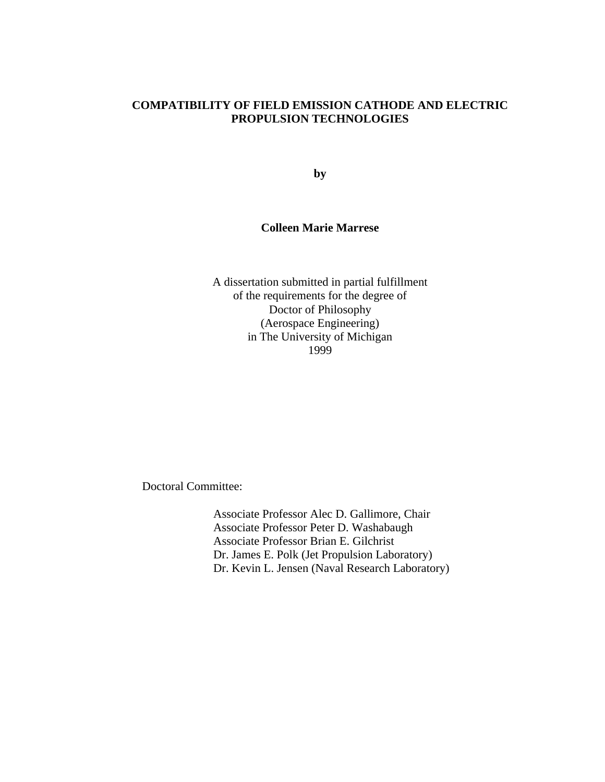# **COMPATIBILITY OF FIELD EMISSION CATHODE AND ELECTRIC PROPULSION TECHNOLOGIES**

**by**

# **Colleen Marie Marrese**

A dissertation submitted in partial fulfillment of the requirements for the degree of Doctor of Philosophy (Aerospace Engineering) in The University of Michigan 1999

Doctoral Committee:

Associate Professor Alec D. Gallimore, Chair Associate Professor Peter D. Washabaugh Associate Professor Brian E. Gilchrist Dr. James E. Polk (Jet Propulsion Laboratory) Dr. Kevin L. Jensen (Naval Research Laboratory)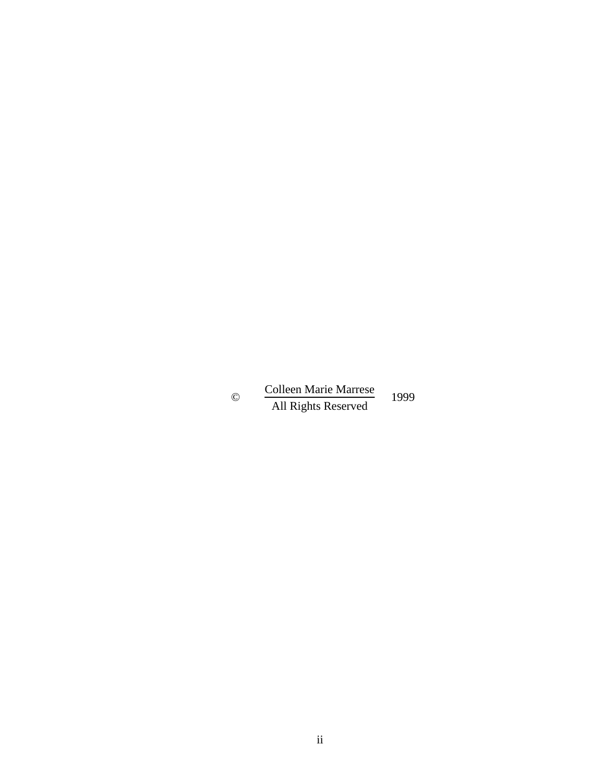© Colleen Marie Marrese All Rights Reserved 1999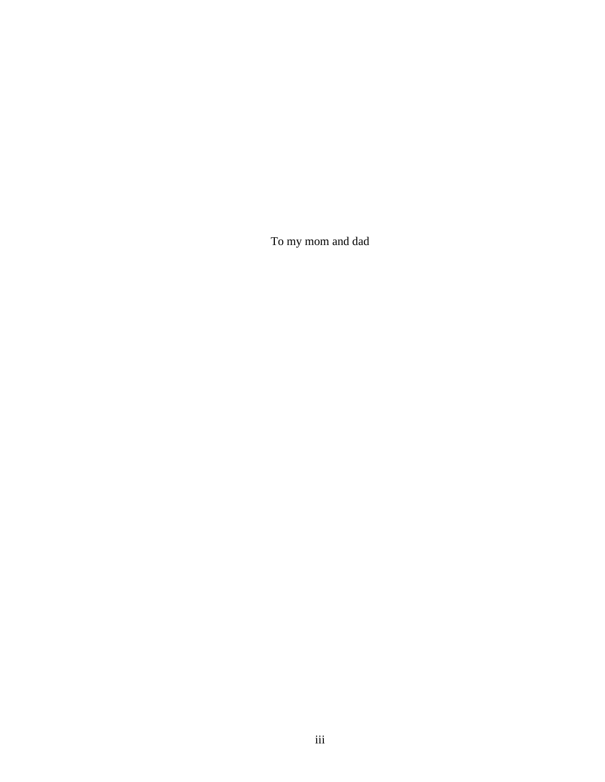To my mom and dad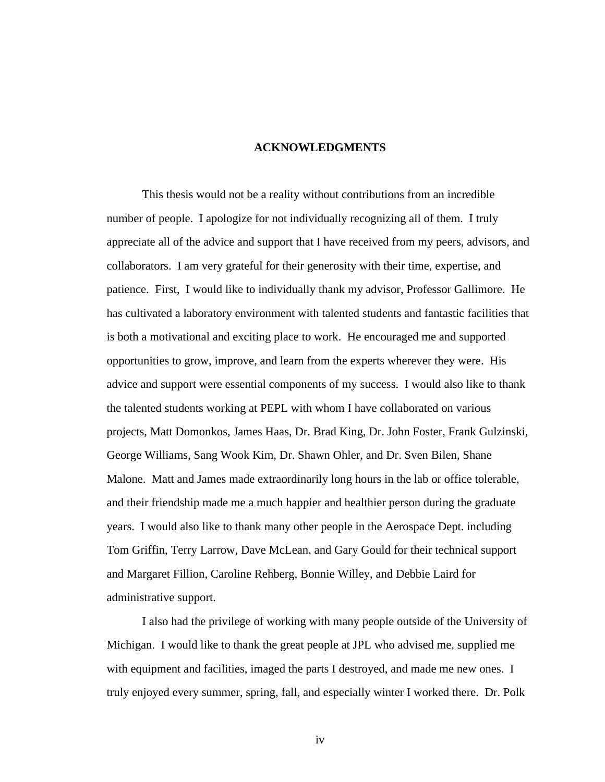# **ACKNOWLEDGMENTS**

This thesis would not be a reality without contributions from an incredible number of people. I apologize for not individually recognizing all of them. I truly appreciate all of the advice and support that I have received from my peers, advisors, and collaborators. I am very grateful for their generosity with their time, expertise, and patience. First, I would like to individually thank my advisor, Professor Gallimore. He has cultivated a laboratory environment with talented students and fantastic facilities that is both a motivational and exciting place to work. He encouraged me and supported opportunities to grow, improve, and learn from the experts wherever they were. His advice and support were essential components of my success. I would also like to thank the talented students working at PEPL with whom I have collaborated on various projects, Matt Domonkos, James Haas, Dr. Brad King, Dr. John Foster, Frank Gulzinski, George Williams, Sang Wook Kim, Dr. Shawn Ohler, and Dr. Sven Bilen, Shane Malone. Matt and James made extraordinarily long hours in the lab or office tolerable, and their friendship made me a much happier and healthier person during the graduate years. I would also like to thank many other people in the Aerospace Dept. including Tom Griffin, Terry Larrow, Dave McLean, and Gary Gould for their technical support and Margaret Fillion, Caroline Rehberg, Bonnie Willey, and Debbie Laird for administrative support.

I also had the privilege of working with many people outside of the University of Michigan. I would like to thank the great people at JPL who advised me, supplied me with equipment and facilities, imaged the parts I destroyed, and made me new ones. I truly enjoyed every summer, spring, fall, and especially winter I worked there. Dr. Polk

iv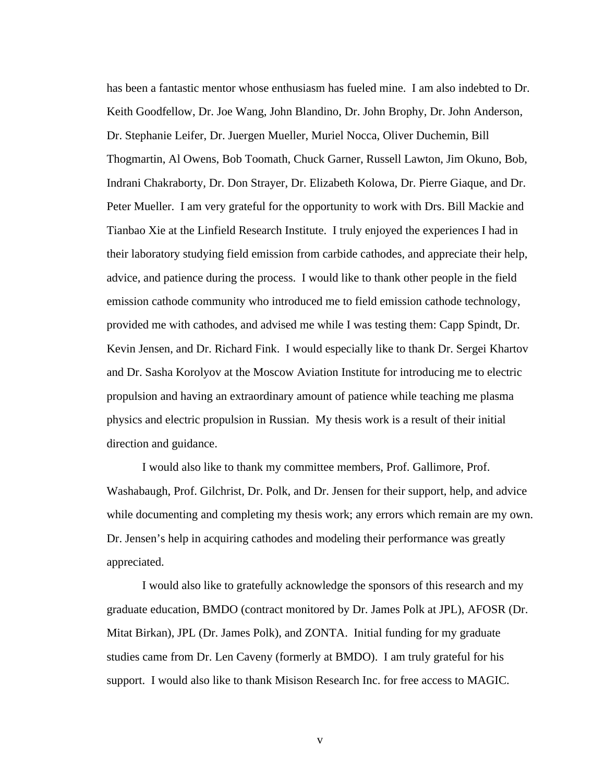has been a fantastic mentor whose enthusiasm has fueled mine. I am also indebted to Dr. Keith Goodfellow, Dr. Joe Wang, John Blandino, Dr. John Brophy, Dr. John Anderson, Dr. Stephanie Leifer, Dr. Juergen Mueller, Muriel Nocca, Oliver Duchemin, Bill Thogmartin, Al Owens, Bob Toomath, Chuck Garner, Russell Lawton, Jim Okuno, Bob, Indrani Chakraborty, Dr. Don Strayer, Dr. Elizabeth Kolowa, Dr. Pierre Giaque, and Dr. Peter Mueller. I am very grateful for the opportunity to work with Drs. Bill Mackie and Tianbao Xie at the Linfield Research Institute. I truly enjoyed the experiences I had in their laboratory studying field emission from carbide cathodes, and appreciate their help, advice, and patience during the process. I would like to thank other people in the field emission cathode community who introduced me to field emission cathode technology, provided me with cathodes, and advised me while I was testing them: Capp Spindt, Dr. Kevin Jensen, and Dr. Richard Fink. I would especially like to thank Dr. Sergei Khartov and Dr. Sasha Korolyov at the Moscow Aviation Institute for introducing me to electric propulsion and having an extraordinary amount of patience while teaching me plasma physics and electric propulsion in Russian. My thesis work is a result of their initial direction and guidance.

I would also like to thank my committee members, Prof. Gallimore, Prof. Washabaugh, Prof. Gilchrist, Dr. Polk, and Dr. Jensen for their support, help, and advice while documenting and completing my thesis work; any errors which remain are my own. Dr. Jensen's help in acquiring cathodes and modeling their performance was greatly appreciated.

I would also like to gratefully acknowledge the sponsors of this research and my graduate education, BMDO (contract monitored by Dr. James Polk at JPL), AFOSR (Dr. Mitat Birkan), JPL (Dr. James Polk), and ZONTA. Initial funding for my graduate studies came from Dr. Len Caveny (formerly at BMDO). I am truly grateful for his support. I would also like to thank Misison Research Inc. for free access to MAGIC.

v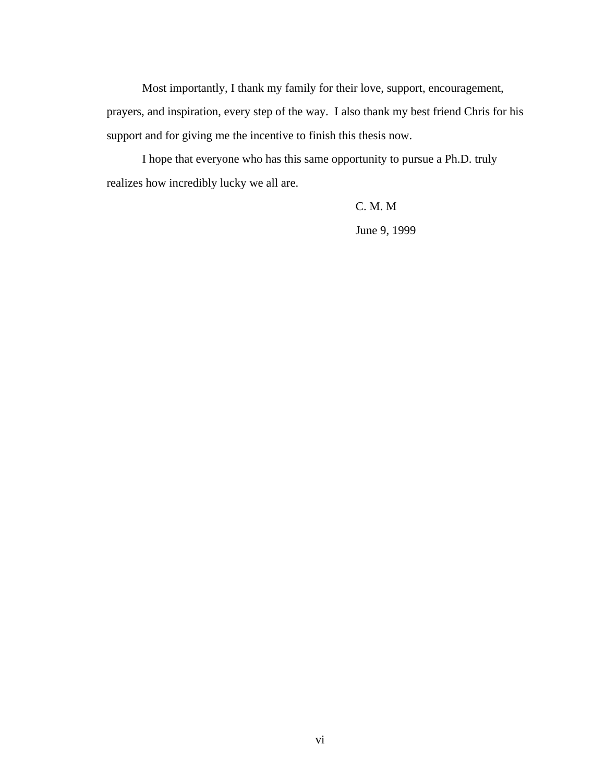Most importantly, I thank my family for their love, support, encouragement, prayers, and inspiration, every step of the way. I also thank my best friend Chris for his support and for giving me the incentive to finish this thesis now.

I hope that everyone who has this same opportunity to pursue a Ph.D. truly realizes how incredibly lucky we all are.

C. M. M

June 9, 1999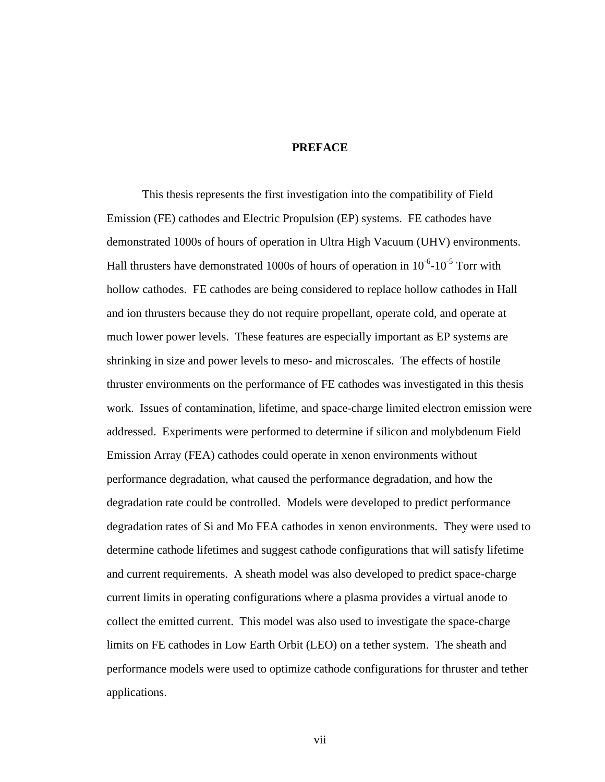## **PREFACE**

This thesis represents the first investigation into the compatibility of Field Emission (FE) cathodes and Electric Propulsion (EP) systems. FE cathodes have demonstrated 1000s of hours of operation in Ultra High Vacuum (UHV) environments. Hall thrusters have demonstrated 1000s of hours of operation in  $10^{-6}$ - $10^{-5}$  Torr with hollow cathodes. FE cathodes are being considered to replace hollow cathodes in Hall and ion thrusters because they do not require propellant, operate cold, and operate at much lower power levels. These features are especially important as EP systems are shrinking in size and power levels to meso- and microscales. The effects of hostile thruster environments on the performance of FE cathodes was investigated in this thesis work. Issues of contamination, lifetime, and space-charge limited electron emission were addressed. Experiments were performed to determine if silicon and molybdenum Field Emission Array (FEA) cathodes could operate in xenon environments without performance degradation, what caused the performance degradation, and how the degradation rate could be controlled. Models were developed to predict performance degradation rates of Si and Mo FEA cathodes in xenon environments. They were used to determine cathode lifetimes and suggest cathode configurations that will satisfy lifetime and current requirements. A sheath model was also developed to predict space-charge current limits in operating configurations where a plasma provides a virtual anode to collect the emitted current. This model was also used to investigate the space-charge limits on FE cathodes in Low Earth Orbit (LEO) on a tether system. The sheath and performance models were used to optimize cathode configurations for thruster and tether applications.

vii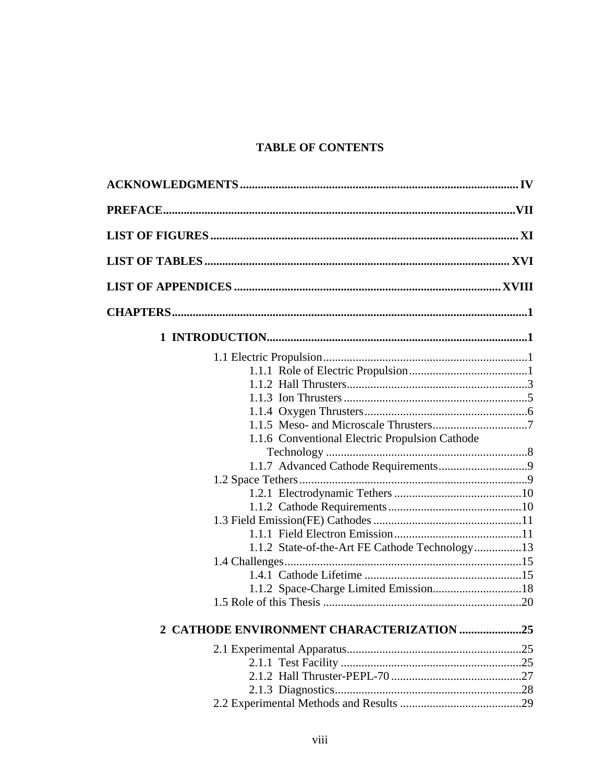# **TABLE OF CONTENTS**

| 1.1.6 Conventional Electric Propulsion Cathode |  |
|------------------------------------------------|--|
|                                                |  |
|                                                |  |
|                                                |  |
|                                                |  |
|                                                |  |
|                                                |  |
|                                                |  |
| 1.1.2 State-of-the-Art FE Cathode Technology13 |  |
|                                                |  |
|                                                |  |
|                                                |  |
|                                                |  |
| 2 CATHODE ENVIRONMENT CHARACTERIZATION 25      |  |
|                                                |  |
|                                                |  |
|                                                |  |
|                                                |  |
|                                                |  |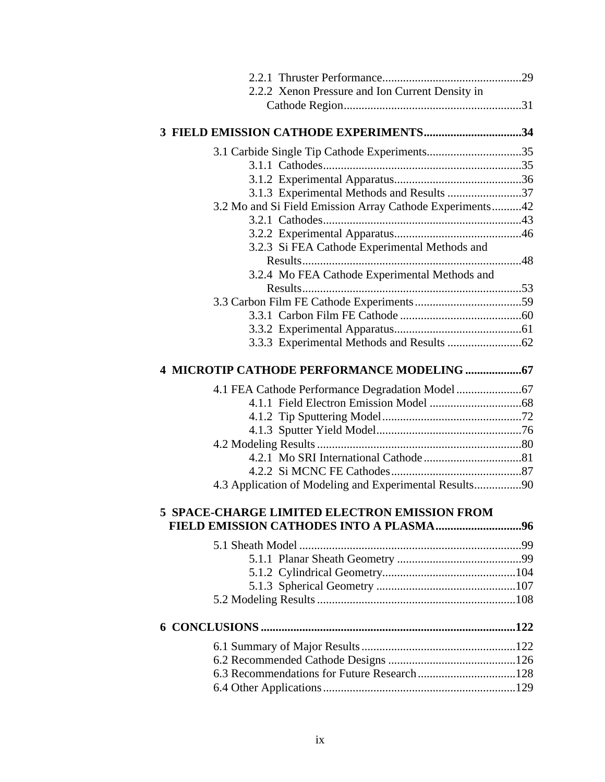| 2.2.2 Xenon Pressure and Ion Current Density in          |  |
|----------------------------------------------------------|--|
|                                                          |  |
|                                                          |  |
| 3 FIELD EMISSION CATHODE EXPERIMENTS34                   |  |
|                                                          |  |
|                                                          |  |
|                                                          |  |
| 3.1.3 Experimental Methods and Results 37                |  |
| 3.2 Mo and Si Field Emission Array Cathode Experiments42 |  |
|                                                          |  |
|                                                          |  |
| 3.2.3 Si FEA Cathode Experimental Methods and            |  |
|                                                          |  |
| 3.2.4 Mo FEA Cathode Experimental Methods and            |  |
|                                                          |  |
|                                                          |  |
|                                                          |  |
|                                                          |  |
|                                                          |  |
| 4 MICROTIP CATHODE PERFORMANCE MODELING  67              |  |
|                                                          |  |
|                                                          |  |
|                                                          |  |
|                                                          |  |
|                                                          |  |
|                                                          |  |
|                                                          |  |
| 4.3 Application of Modeling and Experimental Results90   |  |
| <b>5 SPACE-CHARGE LIMITED ELECTRON EMISSION FROM</b>     |  |
|                                                          |  |
|                                                          |  |
|                                                          |  |
|                                                          |  |
|                                                          |  |
|                                                          |  |
|                                                          |  |
|                                                          |  |
|                                                          |  |
|                                                          |  |
|                                                          |  |
|                                                          |  |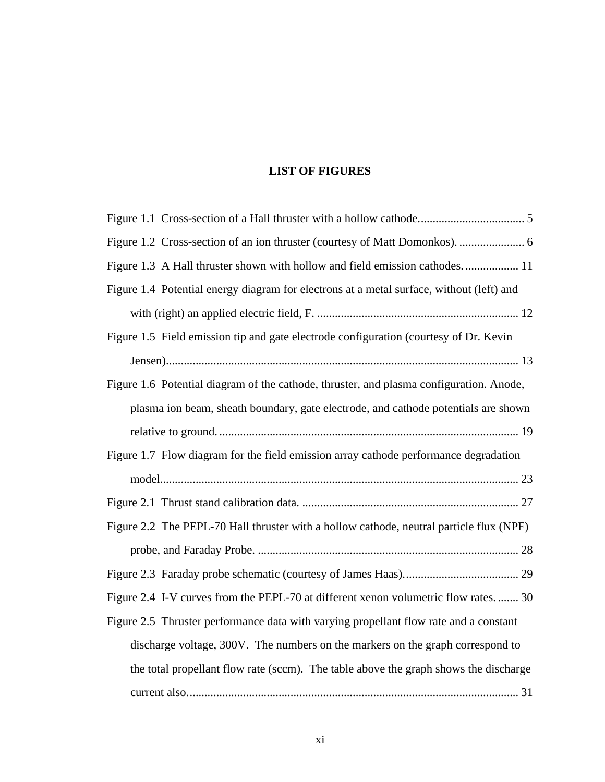# **LIST OF FIGURES**

| Figure 1.3 A Hall thruster shown with hollow and field emission cathodes 11              |
|------------------------------------------------------------------------------------------|
| Figure 1.4 Potential energy diagram for electrons at a metal surface, without (left) and |
|                                                                                          |
| Figure 1.5 Field emission tip and gate electrode configuration (courtesy of Dr. Kevin    |
|                                                                                          |
| Figure 1.6 Potential diagram of the cathode, thruster, and plasma configuration. Anode,  |
| plasma ion beam, sheath boundary, gate electrode, and cathode potentials are shown       |
|                                                                                          |
| Figure 1.7 Flow diagram for the field emission array cathode performance degradation     |
|                                                                                          |
|                                                                                          |
| Figure 2.2 The PEPL-70 Hall thruster with a hollow cathode, neutral particle flux (NPF)  |
|                                                                                          |
|                                                                                          |
| Figure 2.4 I-V curves from the PEPL-70 at different xenon volumetric flow rates 30       |
| Figure 2.5 Thruster performance data with varying propellant flow rate and a constant    |
| discharge voltage, 300V. The numbers on the markers on the graph correspond to           |
| the total propellant flow rate (sccm). The table above the graph shows the discharge     |
|                                                                                          |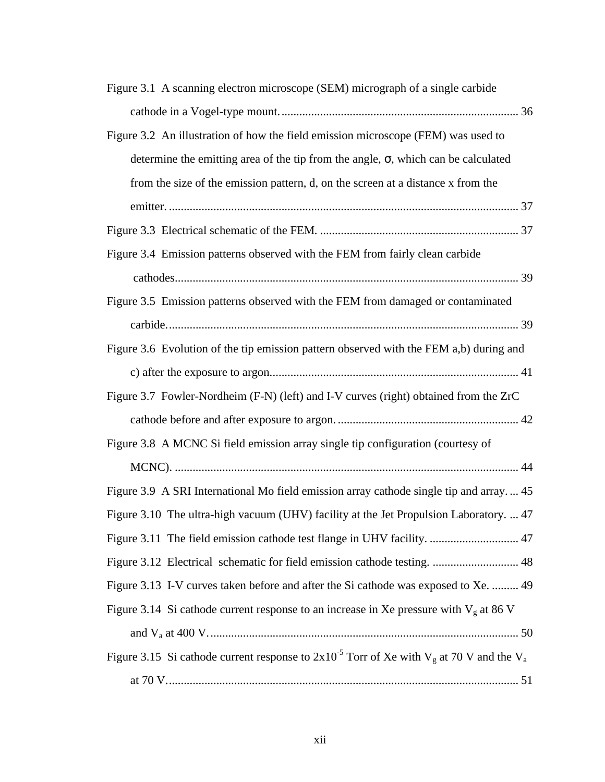| Figure 3.1 A scanning electron microscope (SEM) micrograph of a single carbide                     |
|----------------------------------------------------------------------------------------------------|
|                                                                                                    |
| Figure 3.2 An illustration of how the field emission microscope (FEM) was used to                  |
| determine the emitting area of the tip from the angle, $\sigma$ , which can be calculated          |
| from the size of the emission pattern, d, on the screen at a distance x from the                   |
|                                                                                                    |
|                                                                                                    |
| Figure 3.4 Emission patterns observed with the FEM from fairly clean carbide                       |
|                                                                                                    |
| Figure 3.5 Emission patterns observed with the FEM from damaged or contaminated                    |
|                                                                                                    |
| Figure 3.6 Evolution of the tip emission pattern observed with the FEM a,b) during and             |
|                                                                                                    |
| Figure 3.7 Fowler-Nordheim (F-N) (left) and I-V curves (right) obtained from the ZrC               |
|                                                                                                    |
| Figure 3.8 A MCNC Si field emission array single tip configuration (courtesy of                    |
|                                                                                                    |
| Figure 3.9 A SRI International Mo field emission array cathode single tip and array 45             |
| Figure 3.10 The ultra-high vacuum (UHV) facility at the Jet Propulsion Laboratory.  47             |
| Figure 3.11 The field emission cathode test flange in UHV facility.  47                            |
|                                                                                                    |
| Figure 3.13 I-V curves taken before and after the Si cathode was exposed to Xe.  49                |
| Figure 3.14 Si cathode current response to an increase in Xe pressure with $V_g$ at 86 V           |
|                                                                                                    |
| Figure 3.15 Si cathode current response to $2x10^{-5}$ Torr of Xe with $V_g$ at 70 V and the $V_a$ |
|                                                                                                    |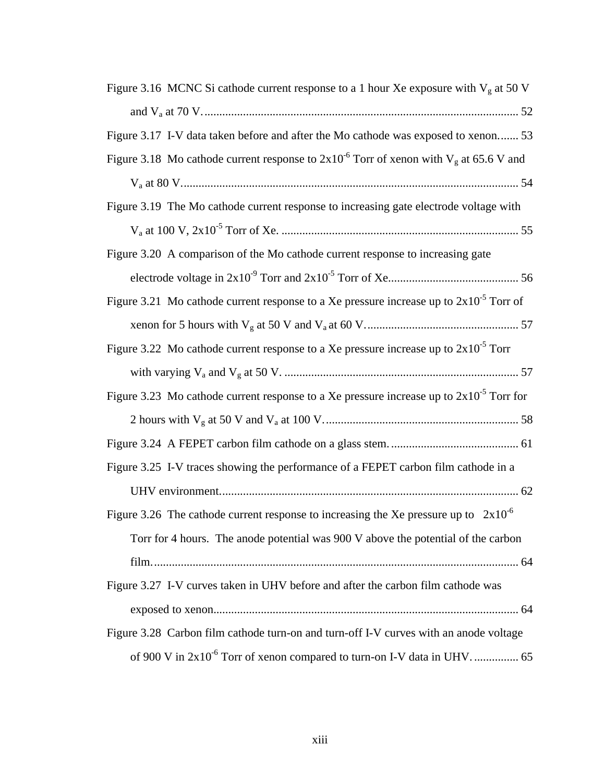| Figure 3.16 MCNC Si cathode current response to a 1 hour Xe exposure with $Vg$ at 50 V        |
|-----------------------------------------------------------------------------------------------|
|                                                                                               |
| Figure 3.17 I-V data taken before and after the Mo cathode was exposed to xenon 53            |
| Figure 3.18 Mo cathode current response to $2x10^{-6}$ Torr of xenon with $V_g$ at 65.6 V and |
|                                                                                               |
| Figure 3.19 The Mo cathode current response to increasing gate electrode voltage with         |
|                                                                                               |
| Figure 3.20 A comparison of the Mo cathode current response to increasing gate                |
|                                                                                               |
| Figure 3.21 Mo cathode current response to a Xe pressure increase up to $2x10^{-5}$ Torr of   |
|                                                                                               |
| Figure 3.22 Mo cathode current response to a Xe pressure increase up to $2x10^{-5}$ Torr      |
|                                                                                               |
| Figure 3.23 Mo cathode current response to a Xe pressure increase up to $2x10^{-5}$ Torr for  |
|                                                                                               |
|                                                                                               |
| Figure 3.25 I-V traces showing the performance of a FEPET carbon film cathode in a            |
|                                                                                               |
| Figure 3.26 The cathode current response to increasing the Xe pressure up to $2x10^{-6}$      |
| Torr for 4 hours. The anode potential was 900 V above the potential of the carbon             |
|                                                                                               |
| Figure 3.27 I-V curves taken in UHV before and after the carbon film cathode was              |
|                                                                                               |
| Figure 3.28 Carbon film cathode turn-on and turn-off I-V curves with an anode voltage         |
|                                                                                               |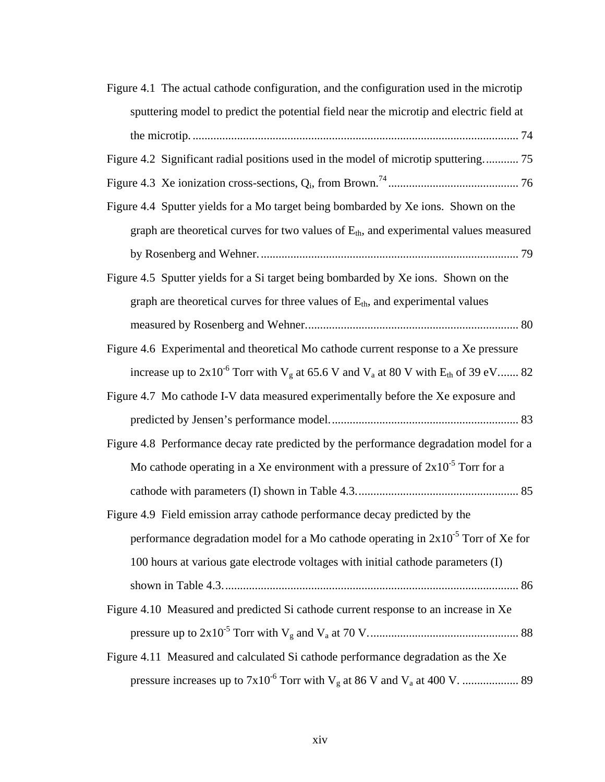| Figure 4.1 The actual cathode configuration, and the configuration used in the microtip          |
|--------------------------------------------------------------------------------------------------|
| sputtering model to predict the potential field near the microtip and electric field at          |
|                                                                                                  |
| Figure 4.2 Significant radial positions used in the model of microtip sputtering 75              |
|                                                                                                  |
| Figure 4.4 Sputter yields for a Mo target being bombarded by Xe ions. Shown on the               |
| graph are theoretical curves for two values of $E_{th}$ , and experimental values measured       |
|                                                                                                  |
| Figure 4.5 Sputter yields for a Si target being bombarded by Xe ions. Shown on the               |
| graph are theoretical curves for three values of $E_{th}$ , and experimental values              |
|                                                                                                  |
| Figure 4.6 Experimental and theoretical Mo cathode current response to a Xe pressure             |
| increase up to $2x10^{-6}$ Torr with $V_g$ at 65.6 V and $V_a$ at 80 V with $E_{th}$ of 39 eV 82 |
| Figure 4.7 Mo cathode I-V data measured experimentally before the Xe exposure and                |
|                                                                                                  |
| Figure 4.8 Performance decay rate predicted by the performance degradation model for a           |
| Mo cathode operating in a Xe environment with a pressure of $2x10^{-5}$ Torr for a               |
|                                                                                                  |
| Figure 4.9 Field emission array cathode performance decay predicted by the                       |
| performance degradation model for a Mo cathode operating in $2x10^{-5}$ Torr of Xe for           |
| 100 hours at various gate electrode voltages with initial cathode parameters (I)                 |
|                                                                                                  |
| Figure 4.10 Measured and predicted Si cathode current response to an increase in Xe              |
|                                                                                                  |
| Figure 4.11 Measured and calculated Si cathode performance degradation as the Xe                 |
|                                                                                                  |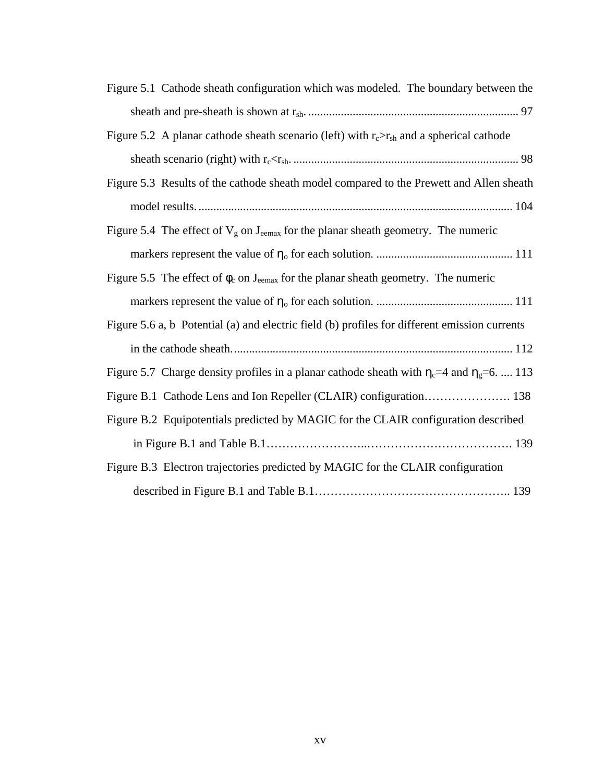| Figure 5.1 Cathode sheath configuration which was modeled. The boundary between the                  |
|------------------------------------------------------------------------------------------------------|
|                                                                                                      |
| Figure 5.2 A planar cathode sheath scenario (left) with $r_c > r_{sh}$ and a spherical cathode       |
|                                                                                                      |
| Figure 5.3 Results of the cathode sheath model compared to the Prewett and Allen sheath              |
|                                                                                                      |
| Figure 5.4 The effect of $V_g$ on $J_{\text{eemax}}$ for the planar sheath geometry. The numeric     |
|                                                                                                      |
| Figure 5.5 The effect of $\phi_c$ on J <sub>eemax</sub> for the planar sheath geometry. The numeric  |
|                                                                                                      |
| Figure 5.6 a, b Potential (a) and electric field (b) profiles for different emission currents        |
|                                                                                                      |
| Figure 5.7 Charge density profiles in a planar cathode sheath with $\eta_c$ =4 and $\eta_g$ =6.  113 |
| Figure B.1 Cathode Lens and Ion Repeller (CLAIR) configuration 138                                   |
| Figure B.2 Equipotentials predicted by MAGIC for the CLAIR configuration described                   |
|                                                                                                      |
| Figure B.3 Electron trajectories predicted by MAGIC for the CLAIR configuration                      |
|                                                                                                      |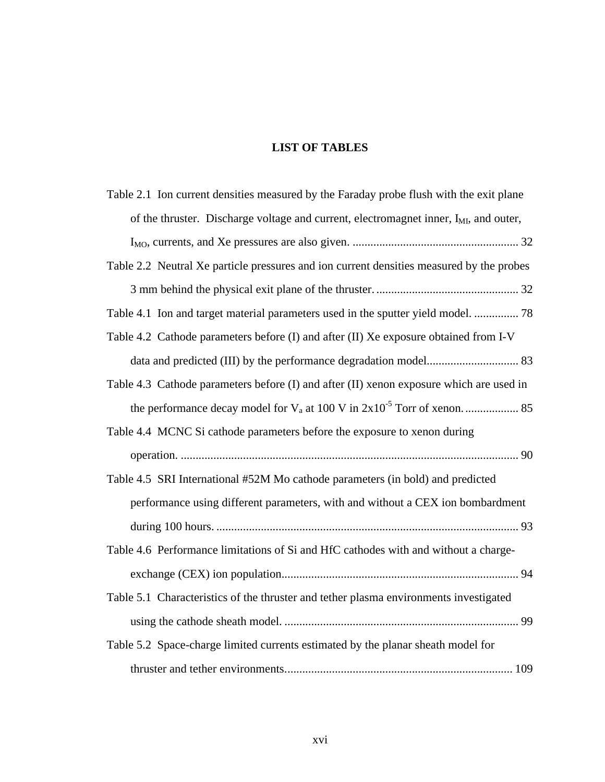# **LIST OF TABLES**

| Table 2.1 Ion current densities measured by the Faraday probe flush with the exit plane           |
|---------------------------------------------------------------------------------------------------|
| of the thruster. Discharge voltage and current, electromagnet inner, I <sub>MI</sub> , and outer, |
|                                                                                                   |
| Table 2.2 Neutral Xe particle pressures and ion current densities measured by the probes          |
|                                                                                                   |
| Table 4.1 Ion and target material parameters used in the sputter yield model.  78                 |
| Table 4.2 Cathode parameters before (I) and after (II) Xe exposure obtained from I-V              |
|                                                                                                   |
| Table 4.3 Cathode parameters before (I) and after (II) xenon exposure which are used in           |
|                                                                                                   |
| Table 4.4 MCNC Si cathode parameters before the exposure to xenon during                          |
|                                                                                                   |
| Table 4.5 SRI International #52M Mo cathode parameters (in bold) and predicted                    |
| performance using different parameters, with and without a CEX ion bombardment                    |
|                                                                                                   |
| Table 4.6 Performance limitations of Si and HfC cathodes with and without a charge-               |
|                                                                                                   |
| Table 5.1 Characteristics of the thruster and tether plasma environments investigated             |
|                                                                                                   |
| Table 5.2 Space-charge limited currents estimated by the planar sheath model for                  |
|                                                                                                   |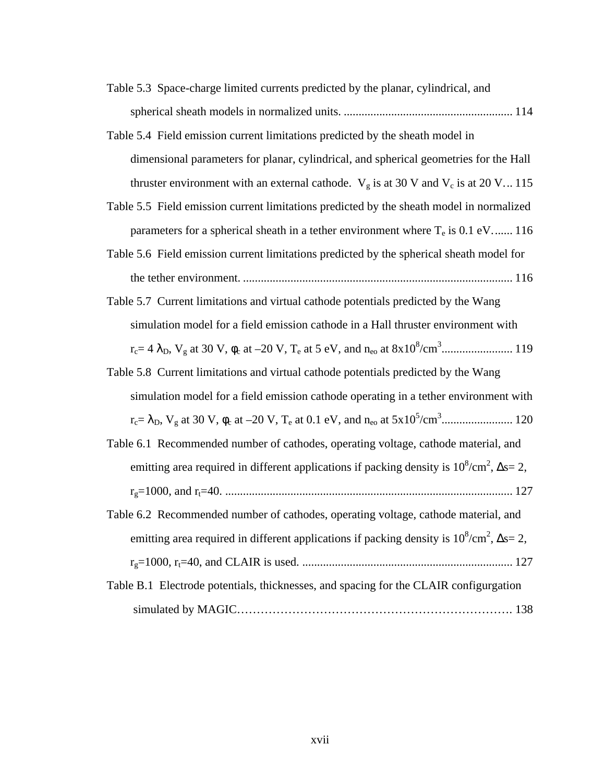- Table 5.3 Space-charge limited currents predicted by the planar, cylindrical, and spherical sheath models in normalized units. ......................................................... 114
- Table 5.4 Field emission current limitations predicted by the sheath model in dimensional parameters for planar, cylindrical, and spherical geometries for the Hall thruster environment with an external cathode.  $V_g$  is at 30 V and  $V_c$  is at 20 V... 115
- Table 5.5 Field emission current limitations predicted by the sheath model in normalized parameters for a spherical sheath in a tether environment where  $T_e$  is 0.1 eV....... 116
- Table 5.6 Field emission current limitations predicted by the spherical sheath model for the tether environment. ........................................................................................... 116
- Table 5.7 Current limitations and virtual cathode potentials predicted by the Wang simulation model for a field emission cathode in a Hall thruster environment with rc= 4 λD, Vg at 30 V, φc at –20 V, Te at 5 eV, and neo at 8x10<sup>8</sup> /cm<sup>3</sup> ........................ 119
- Table 5.8 Current limitations and virtual cathode potentials predicted by the Wang simulation model for a field emission cathode operating in a tether environment with rc= λD, Vg at 30 V, φc at –20 V, Te at 0.1 eV, and neo at 5x10<sup>5</sup> /cm<sup>3</sup> ........................ 120
- Table 6.1 Recommended number of cathodes, operating voltage, cathode material, and emitting area required in different applications if packing density is  $10^8/\text{cm}^2$ ,  $\Delta s = 2$ , rg=1000, and rt=40. ................................................................................................. 127
- Table 6.2 Recommended number of cathodes, operating voltage, cathode material, and emitting area required in different applications if packing density is  $10^8/\text{cm}^2$ ,  $\Delta s = 2$ , rg=1000, rt=40, and CLAIR is used. ....................................................................... 127
- Table B.1 Electrode potentials, thicknesses, and spacing for the CLAIR configurgation simulated by MAGIC………………………………………………………………………… 138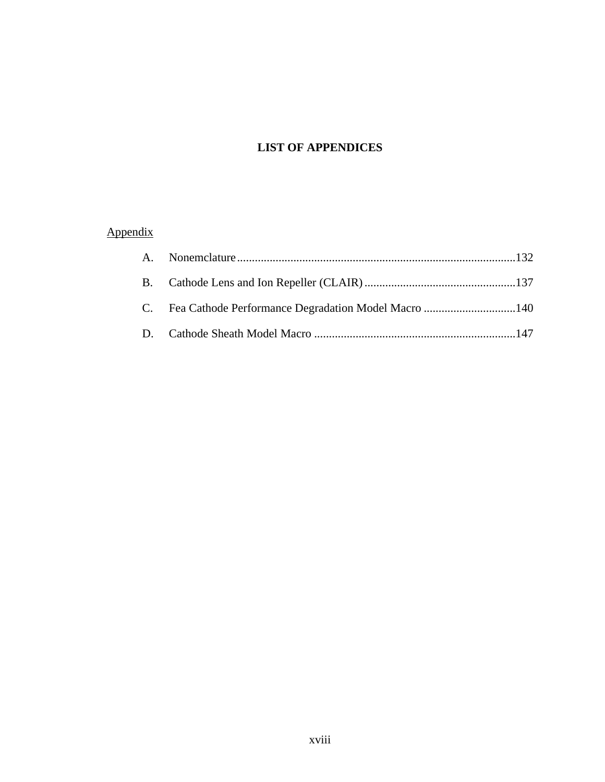# **LIST OF APPENDICES**

# Appendix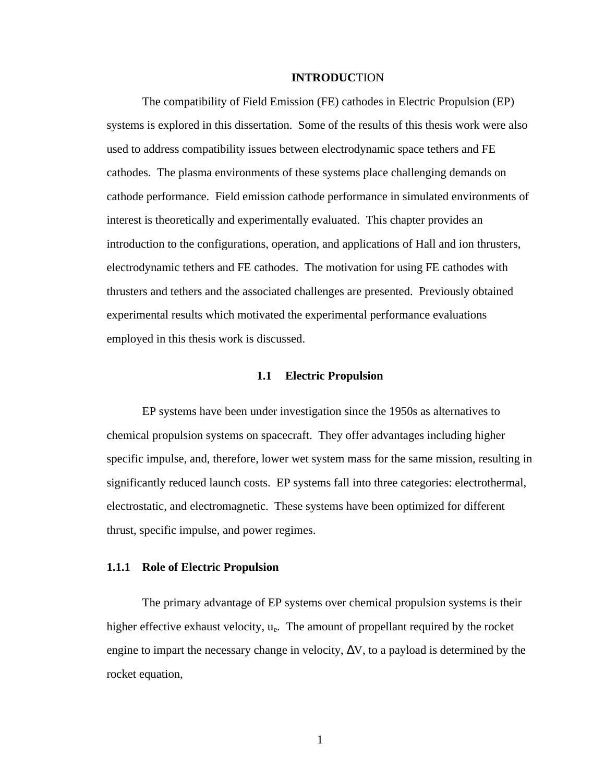#### **INTRODUC**TION

The compatibility of Field Emission (FE) cathodes in Electric Propulsion (EP) systems is explored in this dissertation. Some of the results of this thesis work were also used to address compatibility issues between electrodynamic space tethers and FE cathodes. The plasma environments of these systems place challenging demands on cathode performance. Field emission cathode performance in simulated environments of interest is theoretically and experimentally evaluated. This chapter provides an introduction to the configurations, operation, and applications of Hall and ion thrusters, electrodynamic tethers and FE cathodes. The motivation for using FE cathodes with thrusters and tethers and the associated challenges are presented. Previously obtained experimental results which motivated the experimental performance evaluations employed in this thesis work is discussed.

## **1.1 Electric Propulsion**

EP systems have been under investigation since the 1950s as alternatives to chemical propulsion systems on spacecraft. They offer advantages including higher specific impulse, and, therefore, lower wet system mass for the same mission, resulting in significantly reduced launch costs. EP systems fall into three categories: electrothermal, electrostatic, and electromagnetic. These systems have been optimized for different thrust, specific impulse, and power regimes.

#### **1.1.1 Role of Electric Propulsion**

The primary advantage of EP systems over chemical propulsion systems is their higher effective exhaust velocity,  $u_e$ . The amount of propellant required by the rocket engine to impart the necessary change in velocity,  $\Delta V$ , to a payload is determined by the rocket equation,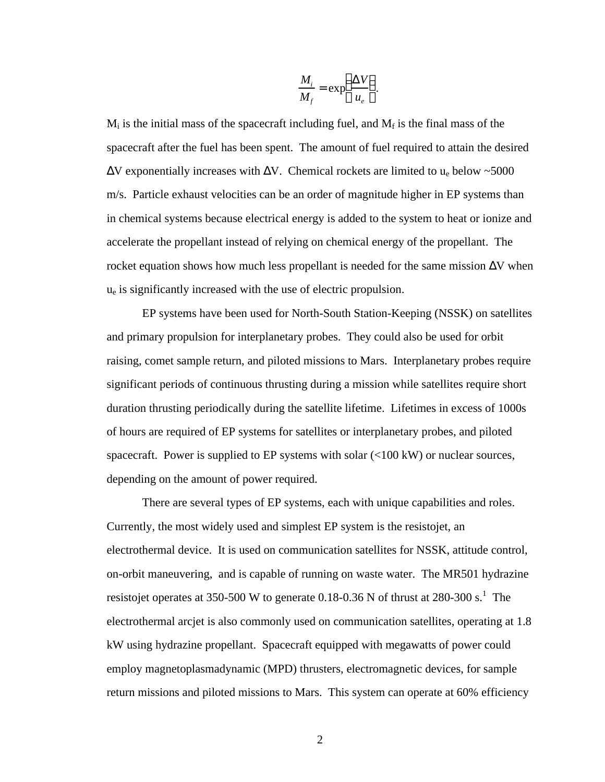$$
\frac{M_i}{M_f} = \exp\left(\frac{\Delta V}{u_e}\right).
$$

 $M_i$  is the initial mass of the spacecraft including fuel, and  $M_f$  is the final mass of the spacecraft after the fuel has been spent. The amount of fuel required to attain the desired  $\Delta V$  exponentially increases with  $\Delta V$ . Chemical rockets are limited to u<sub>e</sub> below ~5000 m/s. Particle exhaust velocities can be an order of magnitude higher in EP systems than in chemical systems because electrical energy is added to the system to heat or ionize and accelerate the propellant instead of relying on chemical energy of the propellant. The rocket equation shows how much less propellant is needed for the same mission  $\Delta V$  when  $u<sub>e</sub>$  is significantly increased with the use of electric propulsion.

EP systems have been used for North-South Station-Keeping (NSSK) on satellites and primary propulsion for interplanetary probes. They could also be used for orbit raising, comet sample return, and piloted missions to Mars. Interplanetary probes require significant periods of continuous thrusting during a mission while satellites require short duration thrusting periodically during the satellite lifetime. Lifetimes in excess of 1000s of hours are required of EP systems for satellites or interplanetary probes, and piloted spacecraft. Power is supplied to EP systems with solar (<100 kW) or nuclear sources, depending on the amount of power required.

There are several types of EP systems, each with unique capabilities and roles. Currently, the most widely used and simplest EP system is the resistojet, an electrothermal device. It is used on communication satellites for NSSK, attitude control, on-orbit maneuvering, and is capable of running on waste water. The MR501 hydrazine resistojet operates at 350-500 W to generate 0.18-0.36 N of thrust at 280-300 s.<sup>1</sup> The electrothermal arcjet is also commonly used on communication satellites, operating at 1.8 kW using hydrazine propellant. Spacecraft equipped with megawatts of power could employ magnetoplasmadynamic (MPD) thrusters, electromagnetic devices, for sample return missions and piloted missions to Mars. This system can operate at 60% efficiency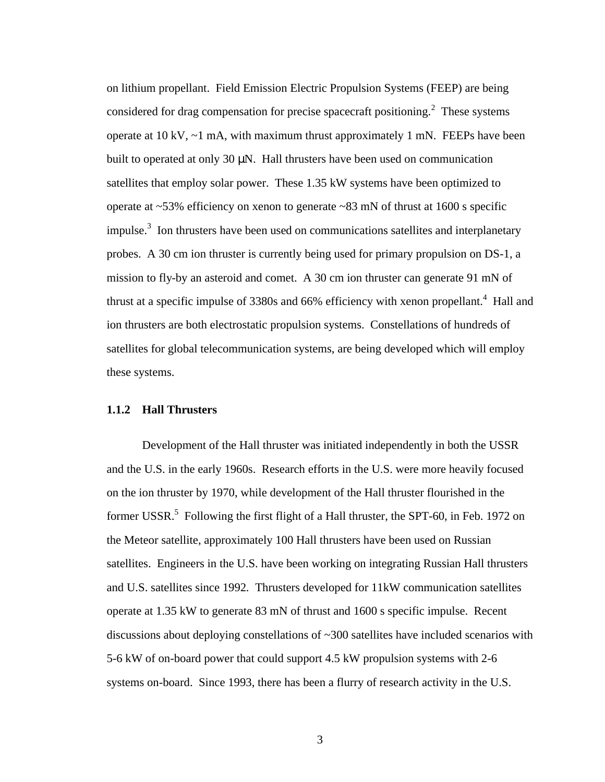on lithium propellant. Field Emission Electric Propulsion Systems (FEEP) are being considered for drag compensation for precise spacecraft positioning.<sup>2</sup> These systems operate at  $10 \text{ kV}$ ,  $\sim$ 1 mA, with maximum thrust approximately 1 mN. FEEPs have been built to operated at only 30 μN. Hall thrusters have been used on communication satellites that employ solar power. These 1.35 kW systems have been optimized to operate at ~53% efficiency on xenon to generate ~83 mN of thrust at 1600 s specific impulse. $3$  Ion thrusters have been used on communications satellites and interplanetary probes. A 30 cm ion thruster is currently being used for primary propulsion on DS-1, a mission to fly-by an asteroid and comet. A 30 cm ion thruster can generate 91 mN of thrust at a specific impulse of  $3380s$  and  $66%$  efficiency with xenon propellant.<sup>4</sup> Hall and ion thrusters are both electrostatic propulsion systems. Constellations of hundreds of satellites for global telecommunication systems, are being developed which will employ these systems.

# **1.1.2 Hall Thrusters**

Development of the Hall thruster was initiated independently in both the USSR and the U.S. in the early 1960s. Research efforts in the U.S. were more heavily focused on the ion thruster by 1970, while development of the Hall thruster flourished in the former USSR.<sup>5</sup> Following the first flight of a Hall thruster, the SPT-60, in Feb. 1972 on the Meteor satellite, approximately 100 Hall thrusters have been used on Russian satellites. Engineers in the U.S. have been working on integrating Russian Hall thrusters and U.S. satellites since 1992*.* Thrusters developed for 11kW communication satellites operate at 1.35 kW to generate 83 mN of thrust and 1600 s specific impulse. Recent discussions about deploying constellations of ~300 satellites have included scenarios with 5-6 kW of on-board power that could support 4.5 kW propulsion systems with 2-6 systems on-board. Since 1993, there has been a flurry of research activity in the U.S.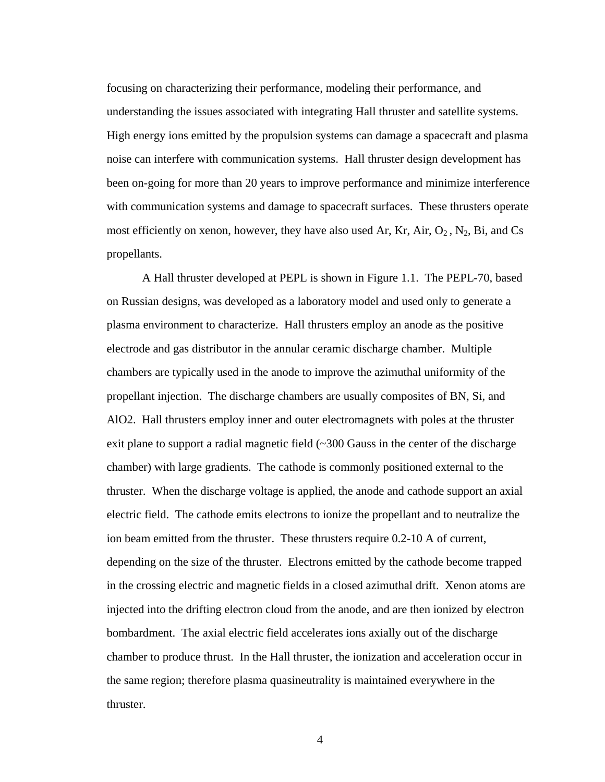focusing on characterizing their performance, modeling their performance, and understanding the issues associated with integrating Hall thruster and satellite systems. High energy ions emitted by the propulsion systems can damage a spacecraft and plasma noise can interfere with communication systems. Hall thruster design development has been on-going for more than 20 years to improve performance and minimize interference with communication systems and damage to spacecraft surfaces. These thrusters operate most efficiently on xenon, however, they have also used Ar, Kr, Air,  $O_2$ ,  $N_2$ , Bi, and Cs propellants.

A Hall thruster developed at PEPL is shown in Figure 1.1. The PEPL-70, based on Russian designs, was developed as a laboratory model and used only to generate a plasma environment to characterize. Hall thrusters employ an anode as the positive electrode and gas distributor in the annular ceramic discharge chamber. Multiple chambers are typically used in the anode to improve the azimuthal uniformity of the propellant injection. The discharge chambers are usually composites of BN, Si, and AlO2. Hall thrusters employ inner and outer electromagnets with poles at the thruster exit plane to support a radial magnetic field  $\sim$  300 Gauss in the center of the discharge chamber) with large gradients. The cathode is commonly positioned external to the thruster. When the discharge voltage is applied, the anode and cathode support an axial electric field. The cathode emits electrons to ionize the propellant and to neutralize the ion beam emitted from the thruster. These thrusters require 0.2-10 A of current, depending on the size of the thruster. Electrons emitted by the cathode become trapped in the crossing electric and magnetic fields in a closed azimuthal drift. Xenon atoms are injected into the drifting electron cloud from the anode, and are then ionized by electron bombardment. The axial electric field accelerates ions axially out of the discharge chamber to produce thrust. In the Hall thruster, the ionization and acceleration occur in the same region; therefore plasma quasineutrality is maintained everywhere in the thruster.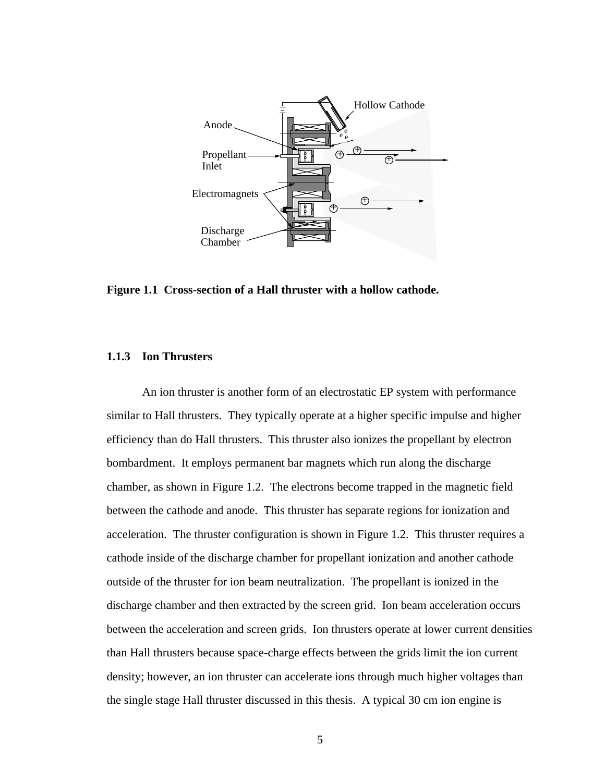

**Figure 1.1 Cross-section of a Hall thruster with a hollow cathode.**

# **1.1.3 Ion Thrusters**

An ion thruster is another form of an electrostatic EP system with performance similar to Hall thrusters. They typically operate at a higher specific impulse and higher efficiency than do Hall thrusters. This thruster also ionizes the propellant by electron bombardment. It employs permanent bar magnets which run along the discharge chamber, as shown in Figure 1.2. The electrons become trapped in the magnetic field between the cathode and anode. This thruster has separate regions for ionization and acceleration. The thruster configuration is shown in Figure 1.2. This thruster requires a cathode inside of the discharge chamber for propellant ionization and another cathode outside of the thruster for ion beam neutralization. The propellant is ionized in the discharge chamber and then extracted by the screen grid. Ion beam acceleration occurs between the acceleration and screen grids. Ion thrusters operate at lower current densities than Hall thrusters because space-charge effects between the grids limit the ion current density; however, an ion thruster can accelerate ions through much higher voltages than the single stage Hall thruster discussed in this thesis. A typical 30 cm ion engine is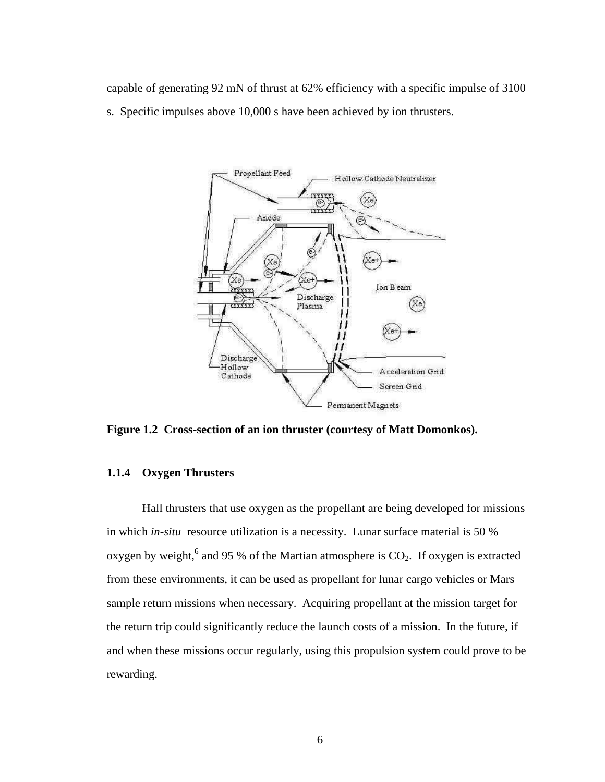capable of generating 92 mN of thrust at 62% efficiency with a specific impulse of 3100 s. Specific impulses above 10,000 s have been achieved by ion thrusters.



**Figure 1.2 Cross-section of an ion thruster (courtesy of Matt Domonkos).**

# **1.1.4 Oxygen Thrusters**

Hall thrusters that use oxygen as the propellant are being developed for missions in which *in-situ* resource utilization is a necessity. Lunar surface material is 50 % oxygen by weight,  $6$  and 95 % of the Martian atmosphere is  $CO<sub>2</sub>$ . If oxygen is extracted from these environments, it can be used as propellant for lunar cargo vehicles or Mars sample return missions when necessary. Acquiring propellant at the mission target for the return trip could significantly reduce the launch costs of a mission. In the future, if and when these missions occur regularly, using this propulsion system could prove to be rewarding.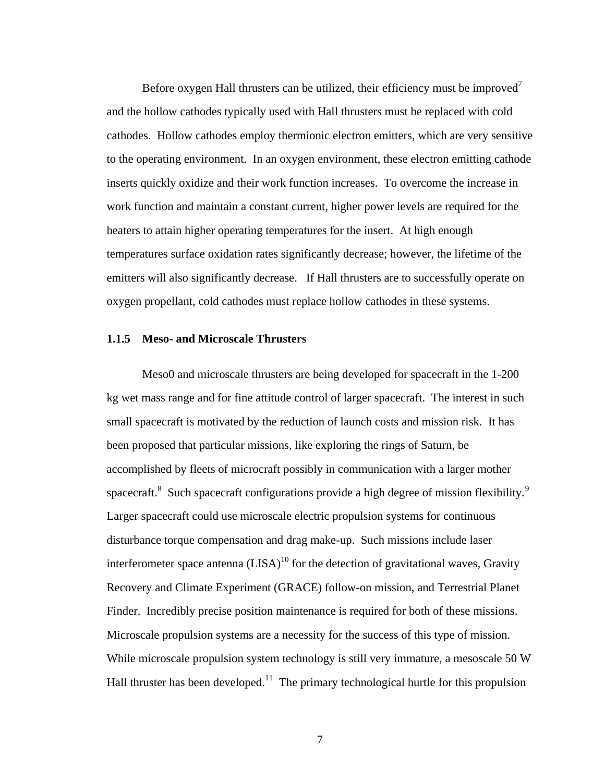Before oxygen Hall thrusters can be utilized, their efficiency must be improved<sup>7</sup> and the hollow cathodes typically used with Hall thrusters must be replaced with cold cathodes. Hollow cathodes employ thermionic electron emitters, which are very sensitive to the operating environment. In an oxygen environment, these electron emitting cathode inserts quickly oxidize and their work function increases. To overcome the increase in work function and maintain a constant current, higher power levels are required for the heaters to attain higher operating temperatures for the insert. At high enough temperatures surface oxidation rates significantly decrease; however, the lifetime of the emitters will also significantly decrease. If Hall thrusters are to successfully operate on oxygen propellant, cold cathodes must replace hollow cathodes in these systems.

## **1.1.5 Meso- and Microscale Thrusters**

Meso0 and microscale thrusters are being developed for spacecraft in the 1-200 kg wet mass range and for fine attitude control of larger spacecraft. The interest in such small spacecraft is motivated by the reduction of launch costs and mission risk. It has been proposed that particular missions, like exploring the rings of Saturn, be accomplished by fleets of microcraft possibly in communication with a larger mother spacecraft.<sup>8</sup> Such spacecraft configurations provide a high degree of mission flexibility.<sup>9</sup> Larger spacecraft could use microscale electric propulsion systems for continuous disturbance torque compensation and drag make-up. Such missions include laser interferometer space antenna  $(LISA)^{10}$  for the detection of gravitational waves, Gravity Recovery and Climate Experiment (GRACE) follow-on mission, and Terrestrial Planet Finder. Incredibly precise position maintenance is required for both of these missions. Microscale propulsion systems are a necessity for the success of this type of mission. While microscale propulsion system technology is still very immature, a mesoscale 50 W Hall thruster has been developed.<sup>11</sup> The primary technological hurtle for this propulsion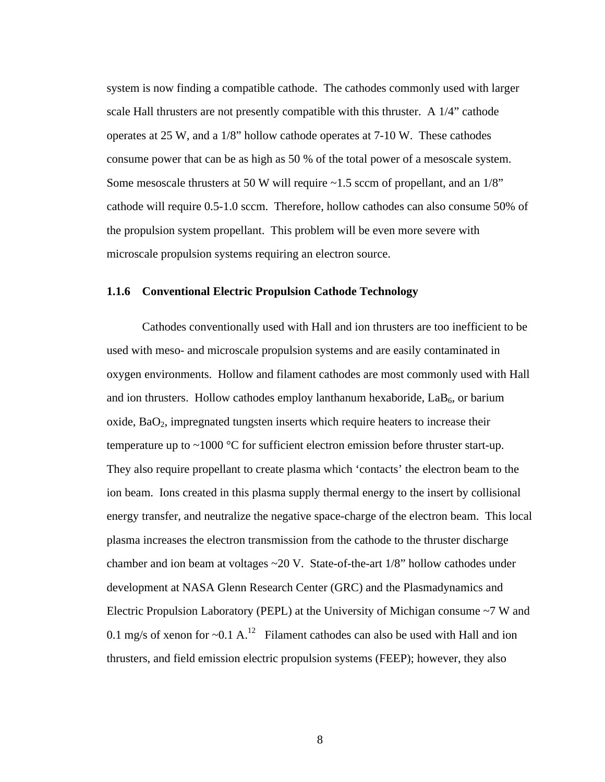system is now finding a compatible cathode. The cathodes commonly used with larger scale Hall thrusters are not presently compatible with this thruster. A 1/4" cathode operates at 25 W, and a 1/8" hollow cathode operates at 7-10 W. These cathodes consume power that can be as high as 50 % of the total power of a mesoscale system. Some mesoscale thrusters at 50 W will require  $\sim$ 1.5 sccm of propellant, and an 1/8" cathode will require 0.5-1.0 sccm. Therefore, hollow cathodes can also consume 50% of the propulsion system propellant. This problem will be even more severe with microscale propulsion systems requiring an electron source.

#### **1.1.6 Conventional Electric Propulsion Cathode Technology**

Cathodes conventionally used with Hall and ion thrusters are too inefficient to be used with meso- and microscale propulsion systems and are easily contaminated in oxygen environments. Hollow and filament cathodes are most commonly used with Hall and ion thrusters. Hollow cathodes employ lanthanum hexaboride,  $LaB<sub>6</sub>$ , or barium  $\alpha$  oxide,  $\beta aO_2$ , impregnated tungsten inserts which require heaters to increase their temperature up to  $\sim$ 1000 °C for sufficient electron emission before thruster start-up. They also require propellant to create plasma which 'contacts' the electron beam to the ion beam. Ions created in this plasma supply thermal energy to the insert by collisional energy transfer, and neutralize the negative space-charge of the electron beam. This local plasma increases the electron transmission from the cathode to the thruster discharge chamber and ion beam at voltages  $\sim$  20 V. State-of-the-art 1/8" hollow cathodes under development at NASA Glenn Research Center (GRC) and the Plasmadynamics and Electric Propulsion Laboratory (PEPL) at the University of Michigan consume ~7 W and 0.1 mg/s of xenon for  $\sim$  0.1 A.<sup>12</sup> Filament cathodes can also be used with Hall and ion thrusters, and field emission electric propulsion systems (FEEP); however, they also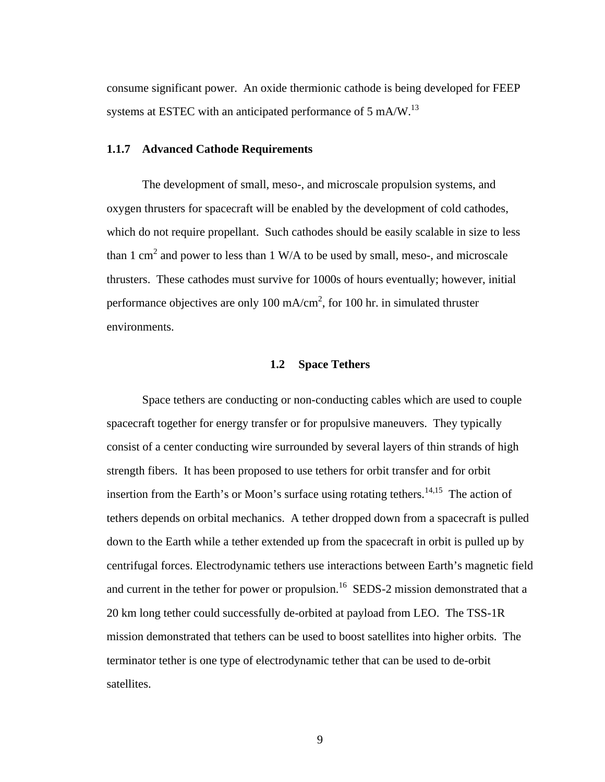consume significant power. An oxide thermionic cathode is being developed for FEEP systems at ESTEC with an anticipated performance of  $5 \text{ mA/W}$ .<sup>13</sup>

# **1.1.7 Advanced Cathode Requirements**

The development of small, meso-, and microscale propulsion systems, and oxygen thrusters for spacecraft will be enabled by the development of cold cathodes, which do not require propellant. Such cathodes should be easily scalable in size to less than 1 cm<sup>2</sup> and power to less than 1 W/A to be used by small, meso-, and microscale thrusters. These cathodes must survive for 1000s of hours eventually; however, initial performance objectives are only 100 mA/cm<sup>2</sup>, for 100 hr. in simulated thruster environments.

## **1.2 Space Tethers**

Space tethers are conducting or non-conducting cables which are used to couple spacecraft together for energy transfer or for propulsive maneuvers. They typically consist of a center conducting wire surrounded by several layers of thin strands of high strength fibers. It has been proposed to use tethers for orbit transfer and for orbit insertion from the Earth's or Moon's surface using rotating tethers.<sup>14,15</sup> The action of tethers depends on orbital mechanics. A tether dropped down from a spacecraft is pulled down to the Earth while a tether extended up from the spacecraft in orbit is pulled up by centrifugal forces. Electrodynamic tethers use interactions between Earth's magnetic field and current in the tether for power or propulsion.<sup>16</sup> SEDS-2 mission demonstrated that a 20 km long tether could successfully de-orbited at payload from LEO. The TSS-1R mission demonstrated that tethers can be used to boost satellites into higher orbits. The terminator tether is one type of electrodynamic tether that can be used to de-orbit satellites.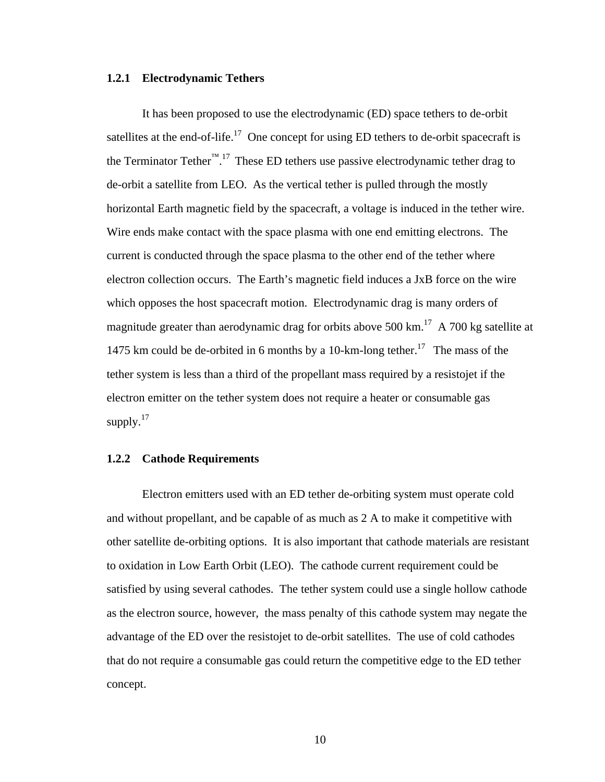## **1.2.1 Electrodynamic Tethers**

It has been proposed to use the electrodynamic (ED) space tethers to de-orbit satellites at the end-of-life.<sup>17</sup> One concept for using ED tethers to de-orbit spacecraft is the Terminator Tether<sup>™ 17</sup> These ED tethers use passive electrodynamic tether drag to de-orbit a satellite from LEO. As the vertical tether is pulled through the mostly horizontal Earth magnetic field by the spacecraft, a voltage is induced in the tether wire. Wire ends make contact with the space plasma with one end emitting electrons. The current is conducted through the space plasma to the other end of the tether where electron collection occurs. The Earth's magnetic field induces a JxB force on the wire which opposes the host spacecraft motion. Electrodynamic drag is many orders of magnitude greater than aerodynamic drag for orbits above 500 km.<sup>17</sup> A 700 kg satellite at 1475 km could be de-orbited in 6 months by a 10-km-long tether.<sup>17</sup> The mass of the tether system is less than a third of the propellant mass required by a resistojet if the electron emitter on the tether system does not require a heater or consumable gas supply. $17$ 

## **1.2.2 Cathode Requirements**

Electron emitters used with an ED tether de-orbiting system must operate cold and without propellant, and be capable of as much as 2 A to make it competitive with other satellite de-orbiting options. It is also important that cathode materials are resistant to oxidation in Low Earth Orbit (LEO). The cathode current requirement could be satisfied by using several cathodes. The tether system could use a single hollow cathode as the electron source, however, the mass penalty of this cathode system may negate the advantage of the ED over the resistojet to de-orbit satellites. The use of cold cathodes that do not require a consumable gas could return the competitive edge to the ED tether concept.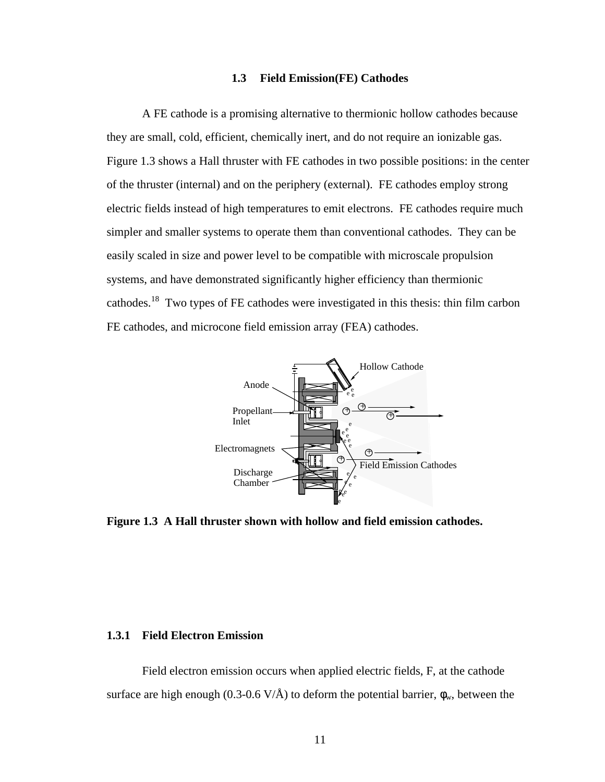## **1.3 Field Emission(FE) Cathodes**

A FE cathode is a promising alternative to thermionic hollow cathodes because they are small, cold, efficient, chemically inert, and do not require an ionizable gas. Figure 1.3 shows a Hall thruster with FE cathodes in two possible positions: in the center of the thruster (internal) and on the periphery (external). FE cathodes employ strong electric fields instead of high temperatures to emit electrons. FE cathodes require much simpler and smaller systems to operate them than conventional cathodes. They can be easily scaled in size and power level to be compatible with microscale propulsion systems, and have demonstrated significantly higher efficiency than thermionic cathodes.<sup>18</sup> Two types of FE cathodes were investigated in this thesis: thin film carbon FE cathodes, and microcone field emission array (FEA) cathodes.



**Figure 1.3 A Hall thruster shown with hollow and field emission cathodes.**

# **1.3.1 Field Electron Emission**

Field electron emission occurs when applied electric fields, F, at the cathode surface are high enough (0.3-0.6 V/Å) to deform the potential barrier,  $\phi_w$ , between the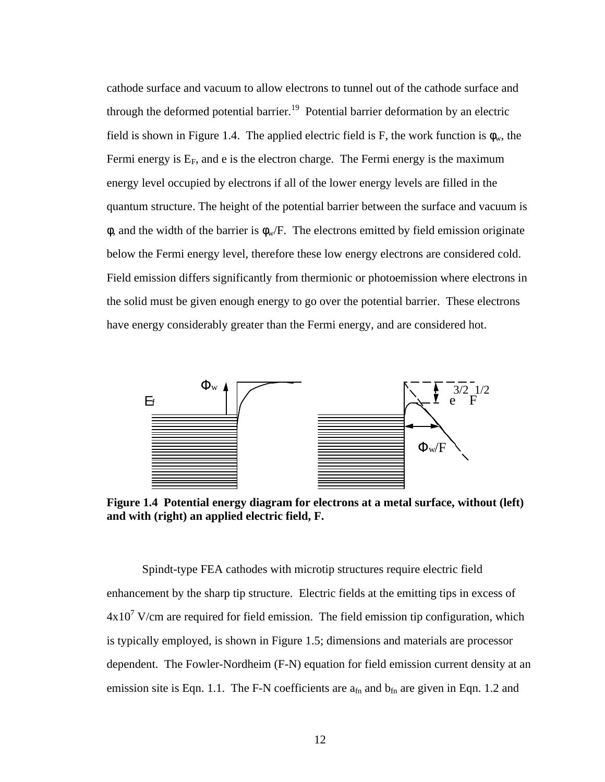cathode surface and vacuum to allow electrons to tunnel out of the cathode surface and through the deformed potential barrier.<sup>19</sup> Potential barrier deformation by an electric field is shown in Figure 1.4. The applied electric field is F, the work function is  $\phi_w$ , the Fermi energy is  $E_F$ , and e is the electron charge. The Fermi energy is the maximum energy level occupied by electrons if all of the lower energy levels are filled in the quantum structure. The height of the potential barrier between the surface and vacuum is  $\phi$ , and the width of the barrier is  $\phi_w$ . The electrons emitted by field emission originate below the Fermi energy level, therefore these low energy electrons are considered cold. Field emission differs significantly from thermionic or photoemission where electrons in the solid must be given enough energy to go over the potential barrier. These electrons have energy considerably greater than the Fermi energy, and are considered hot.



**Figure 1.4 Potential energy diagram for electrons at a metal surface, without (left) and with (right) an applied electric field, F.**

Spindt-type FEA cathodes with microtip structures require electric field enhancement by the sharp tip structure. Electric fields at the emitting tips in excess of  $4x10<sup>7</sup>$  V/cm are required for field emission. The field emission tip configuration, which is typically employed, is shown in Figure 1.5; dimensions and materials are processor dependent. The Fowler-Nordheim (F-N) equation for field emission current density at an emission site is Eqn. 1.1. The F-N coefficients are  $a_{fn}$  and  $b_{fn}$  are given in Eqn. 1.2 and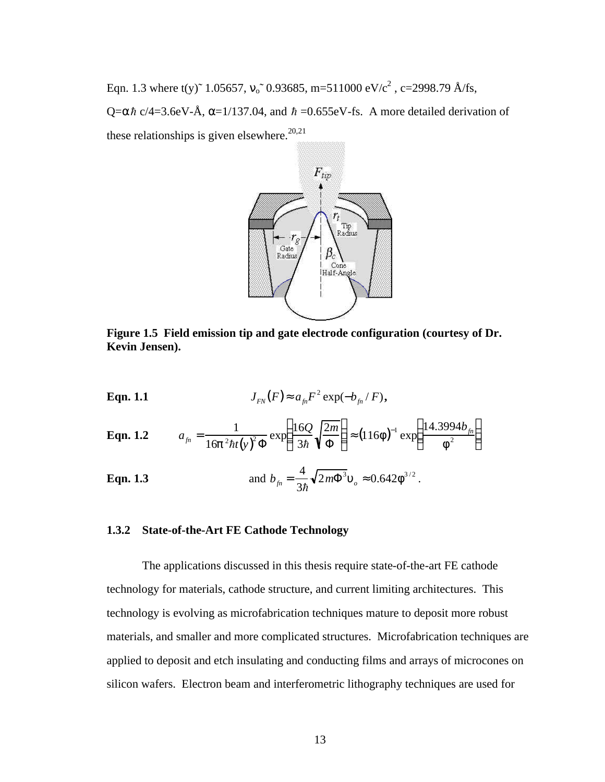Eqn. 1.3 where t(y)<sup> $\sim$ </sup> 1.05657, v<sub>o</sub> $\sim$  0.93685, m=511000 eV/c<sup>2</sup>, c=2998.79 Å/fs,  $Q = \alpha \hbar c/4 = 3.6$ eV-Å,  $\alpha = 1/137.04$ , and  $\hbar = 0.655$ eV-fs. A more detailed derivation of these relationships is given elsewhere.<sup>20,21</sup>



**Figure 1.5 Field emission tip and gate electrode configuration (courtesy of Dr. Kevin Jensen).**

**Eqn. 1.1** 
$$
J_{FN}(F) \approx a_{fn}F^2 \exp(-b_{fn}/F),
$$

**Eqn. 1.2** 
$$
a_{_{fn}} = \frac{1}{16p^2\hbar t(y)^2 \Phi} \exp\left(\frac{16Q}{3\hbar} \sqrt{\frac{2m}{\Phi}}\right) \approx (116f)^{-1} \exp\left(\frac{14.3994b_{_{fn}}}{f^2}\right)
$$

**Eqn. 1.3** and 
$$
b_{\hat{m}} = \frac{4}{3\hbar} \sqrt{2m\Phi^3} u_o \approx 0.642 f^{3/2}
$$
.

## **1.3.2 State-of-the-Art FE Cathode Technology**

The applications discussed in this thesis require state-of-the-art FE cathode technology for materials, cathode structure, and current limiting architectures. This technology is evolving as microfabrication techniques mature to deposit more robust materials, and smaller and more complicated structures. Microfabrication techniques are applied to deposit and etch insulating and conducting films and arrays of microcones on silicon wafers. Electron beam and interferometric lithography techniques are used for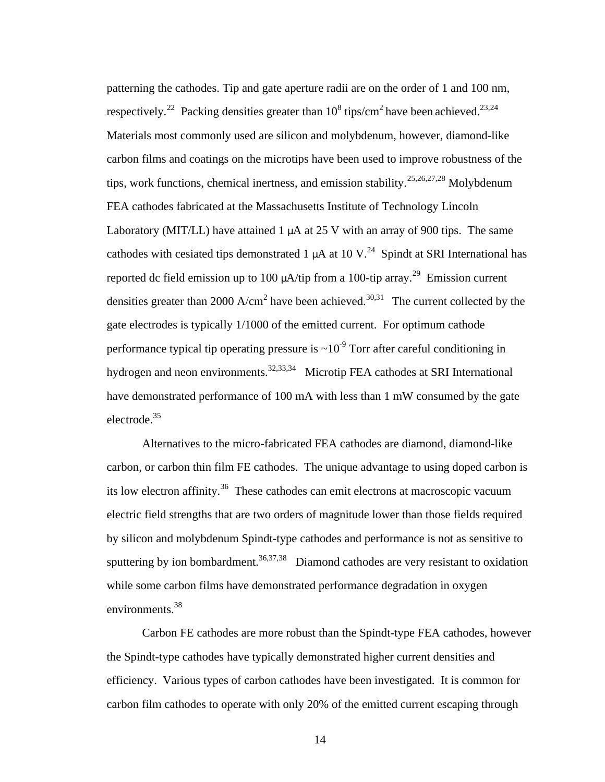patterning the cathodes. Tip and gate aperture radii are on the order of 1 and 100 nm, respectively.<sup>22</sup> Packing densities greater than  $10^8$  tips/cm<sup>2</sup> have been achieved.<sup>23,24</sup> Materials most commonly used are silicon and molybdenum, however, diamond-like carbon films and coatings on the microtips have been used to improve robustness of the tips, work functions, chemical inertness, and emission stability.<sup>25,26,27,28</sup> Molybdenum FEA cathodes fabricated at the Massachusetts Institute of Technology Lincoln Laboratory (MIT/LL) have attained 1  $\mu$ A at 25 V with an array of 900 tips. The same cathodes with cesiated tips demonstrated 1  $\mu$ A at 10 V.<sup>24</sup> Spindt at SRI International has reported dc field emission up to 100  $\mu$ A/tip from a 100-tip array.<sup>29</sup> Emission current densities greater than 2000 A/cm<sup>2</sup> have been achieved.<sup>30,31</sup> The current collected by the gate electrodes is typically 1/1000 of the emitted current. For optimum cathode performance typical tip operating pressure is  $\sim 10^{-9}$  Torr after careful conditioning in hydrogen and neon environments.<sup>32,33,34</sup> Microtip FEA cathodes at SRI International have demonstrated performance of 100 mA with less than 1 mW consumed by the gate electrode.<sup>35</sup>

Alternatives to the micro-fabricated FEA cathodes are diamond, diamond-like carbon, or carbon thin film FE cathodes. The unique advantage to using doped carbon is its low electron affinity.<sup>36</sup> These cathodes can emit electrons at macroscopic vacuum electric field strengths that are two orders of magnitude lower than those fields required by silicon and molybdenum Spindt-type cathodes and performance is not as sensitive to sputtering by ion bombardment.<sup>36,37,38</sup> Diamond cathodes are very resistant to oxidation while some carbon films have demonstrated performance degradation in oxygen environments.<sup>38</sup>

Carbon FE cathodes are more robust than the Spindt-type FEA cathodes, however the Spindt-type cathodes have typically demonstrated higher current densities and efficiency. Various types of carbon cathodes have been investigated. It is common for carbon film cathodes to operate with only 20% of the emitted current escaping through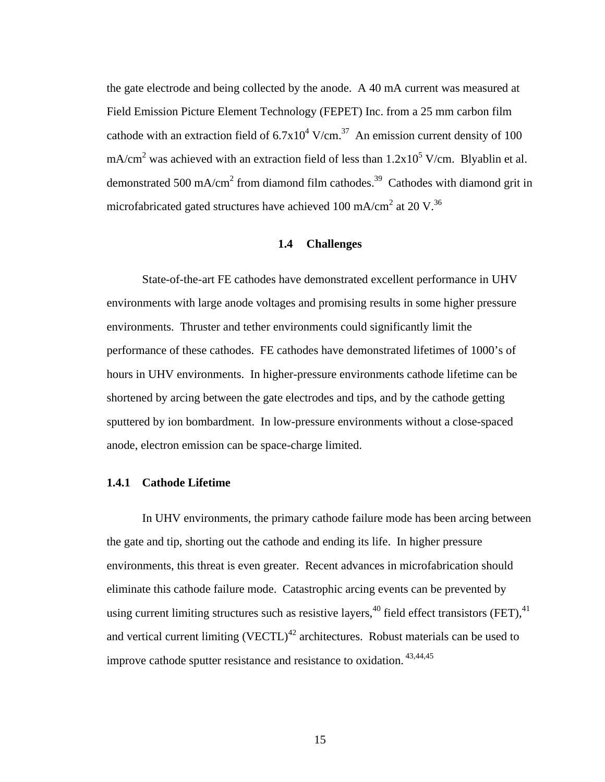the gate electrode and being collected by the anode. A 40 mA current was measured at Field Emission Picture Element Technology (FEPET) Inc. from a 25 mm carbon film cathode with an extraction field of  $6.7 \times 10^4$  V/cm.<sup>37</sup> An emission current density of 100 mA/cm<sup>2</sup> was achieved with an extraction field of less than  $1.2x10^5$  V/cm. Blyablin et al. demonstrated 500 mA/cm<sup>2</sup> from diamond film cathodes.<sup>39</sup> Cathodes with diamond grit in microfabricated gated structures have achieved 100 mA/cm<sup>2</sup> at 20 V.<sup>36</sup>

# **1.4 Challenges**

State-of-the-art FE cathodes have demonstrated excellent performance in UHV environments with large anode voltages and promising results in some higher pressure environments. Thruster and tether environments could significantly limit the performance of these cathodes. FE cathodes have demonstrated lifetimes of 1000's of hours in UHV environments. In higher-pressure environments cathode lifetime can be shortened by arcing between the gate electrodes and tips, and by the cathode getting sputtered by ion bombardment. In low-pressure environments without a close-spaced anode, electron emission can be space-charge limited.

# **1.4.1 Cathode Lifetime**

In UHV environments, the primary cathode failure mode has been arcing between the gate and tip, shorting out the cathode and ending its life. In higher pressure environments, this threat is even greater. Recent advances in microfabrication should eliminate this cathode failure mode. Catastrophic arcing events can be prevented by using current limiting structures such as resistive layers,<sup>40</sup> field effect transistors (FET),<sup>41</sup> and vertical current limiting  $(VECTL)^{42}$  architectures. Robust materials can be used to improve cathode sputter resistance and resistance to oxidation. 43,44,45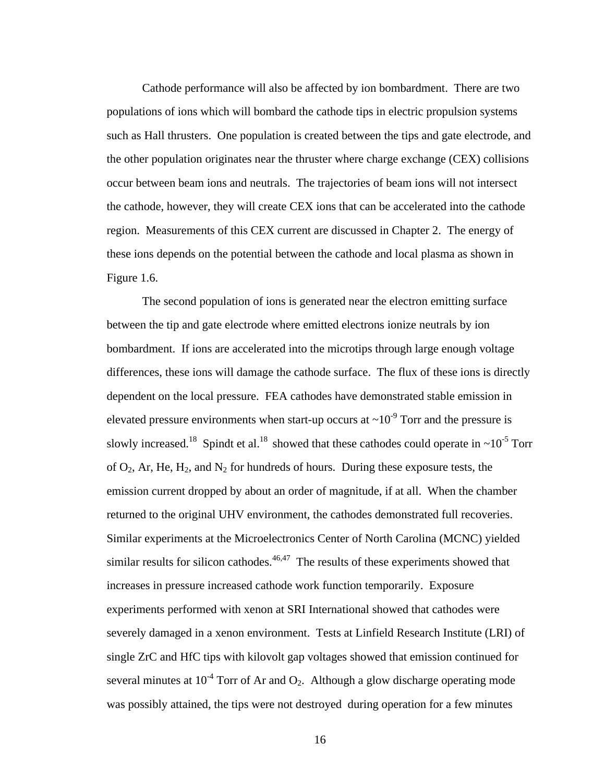Cathode performance will also be affected by ion bombardment. There are two populations of ions which will bombard the cathode tips in electric propulsion systems such as Hall thrusters. One population is created between the tips and gate electrode, and the other population originates near the thruster where charge exchange (CEX) collisions occur between beam ions and neutrals. The trajectories of beam ions will not intersect the cathode, however, they will create CEX ions that can be accelerated into the cathode region. Measurements of this CEX current are discussed in Chapter 2. The energy of these ions depends on the potential between the cathode and local plasma as shown in Figure 1.6.

The second population of ions is generated near the electron emitting surface between the tip and gate electrode where emitted electrons ionize neutrals by ion bombardment. If ions are accelerated into the microtips through large enough voltage differences, these ions will damage the cathode surface. The flux of these ions is directly dependent on the local pressure. FEA cathodes have demonstrated stable emission in elevated pressure environments when start-up occurs at  $\sim 10^{-9}$  Torr and the pressure is slowly increased.<sup>18</sup> Spindt et al.<sup>18</sup> showed that these cathodes could operate in  $\sim 10^{-5}$  Torr of  $O_2$ , Ar, He, H<sub>2</sub>, and N<sub>2</sub> for hundreds of hours. During these exposure tests, the emission current dropped by about an order of magnitude, if at all. When the chamber returned to the original UHV environment, the cathodes demonstrated full recoveries. Similar experiments at the Microelectronics Center of North Carolina (MCNC) yielded similar results for silicon cathodes. $46,47$  The results of these experiments showed that increases in pressure increased cathode work function temporarily. Exposure experiments performed with xenon at SRI International showed that cathodes were severely damaged in a xenon environment. Tests at Linfield Research Institute (LRI) of single ZrC and HfC tips with kilovolt gap voltages showed that emission continued for several minutes at  $10^{-4}$  Torr of Ar and  $O_2$ . Although a glow discharge operating mode was possibly attained, the tips were not destroyed during operation for a few minutes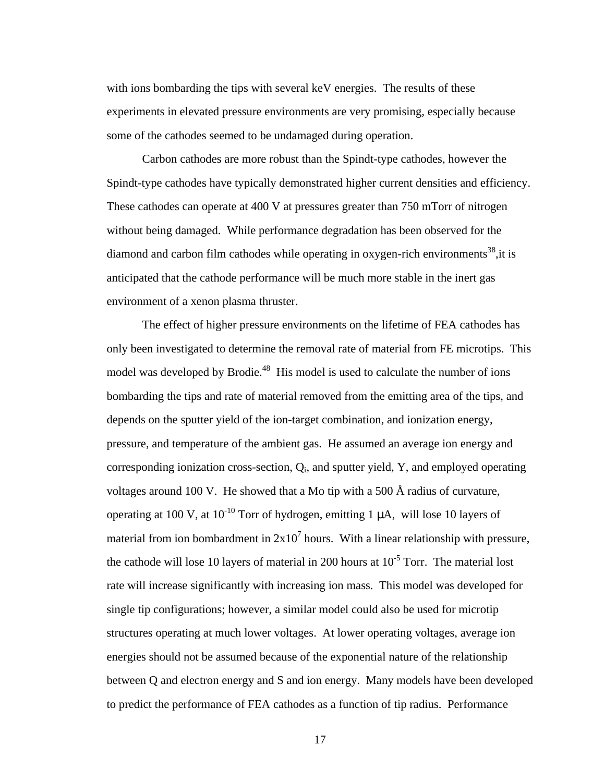with ions bombarding the tips with several keV energies. The results of these experiments in elevated pressure environments are very promising, especially because some of the cathodes seemed to be undamaged during operation.

Carbon cathodes are more robust than the Spindt-type cathodes, however the Spindt-type cathodes have typically demonstrated higher current densities and efficiency. These cathodes can operate at 400 V at pressures greater than 750 mTorr of nitrogen without being damaged. While performance degradation has been observed for the diamond and carbon film cathodes while operating in oxygen-rich environments<sup>38</sup>, it is anticipated that the cathode performance will be much more stable in the inert gas environment of a xenon plasma thruster.

The effect of higher pressure environments on the lifetime of FEA cathodes has only been investigated to determine the removal rate of material from FE microtips. This model was developed by Brodie.<sup>48</sup> His model is used to calculate the number of ions bombarding the tips and rate of material removed from the emitting area of the tips, and depends on the sputter yield of the ion-target combination, and ionization energy, pressure, and temperature of the ambient gas. He assumed an average ion energy and corresponding ionization cross-section,  $Q_i$ , and sputter yield, Y, and employed operating voltages around 100 V. He showed that a Mo tip with a 500  $\AA$  radius of curvature, operating at 100 V, at  $10^{-10}$  Torr of hydrogen, emitting 1  $\mu$ A, will lose 10 layers of material from ion bombardment in  $2x10<sup>7</sup>$  hours. With a linear relationship with pressure, the cathode will lose 10 layers of material in 200 hours at  $10^{-5}$  Torr. The material lost rate will increase significantly with increasing ion mass. This model was developed for single tip configurations; however, a similar model could also be used for microtip structures operating at much lower voltages. At lower operating voltages, average ion energies should not be assumed because of the exponential nature of the relationship between Q and electron energy and S and ion energy. Many models have been developed to predict the performance of FEA cathodes as a function of tip radius. Performance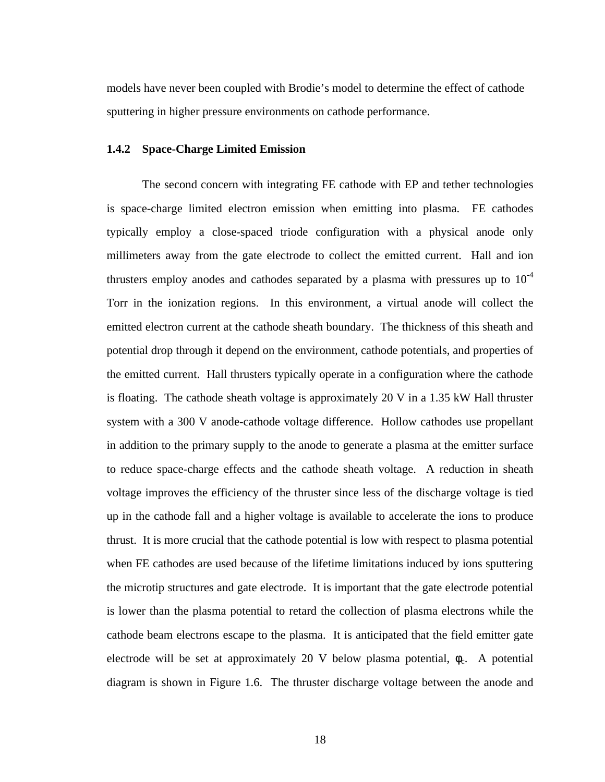models have never been coupled with Brodie's model to determine the effect of cathode sputtering in higher pressure environments on cathode performance.

# **1.4.2 Space-Charge Limited Emission**

The second concern with integrating FE cathode with EP and tether technologies is space-charge limited electron emission when emitting into plasma. FE cathodes typically employ a close-spaced triode configuration with a physical anode only millimeters away from the gate electrode to collect the emitted current. Hall and ion thrusters employ anodes and cathodes separated by a plasma with pressures up to  $10^{-4}$ Torr in the ionization regions. In this environment, a virtual anode will collect the emitted electron current at the cathode sheath boundary. The thickness of this sheath and potential drop through it depend on the environment, cathode potentials, and properties of the emitted current. Hall thrusters typically operate in a configuration where the cathode is floating. The cathode sheath voltage is approximately 20 V in a 1.35 kW Hall thruster system with a 300 V anode-cathode voltage difference. Hollow cathodes use propellant in addition to the primary supply to the anode to generate a plasma at the emitter surface to reduce space-charge effects and the cathode sheath voltage. A reduction in sheath voltage improves the efficiency of the thruster since less of the discharge voltage is tied up in the cathode fall and a higher voltage is available to accelerate the ions to produce thrust. It is more crucial that the cathode potential is low with respect to plasma potential when FE cathodes are used because of the lifetime limitations induced by ions sputtering the microtip structures and gate electrode. It is important that the gate electrode potential is lower than the plasma potential to retard the collection of plasma electrons while the cathode beam electrons escape to the plasma. It is anticipated that the field emitter gate electrode will be set at approximately 20 V below plasma potential,  $\phi_c$ . A potential diagram is shown in Figure 1.6. The thruster discharge voltage between the anode and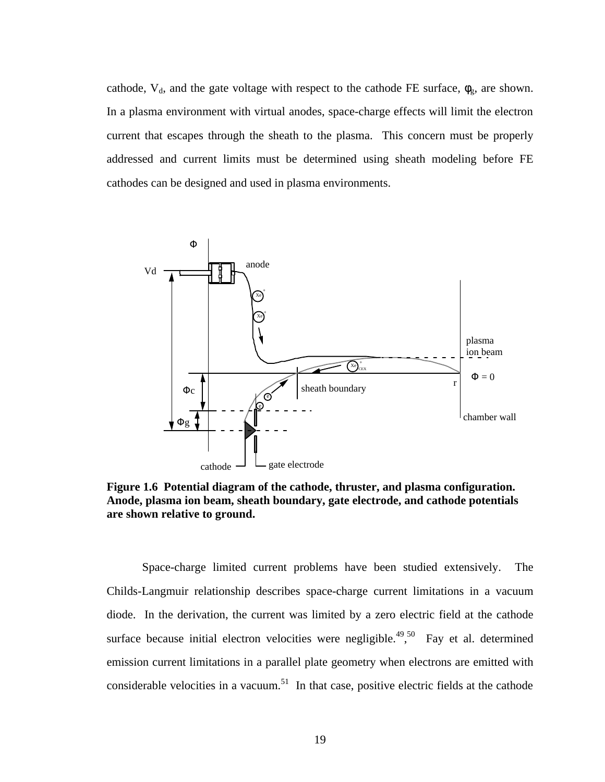cathode,  $V_d$ , and the gate voltage with respect to the cathode FE surface,  $\phi_g$ , are shown. In a plasma environment with virtual anodes, space-charge effects will limit the electron current that escapes through the sheath to the plasma. This concern must be properly addressed and current limits must be determined using sheath modeling before FE cathodes can be designed and used in plasma environments.



**Figure 1.6 Potential diagram of the cathode, thruster, and plasma configuration. Anode, plasma ion beam, sheath boundary, gate electrode, and cathode potentials are shown relative to ground.** 

Space-charge limited current problems have been studied extensively. The Childs-Langmuir relationship describes space-charge current limitations in a vacuum diode. In the derivation, the current was limited by a zero electric field at the cathode surface because initial electron velocities were negligible.<sup>49,50</sup> Fay et al. determined emission current limitations in a parallel plate geometry when electrons are emitted with considerable velocities in a vacuum.<sup>51</sup> In that case, positive electric fields at the cathode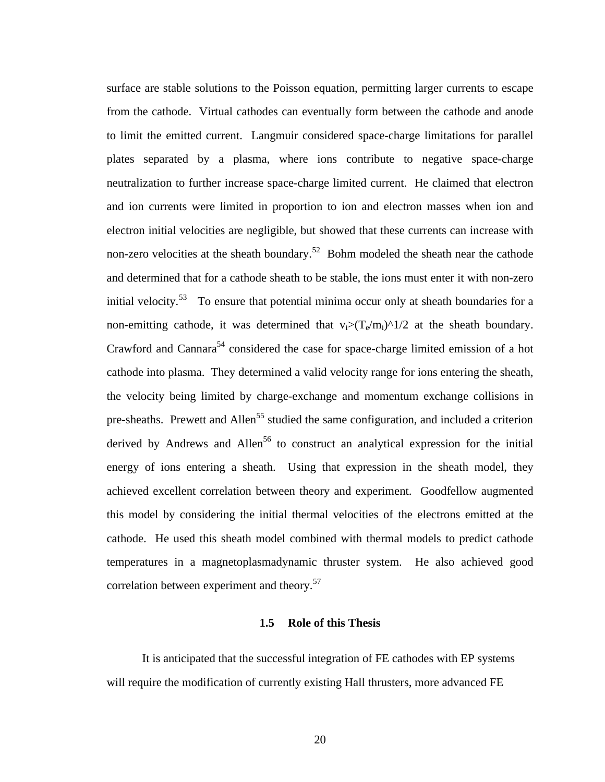surface are stable solutions to the Poisson equation, permitting larger currents to escape from the cathode. Virtual cathodes can eventually form between the cathode and anode to limit the emitted current. Langmuir considered space-charge limitations for parallel plates separated by a plasma, where ions contribute to negative space-charge neutralization to further increase space-charge limited current. He claimed that electron and ion currents were limited in proportion to ion and electron masses when ion and electron initial velocities are negligible, but showed that these currents can increase with non-zero velocities at the sheath boundary.<sup>52</sup> Bohm modeled the sheath near the cathode and determined that for a cathode sheath to be stable, the ions must enter it with non-zero initial velocity.<sup>53</sup> To ensure that potential minima occur only at sheath boundaries for a non-emitting cathode, it was determined that  $v_i>(T_e/m_i)^{\hat{ }}/1/2$  at the sheath boundary. Crawford and Cannara<sup>54</sup> considered the case for space-charge limited emission of a hot cathode into plasma. They determined a valid velocity range for ions entering the sheath, the velocity being limited by charge-exchange and momentum exchange collisions in pre-sheaths. Prewett and Allen<sup>55</sup> studied the same configuration, and included a criterion derived by Andrews and Allen<sup>56</sup> to construct an analytical expression for the initial energy of ions entering a sheath. Using that expression in the sheath model, they achieved excellent correlation between theory and experiment. Goodfellow augmented this model by considering the initial thermal velocities of the electrons emitted at the cathode. He used this sheath model combined with thermal models to predict cathode temperatures in a magnetoplasmadynamic thruster system. He also achieved good correlation between experiment and theory.<sup>57</sup>

#### **1.5 Role of this Thesis**

It is anticipated that the successful integration of FE cathodes with EP systems will require the modification of currently existing Hall thrusters, more advanced FE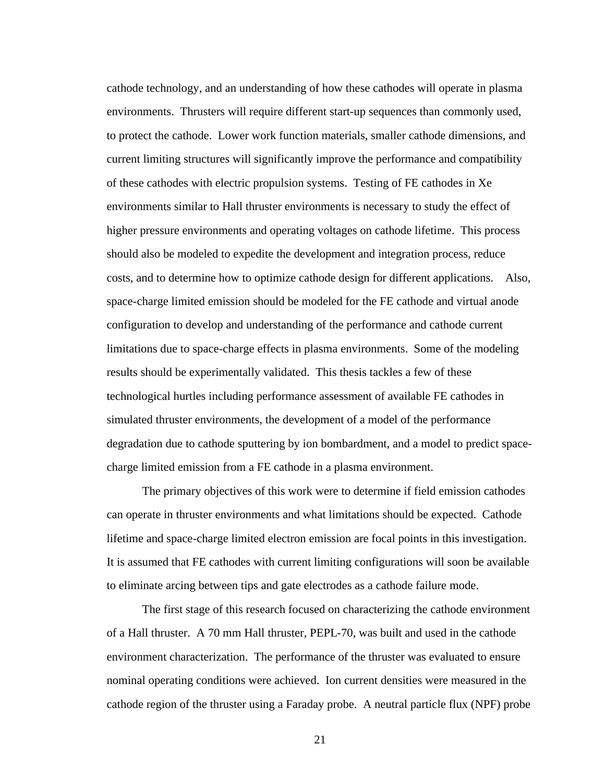cathode technology, and an understanding of how these cathodes will operate in plasma environments. Thrusters will require different start-up sequences than commonly used, to protect the cathode. Lower work function materials, smaller cathode dimensions, and current limiting structures will significantly improve the performance and compatibility of these cathodes with electric propulsion systems. Testing of FE cathodes in Xe environments similar to Hall thruster environments is necessary to study the effect of higher pressure environments and operating voltages on cathode lifetime. This process should also be modeled to expedite the development and integration process, reduce costs, and to determine how to optimize cathode design for different applications. Also, space-charge limited emission should be modeled for the FE cathode and virtual anode configuration to develop and understanding of the performance and cathode current limitations due to space-charge effects in plasma environments. Some of the modeling results should be experimentally validated. This thesis tackles a few of these technological hurtles including performance assessment of available FE cathodes in simulated thruster environments, the development of a model of the performance degradation due to cathode sputtering by ion bombardment, and a model to predict spacecharge limited emission from a FE cathode in a plasma environment.

The primary objectives of this work were to determine if field emission cathodes can operate in thruster environments and what limitations should be expected. Cathode lifetime and space-charge limited electron emission are focal points in this investigation. It is assumed that FE cathodes with current limiting configurations will soon be available to eliminate arcing between tips and gate electrodes as a cathode failure mode.

The first stage of this research focused on characterizing the cathode environment of a Hall thruster. A 70 mm Hall thruster, PEPL-70, was built and used in the cathode environment characterization. The performance of the thruster was evaluated to ensure nominal operating conditions were achieved. Ion current densities were measured in the cathode region of the thruster using a Faraday probe. A neutral particle flux (NPF) probe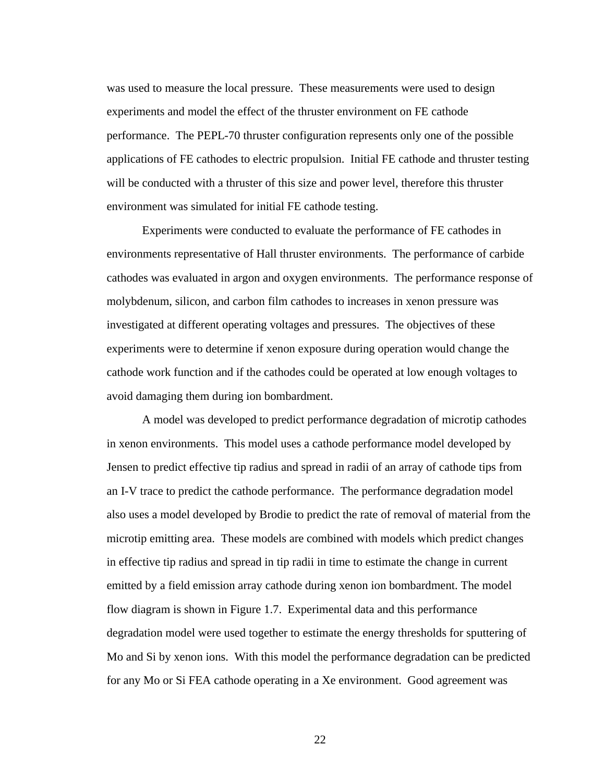was used to measure the local pressure. These measurements were used to design experiments and model the effect of the thruster environment on FE cathode performance. The PEPL-70 thruster configuration represents only one of the possible applications of FE cathodes to electric propulsion. Initial FE cathode and thruster testing will be conducted with a thruster of this size and power level, therefore this thruster environment was simulated for initial FE cathode testing.

Experiments were conducted to evaluate the performance of FE cathodes in environments representative of Hall thruster environments. The performance of carbide cathodes was evaluated in argon and oxygen environments. The performance response of molybdenum, silicon, and carbon film cathodes to increases in xenon pressure was investigated at different operating voltages and pressures. The objectives of these experiments were to determine if xenon exposure during operation would change the cathode work function and if the cathodes could be operated at low enough voltages to avoid damaging them during ion bombardment.

A model was developed to predict performance degradation of microtip cathodes in xenon environments. This model uses a cathode performance model developed by Jensen to predict effective tip radius and spread in radii of an array of cathode tips from an I-V trace to predict the cathode performance. The performance degradation model also uses a model developed by Brodie to predict the rate of removal of material from the microtip emitting area. These models are combined with models which predict changes in effective tip radius and spread in tip radii in time to estimate the change in current emitted by a field emission array cathode during xenon ion bombardment. The model flow diagram is shown in Figure 1.7. Experimental data and this performance degradation model were used together to estimate the energy thresholds for sputtering of Mo and Si by xenon ions. With this model the performance degradation can be predicted for any Mo or Si FEA cathode operating in a Xe environment. Good agreement was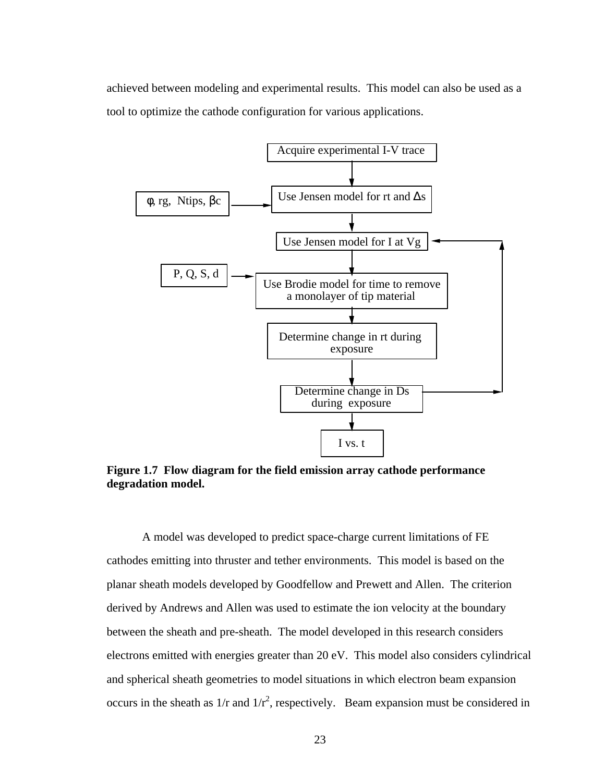achieved between modeling and experimental results. This model can also be used as a tool to optimize the cathode configuration for various applications.



**Figure 1.7 Flow diagram for the field emission array cathode performance degradation model.**

A model was developed to predict space-charge current limitations of FE cathodes emitting into thruster and tether environments. This model is based on the planar sheath models developed by Goodfellow and Prewett and Allen. The criterion derived by Andrews and Allen was used to estimate the ion velocity at the boundary between the sheath and pre-sheath. The model developed in this research considers electrons emitted with energies greater than 20 eV. This model also considers cylindrical and spherical sheath geometries to model situations in which electron beam expansion occurs in the sheath as  $1/r$  and  $1/r^2$ , respectively. Beam expansion must be considered in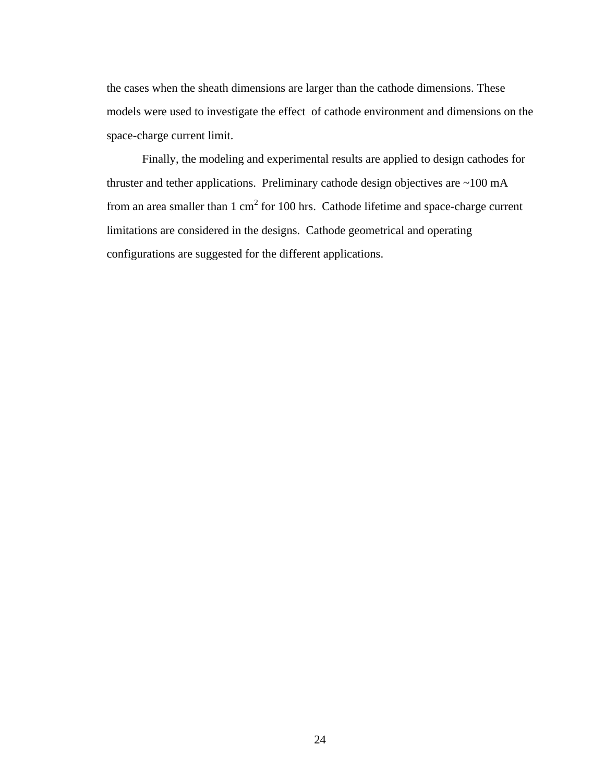the cases when the sheath dimensions are larger than the cathode dimensions. These models were used to investigate the effect of cathode environment and dimensions on the space-charge current limit.

Finally, the modeling and experimental results are applied to design cathodes for thruster and tether applications. Preliminary cathode design objectives are ~100 mA from an area smaller than  $1 \text{ cm}^2$  for 100 hrs. Cathode lifetime and space-charge current limitations are considered in the designs. Cathode geometrical and operating configurations are suggested for the different applications.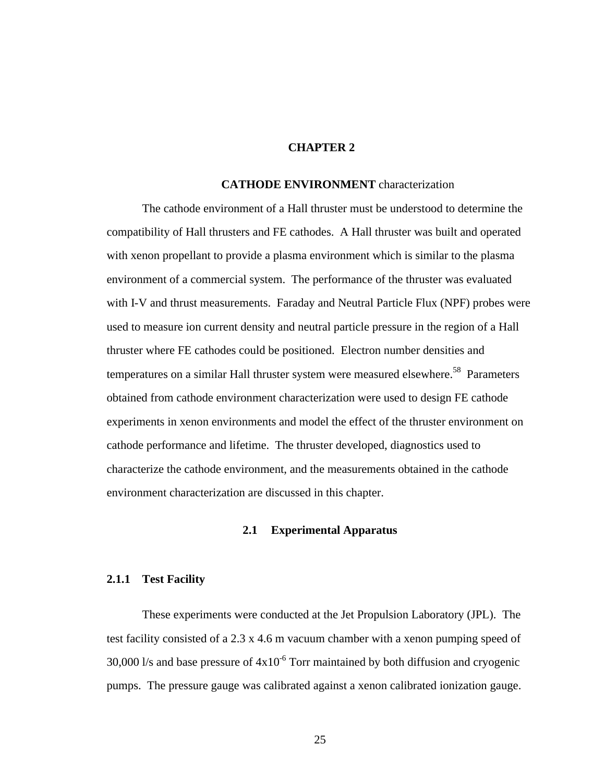# **CHAPTER 2**

#### **CATHODE ENVIRONMENT** characterization

The cathode environment of a Hall thruster must be understood to determine the compatibility of Hall thrusters and FE cathodes. A Hall thruster was built and operated with xenon propellant to provide a plasma environment which is similar to the plasma environment of a commercial system. The performance of the thruster was evaluated with I-V and thrust measurements. Faraday and Neutral Particle Flux (NPF) probes were used to measure ion current density and neutral particle pressure in the region of a Hall thruster where FE cathodes could be positioned. Electron number densities and temperatures on a similar Hall thruster system were measured elsewhere.<sup>58</sup> Parameters obtained from cathode environment characterization were used to design FE cathode experiments in xenon environments and model the effect of the thruster environment on cathode performance and lifetime. The thruster developed, diagnostics used to characterize the cathode environment, and the measurements obtained in the cathode environment characterization are discussed in this chapter.

### **2.1 Experimental Apparatus**

#### **2.1.1 Test Facility**

These experiments were conducted at the Jet Propulsion Laboratory (JPL). The test facility consisted of a 2.3 x 4.6 m vacuum chamber with a xenon pumping speed of 30,000 l/s and base pressure of  $4x10^{-6}$  Torr maintained by both diffusion and cryogenic pumps. The pressure gauge was calibrated against a xenon calibrated ionization gauge.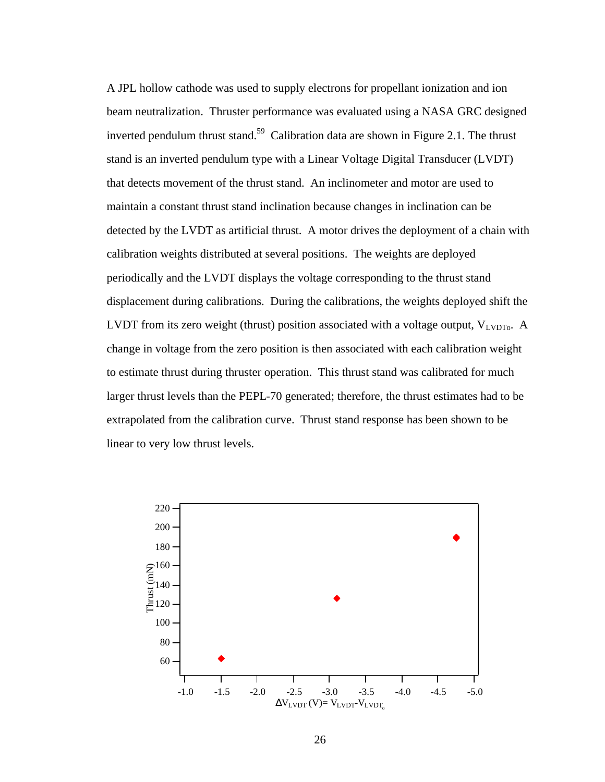A JPL hollow cathode was used to supply electrons for propellant ionization and ion beam neutralization. Thruster performance was evaluated using a NASA GRC designed inverted pendulum thrust stand.<sup>59</sup> Calibration data are shown in Figure 2.1. The thrust stand is an inverted pendulum type with a Linear Voltage Digital Transducer (LVDT) that detects movement of the thrust stand. An inclinometer and motor are used to maintain a constant thrust stand inclination because changes in inclination can be detected by the LVDT as artificial thrust. A motor drives the deployment of a chain with calibration weights distributed at several positions. The weights are deployed periodically and the LVDT displays the voltage corresponding to the thrust stand displacement during calibrations. During the calibrations, the weights deployed shift the LVDT from its zero weight (thrust) position associated with a voltage output,  $V_{LVDTo}$ . A change in voltage from the zero position is then associated with each calibration weight to estimate thrust during thruster operation. This thrust stand was calibrated for much larger thrust levels than the PEPL-70 generated; therefore, the thrust estimates had to be extrapolated from the calibration curve. Thrust stand response has been shown to be linear to very low thrust levels.

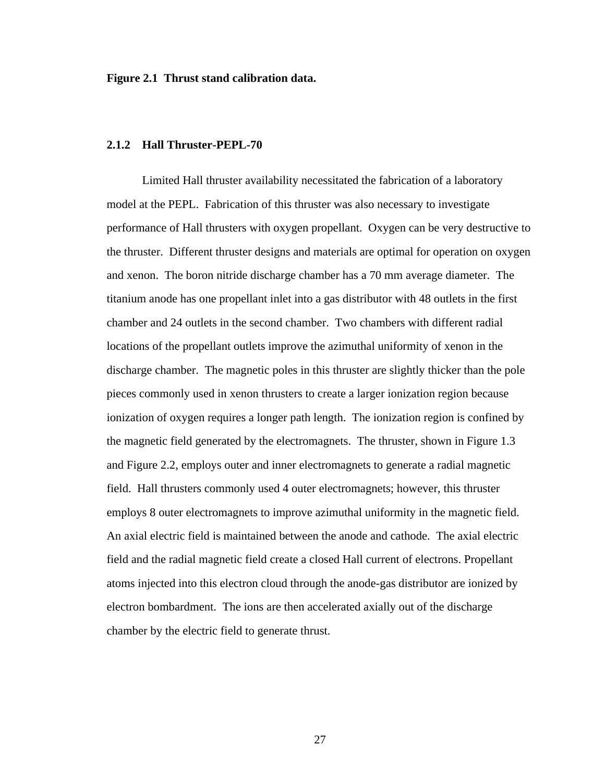**Figure 2.1 Thrust stand calibration data.**

#### **2.1.2 Hall Thruster-PEPL-70**

Limited Hall thruster availability necessitated the fabrication of a laboratory model at the PEPL. Fabrication of this thruster was also necessary to investigate performance of Hall thrusters with oxygen propellant. Oxygen can be very destructive to the thruster. Different thruster designs and materials are optimal for operation on oxygen and xenon. The boron nitride discharge chamber has a 70 mm average diameter. The titanium anode has one propellant inlet into a gas distributor with 48 outlets in the first chamber and 24 outlets in the second chamber. Two chambers with different radial locations of the propellant outlets improve the azimuthal uniformity of xenon in the discharge chamber. The magnetic poles in this thruster are slightly thicker than the pole pieces commonly used in xenon thrusters to create a larger ionization region because ionization of oxygen requires a longer path length. The ionization region is confined by the magnetic field generated by the electromagnets. The thruster, shown in Figure 1.3 and Figure 2.2, employs outer and inner electromagnets to generate a radial magnetic field. Hall thrusters commonly used 4 outer electromagnets; however, this thruster employs 8 outer electromagnets to improve azimuthal uniformity in the magnetic field. An axial electric field is maintained between the anode and cathode. The axial electric field and the radial magnetic field create a closed Hall current of electrons. Propellant atoms injected into this electron cloud through the anode-gas distributor are ionized by electron bombardment. The ions are then accelerated axially out of the discharge chamber by the electric field to generate thrust.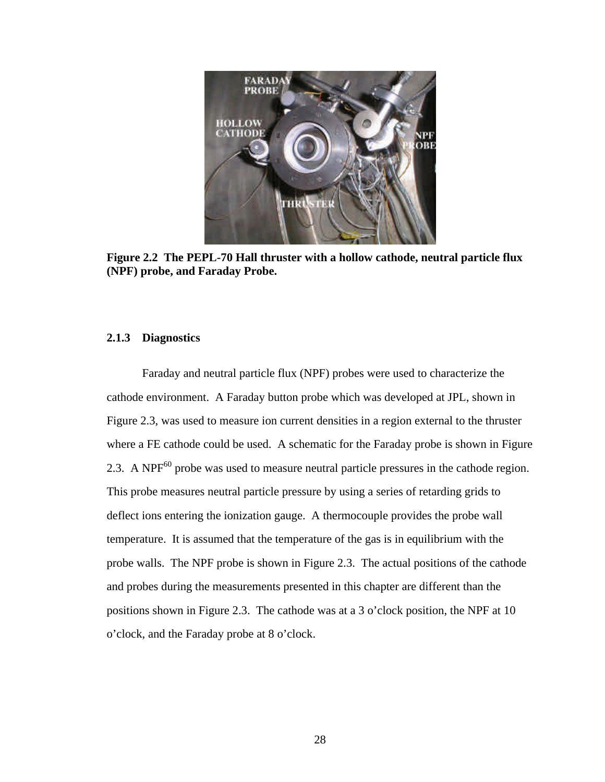

**Figure 2.2 The PEPL-70 Hall thruster with a hollow cathode, neutral particle flux (NPF) probe, and Faraday Probe.**

# **2.1.3 Diagnostics**

Faraday and neutral particle flux (NPF) probes were used to characterize the cathode environment. A Faraday button probe which was developed at JPL, shown in Figure 2.3, was used to measure ion current densities in a region external to the thruster where a FE cathode could be used. A schematic for the Faraday probe is shown in Figure 2.3. A NP $F^{60}$  probe was used to measure neutral particle pressures in the cathode region. This probe measures neutral particle pressure by using a series of retarding grids to deflect ions entering the ionization gauge. A thermocouple provides the probe wall temperature. It is assumed that the temperature of the gas is in equilibrium with the probe walls. The NPF probe is shown in Figure 2.3. The actual positions of the cathode and probes during the measurements presented in this chapter are different than the positions shown in Figure 2.3. The cathode was at a 3 o'clock position, the NPF at 10 o'clock, and the Faraday probe at 8 o'clock.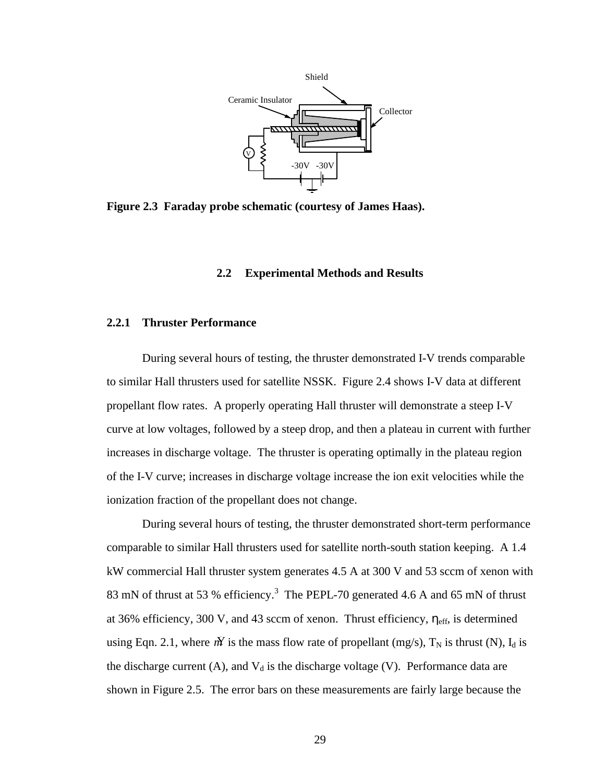

**Figure 2.3 Faraday probe schematic (courtesy of James Haas).**

#### **2.2 Experimental Methods and Results**

## **2.2.1 Thruster Performance**

During several hours of testing, the thruster demonstrated I-V trends comparable to similar Hall thrusters used for satellite NSSK.Figure 2.4 shows I-V data at different propellant flow rates. A properly operating Hall thruster will demonstrate a steep I-V curve at low voltages, followed by a steep drop, and then a plateau in current with further increases in discharge voltage. The thruster is operating optimally in the plateau region of the I-V curve; increases in discharge voltage increase the ion exit velocities while the ionization fraction of the propellant does not change.

During several hours of testing, the thruster demonstrated short-term performance comparable to similar Hall thrusters used for satellite north-south station keeping. A 1.4 kW commercial Hall thruster system generates 4.5 A at 300 V and 53 sccm of xenon with 83 mN of thrust at 53 % efficiency.<sup>3</sup> The PEPL-70 generated 4.6 A and 65 mN of thrust at 36% efficiency, 300 V, and 43 sccm of xenon. Thrust efficiency,  $\eta_{\text{eff}}$ , is determined using Eqn. 2.1, where  $\vec{M}$  is the mass flow rate of propellant (mg/s),  $T_N$  is thrust (N),  $I_d$  is the discharge current (A), and  $V_d$  is the discharge voltage (V). Performance data are shown in Figure 2.5. The error bars on these measurements are fairly large because the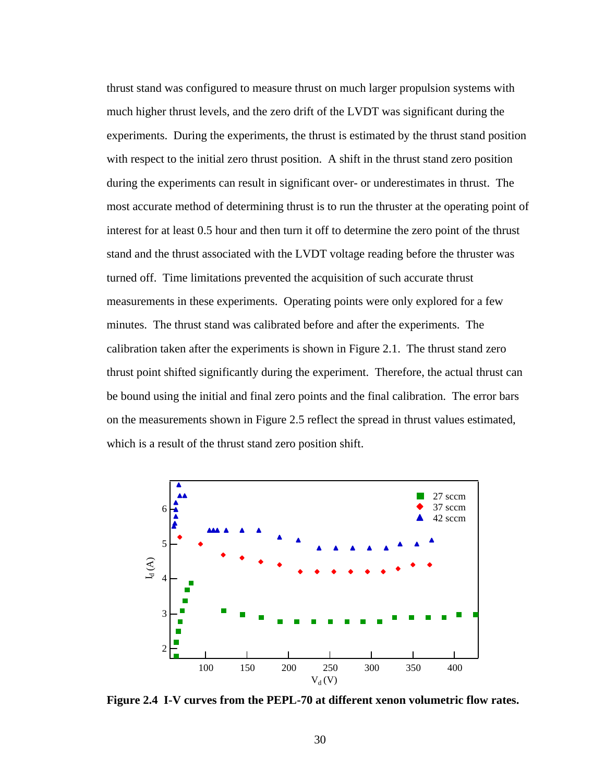thrust stand was configured to measure thrust on much larger propulsion systems with much higher thrust levels, and the zero drift of the LVDT was significant during the experiments. During the experiments, the thrust is estimated by the thrust stand position with respect to the initial zero thrust position. A shift in the thrust stand zero position during the experiments can result in significant over- or underestimates in thrust. The most accurate method of determining thrust is to run the thruster at the operating point of interest for at least 0.5 hour and then turn it off to determine the zero point of the thrust stand and the thrust associated with the LVDT voltage reading before the thruster was turned off. Time limitations prevented the acquisition of such accurate thrust measurements in these experiments. Operating points were only explored for a few minutes. The thrust stand was calibrated before and after the experiments. The calibration taken after the experiments is shown in Figure 2.1. The thrust stand zero thrust point shifted significantly during the experiment. Therefore, the actual thrust can be bound using the initial and final zero points and the final calibration. The error bars on the measurements shown in Figure 2.5 reflect the spread in thrust values estimated, which is a result of the thrust stand zero position shift.



**Figure 2.4 I-V curves from the PEPL-70 at different xenon volumetric flow rates.**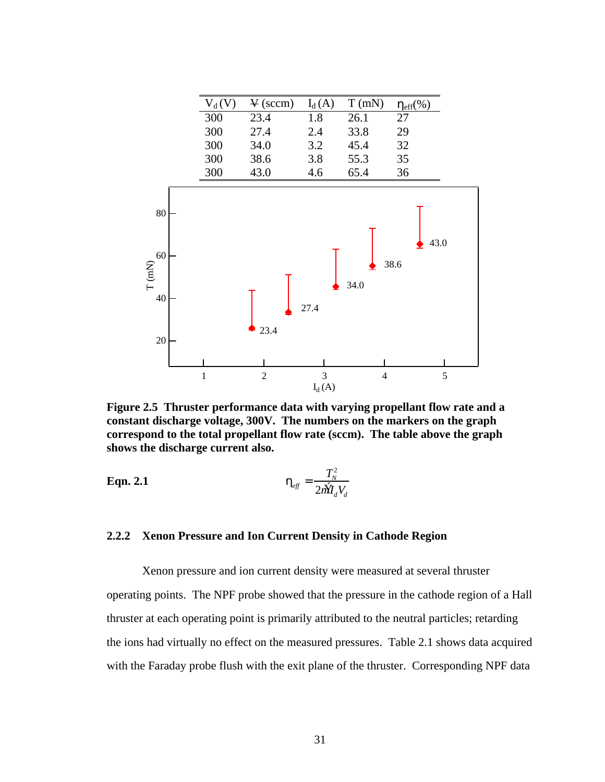

**Figure 2.5 Thruster performance data with varying propellant flow rate and a constant discharge voltage, 300V. The numbers on the markers on the graph correspond to the total propellant flow rate (sccm). The table above the graph shows the discharge current also.** 

**Eqn. 2.1** 
$$
\mathbf{h}_{\text{eff}} = \frac{T_N^2}{2m\hat{M}_d V_d}
$$

### **2.2.2 Xenon Pressure and Ion Current Density in Cathode Region**

Xenon pressure and ion current density were measured at several thruster operating points. The NPF probe showed that the pressure in the cathode region of a Hall thruster at each operating point is primarily attributed to the neutral particles; retarding the ions had virtually no effect on the measured pressures. Table 2.1 shows data acquired with the Faraday probe flush with the exit plane of the thruster. Corresponding NPF data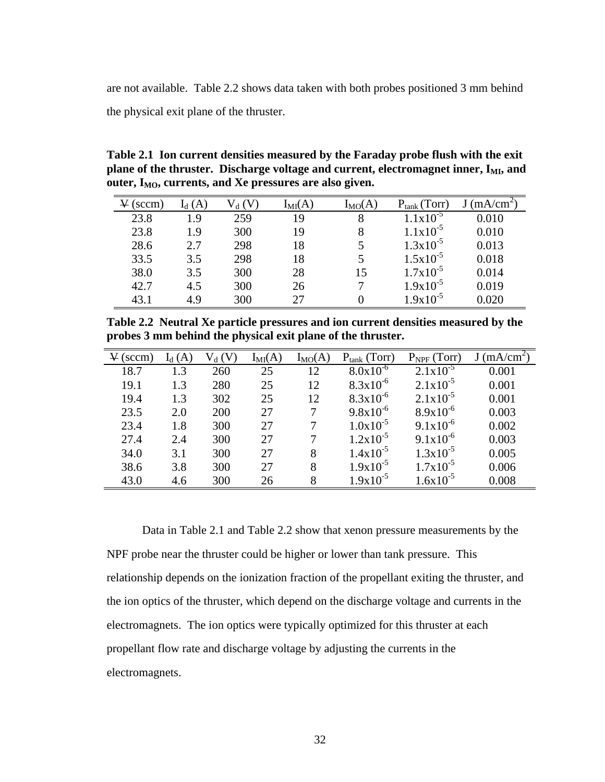are not available. Table 2.2 shows data taken with both probes positioned 3 mm behind the physical exit plane of the thruster.

**Table 2.1 Ion current densities measured by the Faraday probe flush with the exit**  plane of the thruster. Discharge voltage and current, electromagnet inner, I<sub>MI</sub>, and **outer, IMO, currents, and Xe pressures are also given.**

| (sccm) | (A) | $\rm V_d$ (V | $I_{MI}(A)$ | $I_{MO}(A)$ | $P_{\text{tank}}$ (Torr) | (mA/cm <sup>2</sup> ) |
|--------|-----|--------------|-------------|-------------|--------------------------|-----------------------|
| 23.8   | 1.9 | 259          | 19          | 8           | $1x10^{-5}$              | 0.010                 |
| 23.8   | 1.9 | 300          | 19          | 8           | $1.1x10^{-5}$            | 0.010                 |
| 28.6   | 2.7 | 298          | 18          |             | $1.3x10^{-5}$            | 0.013                 |
| 33.5   | 3.5 | 298          | 18          |             | $1.5x10^{-5}$            | 0.018                 |
| 38.0   | 3.5 | 300          | 28          | 15          | $1.7x10^{-5}$            | 0.014                 |
| 42.7   | 4.5 | 300          | 26          |             | $1.9x10^{-5}$            | 0.019                 |
| 43.1   | 4.9 | 300          | 27          |             | $9x10^{-5}$              | 0.020                 |

**Table 2.2 Neutral Xe particle pressures and ion current densities measured by the probes 3 mm behind the physical exit plane of the thruster.**

| $V$ (sccm) | $I_d(A)$ | $V_d(V)$ | $I_{MI}(A)$ | $I_{MO}(A)$ | $P_{\text{tank}}$ (Torr) | $P_{NPF}$ (Torr) | J(mA/cm <sup>2</sup> ) |
|------------|----------|----------|-------------|-------------|--------------------------|------------------|------------------------|
| 18.7       | 1.3      | 260      | 25          | 12          | $8.0x10^{-6}$            | $2.1x10^{-5}$    | 0.001                  |
| 19.1       | 1.3      | 280      | 25          | 12          | $8.3x10^{-6}$            | $2.1x10^{-5}$    | 0.001                  |
| 19.4       | 1.3      | 302      | 25          | 12          | $8.3x10^{-6}$            | $2.1x10^{-5}$    | 0.001                  |
| 23.5       | 2.0      | 200      | 27          | 7           | $9.8x10^{-6}$            | $8.9x10^{-6}$    | 0.003                  |
| 23.4       | 1.8      | 300      | 27          | 7           | $1.0x10^{-5}$            | $9.1x10^{-6}$    | 0.002                  |
| 27.4       | 2.4      | 300      | 27          | 7           | $1.2x10^{-5}$            | $9.1x10^{-6}$    | 0.003                  |
| 34.0       | 3.1      | 300      | 27          | 8           | $1.4x10^{-5}$            | $1.3x10^{-5}$    | 0.005                  |
| 38.6       | 3.8      | 300      | 27          | 8           | $1.9x10^{-5}$            | $1.7x10^{-5}$    | 0.006                  |
| 43.0       | 4.6      | 300      | 26          | 8           | $1.9x10^{-5}$            | $1.6x10^{-5}$    | 0.008                  |

Data in Table 2.1 and Table 2.2 show that xenon pressure measurements by the NPF probe near the thruster could be higher or lower than tank pressure. This relationship depends on the ionization fraction of the propellant exiting the thruster, and the ion optics of the thruster, which depend on the discharge voltage and currents in the electromagnets. The ion optics were typically optimized for this thruster at each propellant flow rate and discharge voltage by adjusting the currents in the electromagnets.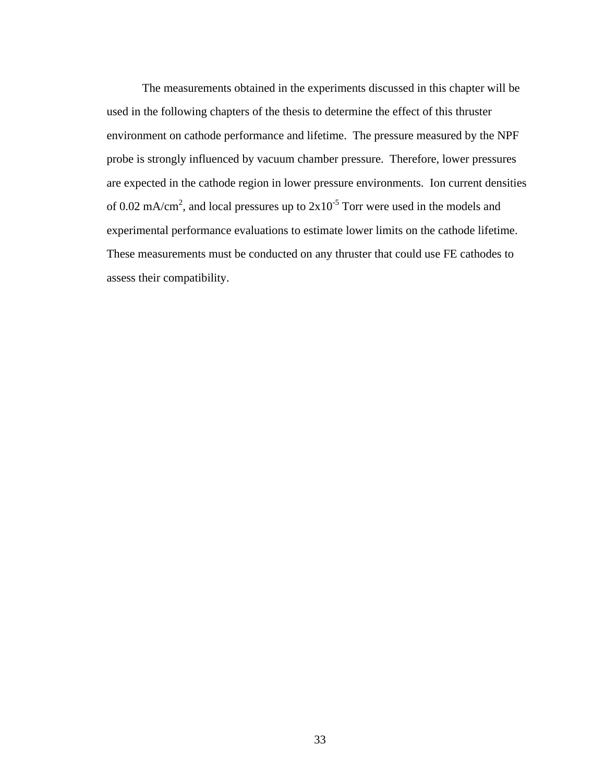The measurements obtained in the experiments discussed in this chapter will be used in the following chapters of the thesis to determine the effect of this thruster environment on cathode performance and lifetime. The pressure measured by the NPF probe is strongly influenced by vacuum chamber pressure. Therefore, lower pressures are expected in the cathode region in lower pressure environments. Ion current densities of 0.02 mA/cm<sup>2</sup>, and local pressures up to  $2x10^{-5}$  Torr were used in the models and experimental performance evaluations to estimate lower limits on the cathode lifetime. These measurements must be conducted on any thruster that could use FE cathodes to assess their compatibility.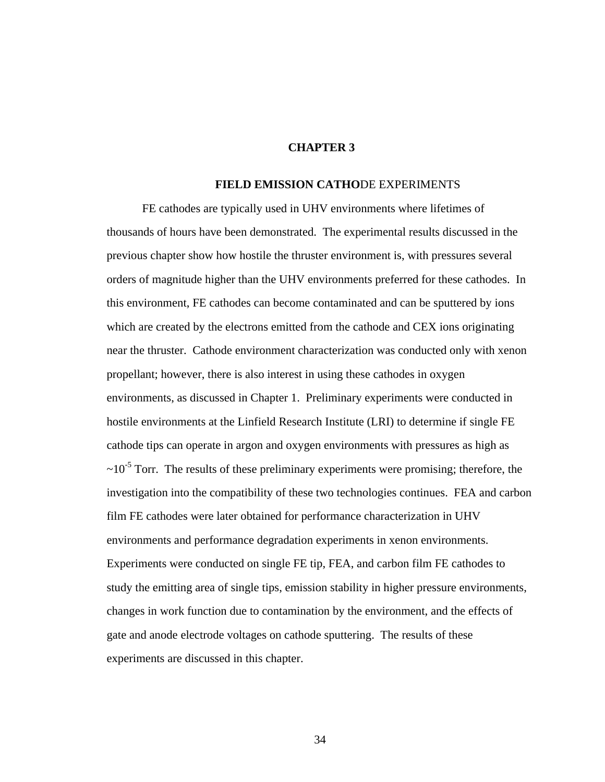## **CHAPTER 3**

## **FIELD EMISSION CATHO**DE EXPERIMENTS

FE cathodes are typically used in UHV environments where lifetimes of thousands of hours have been demonstrated. The experimental results discussed in the previous chapter show how hostile the thruster environment is, with pressures several orders of magnitude higher than the UHV environments preferred for these cathodes. In this environment, FE cathodes can become contaminated and can be sputtered by ions which are created by the electrons emitted from the cathode and CEX ions originating near the thruster. Cathode environment characterization was conducted only with xenon propellant; however, there is also interest in using these cathodes in oxygen environments, as discussed in Chapter 1. Preliminary experiments were conducted in hostile environments at the Linfield Research Institute (LRI) to determine if single FE cathode tips can operate in argon and oxygen environments with pressures as high as  $\sim 10^{-5}$  Torr. The results of these preliminary experiments were promising; therefore, the investigation into the compatibility of these two technologies continues. FEA and carbon film FE cathodes were later obtained for performance characterization in UHV environments and performance degradation experiments in xenon environments. Experiments were conducted on single FE tip, FEA, and carbon film FE cathodes to study the emitting area of single tips, emission stability in higher pressure environments, changes in work function due to contamination by the environment, and the effects of gate and anode electrode voltages on cathode sputtering. The results of these experiments are discussed in this chapter.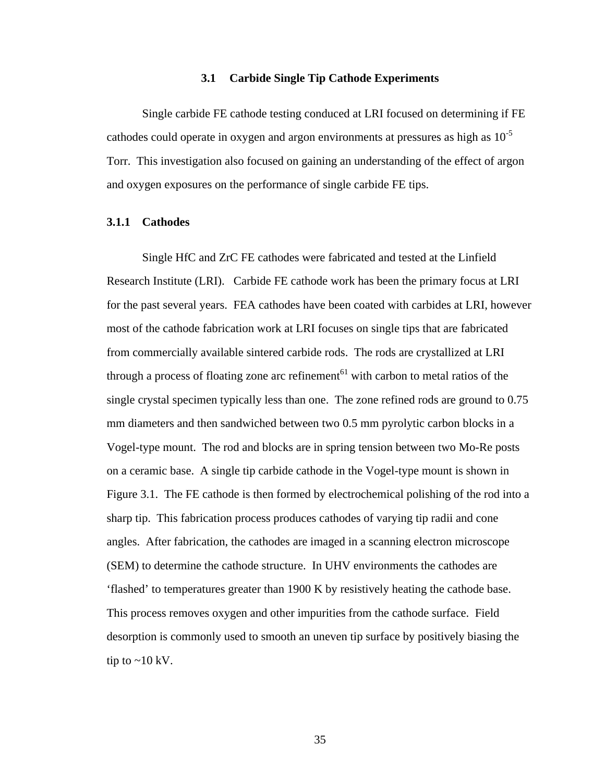### **3.1 Carbide Single Tip Cathode Experiments**

Single carbide FE cathode testing conduced at LRI focused on determining if FE cathodes could operate in oxygen and argon environments at pressures as high as  $10^{-5}$ Torr. This investigation also focused on gaining an understanding of the effect of argon and oxygen exposures on the performance of single carbide FE tips.

### **3.1.1 Cathodes**

Single HfC and ZrC FE cathodes were fabricated and tested at the Linfield Research Institute (LRI). Carbide FE cathode work has been the primary focus at LRI for the past several years. FEA cathodes have been coated with carbides at LRI, however most of the cathode fabrication work at LRI focuses on single tips that are fabricated from commercially available sintered carbide rods. The rods are crystallized at LRI through a process of floating zone arc refinement<sup>61</sup> with carbon to metal ratios of the single crystal specimen typically less than one. The zone refined rods are ground to 0.75 mm diameters and then sandwiched between two 0.5 mm pyrolytic carbon blocks in a Vogel-type mount. The rod and blocks are in spring tension between two Mo-Re posts on a ceramic base. A single tip carbide cathode in the Vogel-type mount is shown in Figure 3.1. The FE cathode is then formed by electrochemical polishing of the rod into a sharp tip. This fabrication process produces cathodes of varying tip radii and cone angles. After fabrication, the cathodes are imaged in a scanning electron microscope (SEM) to determine the cathode structure. In UHV environments the cathodes are 'flashed' to temperatures greater than 1900 K by resistively heating the cathode base. This process removes oxygen and other impurities from the cathode surface. Field desorption is commonly used to smooth an uneven tip surface by positively biasing the tip to  $\sim$  10 kV.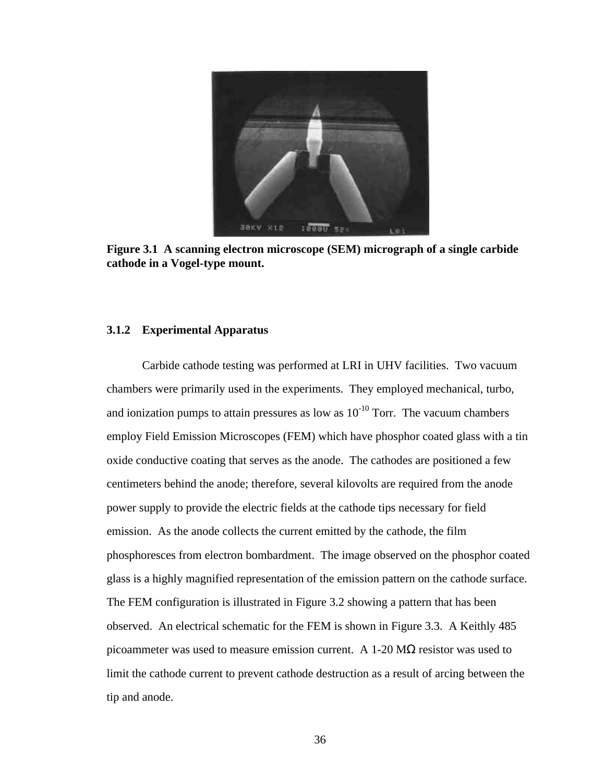

**Figure 3.1 A scanning electron microscope (SEM) micrograph of a single carbide cathode in a Vogel-type mount.**

## **3.1.2 Experimental Apparatus**

Carbide cathode testing was performed at LRI in UHV facilities. Two vacuum chambers were primarily used in the experiments. They employed mechanical, turbo, and ionization pumps to attain pressures as low as  $10^{-10}$  Torr. The vacuum chambers employ Field Emission Microscopes (FEM) which have phosphor coated glass with a tin oxide conductive coating that serves as the anode. The cathodes are positioned a few centimeters behind the anode; therefore, several kilovolts are required from the anode power supply to provide the electric fields at the cathode tips necessary for field emission. As the anode collects the current emitted by the cathode, the film phosphoresces from electron bombardment. The image observed on the phosphor coated glass is a highly magnified representation of the emission pattern on the cathode surface. The FEM configuration is illustrated in Figure 3.2 showing a pattern that has been observed. An electrical schematic for the FEM is shown in Figure 3.3. A Keithly 485 picoammeter was used to measure emission current. A 1-20  $\text{M}\Omega$  resistor was used to limit the cathode current to prevent cathode destruction as a result of arcing between the tip and anode.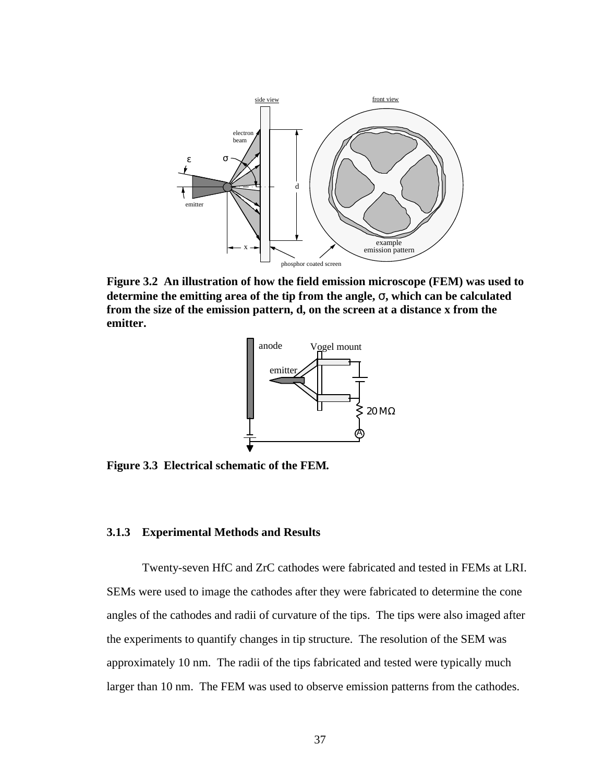

**Figure 3.2 An illustration of how the field emission microscope (FEM) was used to determine the emitting area of the tip from the angle, s, which can be calculated from the size of the emission pattern, d, on the screen at a distance x from the emitter.**



**Figure 3.3 Electrical schematic of the FEM***.*

### **3.1.3 Experimental Methods and Results**

Twenty-seven HfC and ZrC cathodes were fabricated and tested in FEMs at LRI. SEMs were used to image the cathodes after they were fabricated to determine the cone angles of the cathodes and radii of curvature of the tips. The tips were also imaged after the experiments to quantify changes in tip structure. The resolution of the SEM was approximately 10 nm. The radii of the tips fabricated and tested were typically much larger than 10 nm. The FEM was used to observe emission patterns from the cathodes.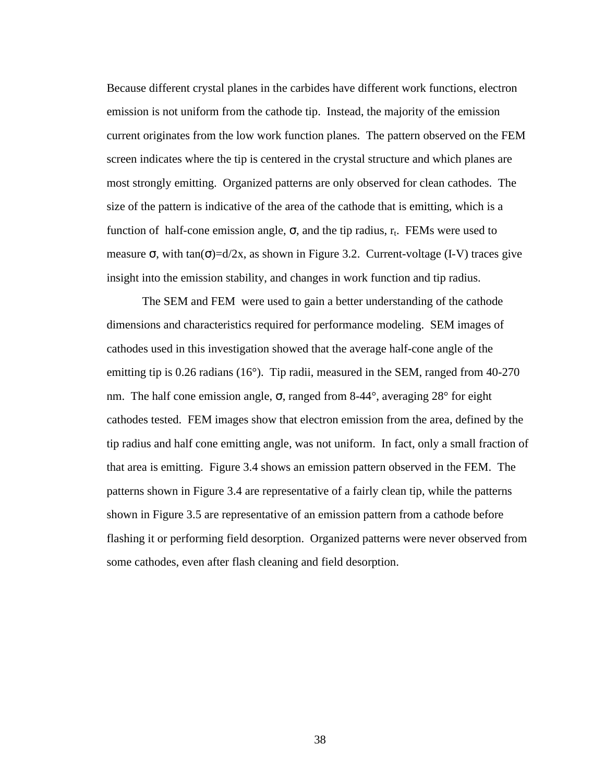Because different crystal planes in the carbides have different work functions, electron emission is not uniform from the cathode tip. Instead, the majority of the emission current originates from the low work function planes. The pattern observed on the FEM screen indicates where the tip is centered in the crystal structure and which planes are most strongly emitting. Organized patterns are only observed for clean cathodes. The size of the pattern is indicative of the area of the cathode that is emitting, which is a function of half-cone emission angle,  $\sigma$ , and the tip radius,  $r_t$ . FEMs were used to measure  $\sigma$ , with tan( $\sigma$ )=d/2x, as shown in Figure 3.2. Current-voltage (I-V) traces give insight into the emission stability, and changes in work function and tip radius.

The SEM and FEM were used to gain a better understanding of the cathode dimensions and characteristics required for performance modeling. SEM images of cathodes used in this investigation showed that the average half-cone angle of the emitting tip is 0.26 radians (16°). Tip radii, measured in the SEM, ranged from 40-270 nm. The half cone emission angle, σ, ranged from 8-44°, averaging 28° for eight cathodes tested. FEM images show that electron emission from the area, defined by the tip radius and half cone emitting angle, was not uniform. In fact, only a small fraction of that area is emitting. Figure 3.4 shows an emission pattern observed in the FEM. The patterns shown in Figure 3.4 are representative of a fairly clean tip, while the patterns shown in Figure 3.5 are representative of an emission pattern from a cathode before flashing it or performing field desorption. Organized patterns were never observed from some cathodes, even after flash cleaning and field desorption.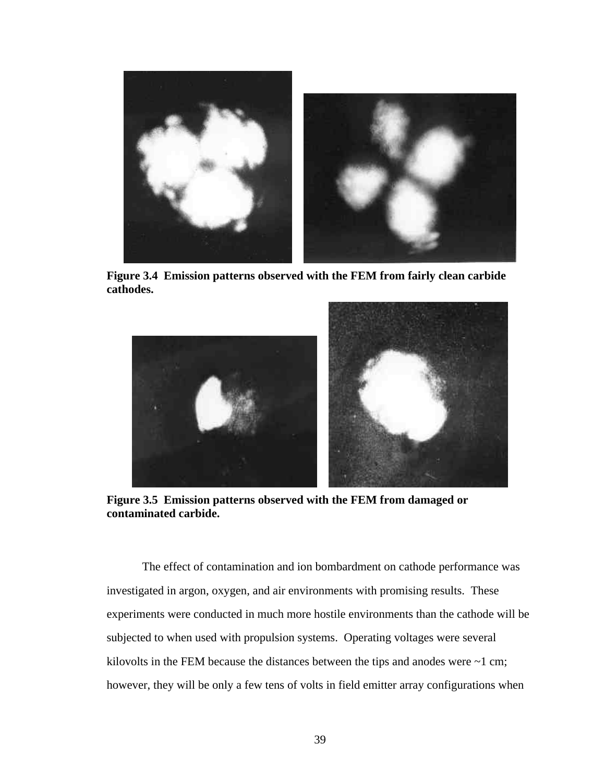

**Figure 3.4 Emission patterns observed with the FEM from fairly clean carbide cathodes.** 



**Figure 3.5 Emission patterns observed with the FEM from damaged or contaminated carbide.**

The effect of contamination and ion bombardment on cathode performance was investigated in argon, oxygen, and air environments with promising results. These experiments were conducted in much more hostile environments than the cathode will be subjected to when used with propulsion systems. Operating voltages were several kilovolts in the FEM because the distances between the tips and anodes were  $\sim$ 1 cm; however, they will be only a few tens of volts in field emitter array configurations when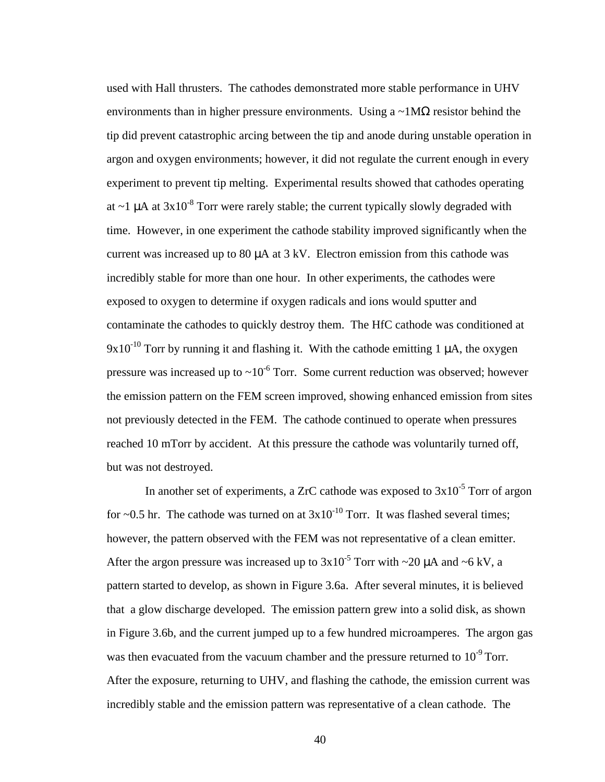used with Hall thrusters. The cathodes demonstrated more stable performance in UHV environments than in higher pressure environments. Using a  $\sim 1\text{M}\Omega$  resistor behind the tip did prevent catastrophic arcing between the tip and anode during unstable operation in argon and oxygen environments; however, it did not regulate the current enough in every experiment to prevent tip melting. Experimental results showed that cathodes operating at  $\sim$ 1 µA at 3x10<sup>-8</sup> Torr were rarely stable; the current typically slowly degraded with time. However, in one experiment the cathode stability improved significantly when the current was increased up to 80  $\mu$ A at 3 kV. Electron emission from this cathode was incredibly stable for more than one hour. In other experiments, the cathodes were exposed to oxygen to determine if oxygen radicals and ions would sputter and contaminate the cathodes to quickly destroy them. The HfC cathode was conditioned at  $9x10^{-10}$  Torr by running it and flashing it. With the cathode emitting 1  $\mu$ A, the oxygen pressure was increased up to  $\sim 10^{-6}$  Torr. Some current reduction was observed; however the emission pattern on the FEM screen improved, showing enhanced emission from sites not previously detected in the FEM. The cathode continued to operate when pressures reached 10 mTorr by accident. At this pressure the cathode was voluntarily turned off, but was not destroyed.

In another set of experiments, a ZrC cathode was exposed to  $3x10^{-5}$  Torr of argon for  $\sim$ 0.5 hr. The cathode was turned on at  $3x10^{-10}$  Torr. It was flashed several times; however, the pattern observed with the FEM was not representative of a clean emitter. After the argon pressure was increased up to  $3x10^{-5}$  Torr with ~20  $\mu$ A and ~6 kV, a pattern started to develop, as shown in Figure 3.6a. After several minutes, it is believed that a glow discharge developed. The emission pattern grew into a solid disk, as shown in Figure 3.6b, and the current jumped up to a few hundred microamperes. The argon gas was then evacuated from the vacuum chamber and the pressure returned to  $10^{-9}$  Torr. After the exposure, returning to UHV, and flashing the cathode, the emission current was incredibly stable and the emission pattern was representative of a clean cathode. The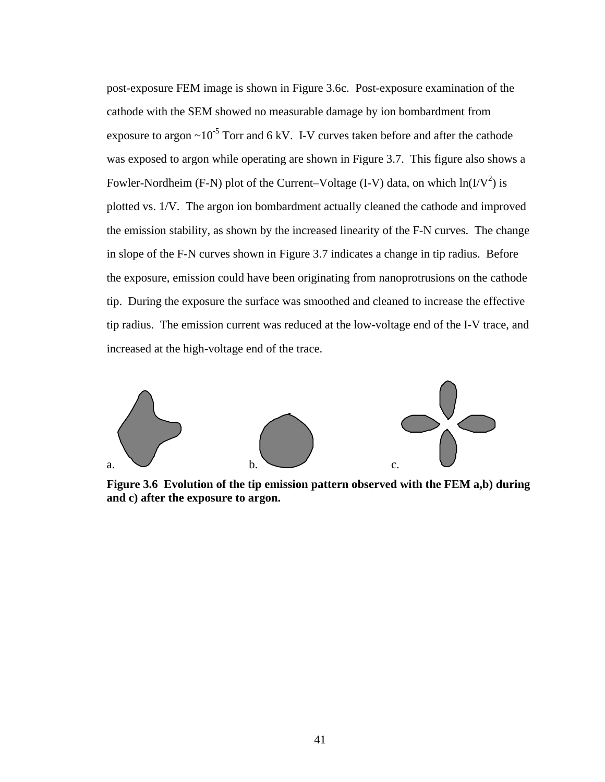post-exposure FEM image is shown in Figure 3.6c. Post-exposure examination of the cathode with the SEM showed no measurable damage by ion bombardment from exposure to argon  $\sim 10^{-5}$  Torr and 6 kV. I-V curves taken before and after the cathode was exposed to argon while operating are shown in Figure 3.7. This figure also shows a Fowler-Nordheim (F-N) plot of the Current–Voltage (I-V) data, on which  $ln(I/V^2)$  is plotted vs. 1/V. The argon ion bombardment actually cleaned the cathode and improved the emission stability, as shown by the increased linearity of the F-N curves. The change in slope of the F-N curves shown in Figure 3.7 indicates a change in tip radius. Before the exposure, emission could have been originating from nanoprotrusions on the cathode tip. During the exposure the surface was smoothed and cleaned to increase the effective tip radius. The emission current was reduced at the low-voltage end of the I-V trace, and increased at the high-voltage end of the trace.



**Figure 3.6 Evolution of the tip emission pattern observed with the FEM a,b) during and c) after the exposure to argon.**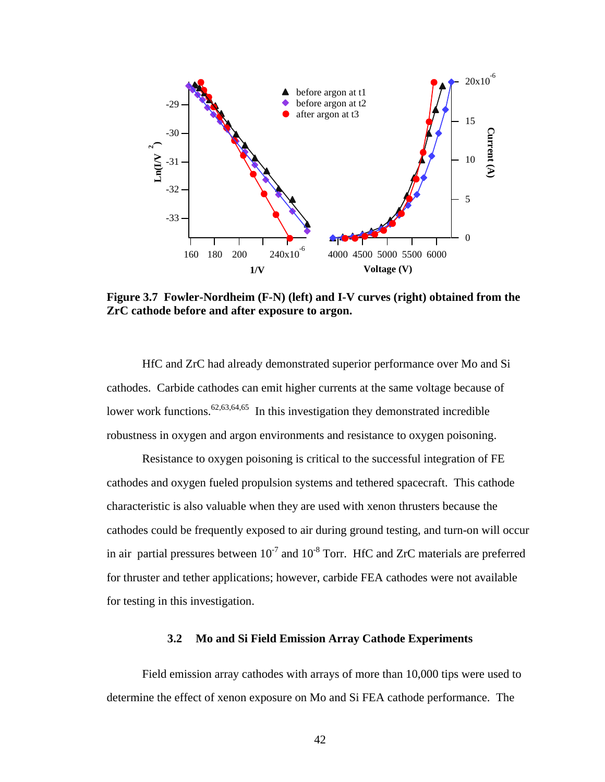

**Figure 3.7 Fowler-Nordheim (F-N) (left) and I-V curves (right) obtained from the ZrC cathode before and after exposure to argon.**

HfC and ZrC had already demonstrated superior performance over Mo and Si cathodes. Carbide cathodes can emit higher currents at the same voltage because of lower work functions.<sup>62,63,64,65</sup> In this investigation they demonstrated incredible robustness in oxygen and argon environments and resistance to oxygen poisoning.

Resistance to oxygen poisoning is critical to the successful integration of FE cathodes and oxygen fueled propulsion systems and tethered spacecraft. This cathode characteristic is also valuable when they are used with xenon thrusters because the cathodes could be frequently exposed to air during ground testing, and turn-on will occur in air partial pressures between  $10^{-7}$  and  $10^{-8}$  Torr. HfC and ZrC materials are preferred for thruster and tether applications; however, carbide FEA cathodes were not available for testing in this investigation.

### **3.2 Mo and Si Field Emission Array Cathode Experiments**

Field emission array cathodes with arrays of more than 10,000 tips were used to determine the effect of xenon exposure on Mo and Si FEA cathode performance. The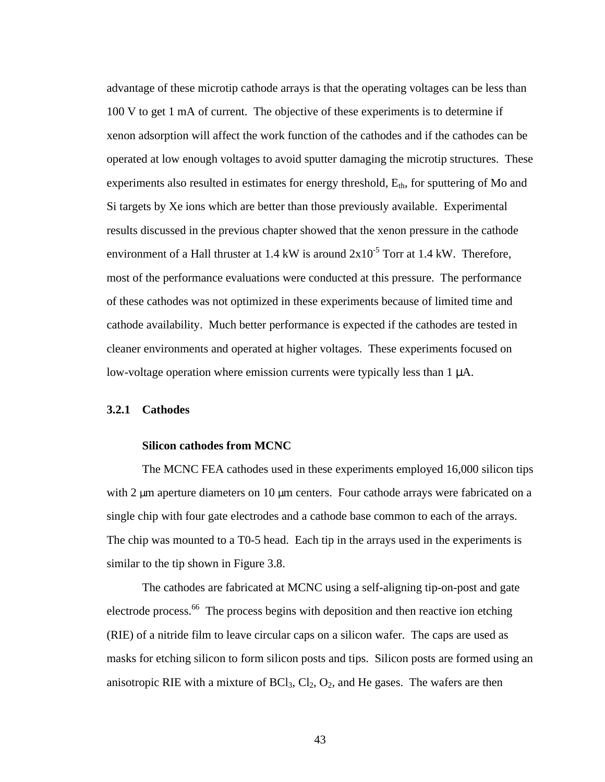advantage of these microtip cathode arrays is that the operating voltages can be less than 100 V to get 1 mA of current. The objective of these experiments is to determine if xenon adsorption will affect the work function of the cathodes and if the cathodes can be operated at low enough voltages to avoid sputter damaging the microtip structures. These experiments also resulted in estimates for energy threshold,  $E_{th}$ , for sputtering of Mo and Si targets by Xe ions which are better than those previously available. Experimental results discussed in the previous chapter showed that the xenon pressure in the cathode environment of a Hall thruster at 1.4 kW is around  $2x10^{-5}$  Torr at 1.4 kW. Therefore, most of the performance evaluations were conducted at this pressure. The performance of these cathodes was not optimized in these experiments because of limited time and cathode availability. Much better performance is expected if the cathodes are tested in cleaner environments and operated at higher voltages. These experiments focused on low-voltage operation where emission currents were typically less than 1 μA.

### **3.2.1 Cathodes**

#### **Silicon cathodes from MCNC**

The MCNC FEA cathodes used in these experiments employed 16,000 silicon tips with 2 μm aperture diameters on 10 μm centers. Four cathode arrays were fabricated on a single chip with four gate electrodes and a cathode base common to each of the arrays. The chip was mounted to a T0-5 head. Each tip in the arrays used in the experiments is similar to the tip shown in Figure 3.8.

The cathodes are fabricated at MCNC using a self-aligning tip-on-post and gate electrode process.<sup>66</sup> The process begins with deposition and then reactive ion etching (RIE) of a nitride film to leave circular caps on a silicon wafer. The caps are used as masks for etching silicon to form silicon posts and tips. Silicon posts are formed using an anisotropic RIE with a mixture of  $BCl_3$ ,  $Cl_2$ ,  $O_2$ , and He gases. The wafers are then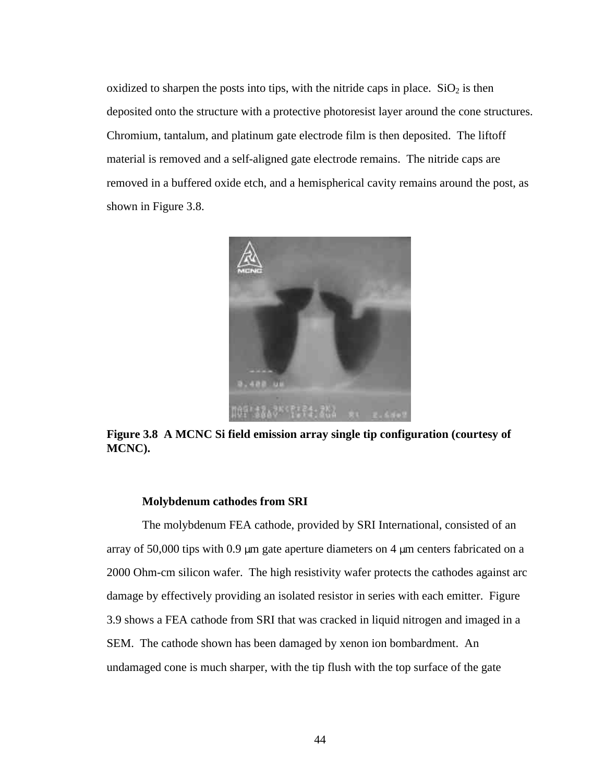oxidized to sharpen the posts into tips, with the nitride caps in place.  $SiO<sub>2</sub>$  is then deposited onto the structure with a protective photoresist layer around the cone structures. Chromium, tantalum, and platinum gate electrode film is then deposited. The liftoff material is removed and a self-aligned gate electrode remains. The nitride caps are removed in a buffered oxide etch, and a hemispherical cavity remains around the post, as shown in Figure 3.8.



**Figure 3.8 A MCNC Si field emission array single tip configuration (courtesy of MCNC).**

#### **Molybdenum cathodes from SRI**

The molybdenum FEA cathode, provided by SRI International, consisted of an array of 50,000 tips with 0.9 μm gate aperture diameters on 4 μm centers fabricated on a 2000 Ohm-cm silicon wafer. The high resistivity wafer protects the cathodes against arc damage by effectively providing an isolated resistor in series with each emitter. Figure 3.9 shows a FEA cathode from SRI that was cracked in liquid nitrogen and imaged in a SEM. The cathode shown has been damaged by xenon ion bombardment. An undamaged cone is much sharper, with the tip flush with the top surface of the gate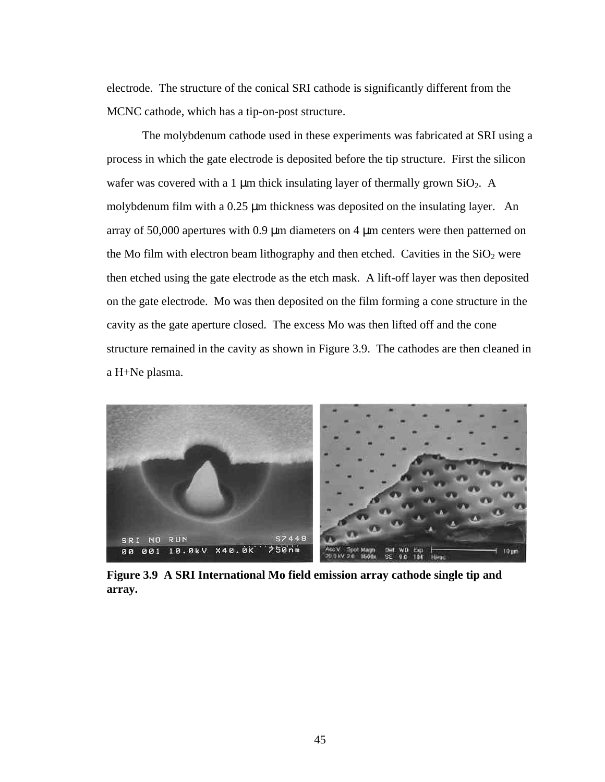electrode. The structure of the conical SRI cathode is significantly different from the MCNC cathode, which has a tip-on-post structure.

The molybdenum cathode used in these experiments was fabricated at SRI using a process in which the gate electrode is deposited before the tip structure. First the silicon wafer was covered with a 1  $\mu$ m thick insulating layer of thermally grown SiO<sub>2</sub>. A molybdenum film with a 0.25 μm thickness was deposited on the insulating layer. An array of 50,000 apertures with 0.9 μm diameters on 4 μm centers were then patterned on the Mo film with electron beam lithography and then etched. Cavities in the  $SiO<sub>2</sub>$  were then etched using the gate electrode as the etch mask. A lift-off layer was then deposited on the gate electrode. Mo was then deposited on the film forming a cone structure in the cavity as the gate aperture closed. The excess Mo was then lifted off and the cone structure remained in the cavity as shown in Figure 3.9. The cathodes are then cleaned in a H+Ne plasma.



**Figure 3.9 A SRI International Mo field emission array cathode single tip and array.**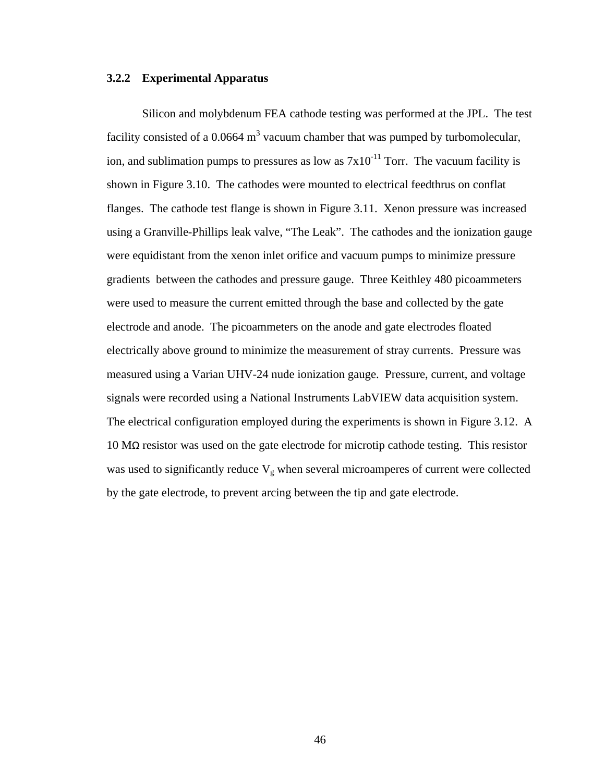### **3.2.2 Experimental Apparatus**

Silicon and molybdenum FEA cathode testing was performed at the JPL. The test facility consisted of a 0.0664  $m<sup>3</sup>$  vacuum chamber that was pumped by turbomolecular, ion, and sublimation pumps to pressures as low as  $7x10^{-11}$  Torr. The vacuum facility is shown in Figure 3.10. The cathodes were mounted to electrical feedthrus on conflat flanges. The cathode test flange is shown in Figure 3.11. Xenon pressure was increased using a Granville-Phillips leak valve, "The Leak". The cathodes and the ionization gauge were equidistant from the xenon inlet orifice and vacuum pumps to minimize pressure gradients between the cathodes and pressure gauge. Three Keithley 480 picoammeters were used to measure the current emitted through the base and collected by the gate electrode and anode. The picoammeters on the anode and gate electrodes floated electrically above ground to minimize the measurement of stray currents. Pressure was measured using a Varian UHV-24 nude ionization gauge. Pressure, current, and voltage signals were recorded using a National Instruments LabVIEW data acquisition system. The electrical configuration employed during the experiments is shown in Figure 3.12. A 10 MΩ resistor was used on the gate electrode for microtip cathode testing. This resistor was used to significantly reduce  $V_g$  when several microamperes of current were collected by the gate electrode, to prevent arcing between the tip and gate electrode.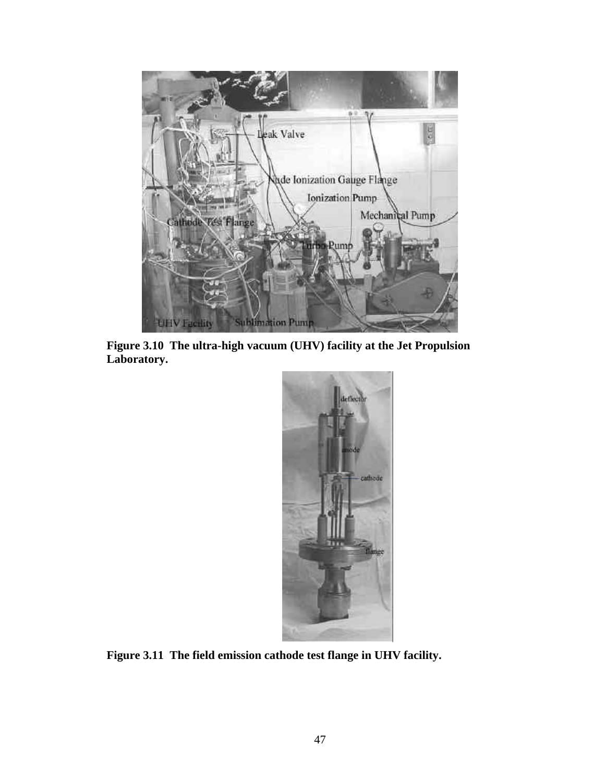

**Figure 3.10 The ultra-high vacuum (UHV) facility at the Jet Propulsion Laboratory.**



**Figure 3.11 The field emission cathode test flange in UHV facility.**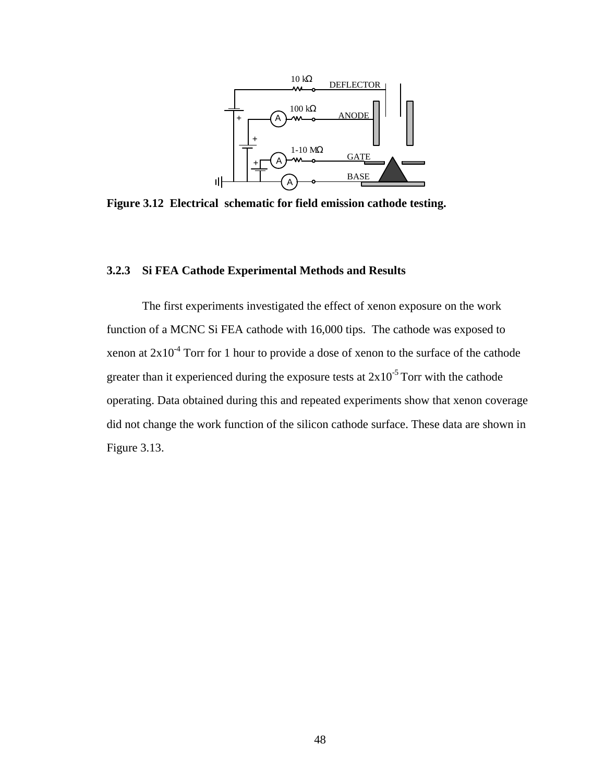

**Figure 3.12 Electrical schematic for field emission cathode testing.** 

## **3.2.3 Si FEA Cathode Experimental Methods and Results**

The first experiments investigated the effect of xenon exposure on the work function of a MCNC Si FEA cathode with 16,000 tips. The cathode was exposed to xenon at  $2x10^{-4}$  Torr for 1 hour to provide a dose of xenon to the surface of the cathode greater than it experienced during the exposure tests at  $2x10^{-5}$  Torr with the cathode operating. Data obtained during this and repeated experiments show that xenon coverage did not change the work function of the silicon cathode surface. These data are shown in Figure 3.13.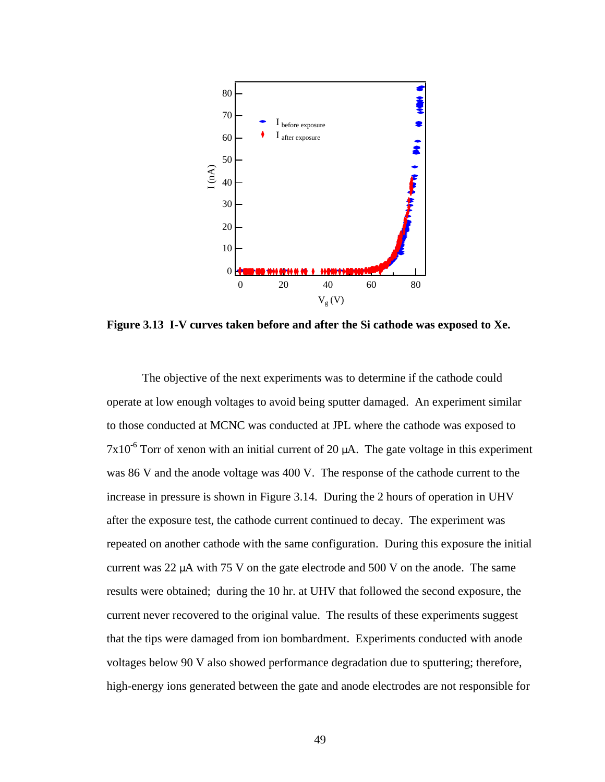

**Figure 3.13 I-V curves taken before and after the Si cathode was exposed to Xe.**

The objective of the next experiments was to determine if the cathode could operate at low enough voltages to avoid being sputter damaged. An experiment similar to those conducted at MCNC was conducted at JPL where the cathode was exposed to  $7x10^{-6}$  Torr of xenon with an initial current of 20  $\mu$ A. The gate voltage in this experiment was 86 V and the anode voltage was 400 V. The response of the cathode current to the increase in pressure is shown in Figure 3.14. During the 2 hours of operation in UHV after the exposure test, the cathode current continued to decay. The experiment was repeated on another cathode with the same configuration. During this exposure the initial current was 22  $\mu$ A with 75 V on the gate electrode and 500 V on the anode. The same results were obtained; during the 10 hr. at UHV that followed the second exposure, the current never recovered to the original value. The results of these experiments suggest that the tips were damaged from ion bombardment. Experiments conducted with anode voltages below 90 V also showed performance degradation due to sputtering; therefore, high-energy ions generated between the gate and anode electrodes are not responsible for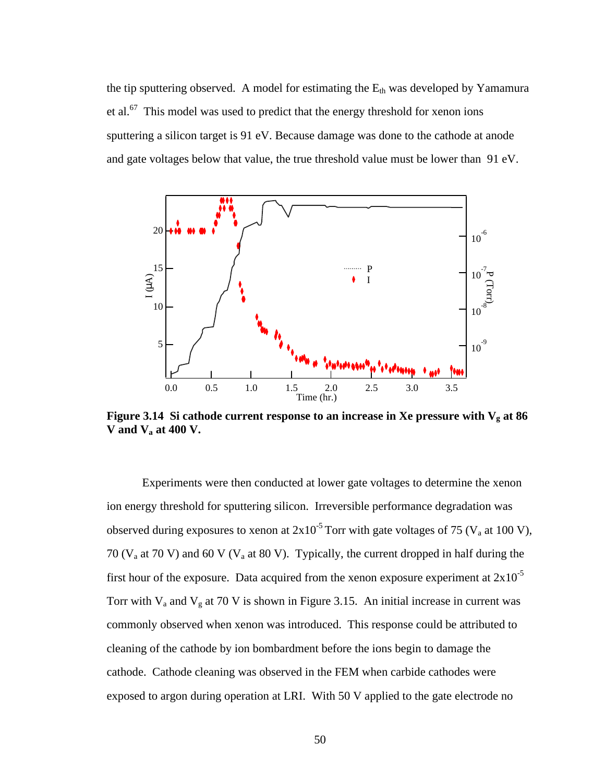the tip sputtering observed. A model for estimating the  $E_{th}$  was developed by Yamamura et al.<sup>67</sup> This model was used to predict that the energy threshold for xenon ions sputtering a silicon target is 91 eV. Because damage was done to the cathode at anode and gate voltages below that value, the true threshold value must be lower than 91 eV.



**Figure 3.14** Si cathode current response to an increase in Xe pressure with  $V_g$  at 86 **V and Va at 400 V.**

Experiments were then conducted at lower gate voltages to determine the xenon ion energy threshold for sputtering silicon. Irreversible performance degradation was observed during exposures to xenon at  $2x10^{-5}$  Torr with gate voltages of 75 (V<sub>a</sub> at 100 V), 70 ( $V_a$  at 70 V) and 60 V ( $V_a$  at 80 V). Typically, the current dropped in half during the first hour of the exposure. Data acquired from the xenon exposure experiment at  $2x10^{-5}$ Torr with  $V_a$  and  $V_g$  at 70 V is shown in Figure 3.15. An initial increase in current was commonly observed when xenon was introduced. This response could be attributed to cleaning of the cathode by ion bombardment before the ions begin to damage the cathode. Cathode cleaning was observed in the FEM when carbide cathodes were exposed to argon during operation at LRI. With 50 V applied to the gate electrode no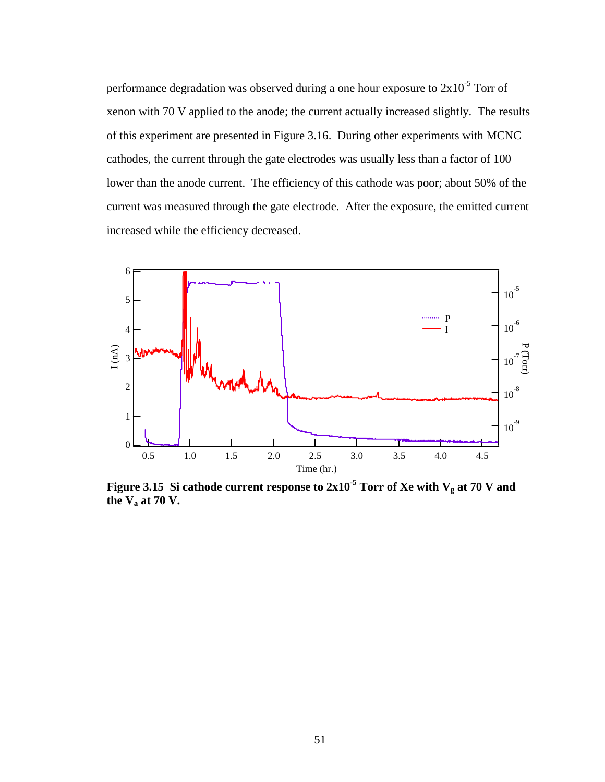performance degradation was observed during a one hour exposure to  $2x10^{-5}$  Torr of xenon with 70 V applied to the anode; the current actually increased slightly. The results of this experiment are presented in Figure 3.16. During other experiments with MCNC cathodes, the current through the gate electrodes was usually less than a factor of 100 lower than the anode current. The efficiency of this cathode was poor; about 50% of the current was measured through the gate electrode. After the exposure, the emitted current increased while the efficiency decreased.



**Figure 3.15** Si cathode current response to  $2x10^{-5}$  Torr of Xe with  $V_g$  at 70 V and **the Va at 70 V.**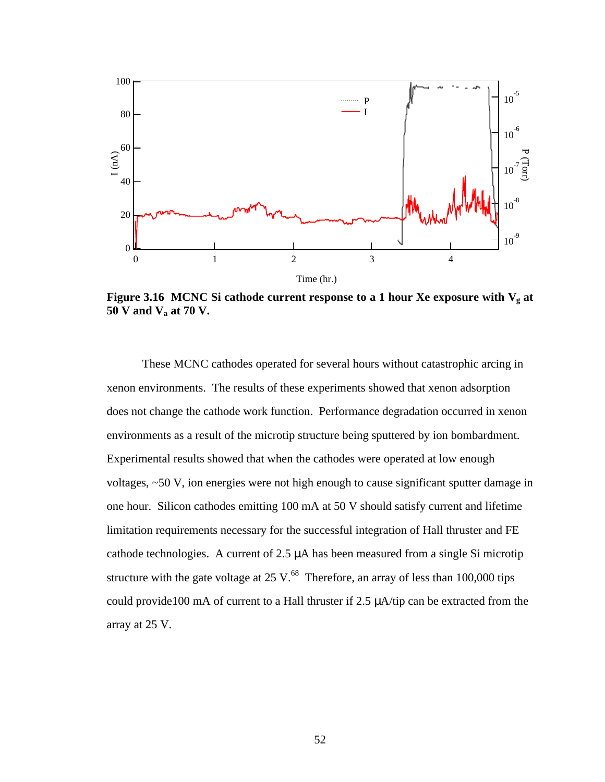

**Figure 3.16 MCNC Si cathode current response to a 1 hour Xe exposure with**  $V_g$  **at 50 V and Va at 70 V.**

These MCNC cathodes operated for several hours without catastrophic arcing in xenon environments. The results of these experiments showed that xenon adsorption does not change the cathode work function. Performance degradation occurred in xenon environments as a result of the microtip structure being sputtered by ion bombardment. Experimental results showed that when the cathodes were operated at low enough voltages, ~50 V, ion energies were not high enough to cause significant sputter damage in one hour. Silicon cathodes emitting 100 mA at 50 V should satisfy current and lifetime limitation requirements necessary for the successful integration of Hall thruster and FE cathode technologies. A current of 2.5 μA has been measured from a single Si microtip structure with the gate voltage at  $25 \text{ V}$ .<sup>68</sup> Therefore, an array of less than 100,000 tips could provide100 mA of current to a Hall thruster if 2.5 μA/tip can be extracted from the array at 25 V.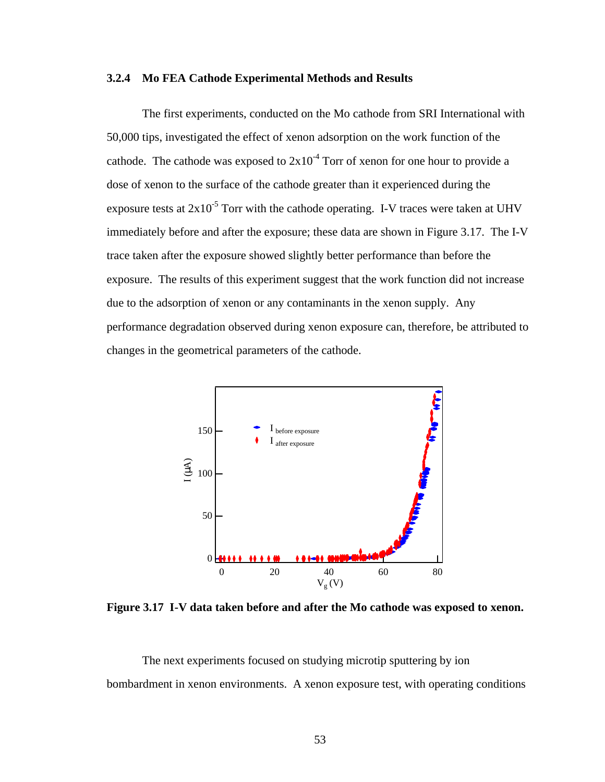#### **3.2.4 Mo FEA Cathode Experimental Methods and Results**

The first experiments, conducted on the Mo cathode from SRI International with 50,000 tips, investigated the effect of xenon adsorption on the work function of the cathode. The cathode was exposed to  $2x10<sup>-4</sup>$  Torr of xenon for one hour to provide a dose of xenon to the surface of the cathode greater than it experienced during the exposure tests at  $2x10^{-5}$  Torr with the cathode operating. I-V traces were taken at UHV immediately before and after the exposure; these data are shown in Figure 3.17. The I-V trace taken after the exposure showed slightly better performance than before the exposure. The results of this experiment suggest that the work function did not increase due to the adsorption of xenon or any contaminants in the xenon supply. Any performance degradation observed during xenon exposure can, therefore, be attributed to changes in the geometrical parameters of the cathode.



**Figure 3.17 I-V data taken before and after the Mo cathode was exposed to xenon.**

The next experiments focused on studying microtip sputtering by ion bombardment in xenon environments. A xenon exposure test, with operating conditions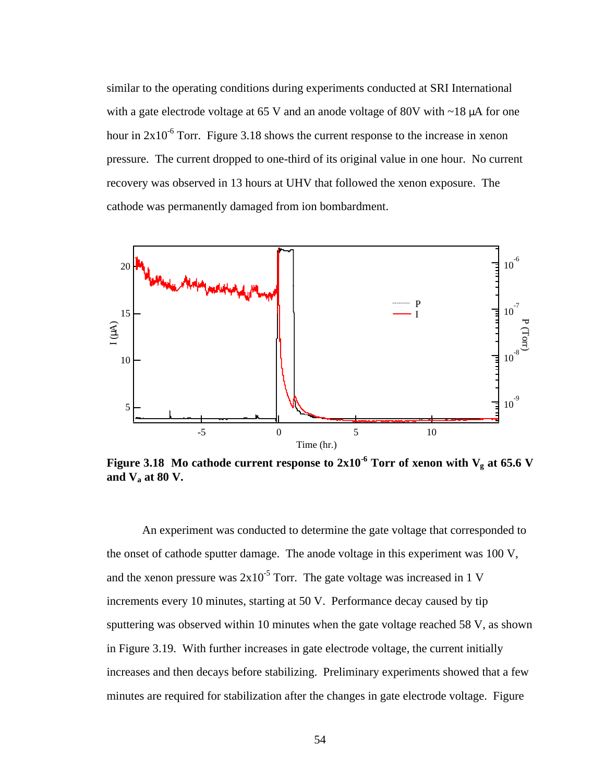similar to the operating conditions during experiments conducted at SRI International with a gate electrode voltage at 65 V and an anode voltage of 80V with  $\sim$ 18  $\mu$ A for one hour in  $2x10^{-6}$  Torr. Figure 3.18 shows the current response to the increase in xenon pressure. The current dropped to one-third of its original value in one hour. No current recovery was observed in 13 hours at UHV that followed the xenon exposure. The cathode was permanently damaged from ion bombardment.



**Figure 3.18** Mo cathode current response to  $2x10^{-6}$  Torr of xenon with V<sub>g</sub> at 65.6 V **and Va at 80 V.**

An experiment was conducted to determine the gate voltage that corresponded to the onset of cathode sputter damage. The anode voltage in this experiment was 100 V, and the xenon pressure was  $2x10^{-5}$  Torr. The gate voltage was increased in 1 V increments every 10 minutes, starting at 50 V. Performance decay caused by tip sputtering was observed within 10 minutes when the gate voltage reached 58 V, as shown in Figure 3.19. With further increases in gate electrode voltage, the current initially increases and then decays before stabilizing. Preliminary experiments showed that a few minutes are required for stabilization after the changes in gate electrode voltage. Figure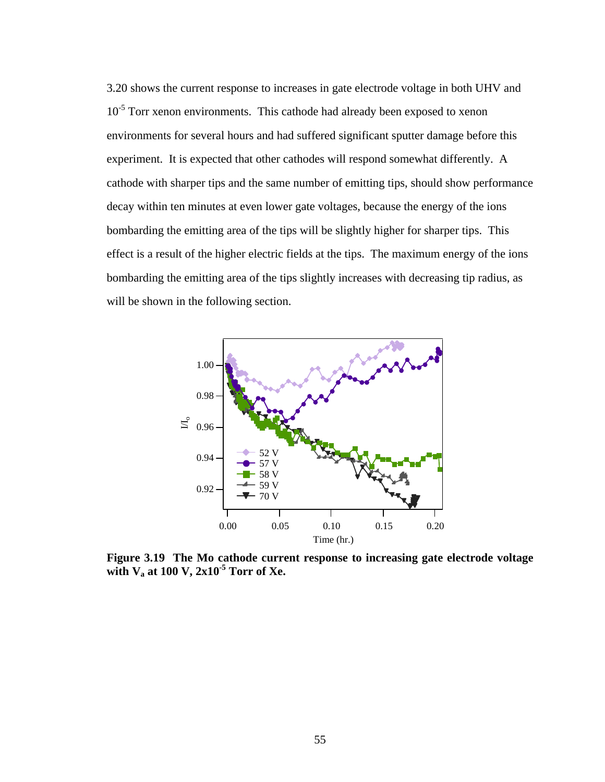3.20 shows the current response to increases in gate electrode voltage in both UHV and 10<sup>-5</sup> Torr xenon environments. This cathode had already been exposed to xenon environments for several hours and had suffered significant sputter damage before this experiment. It is expected that other cathodes will respond somewhat differently. A cathode with sharper tips and the same number of emitting tips, should show performance decay within ten minutes at even lower gate voltages, because the energy of the ions bombarding the emitting area of the tips will be slightly higher for sharper tips. This effect is a result of the higher electric fields at the tips. The maximum energy of the ions bombarding the emitting area of the tips slightly increases with decreasing tip radius, as will be shown in the following section.



**Figure 3.19 The Mo cathode current response to increasing gate electrode voltage with Va at 100 V, 2x10-5 Torr of Xe.**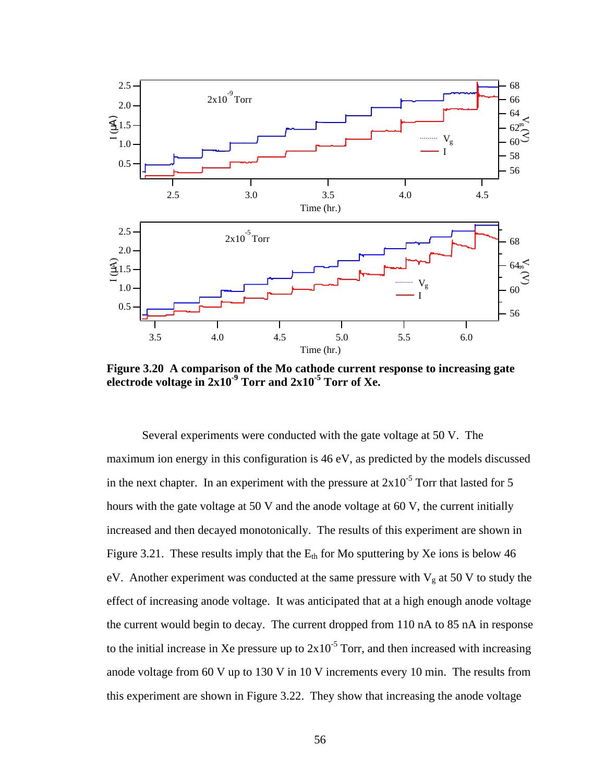

**Figure 3.20 A comparison of the Mo cathode current response to increasing gate electrode voltage in 2x10-9 Torr and 2x10-5 Torr of Xe.**

Several experiments were conducted with the gate voltage at 50 V. The maximum ion energy in this configuration is 46 eV, as predicted by the models discussed in the next chapter. In an experiment with the pressure at  $2x10^{-5}$  Torr that lasted for 5 hours with the gate voltage at 50 V and the anode voltage at 60 V, the current initially increased and then decayed monotonically. The results of this experiment are shown in Figure 3.21. These results imply that the  $E_{th}$  for Mo sputtering by Xe ions is below 46 eV. Another experiment was conducted at the same pressure with  $V_g$  at 50 V to study the effect of increasing anode voltage. It was anticipated that at a high enough anode voltage the current would begin to decay. The current dropped from 110 nA to 85 nA in response to the initial increase in Xe pressure up to  $2x10^{-5}$  Torr, and then increased with increasing anode voltage from 60 V up to 130 V in 10 V increments every 10 min. The results from this experiment are shown in Figure 3.22. They show that increasing the anode voltage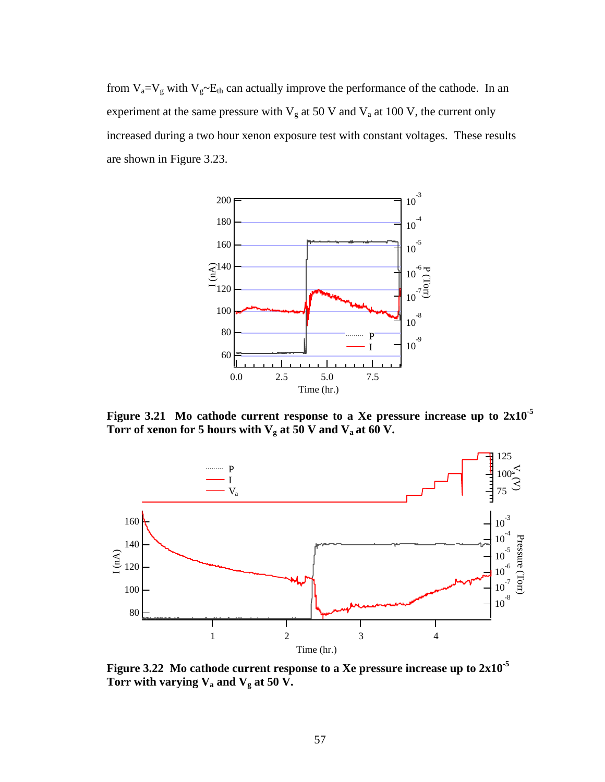from  $V_a=V_g$  with  $V_g \sim E_{th}$  can actually improve the performance of the cathode. In an experiment at the same pressure with  $V_g$  at 50 V and  $V_a$  at 100 V, the current only increased during a two hour xenon exposure test with constant voltages. These results are shown in Figure 3.23.



**Figure 3.21 Mo cathode current response to a Xe pressure increase up to 2x10-5 Torr of xenon for 5 hours with**  $V_g$  **at 50 V and**  $V_a$  **at 60 V.** 



**Figure 3.22 Mo cathode current response to a Xe pressure increase up to 2x10-5 Torr with varying Va and Vg at 50 V.**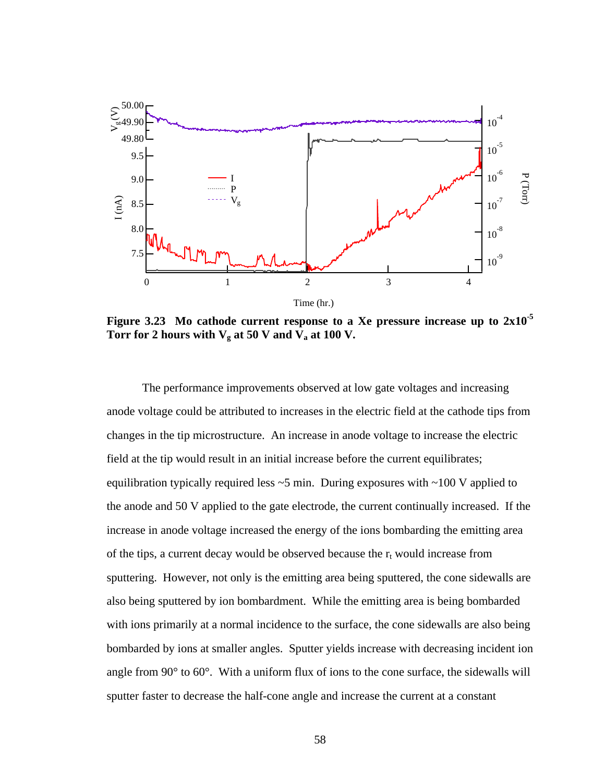

**Figure 3.23 Mo cathode current response to a Xe pressure increase up to 2x10-5 Torr for 2 hours with**  $V_g$  **at 50 V and**  $V_a$  **at 100 V.** 

The performance improvements observed at low gate voltages and increasing anode voltage could be attributed to increases in the electric field at the cathode tips from changes in the tip microstructure. An increase in anode voltage to increase the electric field at the tip would result in an initial increase before the current equilibrates; equilibration typically required less  $\sim$  5 min. During exposures with  $\sim$ 100 V applied to the anode and 50 V applied to the gate electrode, the current continually increased. If the increase in anode voltage increased the energy of the ions bombarding the emitting area of the tips, a current decay would be observed because the  $r_t$  would increase from sputtering. However, not only is the emitting area being sputtered, the cone sidewalls are also being sputtered by ion bombardment. While the emitting area is being bombarded with ions primarily at a normal incidence to the surface, the cone sidewalls are also being bombarded by ions at smaller angles. Sputter yields increase with decreasing incident ion angle from 90° to 60°. With a uniform flux of ions to the cone surface, the sidewalls will sputter faster to decrease the half-cone angle and increase the current at a constant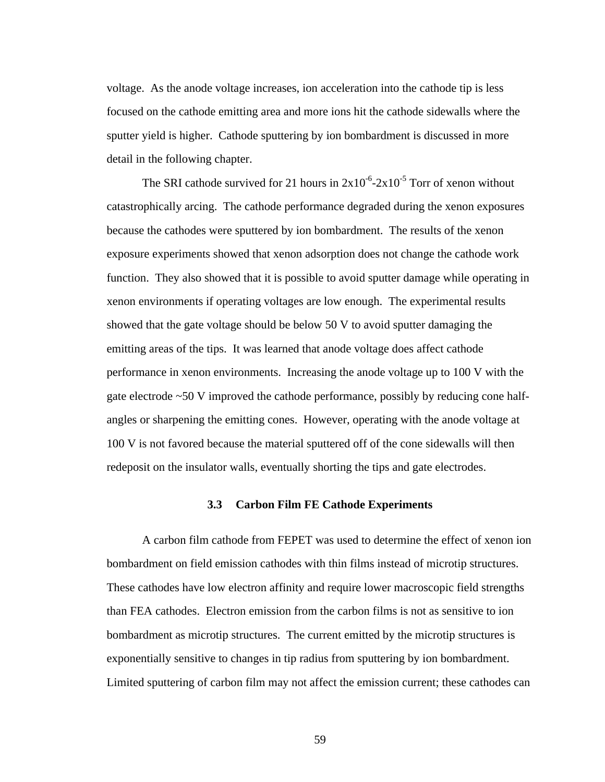voltage. As the anode voltage increases, ion acceleration into the cathode tip is less focused on the cathode emitting area and more ions hit the cathode sidewalls where the sputter yield is higher. Cathode sputtering by ion bombardment is discussed in more detail in the following chapter.

The SRI cathode survived for 21 hours in  $2x10^{-6}$ - $2x10^{-5}$  Torr of xenon without catastrophically arcing. The cathode performance degraded during the xenon exposures because the cathodes were sputtered by ion bombardment. The results of the xenon exposure experiments showed that xenon adsorption does not change the cathode work function. They also showed that it is possible to avoid sputter damage while operating in xenon environments if operating voltages are low enough. The experimental results showed that the gate voltage should be below 50 V to avoid sputter damaging the emitting areas of the tips. It was learned that anode voltage does affect cathode performance in xenon environments. Increasing the anode voltage up to 100 V with the gate electrode ~50 V improved the cathode performance, possibly by reducing cone halfangles or sharpening the emitting cones. However, operating with the anode voltage at 100 V is not favored because the material sputtered off of the cone sidewalls will then redeposit on the insulator walls, eventually shorting the tips and gate electrodes.

### **3.3 Carbon Film FE Cathode Experiments**

A carbon film cathode from FEPET was used to determine the effect of xenon ion bombardment on field emission cathodes with thin films instead of microtip structures. These cathodes have low electron affinity and require lower macroscopic field strengths than FEA cathodes. Electron emission from the carbon films is not as sensitive to ion bombardment as microtip structures. The current emitted by the microtip structures is exponentially sensitive to changes in tip radius from sputtering by ion bombardment. Limited sputtering of carbon film may not affect the emission current; these cathodes can

59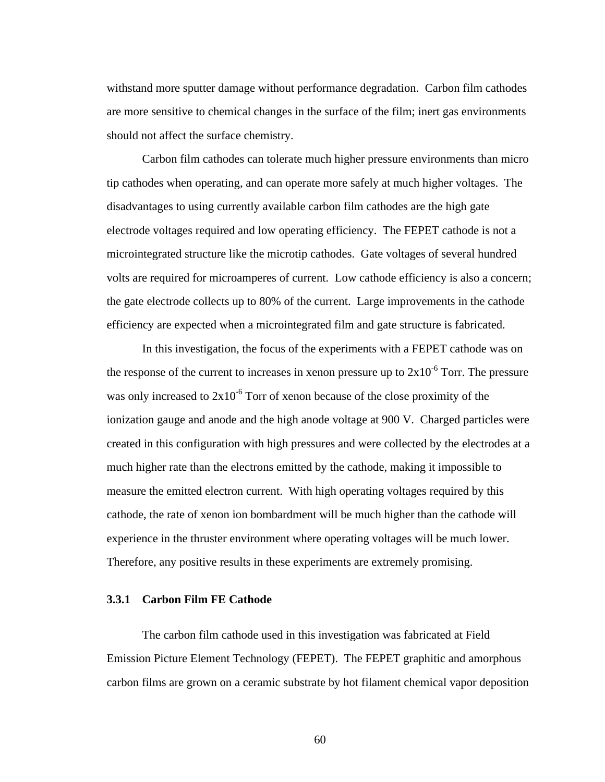withstand more sputter damage without performance degradation. Carbon film cathodes are more sensitive to chemical changes in the surface of the film; inert gas environments should not affect the surface chemistry.

Carbon film cathodes can tolerate much higher pressure environments than micro tip cathodes when operating, and can operate more safely at much higher voltages. The disadvantages to using currently available carbon film cathodes are the high gate electrode voltages required and low operating efficiency. The FEPET cathode is not a microintegrated structure like the microtip cathodes. Gate voltages of several hundred volts are required for microamperes of current. Low cathode efficiency is also a concern; the gate electrode collects up to 80% of the current. Large improvements in the cathode efficiency are expected when a microintegrated film and gate structure is fabricated.

In this investigation, the focus of the experiments with a FEPET cathode was on the response of the current to increases in xenon pressure up to  $2x10^{-6}$  Torr. The pressure was only increased to  $2x10^{-6}$  Torr of xenon because of the close proximity of the ionization gauge and anode and the high anode voltage at 900 V. Charged particles were created in this configuration with high pressures and were collected by the electrodes at a much higher rate than the electrons emitted by the cathode, making it impossible to measure the emitted electron current. With high operating voltages required by this cathode, the rate of xenon ion bombardment will be much higher than the cathode will experience in the thruster environment where operating voltages will be much lower. Therefore, any positive results in these experiments are extremely promising.

## **3.3.1 Carbon Film FE Cathode**

The carbon film cathode used in this investigation was fabricated at Field Emission Picture Element Technology (FEPET). The FEPET graphitic and amorphous carbon films are grown on a ceramic substrate by hot filament chemical vapor deposition

60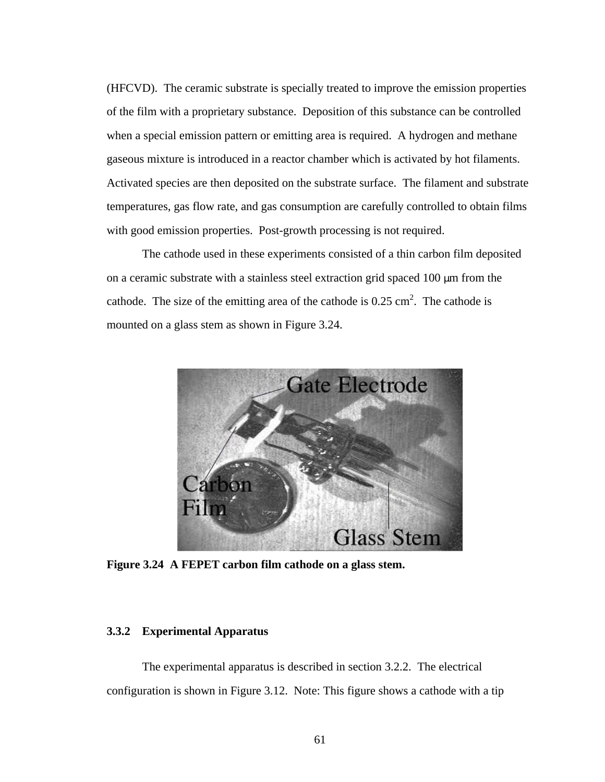(HFCVD). The ceramic substrate is specially treated to improve the emission properties of the film with a proprietary substance. Deposition of this substance can be controlled when a special emission pattern or emitting area is required. A hydrogen and methane gaseous mixture is introduced in a reactor chamber which is activated by hot filaments. Activated species are then deposited on the substrate surface. The filament and substrate temperatures, gas flow rate, and gas consumption are carefully controlled to obtain films with good emission properties. Post-growth processing is not required.

The cathode used in these experiments consisted of a thin carbon film deposited on a ceramic substrate with a stainless steel extraction grid spaced 100 μm from the cathode. The size of the emitting area of the cathode is  $0.25 \text{ cm}^2$ . The cathode is mounted on a glass stem as shown in Figure 3.24.



**Figure 3.24 A FEPET carbon film cathode on a glass stem.**

# **3.3.2 Experimental Apparatus**

The experimental apparatus is described in section 3.2.2. The electrical configuration is shown in Figure 3.12. Note: This figure shows a cathode with a tip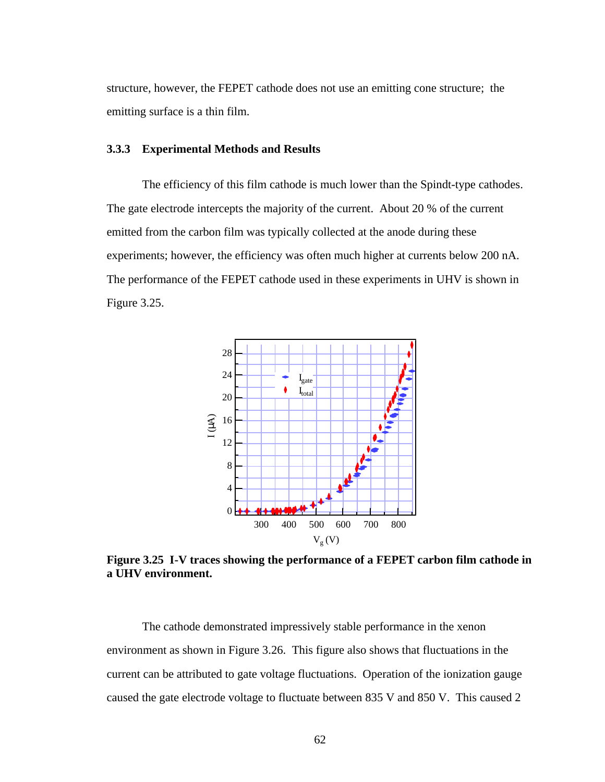structure, however, the FEPET cathode does not use an emitting cone structure; the emitting surface is a thin film.

# **3.3.3 Experimental Methods and Results**

The efficiency of this film cathode is much lower than the Spindt-type cathodes. The gate electrode intercepts the majority of the current. About 20 % of the current emitted from the carbon film was typically collected at the anode during these experiments; however, the efficiency was often much higher at currents below 200 nA. The performance of the FEPET cathode used in these experiments in UHV is shown in Figure 3.25.



**Figure 3.25 I-V traces showing the performance of a FEPET carbon film cathode in a UHV environment.**

The cathode demonstrated impressively stable performance in the xenon environment as shown in Figure 3.26. This figure also shows that fluctuations in the current can be attributed to gate voltage fluctuations. Operation of the ionization gauge caused the gate electrode voltage to fluctuate between 835 V and 850 V. This caused 2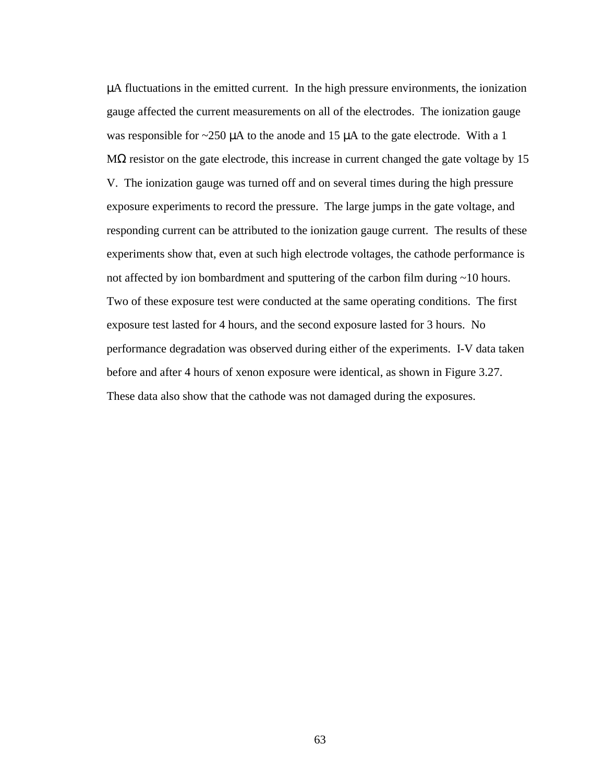μA fluctuations in the emitted current. In the high pressure environments, the ionization gauge affected the current measurements on all of the electrodes. The ionization gauge was responsible for  $\sim$ 250  $\mu$ A to the anode and 15  $\mu$ A to the gate electrode. With a 1 M $\Omega$  resistor on the gate electrode, this increase in current changed the gate voltage by 15 V. The ionization gauge was turned off and on several times during the high pressure exposure experiments to record the pressure. The large jumps in the gate voltage, and responding current can be attributed to the ionization gauge current. The results of these experiments show that, even at such high electrode voltages, the cathode performance is not affected by ion bombardment and sputtering of the carbon film during ~10 hours. Two of these exposure test were conducted at the same operating conditions. The first exposure test lasted for 4 hours, and the second exposure lasted for 3 hours. No performance degradation was observed during either of the experiments. I-V data taken before and after 4 hours of xenon exposure were identical, as shown in Figure 3.27. These data also show that the cathode was not damaged during the exposures.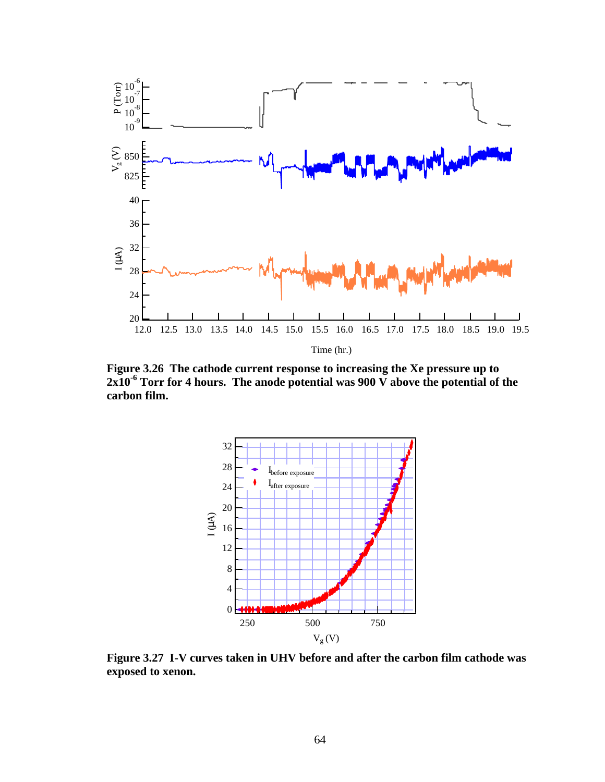

**Figure 3.26 The cathode current response to increasing the Xe pressure up to 2x10-6 Torr for 4 hours. The anode potential was 900 V above the potential of the carbon film.**



**Figure 3.27 I-V curves taken in UHV before and after the carbon film cathode was exposed to xenon.**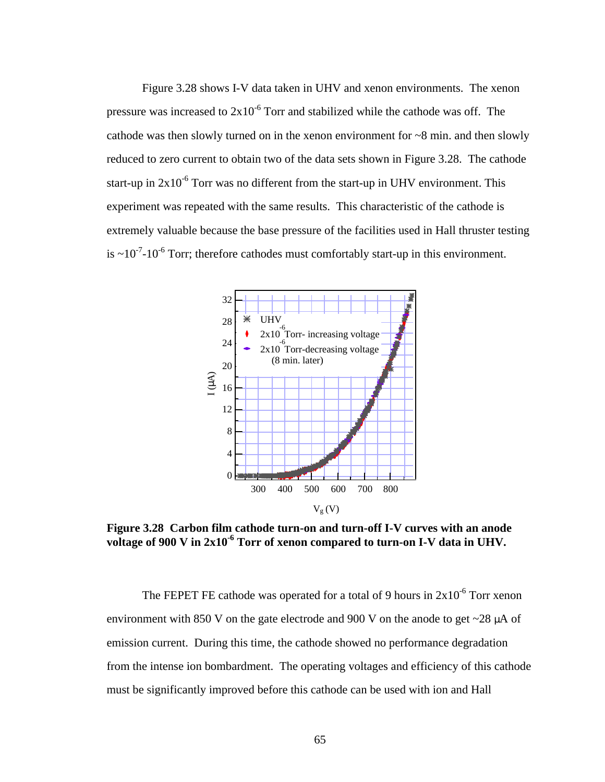Figure 3.28 shows I-V data taken in UHV and xenon environments. The xenon pressure was increased to  $2x10^{-6}$  Torr and stabilized while the cathode was off. The cathode was then slowly turned on in the xenon environment for  $\sim 8$  min. and then slowly reduced to zero current to obtain two of the data sets shown in Figure 3.28. The cathode start-up in  $2x10^{-6}$  Torr was no different from the start-up in UHV environment. This experiment was repeated with the same results. This characteristic of the cathode is extremely valuable because the base pressure of the facilities used in Hall thruster testing is  $\sim 10^{-7}$ -10<sup>-6</sup> Torr; therefore cathodes must comfortably start-up in this environment.



**Figure 3.28 Carbon film cathode turn-on and turn-off I-V curves with an anode**  voltage of 900 V in 2x10<sup>-6</sup> Torr of xenon compared to turn-on I-V data in UHV.

The FEPET FE cathode was operated for a total of 9 hours in  $2x10^{-6}$  Torr xenon environment with 850 V on the gate electrode and 900 V on the anode to get  $\sim$ 28  $\mu$ A of emission current. During this time, the cathode showed no performance degradation from the intense ion bombardment. The operating voltages and efficiency of this cathode must be significantly improved before this cathode can be used with ion and Hall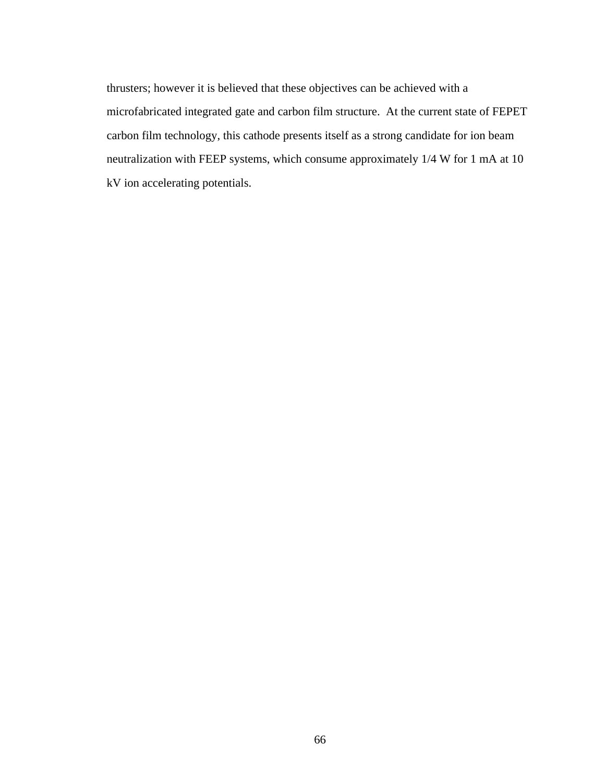thrusters; however it is believed that these objectives can be achieved with a microfabricated integrated gate and carbon film structure. At the current state of FEPET carbon film technology, this cathode presents itself as a strong candidate for ion beam neutralization with FEEP systems, which consume approximately 1/4 W for 1 mA at 10 kV ion accelerating potentials.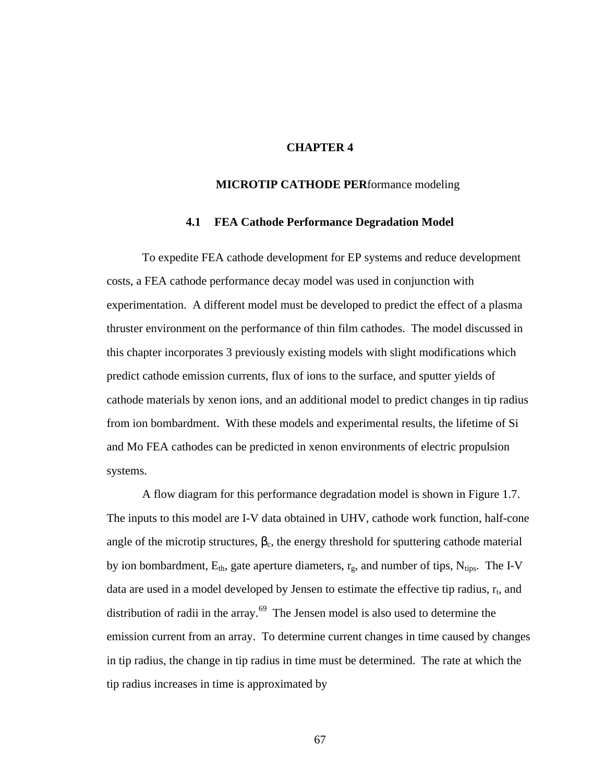# **CHAPTER 4**

### **MICROTIP CATHODE PER**formance modeling

### **4.1 FEA Cathode Performance Degradation Model**

To expedite FEA cathode development for EP systems and reduce development costs, a FEA cathode performance decay model was used in conjunction with experimentation. A different model must be developed to predict the effect of a plasma thruster environment on the performance of thin film cathodes. The model discussed in this chapter incorporates 3 previously existing models with slight modifications which predict cathode emission currents, flux of ions to the surface, and sputter yields of cathode materials by xenon ions, and an additional model to predict changes in tip radius from ion bombardment. With these models and experimental results, the lifetime of Si and Mo FEA cathodes can be predicted in xenon environments of electric propulsion systems.

A flow diagram for this performance degradation model is shown in Figure 1.7. The inputs to this model are I-V data obtained in UHV, cathode work function, half-cone angle of the microtip structures,  $\beta_c$ , the energy threshold for sputtering cathode material by ion bombardment,  $E_{th}$ , gate aperture diameters,  $r_g$ , and number of tips,  $N_{tips}$ . The I-V data are used in a model developed by Jensen to estimate the effective tip radius,  $r_t$ , and distribution of radii in the array.<sup>69</sup> The Jensen model is also used to determine the emission current from an array. To determine current changes in time caused by changes in tip radius, the change in tip radius in time must be determined. The rate at which the tip radius increases in time is approximated by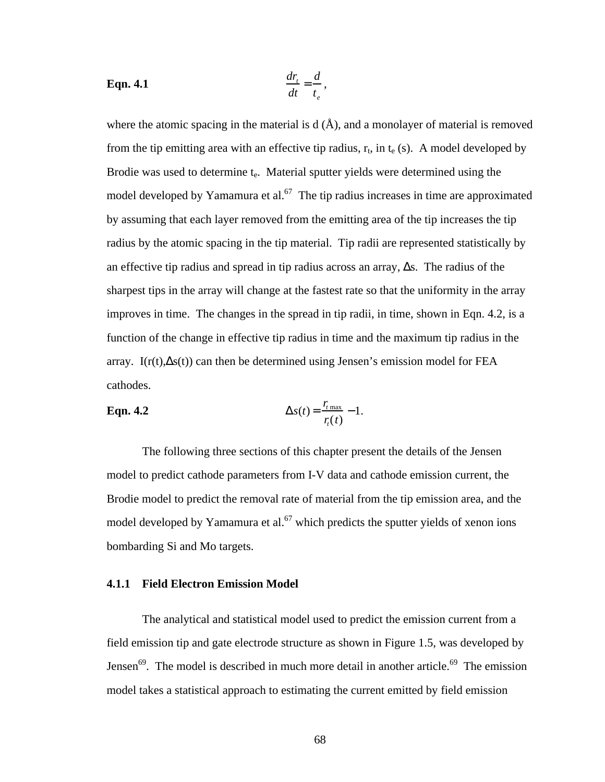**Eqn. 4.1** 
$$
\frac{dr_t}{dt} = \frac{d}{t_e},
$$

where the atomic spacing in the material is  $d(\hat{A})$ , and a monolayer of material is removed from the tip emitting area with an effective tip radius,  $r_t$ , in  $t_e$  (s). A model developed by Brodie was used to determine t<sub>e</sub>. Material sputter yields were determined using the model developed by Yamamura et al.<sup>67</sup> The tip radius increases in time are approximated by assuming that each layer removed from the emitting area of the tip increases the tip radius by the atomic spacing in the tip material. Tip radii are represented statistically by an effective tip radius and spread in tip radius across an array,  $\Delta s$ . The radius of the sharpest tips in the array will change at the fastest rate so that the uniformity in the array improves in time. The changes in the spread in tip radii, in time, shown in Eqn. 4.2, is a function of the change in effective tip radius in time and the maximum tip radius in the array. I( $r(t)$ , $\Delta s(t)$ ) can then be determined using Jensen's emission model for FEA cathodes.

**Eqn. 4.2** 
$$
\Delta s(t) = \frac{r_{t_{\text{max}}}}{r_t(t)} - 1.
$$

The following three sections of this chapter present the details of the Jensen model to predict cathode parameters from I-V data and cathode emission current, the Brodie model to predict the removal rate of material from the tip emission area, and the model developed by Yamamura et al.<sup>67</sup> which predicts the sputter yields of xenon ions bombarding Si and Mo targets.

### **4.1.1 Field Electron Emission Model**

The analytical and statistical model used to predict the emission current from a field emission tip and gate electrode structure as shown in Figure 1.5, was developed by Jensen<sup>69</sup>. The model is described in much more detail in another article.<sup>69</sup> The emission model takes a statistical approach to estimating the current emitted by field emission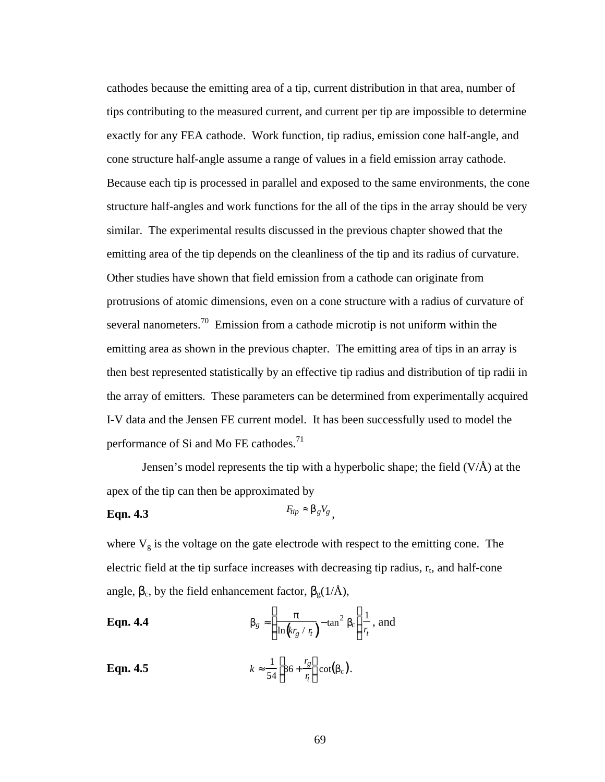cathodes because the emitting area of a tip, current distribution in that area, number of tips contributing to the measured current, and current per tip are impossible to determine exactly for any FEA cathode. Work function, tip radius, emission cone half-angle, and cone structure half-angle assume a range of values in a field emission array cathode. Because each tip is processed in parallel and exposed to the same environments, the cone structure half-angles and work functions for the all of the tips in the array should be very similar. The experimental results discussed in the previous chapter showed that the emitting area of the tip depends on the cleanliness of the tip and its radius of curvature. Other studies have shown that field emission from a cathode can originate from protrusions of atomic dimensions, even on a cone structure with a radius of curvature of several nanometers.<sup>70</sup> Emission from a cathode microtip is not uniform within the emitting area as shown in the previous chapter. The emitting area of tips in an array is then best represented statistically by an effective tip radius and distribution of tip radii in the array of emitters. These parameters can be determined from experimentally acquired I-V data and the Jensen FE current model. It has been successfully used to model the performance of Si and Mo FE cathodes.<sup>71</sup>

Jensen's model represents the tip with a hyperbolic shape; the field (V/Å) at the apex of the tip can then be approximated by

#### **Eqn. 4.3**  $F_{tip} \approx \boldsymbol{b}_g V_g$ ,

where  $V_g$  is the voltage on the gate electrode with respect to the emitting cone. The electric field at the tip surface increases with decreasing tip radius,  $r_t$ , and half-cone angle,  $\beta_c$ , by the field enhancement factor,  $\beta_g(1/\text{\AA})$ ,

**Eqn. 4.4** 
$$
\mathbf{b}_g \approx \left(\frac{\mathbf{p}}{\ln(kr_g / r_i)} - \tan^2 \mathbf{b}_c\right) \frac{1}{r_t}, \text{ and}
$$

**Eqn. 4.5** 1  $\frac{1}{54} \left( 86 + \frac{r_g}{r_f} \right)$ *r t*  $\mathcal{L}$  $\binom{8}{1}$  $\bigg\}cot(\boldsymbol{b}_c).$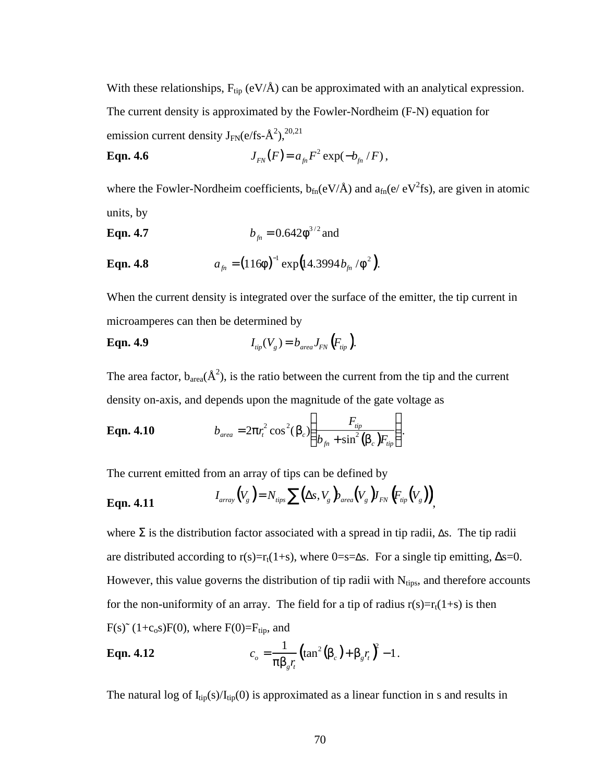With these relationships,  $F_{tip}$  (eV/Å) can be approximated with an analytical expression. The current density is approximated by the Fowler-Nordheim (F-N) equation for emission current density  $J_{FN}(e/fs-\hat{A}^2),^{20,21}$ 

**Eqn. 4.6** 
$$
J_{FN}(F) = a_{fn}F^2 \exp(-b_{fn}/F),
$$

where the Fowler-Nordheim coefficients,  $b_{fn}(eV/A)$  and  $a_{fn}(e/eV^{2}fs)$ , are given in atomic units, by

**Eqn. 4.7** 
$$
b_{fn} = 0.642 f^{3/2}
$$
 and

**Eqn. 4.8** 
$$
a_{_{fn}} = (116f)^{-1} \exp(14.3994 b_{_{fn}}/f^2).
$$

When the current density is integrated over the surface of the emitter, the tip current in microamperes can then be determined by

**Eqn. 4.9** 
$$
I_{\text{tip}}(V_g) = b_{\text{area}} J_{\text{FN}}(F_{\text{tip}}).
$$

The area factor,  $b_{area}(\hat{A}^2)$ , is the ratio between the current from the tip and the current density on-axis, and depends upon the magnitude of the gate voltage as

**Eqn. 4.10** 
$$
b_{area} = 2pr_t^2 \cos^2(\mathbf{b}_c) \left( \frac{F_{tip}}{b_{fn} + \sin^2(\mathbf{b}_c) F_{tip}} \right).
$$

The current emitted from an array of tips can be defined by

**Eqn. 4.11** 
$$
I_{array}(V_g) = N_{iips} \sum (\Delta s, V_g)_{area}(V_g) I_{FN}\left(F_{ip}(V_g)\right),
$$

where  $\Sigma$  is the distribution factor associated with a spread in tip radii,  $\Delta s$ . The tip radii are distributed according to  $r(s)=r_t(1+s)$ , where 0=s= $\Delta s$ . For a single tip emitting,  $\Delta s=0$ . However, this value governs the distribution of tip radii with  $N_{\text{tips}}$ , and therefore accounts for the non-uniformity of an array. The field for a tip of radius  $r(s)=r_t(1+s)$  is then  $F(s)$ <sup> $\sim$ </sup> (1+c<sub>o</sub>s) $F(0)$ , where  $F(0)=F_{tip}$ , and

**Eqn. 4.12** 
$$
c_o = \frac{1}{p b_g r_t} (\tan^2(b_c) + b_g r_t)^2 - 1.
$$

The natural log of  $I_{tip}(s)/I_{tip}(0)$  is approximated as a linear function in s and results in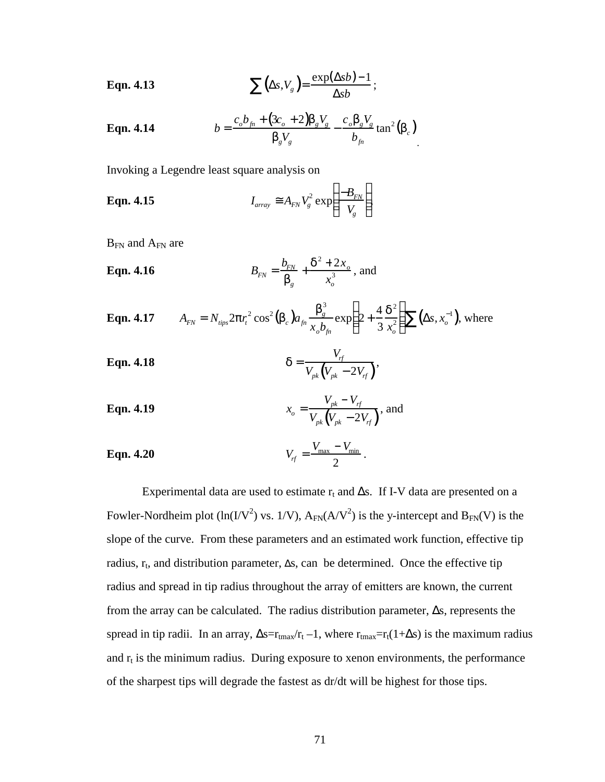**Eqn. 4.13** 
$$
\sum (\Delta s, V_g) = \frac{\exp(\Delta s b) - 1}{\Delta s b};
$$

**Eqn. 4.14** 
$$
b = \frac{c_o b_{fn} + (3c_o + 2)\boldsymbol{b}_g \boldsymbol{V}_g}{\boldsymbol{b}_g \boldsymbol{V}_g} - \frac{c_o \boldsymbol{b}_g \boldsymbol{V}_g}{b_{fn}} \tan^2(\boldsymbol{b}_c)
$$

Invoking a Legendre least square analysis on

**Eqn. 4.15** 
$$
I_{array} \equiv A_{FN} V_g^2 \exp\left(\frac{-B_{FN}}{V_g}\right),
$$

 $B_{FN}$  and  $A_{FN}$  are

**Eqn. 4.16** 
$$
B_{FN} = \frac{b_{FN}}{b_g} + \frac{d^2 + 2x_o}{x_o^3}, \text{ and}
$$

**Eqn. 4.17** 
$$
A_{FN} = N_{tips} 2pr_t^2 \cos^2(\mathbf{b}_c) a_{fn} \frac{\mathbf{b}_g^3}{x_o b_{fn}} \exp\left(2 + \frac{4}{3} \frac{\mathbf{d}^2}{x_o^2}\right) \sum (\Delta s, x_o^{-1}),
$$
 where

$$
\textbf{Eqn. 4.18} \qquad \qquad \mathbf{d} = \frac{V_{rf}}{V_{pk}(V_{pk} - 2V_{rf})},
$$

**Eqn. 4.19** 
$$
x_o = \frac{V_{pk} - V_{rf}}{V_{pk}(V_{pk} - 2V_{rf})}
$$
, and

**Eqn. 4.20** 
$$
V_{rf} = \frac{V_{\text{max}} - V_{\text{min}}}{2}
$$
.

Experimental data are used to estimate  $r_t$  and  $\Delta s$ . If I-V data are presented on a Fowler-Nordheim plot (ln(I/V<sup>2</sup>) vs. 1/V),  $A_{FN}(A/V^2)$  is the y-intercept and  $B_{FN}(V)$  is the slope of the curve. From these parameters and an estimated work function, effective tip radius,  $r_t$ , and distribution parameter,  $\Delta s$ , can be determined. Once the effective tip radius and spread in tip radius throughout the array of emitters are known, the current from the array can be calculated. The radius distribution parameter,  $\Delta s$ , represents the spread in tip radii. In an array,  $\Delta s = r_{\text{tmax}}/r_t - 1$ , where  $r_{\text{tmax}} = r_t(1 + \Delta s)$  is the maximum radius and  $r_t$  is the minimum radius. During exposure to xenon environments, the performance of the sharpest tips will degrade the fastest as dr/dt will be highest for those tips.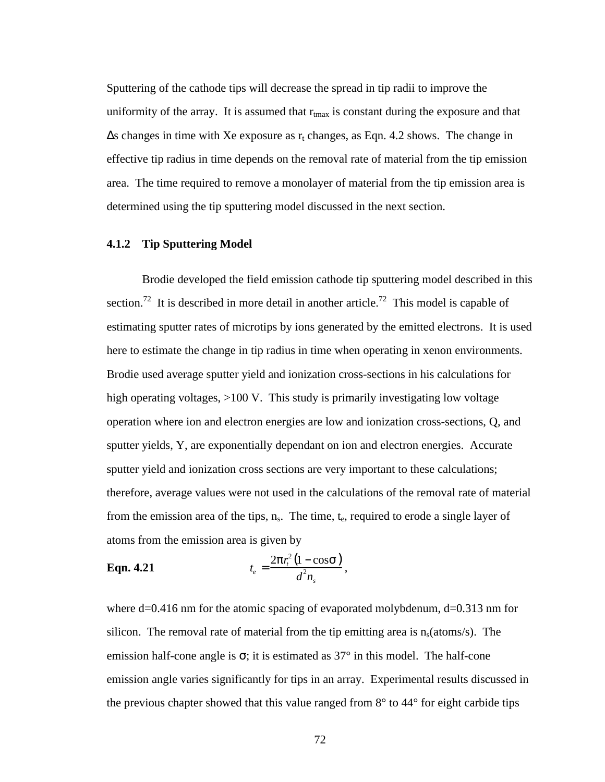Sputtering of the cathode tips will decrease the spread in tip radii to improve the uniformity of the array. It is assumed that  $r_{\text{max}}$  is constant during the exposure and that  $\Delta s$  changes in time with Xe exposure as  $r_t$  changes, as Eqn. 4.2 shows. The change in effective tip radius in time depends on the removal rate of material from the tip emission area. The time required to remove a monolayer of material from the tip emission area is determined using the tip sputtering model discussed in the next section.

# **4.1.2 Tip Sputtering Model**

Brodie developed the field emission cathode tip sputtering model described in this section.<sup>72</sup> It is described in more detail in another article.<sup>72</sup> This model is capable of estimating sputter rates of microtips by ions generated by the emitted electrons. It is used here to estimate the change in tip radius in time when operating in xenon environments. Brodie used average sputter yield and ionization cross-sections in his calculations for high operating voltages, >100 V. This study is primarily investigating low voltage operation where ion and electron energies are low and ionization cross-sections, Q, and sputter yields, Y, are exponentially dependant on ion and electron energies. Accurate sputter yield and ionization cross sections are very important to these calculations; therefore, average values were not used in the calculations of the removal rate of material from the emission area of the tips,  $n_s$ . The time,  $t_e$ , required to erode a single layer of atoms from the emission area is given by

**Eqn. 4.21** 
$$
t_e = \frac{2pr_t^2(1-\cos s)}{d^2 n_s}
$$

where d=0.416 nm for the atomic spacing of evaporated molybdenum, d=0.313 nm for silicon. The removal rate of material from the tip emitting area is  $n_s$  (atoms/s). The emission half-cone angle is  $\sigma$ ; it is estimated as 37 $\degree$  in this model. The half-cone emission angle varies significantly for tips in an array. Experimental results discussed in the previous chapter showed that this value ranged from  $8^\circ$  to  $44^\circ$  for eight carbide tips

,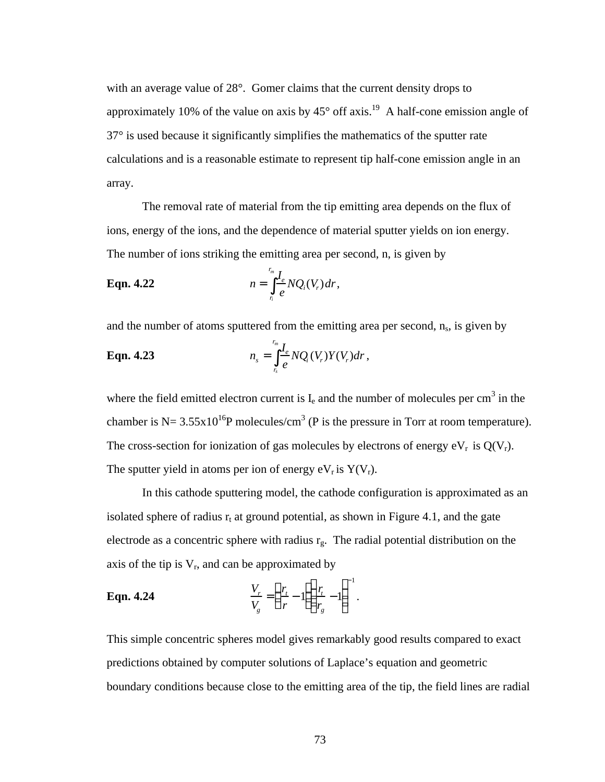with an average value of 28°. Gomer claims that the current density drops to approximately 10% of the value on axis by  $45^{\circ}$  off axis.<sup>19</sup> A half-cone emission angle of 37° is used because it significantly simplifies the mathematics of the sputter rate calculations and is a reasonable estimate to represent tip half-cone emission angle in an array.

The removal rate of material from the tip emitting area depends on the flux of ions, energy of the ions, and the dependence of material sputter yields on ion energy. The number of ions striking the emitting area per second, n, is given by

**Eqn. 4.22** 
$$
n = \int_{r}^{r_m} \frac{I_e}{e} N Q_i(V_r) dr,
$$

and the number of atoms sputtered from the emitting area per second, n<sub>s</sub>, is given by

**Eqn. 4.23** 
$$
n_{s} = \int_{r_{s}}^{r_{m}} \frac{I_{e}}{e} NQ_{i}(V_{r}) Y(V_{r}) dr,
$$

where the field emitted electron current is  $I_e$  and the number of molecules per cm<sup>3</sup> in the chamber is N=  $3.55 \times 10^{16}$ P molecules/cm<sup>3</sup> (P is the pressure in Torr at room temperature). The cross-section for ionization of gas molecules by electrons of energy  $eV_r$  is  $Q(V_r)$ . The sputter yield in atoms per ion of energy  $eV_r$  is  $Y(V_r)$ .

In this cathode sputtering model, the cathode configuration is approximated as an isolated sphere of radius  $r_t$  at ground potential, as shown in Figure 4.1, and the gate electrode as a concentric sphere with radius  $r_g$ . The radial potential distribution on the axis of the tip is  $V_r$ , and can be approximated by

**Eqn. 4.24** 
$$
\frac{V_r}{V_g} = \left(\frac{r_t}{r} - 1\right) \left(\frac{r_t}{r_g} - 1\right)^{-1}.
$$

This simple concentric spheres model gives remarkably good results compared to exact predictions obtained by computer solutions of Laplace's equation and geometric boundary conditions because close to the emitting area of the tip, the field lines are radial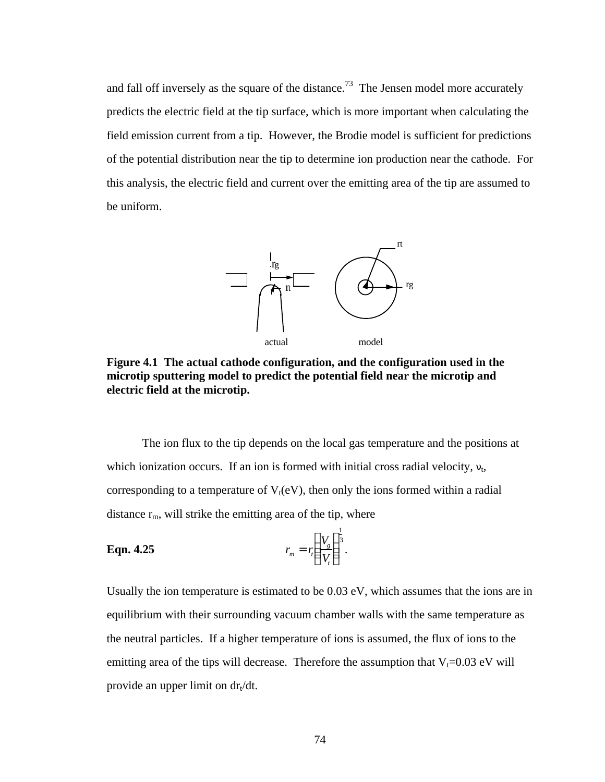and fall off inversely as the square of the distance.<sup>73</sup> The Jensen model more accurately predicts the electric field at the tip surface, which is more important when calculating the field emission current from a tip. However, the Brodie model is sufficient for predictions of the potential distribution near the tip to determine ion production near the cathode. For this analysis, the electric field and current over the emitting area of the tip are assumed to be uniform.



**Figure 4.1 The actual cathode configuration, and the configuration used in the microtip sputtering model to predict the potential field near the microtip and electric field at the microtip.**

The ion flux to the tip depends on the local gas temperature and the positions at which ionization occurs. If an ion is formed with initial cross radial velocity,  $v_t$ , corresponding to a temperature of  $V_t(eV)$ , then only the ions formed within a radial distance  $r_m$ , will strike the emitting area of the tip, where

**Eqn. 4.25** 
$$
r_m = r_t \left(\frac{V_g}{V_t}\right)^{\frac{1}{3}}
$$
.

Usually the ion temperature is estimated to be 0.03 eV, which assumes that the ions are in equilibrium with their surrounding vacuum chamber walls with the same temperature as the neutral particles. If a higher temperature of ions is assumed, the flux of ions to the emitting area of the tips will decrease. Therefore the assumption that  $V_t=0.03$  eV will provide an upper limit on  $dr_t/dt$ .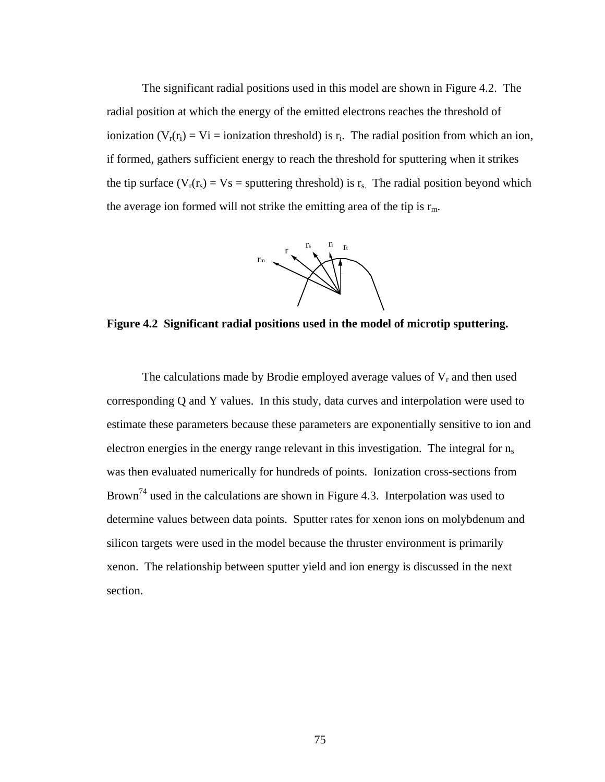The significant radial positions used in this model are shown in Figure 4.2. The radial position at which the energy of the emitted electrons reaches the threshold of ionization ( $V_r(r_i) = V_i =$  ionization threshold) is  $r_i$ . The radial position from which an ion, if formed, gathers sufficient energy to reach the threshold for sputtering when it strikes the tip surface ( $V_r(r_s) = V_s$  = sputtering threshold) is  $r_s$ . The radial position beyond which the average ion formed will not strike the emitting area of the tip is  $r_m$ .



**Figure 4.2 Significant radial positions used in the model of microtip sputtering.**

The calculations made by Brodie employed average values of  $V_r$  and then used corresponding Q and Y values. In this study, data curves and interpolation were used to estimate these parameters because these parameters are exponentially sensitive to ion and electron energies in the energy range relevant in this investigation. The integral for  $n_s$ was then evaluated numerically for hundreds of points. Ionization cross-sections from Brown<sup>74</sup> used in the calculations are shown in Figure 4.3. Interpolation was used to determine values between data points. Sputter rates for xenon ions on molybdenum and silicon targets were used in the model because the thruster environment is primarily xenon. The relationship between sputter yield and ion energy is discussed in the next section.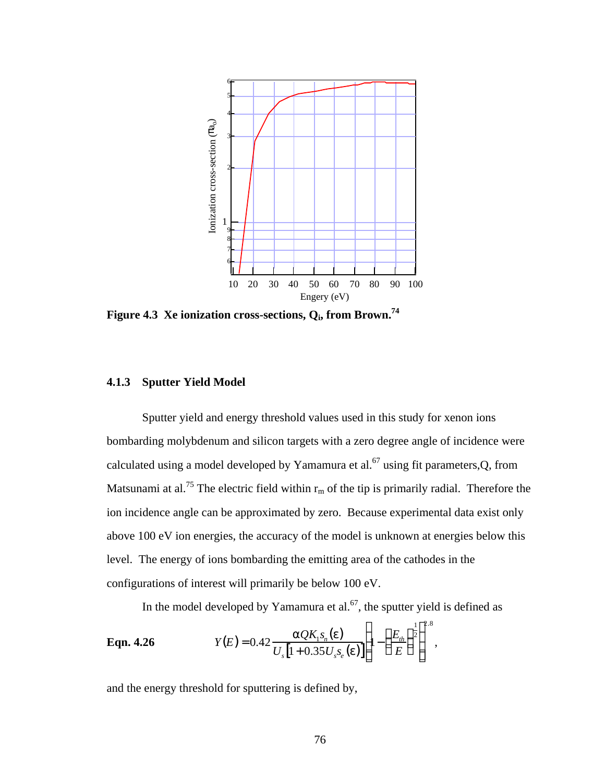

**Figure 4.3 Xe ionization cross-sections, Q<sup>i</sup> , from Brown.<sup>74</sup>**

# **4.1.3 Sputter Yield Model**

Sputter yield and energy threshold values used in this study for xenon ions bombarding molybdenum and silicon targets with a zero degree angle of incidence were calculated using a model developed by Yamamura et al.<sup>67</sup> using fit parameters,  $Q$ , from Matsunami at al.<sup>75</sup> The electric field within  $r_m$  of the tip is primarily radial. Therefore the ion incidence angle can be approximated by zero. Because experimental data exist only above 100 eV ion energies, the accuracy of the model is unknown at energies below this level. The energy of ions bombarding the emitting area of the cathodes in the configurations of interest will primarily be below 100 eV.

In the model developed by Yamamura et al.<sup>67</sup>, the sputter yield is defined as

 $7.88$ 

**Eqn. 4.26** 
$$
Y(E) = 0.42 \frac{aQK_1s_n(e)}{U_s[1+0.35U_s s_e(e)]} \left[1-\left(\frac{E_{th}}{E}\right)^{\frac{1}{2}}\right]^{2.8},
$$

and the energy threshold for sputtering is defined by,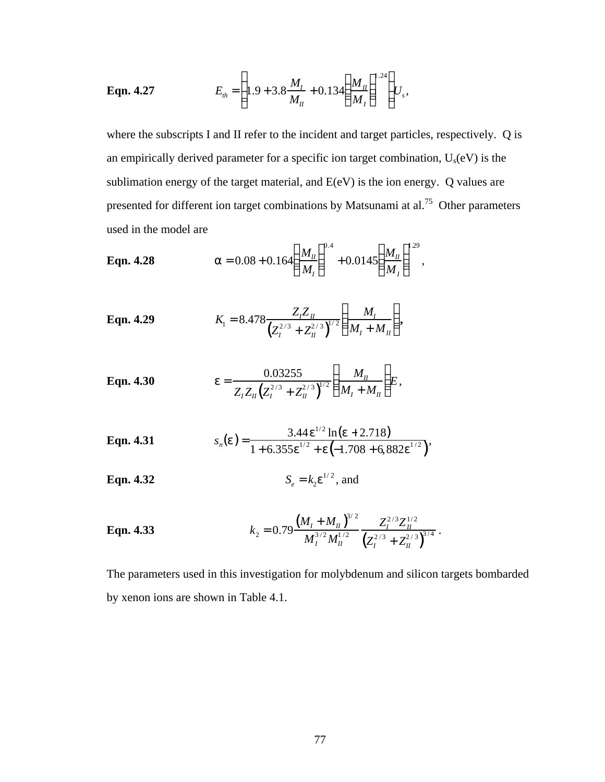**Eqn. 4.27** 
$$
E_{th} = \left(1.9 + 3.8\frac{M_I}{M_{II}} + 0.134\left(\frac{M_{II}}{M_I}\right)^{1.24}\right)U_s,
$$

where the subscripts I and II refer to the incident and target particles, respectively. Q is an empirically derived parameter for a specific ion target combination, Us(eV) is the sublimation energy of the target material, and E(eV) is the ion energy. Q values are presented for different ion target combinations by Matsunami at al.<sup>75</sup> Other parameters used in the model are

**Eqn. 4.28** 
$$
a = 0.08 + 0.164 \bigg( \frac{M_{\text{II}}}{M_{\text{I}}} \bigg)^{0.4} + 0.0145 \bigg( \frac{M_{\text{II}}}{M_{\text{I}}} \bigg)^{129},
$$

**Eqn. 4.29** 
$$
K_1 = 8.478 \frac{Z_I Z_{II}}{(Z_I^{2/3} + Z_{II}^{2/3})^{1/2}} \left(\frac{M_I}{M_I + M_{II}}\right),
$$

**Eqn. 4.30** 
$$
e = \frac{0.03255}{Z_{I}Z_{II}(Z_{I}^{2/3} + Z_{II}^{2/3})^{1/2}} \left(\frac{M_{II}}{M_{I} + M_{II}}\right)E,
$$

**Eqn. 4.31** 
$$
s_n(e) = \frac{3.44 e^{1/2} \ln(e + 2.718)}{1 + 6.355 e^{1/2} + e \left(-1.708 + 6.882 e^{1/2}\right)},
$$

**Eqn. 4.32** 
$$
S_e = k_2 e^{1/2}
$$
, and

**Eqn. 4.33** 
$$
k_2 = 0.79 \frac{\left(M_I + M_{II}\right)^{3/2}}{M_I^{3/2} M_{II}^{1/2}} \frac{Z_I^{2/3} Z_{II}^{1/2}}{\left(Z_I^{2/3} + Z_{II}^{2/3}\right)^{3/4}}.
$$

The parameters used in this investigation for molybdenum and silicon targets bombarded by xenon ions are shown in Table 4.1.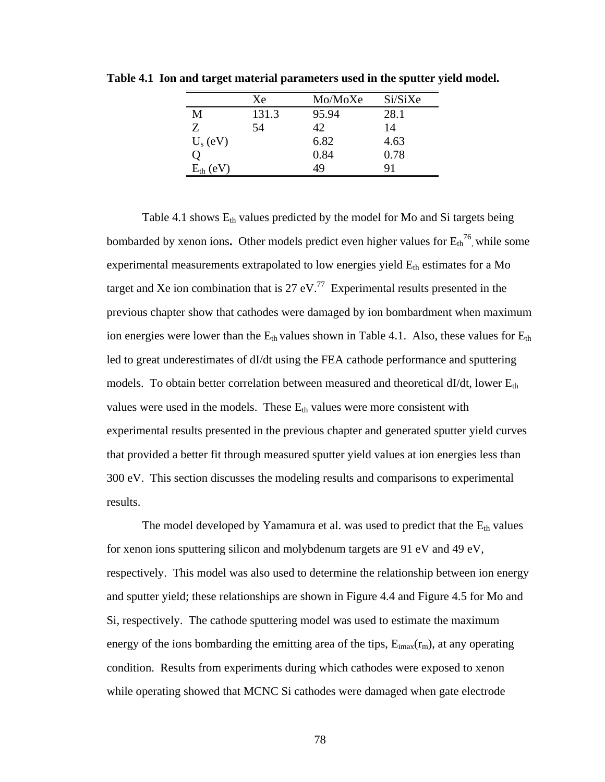|                  | Xe    | Mo/MoXe | Si/SiXe |
|------------------|-------|---------|---------|
| M                | 131.3 | 95.94   | 28.1    |
| Z                | 54    | 42.     | 14      |
| $U_s$ (eV)       |       | 6.82    | 4.63    |
| 0                |       | 0.84    | 0.78    |
| $E_{th}$<br>(eV) |       | 49      | 91      |

**Table 4.1 Ion and target material parameters used in the sputter yield model.**

Table 4.1 shows  $E_{th}$  values predicted by the model for Mo and Si targets being bombarded by xenon ions. Other models predict even higher values for  $E_{th}^{76}$ , while some experimental measurements extrapolated to low energies yield  $E_{th}$  estimates for a Mo target and Xe ion combination that is 27 eV.<sup>77</sup> Experimental results presented in the previous chapter show that cathodes were damaged by ion bombardment when maximum ion energies were lower than the  $E_{th}$  values shown in Table 4.1. Also, these values for  $E_{th}$ led to great underestimates of dI/dt using the FEA cathode performance and sputtering models. To obtain better correlation between measured and theoretical dI/dt, lower  $E_{th}$ values were used in the models. These  $E_{th}$  values were more consistent with experimental results presented in the previous chapter and generated sputter yield curves that provided a better fit through measured sputter yield values at ion energies less than 300 eV. This section discusses the modeling results and comparisons to experimental results.

The model developed by Yamamura et al. was used to predict that the  $E_{th}$  values for xenon ions sputtering silicon and molybdenum targets are 91 eV and 49 eV, respectively. This model was also used to determine the relationship between ion energy and sputter yield; these relationships are shown in Figure 4.4 and Figure 4.5 for Mo and Si, respectively. The cathode sputtering model was used to estimate the maximum energy of the ions bombarding the emitting area of the tips,  $E_{imax}(r_m)$ , at any operating condition. Results from experiments during which cathodes were exposed to xenon while operating showed that MCNC Si cathodes were damaged when gate electrode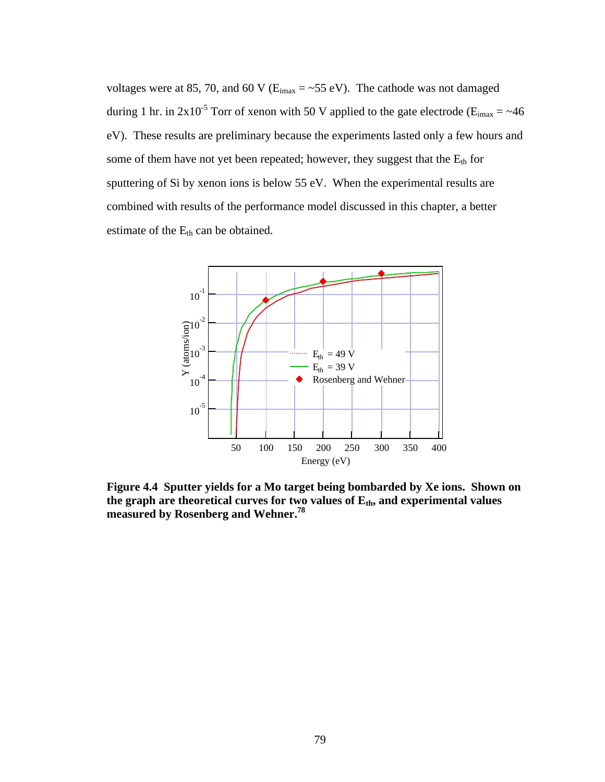voltages were at 85, 70, and 60 V ( $E_{i max} = -55$  eV). The cathode was not damaged during 1 hr. in  $2x10^{-5}$  Torr of xenon with 50 V applied to the gate electrode ( $E_{imax} = \sim 46$ ) eV). These results are preliminary because the experiments lasted only a few hours and some of them have not yet been repeated; however, they suggest that the  $E_{th}$  for sputtering of Si by xenon ions is below 55 eV. When the experimental results are combined with results of the performance model discussed in this chapter, a better estimate of the E<sub>th</sub> can be obtained.



**Figure 4.4 Sputter yields for a Mo target being bombarded by Xe ions. Shown on the graph are theoretical curves for two values of Eth, and experimental values measured by Rosenberg and Wehner.<sup>78</sup>**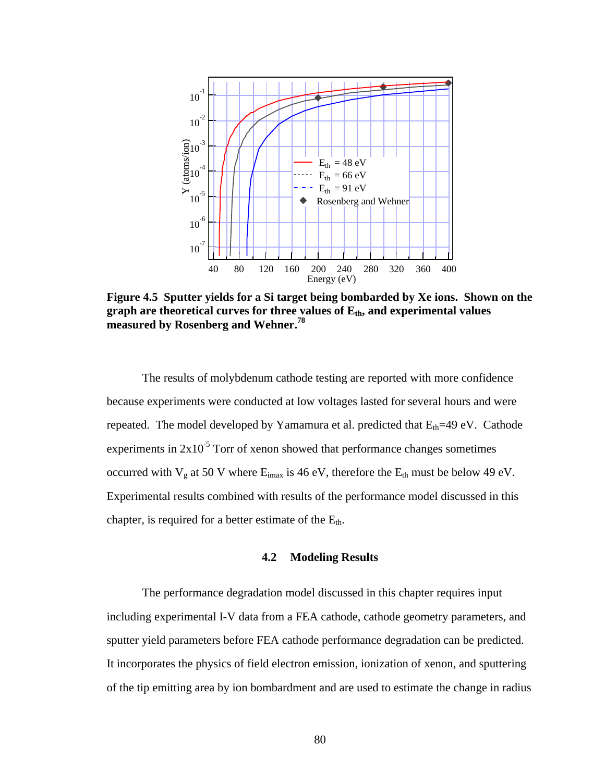

**Figure 4.5 Sputter yields for a Si target being bombarded by Xe ions. Shown on the graph are theoretical curves for three values of Eth, and experimental values measured by Rosenberg and Wehner.<sup>78</sup>**

The results of molybdenum cathode testing are reported with more confidence because experiments were conducted at low voltages lasted for several hours and were repeated. The model developed by Yamamura et al. predicted that  $E_{th}$ =49 eV. Cathode experiments in  $2x10^{-5}$  Torr of xenon showed that performance changes sometimes occurred with  $V_g$  at 50 V where  $E_{i max}$  is 46 eV, therefore the  $E_{th}$  must be below 49 eV. Experimental results combined with results of the performance model discussed in this chapter, is required for a better estimate of the  $E_{th}$ .

### **4.2 Modeling Results**

The performance degradation model discussed in this chapter requires input including experimental I-V data from a FEA cathode, cathode geometry parameters, and sputter yield parameters before FEA cathode performance degradation can be predicted. It incorporates the physics of field electron emission, ionization of xenon, and sputtering of the tip emitting area by ion bombardment and are used to estimate the change in radius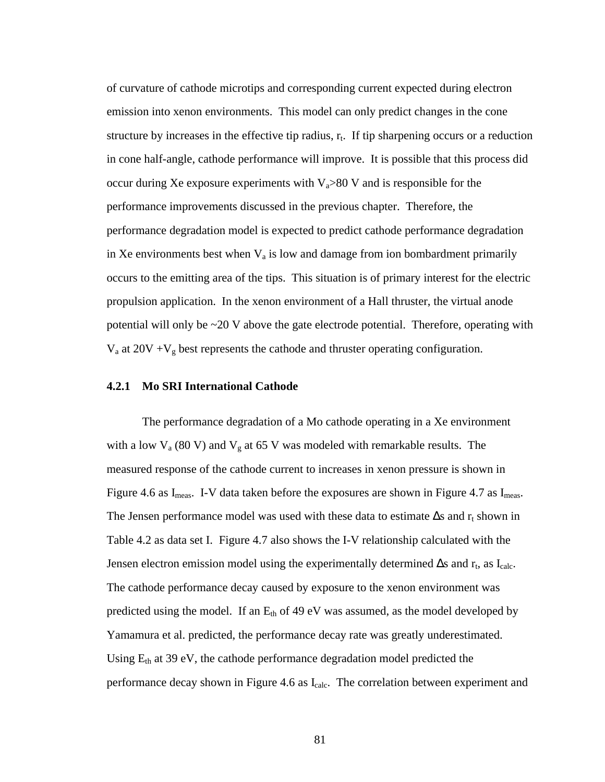of curvature of cathode microtips and corresponding current expected during electron emission into xenon environments. This model can only predict changes in the cone structure by increases in the effective tip radius,  $r_t$ . If tip sharpening occurs or a reduction in cone half-angle, cathode performance will improve. It is possible that this process did occur during Xe exposure experiments with  $V_a > 80$  V and is responsible for the performance improvements discussed in the previous chapter. Therefore, the performance degradation model is expected to predict cathode performance degradation in Xe environments best when  $V_a$  is low and damage from ion bombardment primarily occurs to the emitting area of the tips. This situation is of primary interest for the electric propulsion application. In the xenon environment of a Hall thruster, the virtual anode potential will only be  $\sim$ 20 V above the gate electrode potential. Therefore, operating with  $V_a$  at 20V + $V_g$  best represents the cathode and thruster operating configuration.

### **4.2.1 Mo SRI International Cathode**

The performance degradation of a Mo cathode operating in a Xe environment with a low  $V_a$  (80 V) and  $V_g$  at 65 V was modeled with remarkable results. The measured response of the cathode current to increases in xenon pressure is shown in Figure 4.6 as  $I_{\text{meas}}$ . I-V data taken before the exposures are shown in Figure 4.7 as  $I_{\text{meas}}$ . The Jensen performance model was used with these data to estimate  $\Delta s$  and  $r_t$  shown in Table 4.2 as data set I. Figure 4.7 also shows the I-V relationship calculated with the Jensen electron emission model using the experimentally determined  $\Delta s$  and  $r_t$ , as  $I_{calc}$ . The cathode performance decay caused by exposure to the xenon environment was predicted using the model. If an  $E_{th}$  of 49 eV was assumed, as the model developed by Yamamura et al. predicted, the performance decay rate was greatly underestimated. Using  $E_{th}$  at 39 eV, the cathode performance degradation model predicted the performance decay shown in Figure 4.6 as I<sub>calc</sub>. The correlation between experiment and

81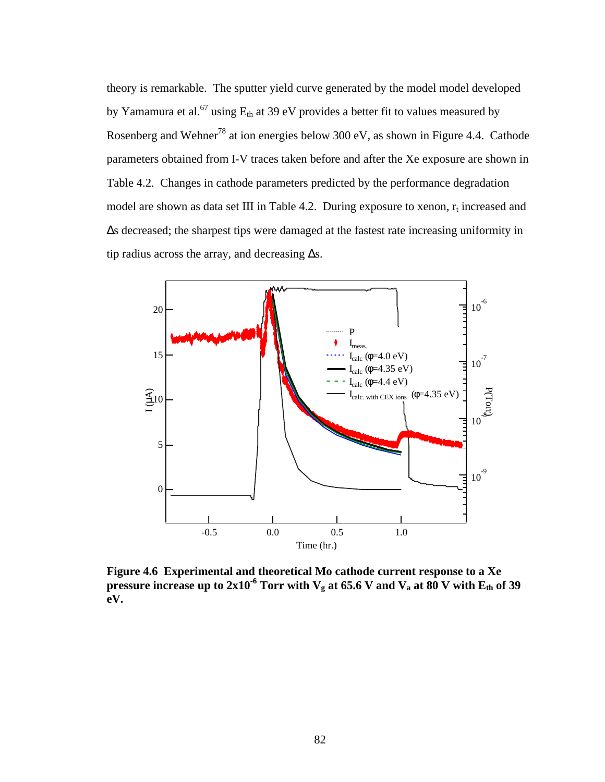theory is remarkable. The sputter yield curve generated by the model model developed by Yamamura et al.<sup>67</sup> using  $E_{th}$  at 39 eV provides a better fit to values measured by Rosenberg and Wehner<sup>78</sup> at ion energies below 300 eV, as shown in Figure 4.4. Cathode parameters obtained from I-V traces taken before and after the Xe exposure are shown in Table 4.2. Changes in cathode parameters predicted by the performance degradation model are shown as data set III in Table 4.2. During exposure to xenon,  $r_t$  increased and Δs decreased; the sharpest tips were damaged at the fastest rate increasing uniformity in tip radius across the array, and decreasing  $\Delta s$ .



**Figure 4.6 Experimental and theoretical Mo cathode current response to a Xe pressure increase up to 2x10<sup>-6</sup> Torr with**  $V_g$  **at 65.6 V and**  $V_a$  **at 80 V with**  $E_{th}$  **of 39 eV.**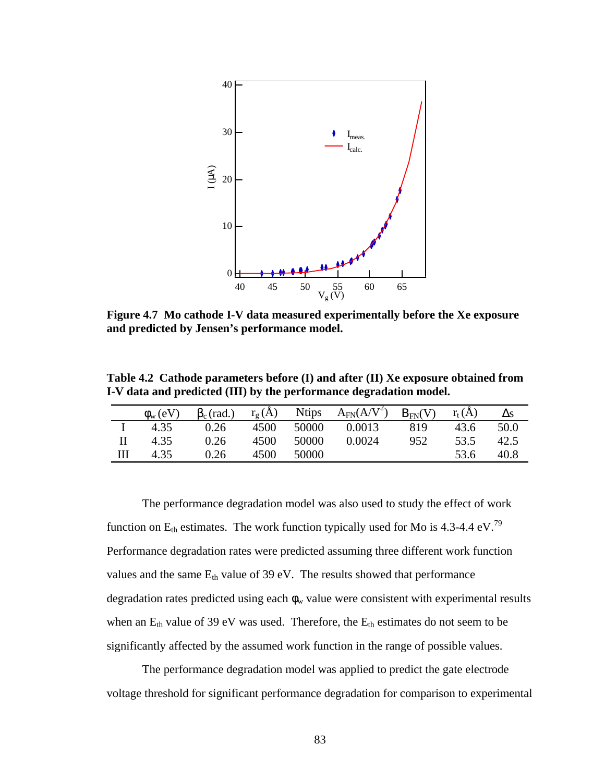

**Figure 4.7 Mo cathode I-V data measured experimentally before the Xe exposure and predicted by Jensen's performance model.**

**Table 4.2 Cathode parameters before (I) and after (II) Xe exposure obtained from I-V data and predicted (III) by the performance degradation model.**

| $\phi_{\rm w}$ (eV) | $\beta_c$ (rad.) | $r_{\rm g}(A)$ | <b>Ntips</b> | $A_{FN}(A/V^2)$ | $B_{FN}(V)$ | $r_t(A)$ |      |
|---------------------|------------------|----------------|--------------|-----------------|-------------|----------|------|
| 4.35                | 0.26             | 4500           | 50000        | 0.0013          | 819         | 43.6     | 50.0 |
| 4.35                | 0.26             | 4500           | 50000        | 0.0024          | 952         | 53.5     | 42.5 |
| 4.35                | 0.26             | 4500           | 50000        |                 |             | 53.6     | 40.8 |

The performance degradation model was also used to study the effect of work function on  $E_{th}$  estimates. The work function typically used for Mo is 4.3-4.4 eV.<sup>79</sup> Performance degradation rates were predicted assuming three different work function values and the same  $E_{th}$  value of 39 eV. The results showed that performance degradation rates predicted using each  $\phi_w$  value were consistent with experimental results when an  $E_{th}$  value of 39 eV was used. Therefore, the  $E_{th}$  estimates do not seem to be significantly affected by the assumed work function in the range of possible values.

The performance degradation model was applied to predict the gate electrode voltage threshold for significant performance degradation for comparison to experimental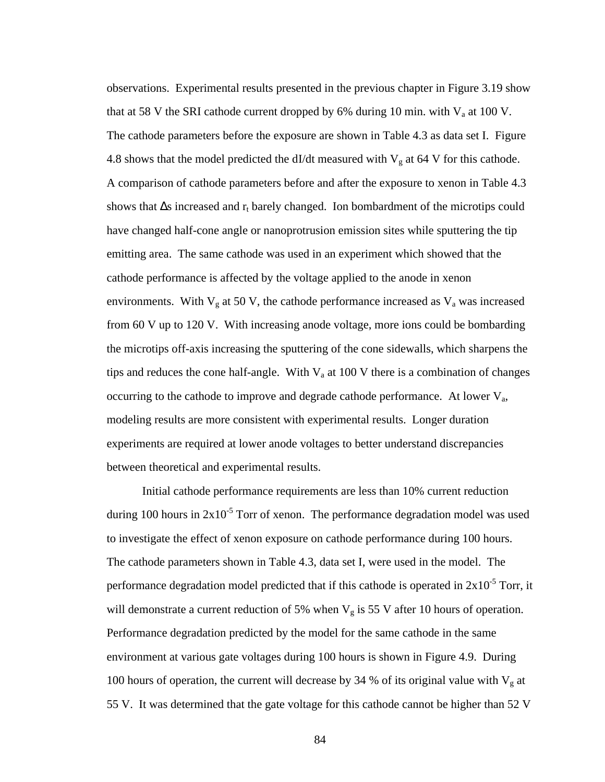observations. Experimental results presented in the previous chapter in Figure 3.19 show that at 58 V the SRI cathode current dropped by 6% during 10 min. with  $V_a$  at 100 V. The cathode parameters before the exposure are shown in Table 4.3 as data set I. Figure 4.8 shows that the model predicted the dI/dt measured with  $V_g$  at 64 V for this cathode. A comparison of cathode parameters before and after the exposure to xenon in Table 4.3 shows that  $\Delta s$  increased and  $r_t$  barely changed. Ion bombardment of the microtips could have changed half-cone angle or nanoprotrusion emission sites while sputtering the tip emitting area. The same cathode was used in an experiment which showed that the cathode performance is affected by the voltage applied to the anode in xenon environments. With  $V<sub>g</sub>$  at 50 V, the cathode performance increased as  $V<sub>a</sub>$  was increased from 60 V up to 120 V. With increasing anode voltage, more ions could be bombarding the microtips off-axis increasing the sputtering of the cone sidewalls, which sharpens the tips and reduces the cone half-angle. With  $V_a$  at 100 V there is a combination of changes occurring to the cathode to improve and degrade cathode performance. At lower  $V_a$ , modeling results are more consistent with experimental results. Longer duration experiments are required at lower anode voltages to better understand discrepancies between theoretical and experimental results.

Initial cathode performance requirements are less than 10% current reduction during 100 hours in  $2x10^{-5}$  Torr of xenon. The performance degradation model was used to investigate the effect of xenon exposure on cathode performance during 100 hours. The cathode parameters shown in Table 4.3, data set I, were used in the model. The performance degradation model predicted that if this cathode is operated in  $2x10^{-5}$  Torr, it will demonstrate a current reduction of 5% when  $V_g$  is 55 V after 10 hours of operation. Performance degradation predicted by the model for the same cathode in the same environment at various gate voltages during 100 hours is shown in Figure 4.9. During 100 hours of operation, the current will decrease by 34 % of its original value with  $V_g$  at 55 V. It was determined that the gate voltage for this cathode cannot be higher than 52 V

84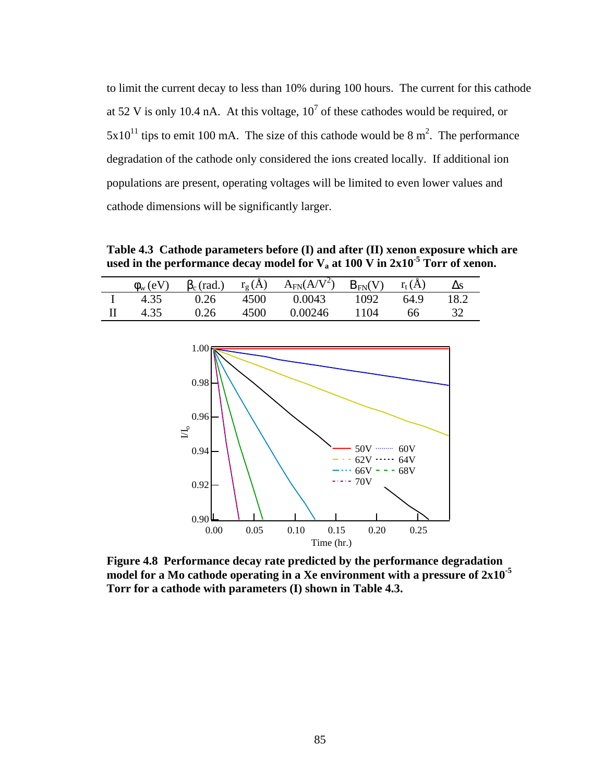to limit the current decay to less than 10% during 100 hours. The current for this cathode at 52 V is only 10.4 nA. At this voltage,  $10<sup>7</sup>$  of these cathodes would be required, or  $5x10^{11}$  tips to emit 100 mA. The size of this cathode would be 8 m<sup>2</sup>. The performance degradation of the cathode only considered the ions created locally. If additional ion populations are present, operating voltages will be limited to even lower values and cathode dimensions will be significantly larger.

**Table 4.3 Cathode parameters before (I) and after (II) xenon exposure which are used in the performance decay model for Va at 100 V in 2x10-5 Torr of xenon.**

| $\phi_{\rm w}$ (eV) | $\beta_c$ (rad.) | $r_g(A)$ | $A_{FN}(A/V^2)$ | $B_{FN}(V)$ | $r_{t}(A)$ |      |
|---------------------|------------------|----------|-----------------|-------------|------------|------|
| 4.35                | 0.26             | 4500     | 0.0043          | 1092        | 64.9       | 18.2 |
| 4.35                | 0.26             | 4500     | 0.00246         | 1104        | 66         |      |



**Figure 4.8 Performance decay rate predicted by the performance degradation model for a Mo cathode operating in a Xe environment with a pressure of 2x10-5 Torr for a cathode with parameters (I) shown in Table 4.3.**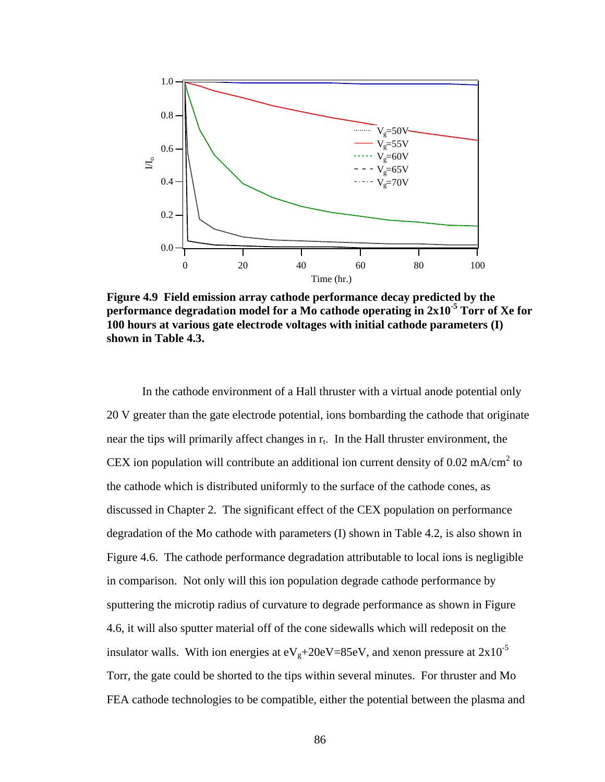

**Figure 4.9 Field emission array cathode performance decay predicted by the performance degradat**i**on model for a Mo cathode operating in 2x10-5 Torr of Xe for 100 hours at various gate electrode voltages with initial cathode parameters (I) shown in Table 4.3.**

In the cathode environment of a Hall thruster with a virtual anode potential only 20 V greater than the gate electrode potential, ions bombarding the cathode that originate near the tips will primarily affect changes in  $r_t$ . In the Hall thruster environment, the CEX ion population will contribute an additional ion current density of 0.02 mA/cm<sup>2</sup> to the cathode which is distributed uniformly to the surface of the cathode cones, as discussed in Chapter 2. The significant effect of the CEX population on performance degradation of the Mo cathode with parameters (I) shown in Table 4.2, is also shown in Figure 4.6. The cathode performance degradation attributable to local ions is negligible in comparison. Not only will this ion population degrade cathode performance by sputtering the microtip radius of curvature to degrade performance as shown in Figure 4.6, it will also sputter material off of the cone sidewalls which will redeposit on the insulator walls. With ion energies at  $eV_g + 20eV = 85eV$ , and xenon pressure at  $2 \times 10^{-5}$ Torr, the gate could be shorted to the tips within several minutes. For thruster and Mo FEA cathode technologies to be compatible, either the potential between the plasma and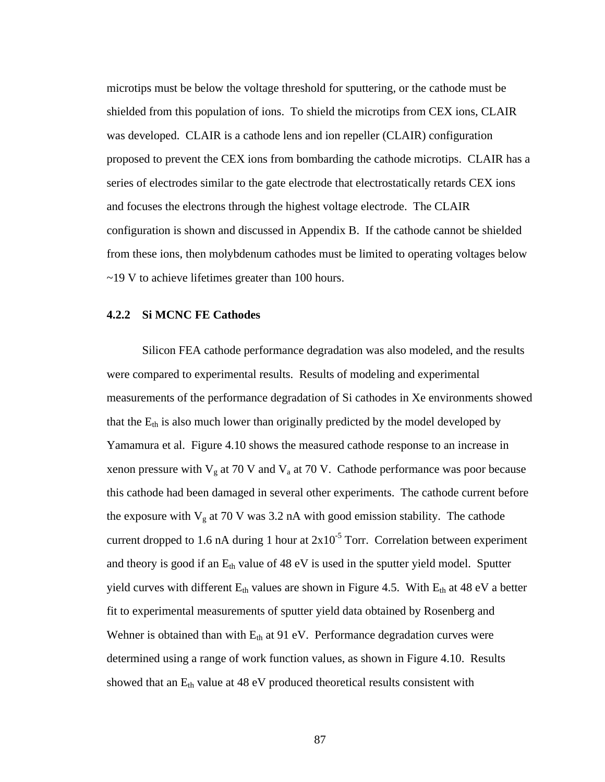microtips must be below the voltage threshold for sputtering, or the cathode must be shielded from this population of ions. To shield the microtips from CEX ions, CLAIR was developed. CLAIR is a cathode lens and ion repeller (CLAIR) configuration proposed to prevent the CEX ions from bombarding the cathode microtips. CLAIR has a series of electrodes similar to the gate electrode that electrostatically retards CEX ions and focuses the electrons through the highest voltage electrode. The CLAIR configuration is shown and discussed in Appendix B. If the cathode cannot be shielded from these ions, then molybdenum cathodes must be limited to operating voltages below ~19 V to achieve lifetimes greater than 100 hours.

### **4.2.2 Si MCNC FE Cathodes**

Silicon FEA cathode performance degradation was also modeled, and the results were compared to experimental results. Results of modeling and experimental measurements of the performance degradation of Si cathodes in Xe environments showed that the  $E_{th}$  is also much lower than originally predicted by the model developed by Yamamura et al. Figure 4.10 shows the measured cathode response to an increase in xenon pressure with  $V_g$  at 70 V and  $V_a$  at 70 V. Cathode performance was poor because this cathode had been damaged in several other experiments. The cathode current before the exposure with  $V<sub>g</sub>$  at 70 V was 3.2 nA with good emission stability. The cathode current dropped to 1.6 nA during 1 hour at  $2x10^{-5}$  Torr. Correlation between experiment and theory is good if an  $E_{th}$  value of 48 eV is used in the sputter yield model. Sputter yield curves with different  $E_{th}$  values are shown in Figure 4.5. With  $E_{th}$  at 48 eV a better fit to experimental measurements of sputter yield data obtained by Rosenberg and Wehner is obtained than with  $E_{th}$  at 91 eV. Performance degradation curves were determined using a range of work function values, as shown in Figure 4.10. Results showed that an  $E_{th}$  value at 48 eV produced theoretical results consistent with

87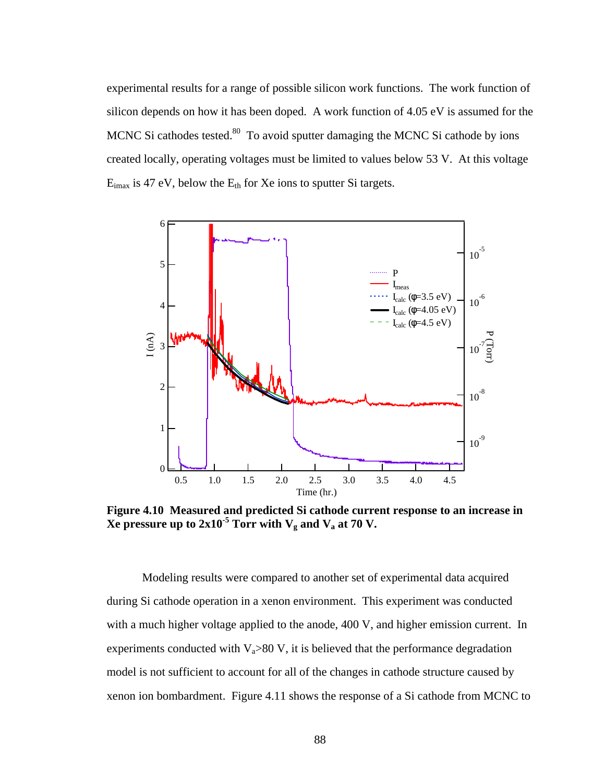experimental results for a range of possible silicon work functions. The work function of silicon depends on how it has been doped. A work function of 4.05 eV is assumed for the MCNC Si cathodes tested.<sup>80</sup> To avoid sputter damaging the MCNC Si cathode by ions created locally, operating voltages must be limited to values below 53 V. At this voltage  $E_{i max}$  is 47 eV, below the  $E_{th}$  for Xe ions to sputter Si targets.



**Figure 4.10 Measured and predicted Si cathode current response to an increase in**   $\bold {Xe}$  pressure up to 2x10<sup>-5</sup> Torr with  $\bold {V_g}$  and  $\bold {V_a}$  at 70  $\bold {V_a}$ 

Modeling results were compared to another set of experimental data acquired during Si cathode operation in a xenon environment. This experiment was conducted with a much higher voltage applied to the anode, 400 V, and higher emission current. In experiments conducted with  $V_a > 80 V$ , it is believed that the performance degradation model is not sufficient to account for all of the changes in cathode structure caused by xenon ion bombardment. Figure 4.11 shows the response of a Si cathode from MCNC to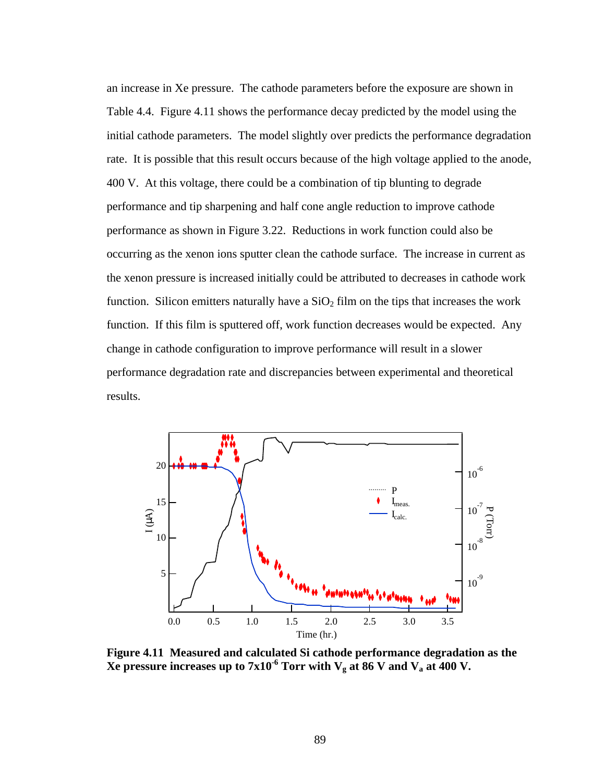an increase in Xe pressure. The cathode parameters before the exposure are shown in Table 4.4. Figure 4.11 shows the performance decay predicted by the model using the initial cathode parameters. The model slightly over predicts the performance degradation rate. It is possible that this result occurs because of the high voltage applied to the anode, 400 V. At this voltage, there could be a combination of tip blunting to degrade performance and tip sharpening and half cone angle reduction to improve cathode performance as shown in Figure 3.22.Reductions in work function could also be occurring as the xenon ions sputter clean the cathode surface. The increase in current as the xenon pressure is increased initially could be attributed to decreases in cathode work function. Silicon emitters naturally have a  $SiO<sub>2</sub>$  film on the tips that increases the work function. If this film is sputtered off, work function decreases would be expected. Any change in cathode configuration to improve performance will result in a slower performance degradation rate and discrepancies between experimental and theoretical results.



**Figure 4.11 Measured and calculated Si cathode performance degradation as the Xe pressure increases up to 7x10<sup>-6</sup> Torr with**  $V_g$  **at 86 V and**  $V_a$  **at 400 V.**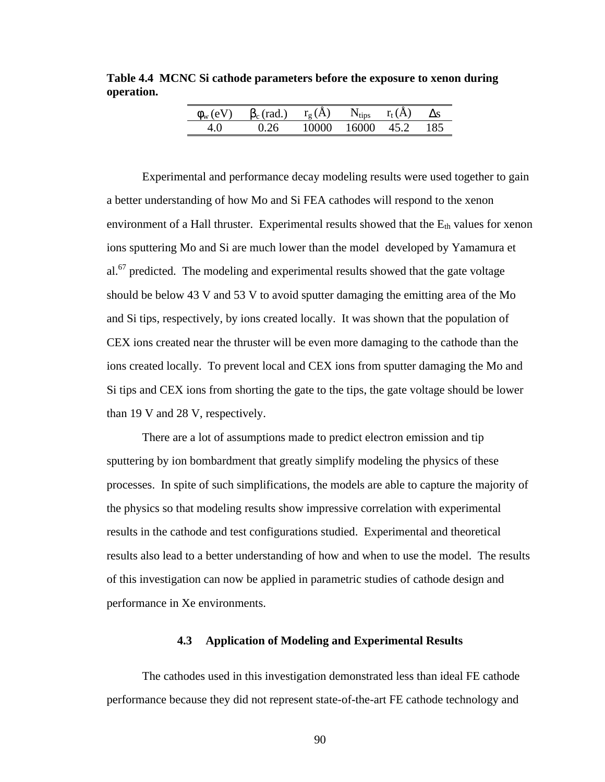**Table 4.4 MCNC Si cathode parameters before the exposure to xenon during operation.**

| $\phi_{\rm w}$ (eV) | $\beta_c$ (rad.) | $r_{\alpha}(A)$ | $N_{\rm tips}$ | $r_t(A)$ | Лs  |
|---------------------|------------------|-----------------|----------------|----------|-----|
|                     | በ ን6             | 10000           | 16000          | 45.2     | 185 |

Experimental and performance decay modeling results were used together to gain a better understanding of how Mo and Si FEA cathodes will respond to the xenon environment of a Hall thruster. Experimental results showed that the  $E_{th}$  values for xenon ions sputtering Mo and Si are much lower than the model developed by Yamamura et al.<sup>67</sup> predicted. The modeling and experimental results showed that the gate voltage should be below 43 V and 53 V to avoid sputter damaging the emitting area of the Mo and Si tips, respectively, by ions created locally. It was shown that the population of CEX ions created near the thruster will be even more damaging to the cathode than the ions created locally. To prevent local and CEX ions from sputter damaging the Mo and Si tips and CEX ions from shorting the gate to the tips, the gate voltage should be lower than 19 V and 28 V, respectively.

There are a lot of assumptions made to predict electron emission and tip sputtering by ion bombardment that greatly simplify modeling the physics of these processes. In spite of such simplifications, the models are able to capture the majority of the physics so that modeling results show impressive correlation with experimental results in the cathode and test configurations studied. Experimental and theoretical results also lead to a better understanding of how and when to use the model. The results of this investigation can now be applied in parametric studies of cathode design and performance in Xe environments.

# **4.3 Application of Modeling and Experimental Results**

The cathodes used in this investigation demonstrated less than ideal FE cathode performance because they did not represent state-of-the-art FE cathode technology and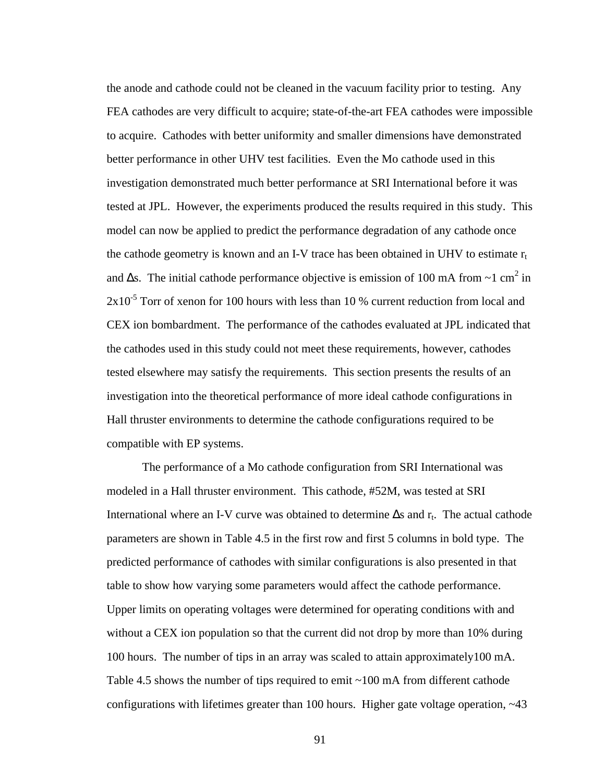the anode and cathode could not be cleaned in the vacuum facility prior to testing. Any FEA cathodes are very difficult to acquire; state-of-the-art FEA cathodes were impossible to acquire. Cathodes with better uniformity and smaller dimensions have demonstrated better performance in other UHV test facilities. Even the Mo cathode used in this investigation demonstrated much better performance at SRI International before it was tested at JPL. However, the experiments produced the results required in this study. This model can now be applied to predict the performance degradation of any cathode once the cathode geometry is known and an I-V trace has been obtained in UHV to estimate  $r_t$ and  $\Delta$ s. The initial cathode performance objective is emission of 100 mA from ~1 cm<sup>2</sup> in  $2x10^{-5}$  Torr of xenon for 100 hours with less than 10 % current reduction from local and CEX ion bombardment. The performance of the cathodes evaluated at JPL indicated that the cathodes used in this study could not meet these requirements, however, cathodes tested elsewhere may satisfy the requirements. This section presents the results of an investigation into the theoretical performance of more ideal cathode configurations in Hall thruster environments to determine the cathode configurations required to be compatible with EP systems.

The performance of a Mo cathode configuration from SRI International was modeled in a Hall thruster environment. This cathode, #52M, was tested at SRI International where an I-V curve was obtained to determine  $\Delta s$  and  $r_t$ . The actual cathode parameters are shown in Table 4.5 in the first row and first 5 columns in bold type. The predicted performance of cathodes with similar configurations is also presented in that table to show how varying some parameters would affect the cathode performance. Upper limits on operating voltages were determined for operating conditions with and without a CEX ion population so that the current did not drop by more than 10% during 100 hours. The number of tips in an array was scaled to attain approximately100 mA. Table 4.5 shows the number of tips required to emit ~100 mA from different cathode configurations with lifetimes greater than 100 hours. Higher gate voltage operation, ~43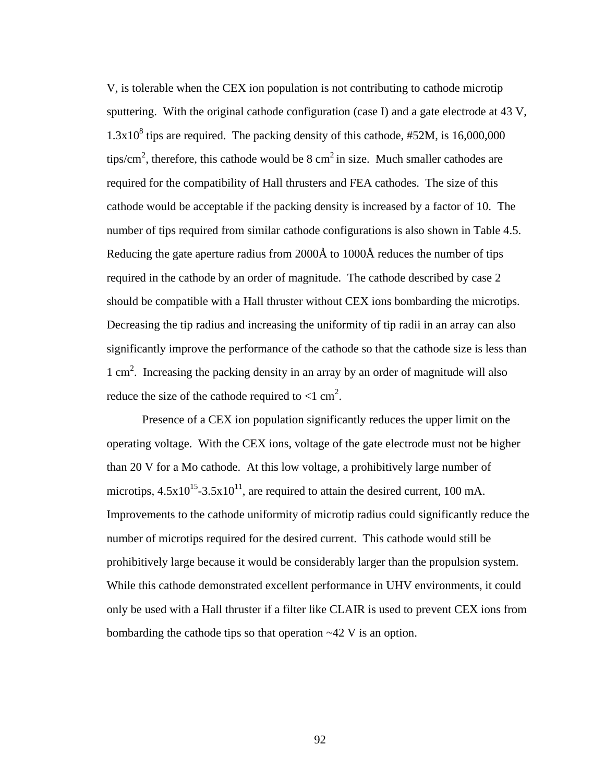V, is tolerable when the CEX ion population is not contributing to cathode microtip sputtering. With the original cathode configuration (case I) and a gate electrode at 43 V,  $1.3x10<sup>8</sup>$  tips are required. The packing density of this cathode, #52M, is 16,000,000 tips/cm<sup>2</sup>, therefore, this cathode would be 8 cm<sup>2</sup> in size. Much smaller cathodes are required for the compatibility of Hall thrusters and FEA cathodes. The size of this cathode would be acceptable if the packing density is increased by a factor of 10. The number of tips required from similar cathode configurations is also shown in Table 4.5. Reducing the gate aperture radius from 2000Å to 1000Å reduces the number of tips required in the cathode by an order of magnitude. The cathode described by case 2 should be compatible with a Hall thruster without CEX ions bombarding the microtips. Decreasing the tip radius and increasing the uniformity of tip radii in an array can also significantly improve the performance of the cathode so that the cathode size is less than 1 cm<sup>2</sup>. Increasing the packing density in an array by an order of magnitude will also reduce the size of the cathode required to  $<$ 1 cm<sup>2</sup>.

Presence of a CEX ion population significantly reduces the upper limit on the operating voltage. With the CEX ions, voltage of the gate electrode must not be higher than 20 V for a Mo cathode. At this low voltage, a prohibitively large number of microtips,  $4.5x10^{15}$ -3.5x10<sup>11</sup>, are required to attain the desired current, 100 mA. Improvements to the cathode uniformity of microtip radius could significantly reduce the number of microtips required for the desired current. This cathode would still be prohibitively large because it would be considerably larger than the propulsion system. While this cathode demonstrated excellent performance in UHV environments, it could only be used with a Hall thruster if a filter like CLAIR is used to prevent CEX ions from bombarding the cathode tips so that operation ~42 V is an option.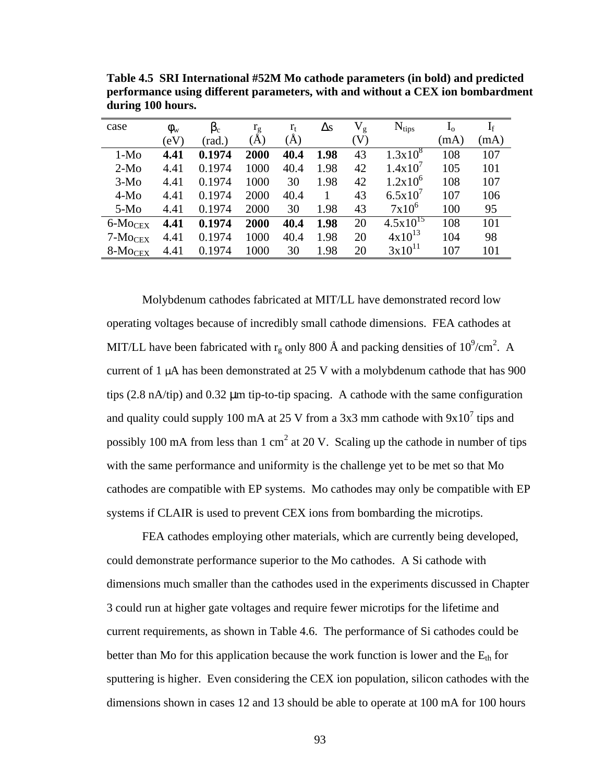| case                                   | $\phi_{\rm w}$ | $\beta_c$ | $r_g$ | $r_{t}$ | $\Delta s$ | $V_{\rm g}$ | $N_{\text{tips}}$ | $I_{o}$ | $\mathrm{I}_\mathrm{f}$ |
|----------------------------------------|----------------|-----------|-------|---------|------------|-------------|-------------------|---------|-------------------------|
|                                        | $\rm (eV)$     | (rad.)    | (A)   | A)      |            | (V)         |                   | (mA)    | (mA)                    |
| $1-M0$                                 | 4.41           | 0.1974    | 2000  | 40.4    | 1.98       | 43          | $1.3x10^{8}$      | 108     | 107                     |
| $2-Mo$                                 | 4.41           | 0.1974    | 1000  | 40.4    | 1.98       | 42          | 1.4x10'           | 105     | 101                     |
| $3-Mo$                                 | 4.41           | 0.1974    | 1000  | 30      | 1.98       | 42          | $1.2x10^{6}$      | 108     | 107                     |
| $4-M0$                                 | 4.41           | 0.1974    | 2000  | 40.4    |            | 43          | 6.5x10'           | 107     | 106                     |
| $5-M0$                                 | 4.41           | 0.1974    | 2000  | 30      | 1.98       | 43          | $7x10^6$          | 100     | 95                      |
| $6$ - $M$ ocex                         | 4.41           | 0.1974    | 2000  | 40.4    | 1.98       | 20          | $4.5x10^{15}$     | 108     | 101                     |
| $7\text{-} \mathrm{Mo}\mathrm{CEX}$    | 4.41           | 0.1974    | 1000  | 40.4    | 1.98       | 20          | $4x10^{13}$       | 104     | 98                      |
| $8\text{-} \mathrm{Mo}_{\mathrm{CEX}}$ | 4.41           | 0.1974    | 1000  | 30      | 1.98       | 20          | $3x10^{11}$       | 107     | 101                     |

**Table 4.5 SRI International #52M Mo cathode parameters (in bold) and predicted performance using different parameters, with and without a CEX ion bombardment during 100 hours.** 

Molybdenum cathodes fabricated at MIT/LL have demonstrated record low operating voltages because of incredibly small cathode dimensions. FEA cathodes at MIT/LL have been fabricated with  $r_g$  only 800 Å and packing densities of  $10^9$ /cm<sup>2</sup>. A current of 1 μA has been demonstrated at 25 V with a molybdenum cathode that has 900 tips (2.8 nA/tip) and 0.32 μm tip-to-tip spacing. A cathode with the same configuration and quality could supply 100 mA at 25 V from a 3x3 mm cathode with  $9x10^7$  tips and possibly 100 mA from less than 1 cm<sup>2</sup> at 20 V. Scaling up the cathode in number of tips with the same performance and uniformity is the challenge yet to be met so that Mo cathodes are compatible with EP systems. Mo cathodes may only be compatible with EP systems if CLAIR is used to prevent CEX ions from bombarding the microtips.

FEA cathodes employing other materials, which are currently being developed, could demonstrate performance superior to the Mo cathodes. A Si cathode with dimensions much smaller than the cathodes used in the experiments discussed in Chapter 3 could run at higher gate voltages and require fewer microtips for the lifetime and current requirements, as shown in Table 4.6. The performance of Si cathodes could be better than Mo for this application because the work function is lower and the  $E_{th}$  for sputtering is higher. Even considering the CEX ion population, silicon cathodes with the dimensions shown in cases 12 and 13 should be able to operate at 100 mA for 100 hours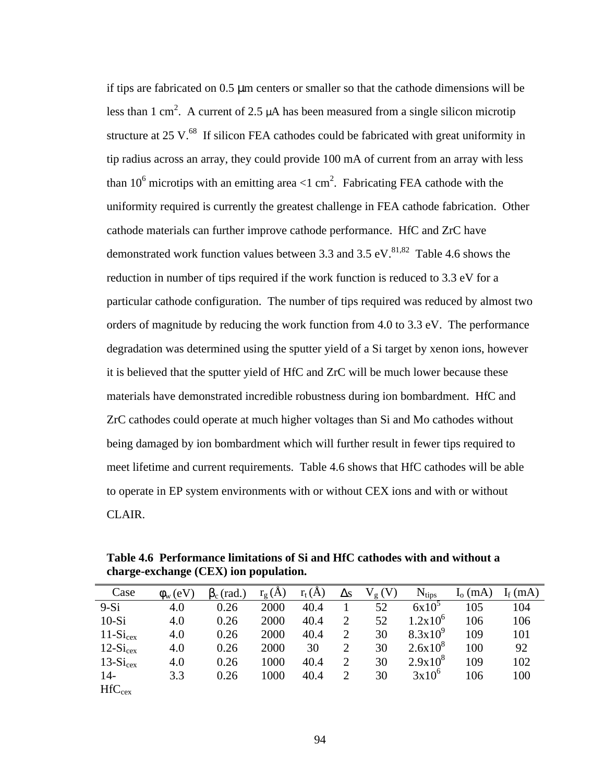if tips are fabricated on 0.5 μm centers or smaller so that the cathode dimensions will be less than 1 cm<sup>2</sup>. A current of 2.5  $\mu$ A has been measured from a single silicon microtip structure at 25 V.<sup>68</sup> If silicon FEA cathodes could be fabricated with great uniformity in tip radius across an array, they could provide 100 mA of current from an array with less than 10<sup>6</sup> microtips with an emitting area  $\langle 1 \text{ cm}^2 \rangle$ . Fabricating FEA cathode with the uniformity required is currently the greatest challenge in FEA cathode fabrication. Other cathode materials can further improve cathode performance. HfC and ZrC have demonstrated work function values between 3.3 and 3.5 eV.<sup>81,82</sup> Table 4.6 shows the reduction in number of tips required if the work function is reduced to 3.3 eV for a particular cathode configuration. The number of tips required was reduced by almost two orders of magnitude by reducing the work function from 4.0 to 3.3 eV. The performance degradation was determined using the sputter yield of a Si target by xenon ions, however it is believed that the sputter yield of HfC and ZrC will be much lower because these materials have demonstrated incredible robustness during ion bombardment. HfC and ZrC cathodes could operate at much higher voltages than Si and Mo cathodes without being damaged by ion bombardment which will further result in fewer tips required to meet lifetime and current requirements. Table 4.6 shows that HfC cathodes will be able to operate in EP system environments with or without CEX ions and with or without CLAIR.

**Table 4.6 Performance limitations of Si and HfC cathodes with and without a charge-exchange (CEX) ion population.**

| Case                 | $\phi_{\rm w}$ (eV) | $\beta_c$ (rad.) | $r_g(A)$ | $r_t(A)$ | $\Delta s$     | $V_{g}(V)$ | $N_{\text{tips}}$ | $I_0$ (mA) | $I_f$ (mA) |
|----------------------|---------------------|------------------|----------|----------|----------------|------------|-------------------|------------|------------|
| $9-Si$               | 4.0                 | 0.26             | 2000     | 40.4     |                | 52         | $6x10^5$          | 105        | 104        |
| $10-Si$              | 4.0                 | 0.26             | 2000     | 40.4     | 2              | 52         | $1.2x10^{6}$      | 106        | 106        |
| $11-Si_{\rm cex}$    | 4.0                 | 0.26             | 2000     | 40.4     | $\overline{2}$ | 30         | $8.3x10^{9}$      | 109        | 101        |
| $12-Si_{\text{cex}}$ | 4.0                 | 0.26             | 2000     | 30       | $\overline{2}$ | 30         | $2.6x10^{8}$      | 100        | 92         |
| $13-Si_{\rm cex}$    | 4.0                 | 0.26             | 1000     | 40.4     | $\overline{2}$ | 30         | $2.9x10^{8}$      | 109        | 102        |
| $14-$                | 3.3                 | 0.26             | 1000     | 40.4     | $\overline{2}$ | 30         | $3x10^6$          | 106        | 100        |
| $HfC_{cex}$          |                     |                  |          |          |                |            |                   |            |            |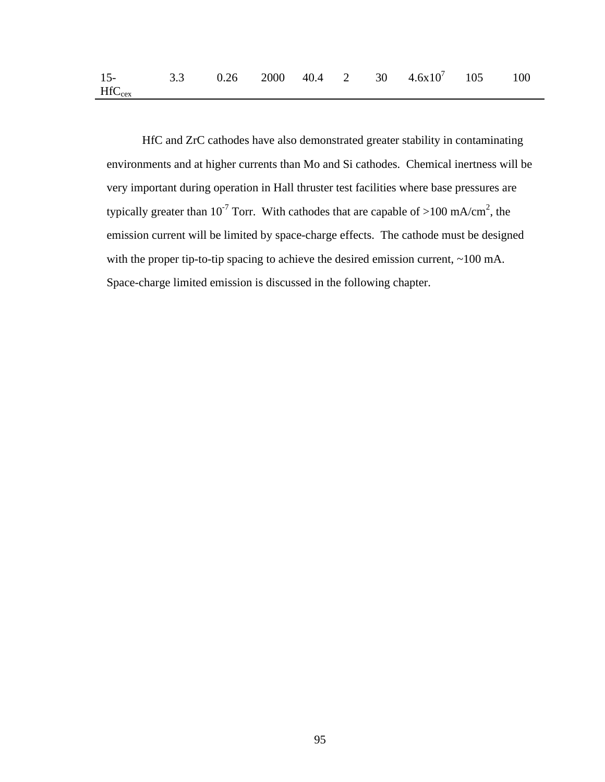| $15-$       |  |  |  | 3.3 0.26 2000 40.4 2 30 $4.6 \times 10^7$ 105 100 |  |
|-------------|--|--|--|---------------------------------------------------|--|
| $HfC_{cex}$ |  |  |  |                                                   |  |

HfC and ZrC cathodes have also demonstrated greater stability in contaminating environments and at higher currents than Mo and Si cathodes. Chemical inertness will be very important during operation in Hall thruster test facilities where base pressures are typically greater than 10<sup>-7</sup> Torr. With cathodes that are capable of >100 mA/cm<sup>2</sup>, the emission current will be limited by space-charge effects. The cathode must be designed with the proper tip-to-tip spacing to achieve the desired emission current, ~100 mA. Space-charge limited emission is discussed in the following chapter.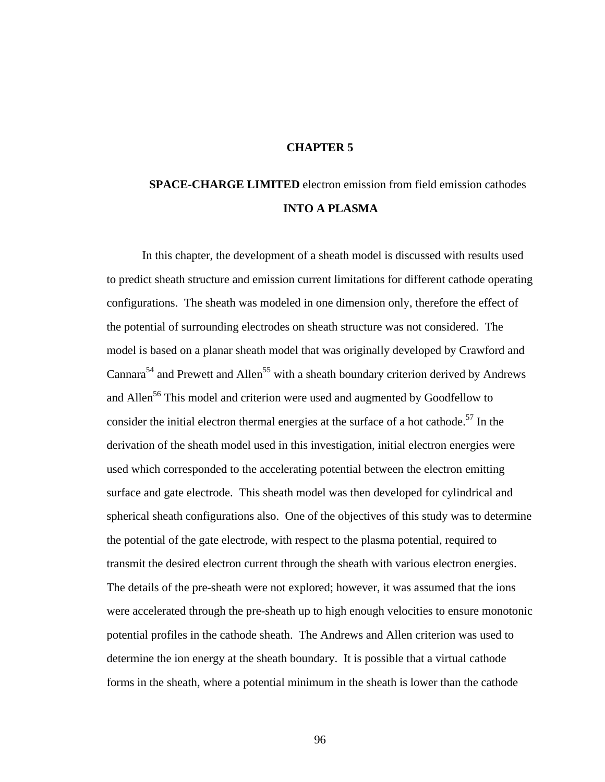# **CHAPTER 5**

# **SPACE-CHARGE LIMITED** electron emission from field emission cathodes **INTO A PLASMA**

In this chapter, the development of a sheath model is discussed with results used to predict sheath structure and emission current limitations for different cathode operating configurations. The sheath was modeled in one dimension only, therefore the effect of the potential of surrounding electrodes on sheath structure was not considered. The model is based on a planar sheath model that was originally developed by Crawford and Cannara<sup>54</sup> and Prewett and Allen<sup>55</sup> with a sheath boundary criterion derived by Andrews and Allen<sup>56</sup> This model and criterion were used and augmented by Goodfellow to consider the initial electron thermal energies at the surface of a hot cathode.<sup>57</sup> In the derivation of the sheath model used in this investigation, initial electron energies were used which corresponded to the accelerating potential between the electron emitting surface and gate electrode. This sheath model was then developed for cylindrical and spherical sheath configurations also. One of the objectives of this study was to determine the potential of the gate electrode, with respect to the plasma potential, required to transmit the desired electron current through the sheath with various electron energies. The details of the pre-sheath were not explored; however, it was assumed that the ions were accelerated through the pre-sheath up to high enough velocities to ensure monotonic potential profiles in the cathode sheath. The Andrews and Allen criterion was used to determine the ion energy at the sheath boundary. It is possible that a virtual cathode forms in the sheath, where a potential minimum in the sheath is lower than the cathode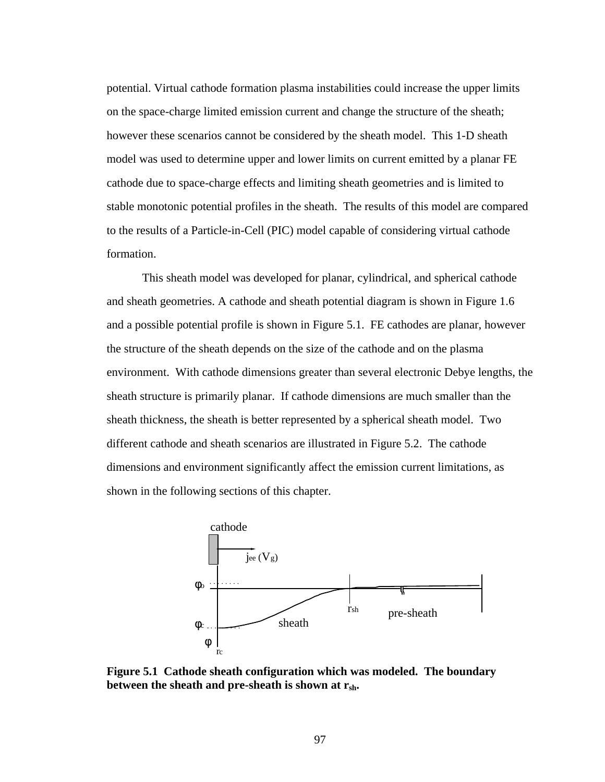potential. Virtual cathode formation plasma instabilities could increase the upper limits on the space-charge limited emission current and change the structure of the sheath; however these scenarios cannot be considered by the sheath model. This 1-D sheath model was used to determine upper and lower limits on current emitted by a planar FE cathode due to space-charge effects and limiting sheath geometries and is limited to stable monotonic potential profiles in the sheath. The results of this model are compared to the results of a Particle-in-Cell (PIC) model capable of considering virtual cathode formation.

This sheath model was developed for planar, cylindrical, and spherical cathode and sheath geometries. A cathode and sheath potential diagram is shown in Figure 1.6 and a possible potential profile is shown in Figure 5.1. FE cathodes are planar, however the structure of the sheath depends on the size of the cathode and on the plasma environment. With cathode dimensions greater than several electronic Debye lengths, the sheath structure is primarily planar. If cathode dimensions are much smaller than the sheath thickness, the sheath is better represented by a spherical sheath model. Two different cathode and sheath scenarios are illustrated in Figure 5.2. The cathode dimensions and environment significantly affect the emission current limitations, as shown in the following sections of this chapter.



**Figure 5.1 Cathode sheath configuration which was modeled. The boundary between the sheath and pre-sheath is shown at rsh.**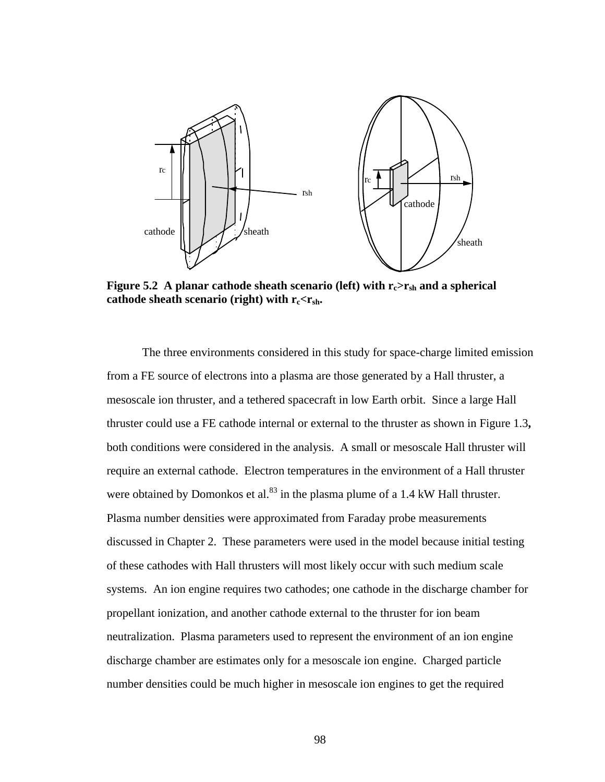

**Figure 5.2** A planar cathode sheath scenario (left) with  $r_c > r_{sh}$  and a spherical **cathode sheath scenario (right) with**  $\mathbf{r}_c < \mathbf{r}_{sh}$ **.** 

The three environments considered in this study for space-charge limited emission from a FE source of electrons into a plasma are those generated by a Hall thruster, a mesoscale ion thruster, and a tethered spacecraft in low Earth orbit. Since a large Hall thruster could use a FE cathode internal or external to the thruster as shown in Figure 1.3**,**  both conditions were considered in the analysis. A small or mesoscale Hall thruster will require an external cathode. Electron temperatures in the environment of a Hall thruster were obtained by Domonkos et al. $^{83}$  in the plasma plume of a 1.4 kW Hall thruster. Plasma number densities were approximated from Faraday probe measurements discussed in Chapter 2. These parameters were used in the model because initial testing of these cathodes with Hall thrusters will most likely occur with such medium scale systems. An ion engine requires two cathodes; one cathode in the discharge chamber for propellant ionization, and another cathode external to the thruster for ion beam neutralization. Plasma parameters used to represent the environment of an ion engine discharge chamber are estimates only for a mesoscale ion engine. Charged particle number densities could be much higher in mesoscale ion engines to get the required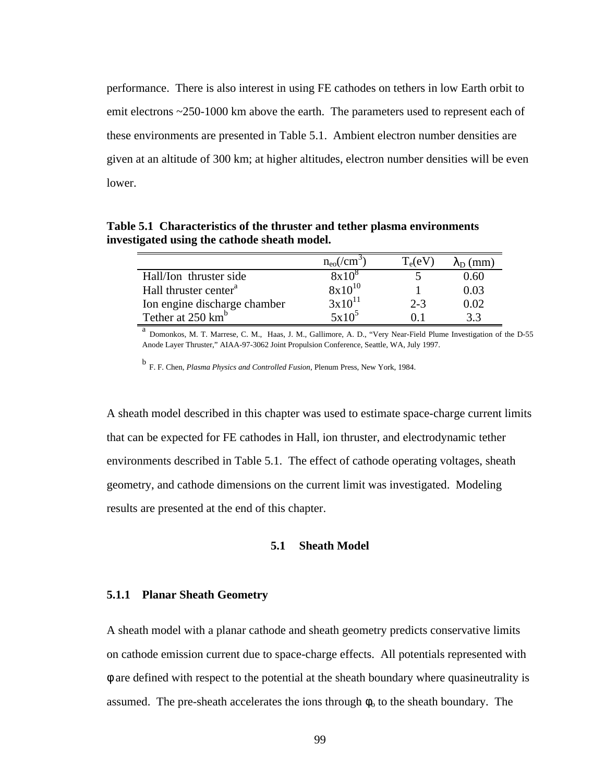performance. There is also interest in using FE cathodes on tethers in low Earth orbit to emit electrons ~250-1000 km above the earth. The parameters used to represent each of these environments are presented in Table 5.1. Ambient electron number densities are given at an altitude of 300 km; at higher altitudes, electron number densities will be even lower.

**Table 5.1 Characteristics of the thruster and tether plasma environments investigated using the cathode sheath model.**

|                                   | $n_{\rm eo}$ (/cm <sup>3</sup> ) | $T_e(eV)$ | $\lambda_{\rm D}$ (mm) |
|-----------------------------------|----------------------------------|-----------|------------------------|
| Hall/Ion thruster side            | $8x10^8$                         |           | 0.60                   |
| Hall thruster center <sup>a</sup> | $8x10^{10}$                      |           | 0.03                   |
| Ion engine discharge chamber      | $3x10^{11}$                      | $2 - 3$   | 0.02                   |
| Tether at 250 km <sup>b</sup>     | $5x10^5$                         |           | 33                     |

a<br> **a** Domonkos, M. T. Marrese, C. M., Haas, J. M., Gallimore, A. D., "Very Near-Field Plume Investigation of the D-55 Anode Layer Thruster," AIAA-97-3062 Joint Propulsion Conference, Seattle, WA, July 1997.

b F. F. Chen, *Plasma Physics and Controlled Fusion*, Plenum Press, New York, 1984.

A sheath model described in this chapter was used to estimate space-charge current limits that can be expected for FE cathodes in Hall, ion thruster, and electrodynamic tether environments described in Table 5.1. The effect of cathode operating voltages, sheath geometry, and cathode dimensions on the current limit was investigated. Modeling results are presented at the end of this chapter.

## **5.1 Sheath Model**

## **5.1.1 Planar Sheath Geometry**

A sheath model with a planar cathode and sheath geometry predicts conservative limits on cathode emission current due to space-charge effects. All potentials represented with φ are defined with respect to the potential at the sheath boundary where quasineutrality is assumed. The pre-sheath accelerates the ions through  $\phi_0$  to the sheath boundary. The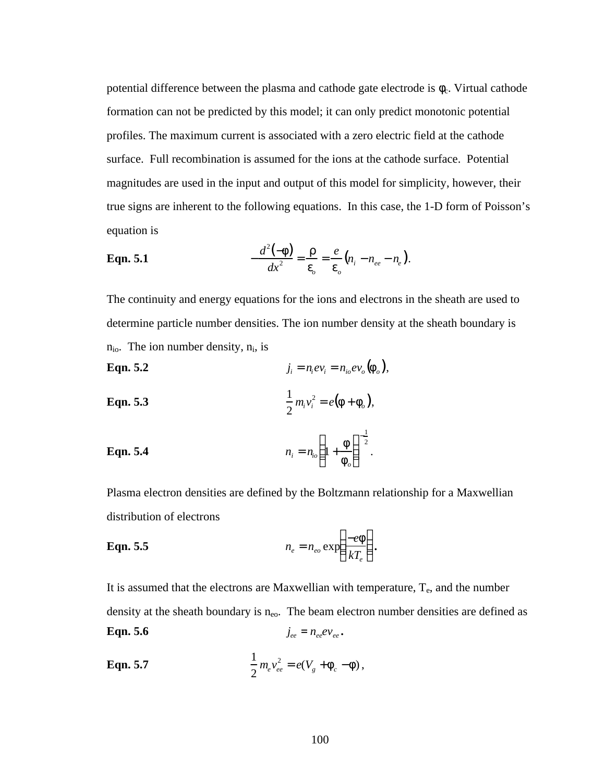potential difference between the plasma and cathode gate electrode is  $\phi_c$ . Virtual cathode formation can not be predicted by this model; it can only predict monotonic potential profiles. The maximum current is associated with a zero electric field at the cathode surface. Full recombination is assumed for the ions at the cathode surface. Potential magnitudes are used in the input and output of this model for simplicity, however, their true signs are inherent to the following equations. In this case, the 1-D form of Poisson's equation is

**Eqn. 5.1** 
$$
-\frac{d^2(-f)}{dx^2} = \frac{r}{e_o} = \frac{e}{e_o}(n_i - n_{ee} - n_e).
$$

The continuity and energy equations for the ions and electrons in the sheath are used to determine particle number densities. The ion number density at the sheath boundary is  $n_{io}$ . The ion number density,  $n_i$ , is

**Eqn. 5.2** 
$$
j_i = n_i e v_i = n_{io} e v_o \left( \mathbf{f}_o \right),
$$

**Eqn. 5.3** 
$$
\frac{1}{2} m_i v_i^2 = e(\mathbf{f} + \mathbf{f}_o),
$$

**Eqn. 5.4** 
$$
n_i = n_{io} \left( 1 + \frac{f}{f_o} \right)^{-\frac{1}{2}}.
$$

Plasma electron densities are defined by the Boltzmann relationship for a Maxwellian distribution of electrons

**Eqn. 5.5** 
$$
n_e = n_{eo} \exp\left(\frac{-e\mathbf{f}}{kT_e}\right).
$$

It is assumed that the electrons are Maxwellian with temperature,  $T_e$ , and the number density at the sheath boundary is  $n_{eo}$ . The beam electron number densities are defined as **Eqn. 5.6** *j*  $j_{ee} = n_{ee}ev_{ee}$ .

**Eqn. 5.7** 
$$
\frac{1}{2} m_e v_{ee}^2 = e(V_g + \mathbf{f}_c - \mathbf{f}),
$$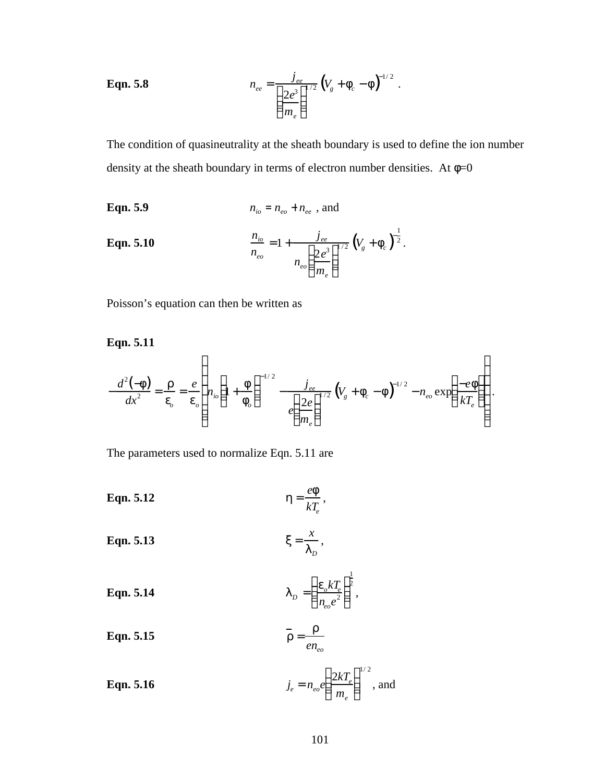**Eqn. 5.8** 
$$
n_{ee} = \frac{j_{ee}}{\left(\frac{2e^3}{m_e}\right)^{1/2}} \left(V_g + f_c - f\right)^{-1/2}.
$$

The condition of quasineutrality at the sheath boundary is used to define the ion number density at the sheath boundary in terms of electron number densities. At  $\phi=0$ 

**Eqn. 5.9** 
$$
n_{io} = n_{eo} + n_{ee}
$$
, and

**Eqn. 5.10** 
$$
\frac{n_{io}}{n_{eo}} = 1 + \frac{j_{ee}}{n_{eo} \left(\frac{2e^3}{m_e}\right)^{1/2}} \left(V_g + \mathbf{f}_c\right)^{-\frac{1}{2}}.
$$

Poisson's equation can then be written as

**Eqn. 5.11**

$$
-\frac{d^{2}(-f)}{dx^{2}} = \frac{r}{e_{o}} = \frac{e}{e_{o}} \left( n_{io} \left( 1 + \frac{f}{f_{o}} \right)^{-1/2} - \frac{j_{ee}}{e \left( \frac{2e}{m_{e}} \right)^{1/2}} \left( V_{g} + f_{c} - f \right)^{-1/2} - n_{eo} \exp \left( \frac{-e f}{kT_{e}} \right) \right).
$$

The parameters used to normalize Eqn. 5.11 are

**Eqn. 5.12** *h* = *ef kTe* ,

$$
x = \frac{x}{l_D},
$$

**Eqn. 5.14** 
$$
I_D = \left(\frac{\boldsymbol{e}_o k T_e}{n_{eo} e^2}\right)^{\frac{1}{2}},
$$

**Eqn. 5.15** *r* = *r eneo*

**Eqn. 5.16** 
$$
j_e = n_{eo} e \left( \frac{2kT_e}{m_e} \right)^{1/2}
$$
, and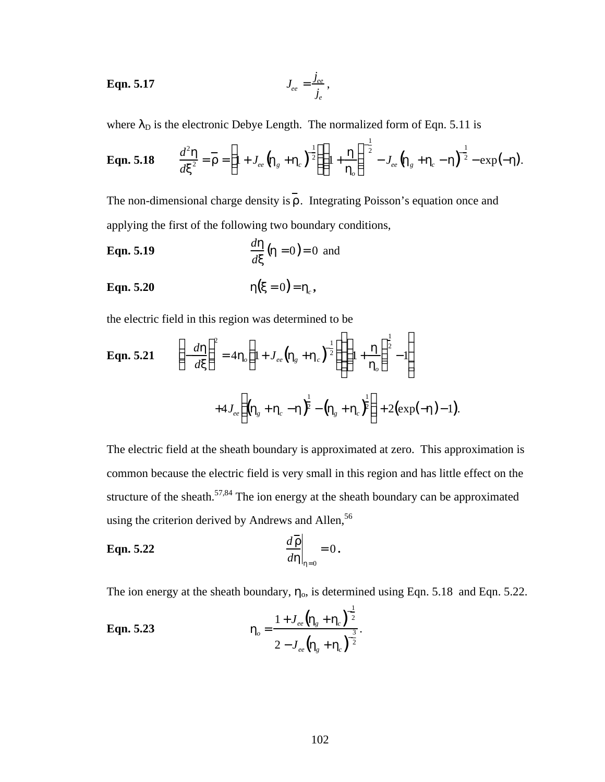$$
L_{ee} = \frac{j_{ee}}{j_e},
$$

where  $\lambda_D$  is the electronic Debye Length. The normalized form of Eqn. 5.11 is

**Eqn. 5.18** 
$$
\frac{d^2 \mathbf{h}}{dx^2} = \mathbf{F} = \left(1 + J_{ee} \left(\mathbf{h}_g + \mathbf{h}_c\right)^{-\frac{1}{2}}\right)\left(1 + \frac{\mathbf{h}}{\mathbf{h}_o}\right)^{-\frac{1}{2}} - J_{ee} \left(\mathbf{h}_g + \mathbf{h}_c - \mathbf{h}\right)^{-\frac{1}{2}} - \exp(-\mathbf{h}).
$$

The non-dimensional charge density is  $\overline{r}$ . Integrating Poisson's equation once and applying the first of the following two boundary conditions,

**Eqn. 5.19** *<sup>d</sup><sup>h</sup> dx*  $(h = 0) = 0$  and

$$
Eqn. 5.20 \t\t\t h(x=0) = h_c,
$$

the electric field in this region was determined to be

**Eqn. 5.21** 
$$
\left(-\frac{d\mathbf{h}}{dx}\right)^{2} = 4\mathbf{h}_{o}\left(1 + J_{ee}(\mathbf{h}_{g} + \mathbf{h}_{c})^{-\frac{1}{2}}\right)\left(1 + \frac{\mathbf{h}}{\mathbf{h}_{o}}\right)^{\frac{1}{2}} - 1\right) + 4J_{ee}\left((\mathbf{h}_{g} + \mathbf{h}_{c} - \mathbf{h})^{\frac{1}{2}} - (\mathbf{h}_{g} + \mathbf{h}_{c})^{\frac{1}{2}}\right) + 2(\exp(-\mathbf{h}) - 1).
$$

The electric field at the sheath boundary is approximated at zero. This approximation is common because the electric field is very small in this region and has little effect on the structure of the sheath.<sup>57,84</sup> The ion energy at the sheath boundary can be approximated using the criterion derived by Andrews and Allen,<sup>56</sup>

$$
\mathbf{Eqn. 5.22} \qquad \qquad \frac{d\mathbf{r}}{d\mathbf{h}}\bigg|_{\mathbf{h}=0} = 0 \, .
$$

The ion energy at the sheath boundary,  $\eta_0$ , is determined using Eqn. 5.18 and Eqn. 5.22.

**Eqn. 5.23** 
$$
\mathbf{h}_{o} = \frac{1 + J_{ee} (\mathbf{h}_{g} + \mathbf{h}_{c})^{\frac{1}{2}}}{2 - J_{ee} (\mathbf{h}_{g} + \mathbf{h}_{c})^{\frac{3}{2}}}.
$$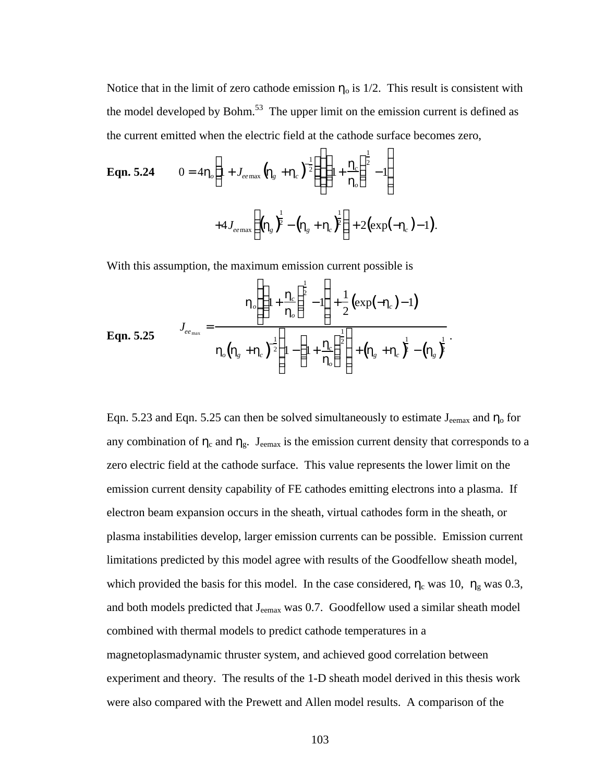Notice that in the limit of zero cathode emission  $\eta_0$  is 1/2. This result is consistent with the model developed by Bohm. $53$  The upper limit on the emission current is defined as the current emitted when the electric field at the cathode surface becomes zero,

**Eqn. 5.24** 
$$
0 = 4\mathbf{h}_o \left( 1 + J_{e_{e_{\text{max}}}} \left( \mathbf{h}_g + \mathbf{h}_c \right)^{\frac{1}{2}} \right) \left( 1 + \frac{\mathbf{h}_c}{\mathbf{h}_o} \right)^{\frac{1}{2}} - 1 \right) + 4J_{e_{e_{\text{max}}}} \left( \left( \mathbf{h}_g \right)^{\frac{1}{2}} - \left( \mathbf{h}_g + \mathbf{h}_c \right)^{\frac{1}{2}} \right) + 2 \left( \exp(-\mathbf{h}_c) - 1 \right).
$$

With this assumption, the maximum emission current possible is

$$
\mathbf{Eqn. 5.25} \qquad J_{ee_{\text{max}}} = \frac{\mathbf{h}_o \left( \left( 1 + \frac{\mathbf{h}_c}{\mathbf{h}_o} \right)^{\frac{1}{2}} - 1 \right) + \frac{1}{2} \left( \exp(-\mathbf{h}_c) - 1 \right)}{\mathbf{h}_o \left( \mathbf{h}_s + \mathbf{h}_c \right)^{\frac{1}{2}} \left( 1 - \left( 1 + \frac{\mathbf{h}_c}{\mathbf{h}_o} \right)^{\frac{1}{2}} \right) + \left( \mathbf{h}_s + \mathbf{h}_c \right)^{\frac{1}{2}} - \left( \mathbf{h}_s \right)^{\frac{1}{2}}}
$$

Eqn. 5.23 and Eqn. 5.25 can then be solved simultaneously to estimate  $J_{\text{eemax}}$  and  $\eta_0$  for any combination of  $\eta_c$  and  $\eta_g$ . J<sub>eemax</sub> is the emission current density that corresponds to a zero electric field at the cathode surface. This value represents the lower limit on the emission current density capability of FE cathodes emitting electrons into a plasma. If electron beam expansion occurs in the sheath, virtual cathodes form in the sheath, or plasma instabilities develop, larger emission currents can be possible. Emission current limitations predicted by this model agree with results of the Goodfellow sheath model, which provided the basis for this model. In the case considered,  $\eta_c$  was 10,  $\eta_g$  was 0.3, and both models predicted that J<sub>eemax</sub> was 0.7. Goodfellow used a similar sheath model combined with thermal models to predict cathode temperatures in a magnetoplasmadynamic thruster system, and achieved good correlation between experiment and theory. The results of the 1-D sheath model derived in this thesis work were also compared with the Prewett and Allen model results. A comparison of the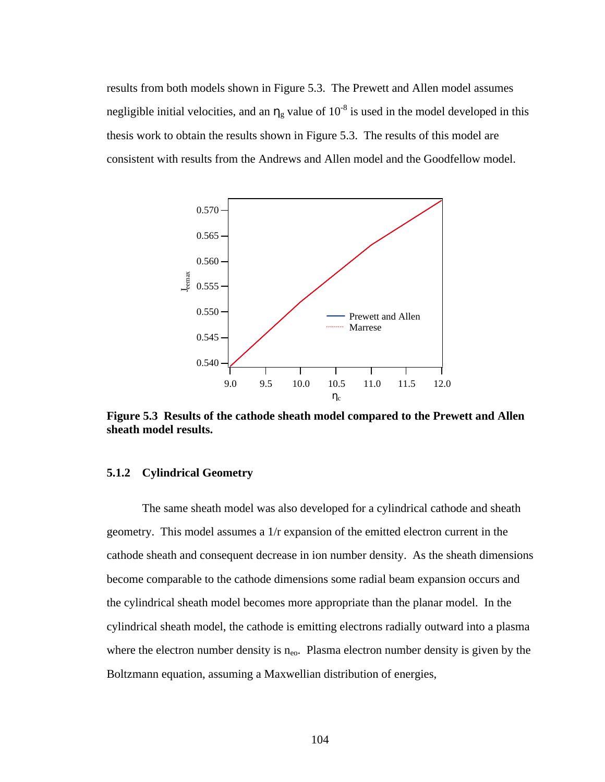results from both models shown in Figure 5.3. The Prewett and Allen model assumes negligible initial velocities, and an  $\eta_g$  value of 10<sup>-8</sup> is used in the model developed in this thesis work to obtain the results shown in Figure 5.3. The results of this model are consistent with results from the Andrews and Allen model and the Goodfellow model.



**Figure 5.3 Results of the cathode sheath model compared to the Prewett and Allen sheath model results.**

## **5.1.2 Cylindrical Geometry**

The same sheath model was also developed for a cylindrical cathode and sheath geometry. This model assumes a 1/r expansion of the emitted electron current in the cathode sheath and consequent decrease in ion number density. As the sheath dimensions become comparable to the cathode dimensions some radial beam expansion occurs and the cylindrical sheath model becomes more appropriate than the planar model. In the cylindrical sheath model, the cathode is emitting electrons radially outward into a plasma where the electron number density is  $n_{e0}$ . Plasma electron number density is given by the Boltzmann equation, assuming a Maxwellian distribution of energies,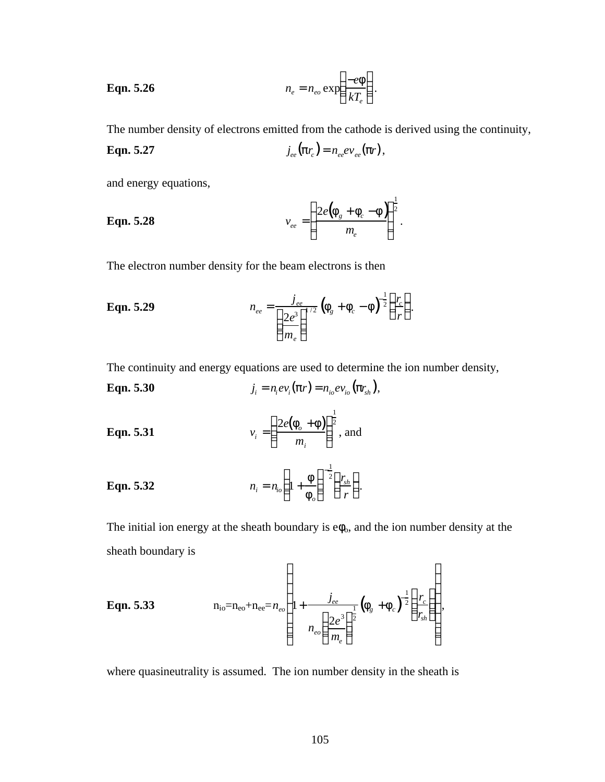**Eqn. 5.26** 
$$
n_e = n_{eo} \exp\left(\frac{-e\mathbf{f}}{kT_e}\right).
$$

The number density of electrons emitted from the cathode is derived using the continuity,

**Eqn. 5.27** 
$$
j_{ee}(\boldsymbol{p}r_c) = n_{ee}ev_{ee}(\boldsymbol{p}r),
$$

and energy equations,

**Eqn. 5.28** 
$$
v_{ee} = \left(\frac{2e(\mathbf{f}_g + \mathbf{f}_c - \mathbf{f})}{m_e}\right)^{\frac{1}{2}}.
$$

The electron number density for the beam electrons is then

**Eqn. 5.29** 
$$
n_{ee} = \frac{j_{ee}}{\left(\frac{2e^3}{m_e}\right)^{1/2}} \left(f_g + f_c - f\right)^{-\frac{1}{2}} \left(\frac{r_c}{r}\right).
$$

The continuity and energy equations are used to determine the ion number density,

**Eqn. 5.30** 
$$
j_i = n_i ev_i(\boldsymbol{p}r) = n_{io} ev_{io}(\boldsymbol{p}r_{sh}),
$$

**Eqn. 5.31** 
$$
v_i = \left(\frac{2e(\mathbf{f}_o + \mathbf{f})}{m_i}\right)^{\frac{1}{2}}, \text{ and}
$$

**Eqn. 5.32** 
$$
n_i = n_{io} \left( 1 + \frac{f}{f_o} \right)^{-\frac{1}{2}} \left( \frac{r_{sh}}{r} \right).
$$

The initial ion energy at the sheath boundary is  $e\phi_0$ , and the ion number density at the sheath boundary is

**Eqn. 5.33** 
$$
n_{io} = n_{eo} + n_{ee} = n_{eo} \left( 1 + \frac{j_{ee}}{n_{eo} \left( \frac{2e^3}{m_e} \right)^{\frac{1}{2}} \left( \mathbf{f}_g + \mathbf{f}_c \right)^{\frac{1}{2}} \left( \frac{r_c}{r_{sh}} \right) \right),
$$

where quasineutrality is assumed. The ion number density in the sheath is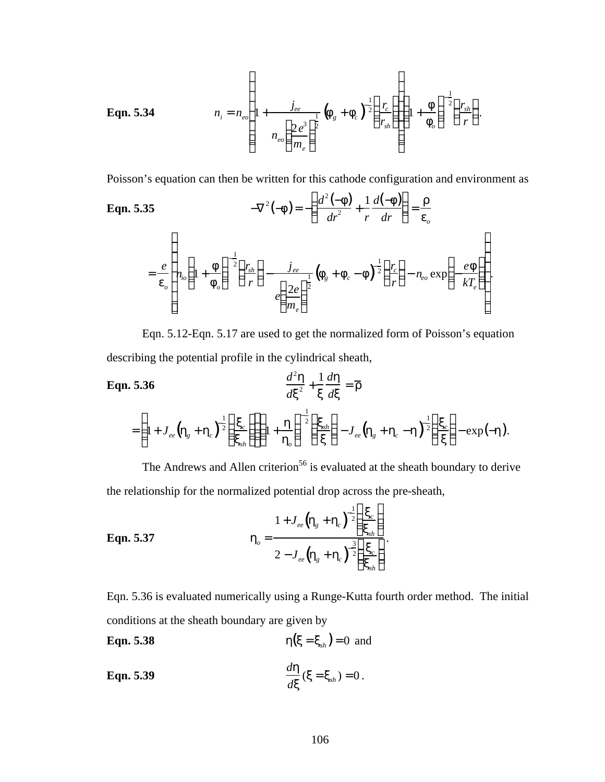**Eqn. 5.34** 
$$
n_{i} = n_{eo} \left( 1 + \frac{j_{ee}}{n_{eo} \left( \frac{2e^{3}}{m_{e}} \right)^{\frac{1}{2}}} \left( \mathbf{f}_{g} + \mathbf{f}_{c} \right)^{\frac{1}{2}} \left( \frac{r_{e}}{r_{sh}} \right) \right) \left( 1 + \frac{\mathbf{f}}{\mathbf{f}_{o}} \right)^{-\frac{1}{2}} \left( \frac{r_{sh}}{r} \right).
$$

Poisson's equation can then be written for this cathode configuration and environment as

Eqn. 5.35

\n
$$
-\nabla^{2}(-f) = -\left(\frac{d^{2}(-f)}{dr^{2}} + \frac{1}{r}\frac{d(-f)}{dr}\right) = \frac{r}{e_{o}}
$$
\n
$$
= \frac{e}{e_{o}} \left[ n_{io} \left(1 + \frac{f}{f_{o}}\right)^{\frac{1}{2}} \left(\frac{r_{sh}}{r}\right) - \frac{j_{ee}}{e\left(\frac{2e}{m_{e}}\right)^{\frac{1}{2}}} \left(f_{g} + f_{c} - f\right)^{\frac{1}{2}} \left(\frac{r_{c}}{r}\right) - n_{eo} \exp\left(-\frac{ef}{kT_{e}}\right) \right].
$$

Eqn. 5.12-Eqn. 5.17 are used to get the normalized form of Poisson's equation describing the potential profile in the cylindrical sheath,

Eqn. 5.36  
\n
$$
\frac{d^2 \mathbf{h}}{dx^2} + \frac{1}{x} \frac{d \mathbf{h}}{dx} = \overline{\mathbf{r}}
$$
\n
$$
= \left(1 + J_{ee} \left(\mathbf{h}_g + \mathbf{h}_c\right)^{-\frac{1}{2}} \left(\frac{\mathbf{x}_c}{\mathbf{x}_{sh}}\right) \right) \left(1 + \frac{\mathbf{h}}{\mathbf{h}_o}\right)^{-\frac{1}{2}} \left(\frac{\mathbf{x}_{sh}}{\mathbf{x}}\right) - J_{ee} \left(\mathbf{h}_g + \mathbf{h}_c - \mathbf{h}\right)^{-\frac{1}{2}} \left(\frac{\mathbf{x}_c}{\mathbf{x}}\right) - \exp(-\mathbf{h}).
$$

The Andrews and Allen criterion<sup>56</sup> is evaluated at the sheath boundary to derive the relationship for the normalized potential drop across the pre-sheath,

**Eqn. 5.37** 
$$
\mathbf{h}_{o} = \frac{1 + J_{ee} (\mathbf{h}_{g} + \mathbf{h}_{c})^{-\frac{1}{2}} \left( \frac{\mathbf{x}_{c}}{\mathbf{x}_{sh}} \right)}{2 - J_{ee} (\mathbf{h}_{g} + \mathbf{h}_{c})^{-\frac{3}{2}} \left( \frac{\mathbf{x}_{c}}{\mathbf{x}_{sh}} \right)}.
$$

Eqn. 5.36 is evaluated numerically using a Runge-Kutta fourth order method. The initial conditions at the sheath boundary are given by

**Eqn. 5.38** 
$$
h(x = x_{sh}) = 0
$$
 and

$$
\mathbf{Eqn. 5.39} \qquad \qquad \frac{d\mathbf{h}}{d\mathbf{x}}(\mathbf{x} = \mathbf{x}_{\rm sh}) = 0 \, .
$$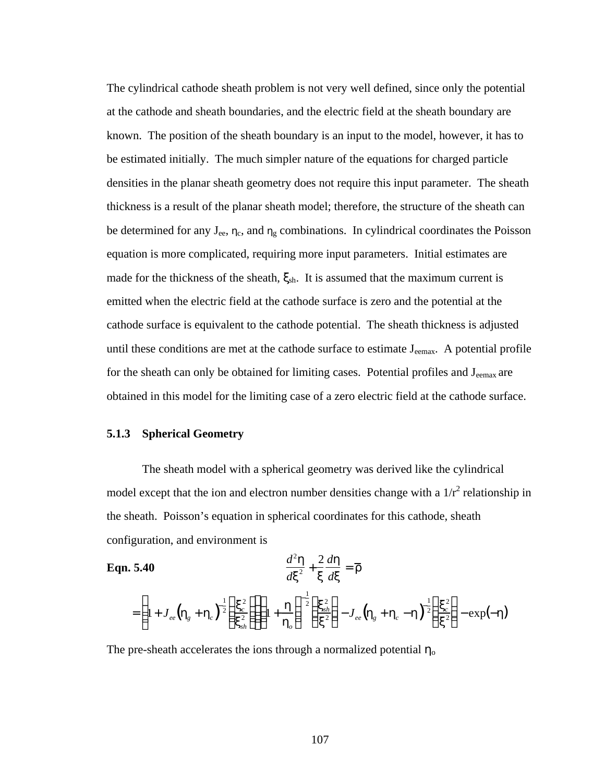The cylindrical cathode sheath problem is not very well defined, since only the potential at the cathode and sheath boundaries, and the electric field at the sheath boundary are known. The position of the sheath boundary is an input to the model, however, it has to be estimated initially. The much simpler nature of the equations for charged particle densities in the planar sheath geometry does not require this input parameter. The sheath thickness is a result of the planar sheath model; therefore, the structure of the sheath can be determined for any  $J_{ee}$ ,  $\eta_c$ , and  $\eta_g$  combinations. In cylindrical coordinates the Poisson equation is more complicated, requiring more input parameters. Initial estimates are made for the thickness of the sheath,  $\xi_{\rm sh}$ . It is assumed that the maximum current is emitted when the electric field at the cathode surface is zero and the potential at the cathode surface is equivalent to the cathode potential. The sheath thickness is adjusted until these conditions are met at the cathode surface to estimate  $J_{\text{eemas}}$ . A potential profile for the sheath can only be obtained for limiting cases. Potential profiles and J<sub>eemax</sub> are obtained in this model for the limiting case of a zero electric field at the cathode surface.

## **5.1.3 Spherical Geometry**

The sheath model with a spherical geometry was derived like the cylindrical model except that the ion and electron number densities change with a  $1/r^2$  relationship in the sheath. Poisson's equation in spherical coordinates for this cathode, sheath configuration, and environment is

$$
\textbf{Eqn. 5.40} \qquad \qquad \frac{d^2 \mathbf{h}}{dx^2} + \frac{2}{x} \frac{d \mathbf{h}}{dx} = \overline{\mathbf{r}}
$$

$$
= \left(1+J_{ee} \left(\!{\mathbf{h}}_g + {\mathbf{h}}_c\right)^{\frac{1}{2}}\!\!\left(\!\frac{{\mathbf{x}}_c^2}{{\mathbf{x}}_{sh}^2}\right)\!\!\right)\!\!\left(1+\frac{{\mathbf{h}}}{\mathbf{h}_o}\right)^{\frac{1}{2}}\!\!\left(\frac{{\mathbf{x}}_{sh}^2}{{\mathbf{x}}^2}\right) - J_{ee} \left(\!{\mathbf{h}}_g + {\mathbf{h}}_c - {\mathbf{h}}\right)^{\frac{1}{2}}\!\!\left(\frac{{\mathbf{x}}_c^2}{{\mathbf{x}}^2}\right) - \exp(-{\mathbf{h}})
$$

The pre-sheath accelerates the ions through a normalized potential  $\eta_0$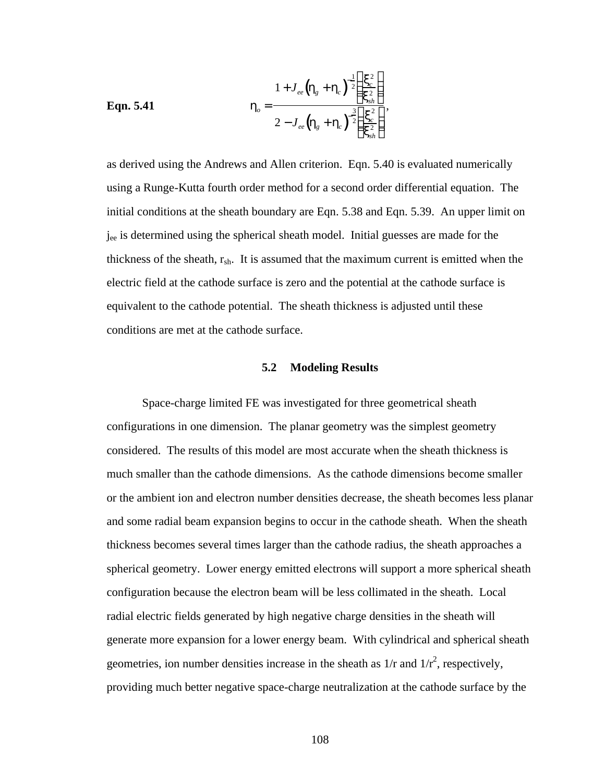**Eqn. 5.41** 
$$
\mathbf{h}_{o} = \frac{1 + J_{ee} (\mathbf{h}_{g} + \mathbf{h}_{c})^{-\frac{1}{2}} \left( \frac{\mathbf{x}_{c}^{2}}{\mathbf{x}_{sh}^{2}} \right)}{2 - J_{ee} (\mathbf{h}_{g} + \mathbf{h}_{c})^{-\frac{3}{2}} \left( \frac{\mathbf{x}_{c}^{2}}{\mathbf{x}_{sh}^{2}} \right)},
$$

as derived using the Andrews and Allen criterion. Eqn. 5.40 is evaluated numerically using a Runge-Kutta fourth order method for a second order differential equation. The initial conditions at the sheath boundary are Eqn. 5.38 and Eqn. 5.39. An upper limit on jee is determined using the spherical sheath model. Initial guesses are made for the thickness of the sheath,  $r_{\rm sh}$ . It is assumed that the maximum current is emitted when the electric field at the cathode surface is zero and the potential at the cathode surface is equivalent to the cathode potential. The sheath thickness is adjusted until these conditions are met at the cathode surface.

#### **5.2 Modeling Results**

Space-charge limited FE was investigated for three geometrical sheath configurations in one dimension. The planar geometry was the simplest geometry considered. The results of this model are most accurate when the sheath thickness is much smaller than the cathode dimensions. As the cathode dimensions become smaller or the ambient ion and electron number densities decrease, the sheath becomes less planar and some radial beam expansion begins to occur in the cathode sheath. When the sheath thickness becomes several times larger than the cathode radius, the sheath approaches a spherical geometry. Lower energy emitted electrons will support a more spherical sheath configuration because the electron beam will be less collimated in the sheath. Local radial electric fields generated by high negative charge densities in the sheath will generate more expansion for a lower energy beam. With cylindrical and spherical sheath geometries, ion number densities increase in the sheath as  $1/r$  and  $1/r<sup>2</sup>$ , respectively, providing much better negative space-charge neutralization at the cathode surface by the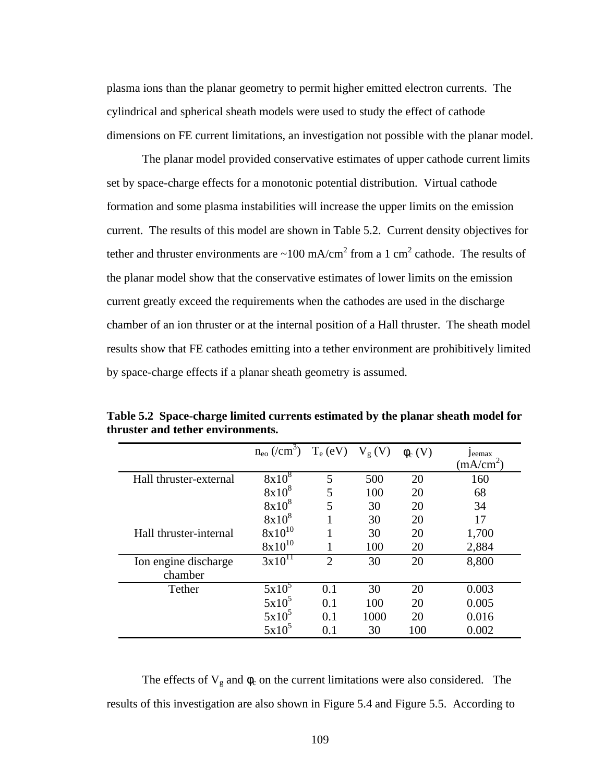plasma ions than the planar geometry to permit higher emitted electron currents. The cylindrical and spherical sheath models were used to study the effect of cathode dimensions on FE current limitations, an investigation not possible with the planar model.

The planar model provided conservative estimates of upper cathode current limits set by space-charge effects for a monotonic potential distribution. Virtual cathode formation and some plasma instabilities will increase the upper limits on the emission current. The results of this model are shown in Table 5.2. Current density objectives for tether and thruster environments are  $\sim 100$  mA/cm<sup>2</sup> from a 1 cm<sup>2</sup> cathode. The results of the planar model show that the conservative estimates of lower limits on the emission current greatly exceed the requirements when the cathodes are used in the discharge chamber of an ion thruster or at the internal position of a Hall thruster. The sheath model results show that FE cathodes emitting into a tether environment are prohibitively limited by space-charge effects if a planar sheath geometry is assumed.

|                        | $n_{\rm eo}$ (/cm <sup>3</sup> ) | $T_e$ (eV)                  | $V_g(V)$ | $\phi_c$ (V) | Jeemax<br>$(mA/cm^2)$ |
|------------------------|----------------------------------|-----------------------------|----------|--------------|-----------------------|
| Hall thruster-external | $8x10^8$                         | 5                           | 500      | 20           | 160                   |
|                        | $8x10^8$                         | 5                           | 100      | 20           | 68                    |
|                        | $8x10^8$                         | 5                           | 30       | 20           | 34                    |
|                        | $8x10^8$                         |                             | 30       | 20           | 17                    |
| Hall thruster-internal | $8x10^{10}$                      |                             | 30       | 20           | 1,700                 |
|                        | $8x10^{10}$                      |                             | 100      | 20           | 2,884                 |
| Ion engine discharge   | $3x10^{11}$                      | $\mathcal{D}_{\mathcal{L}}$ | 30       | 20           | 8,800                 |
| chamber                |                                  |                             |          |              |                       |
| Tether                 | $5x10^5$                         | 0.1                         | 30       | 20           | 0.003                 |
|                        | $5x10^5$                         | 0.1                         | 100      | 20           | 0.005                 |
|                        | $5x10^5$                         | 0.1                         | 1000     | 20           | 0.016                 |
|                        | $5x10^5$                         | 0.1                         | 30       | 100          | 0.002                 |

**Table 5.2 Space-charge limited currents estimated by the planar sheath model for thruster and tether environments.**

The effects of  $V_g$  and  $\phi_c$  on the current limitations were also considered. The results of this investigation are also shown in Figure 5.4 and Figure 5.5. According to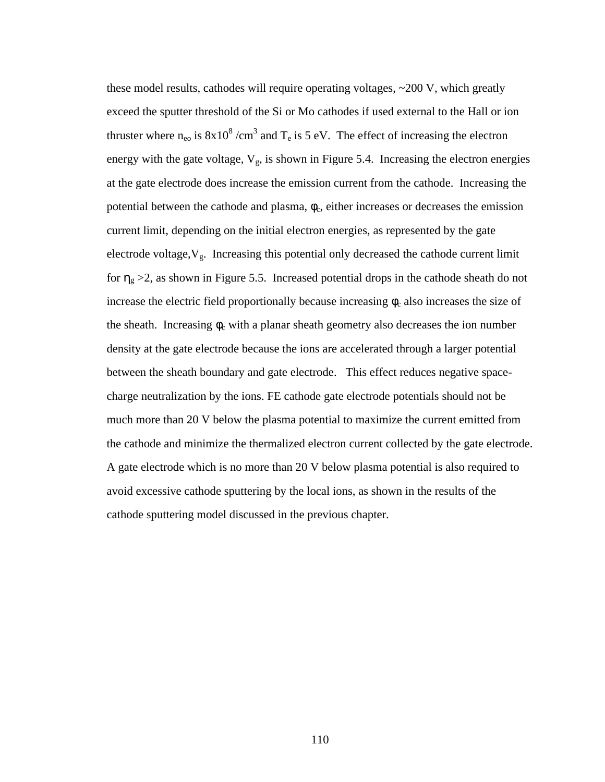these model results, cathodes will require operating voltages, ~200 V, which greatly exceed the sputter threshold of the Si or Mo cathodes if used external to the Hall or ion thruster where  $n_{e0}$  is  $8x10^8$  /cm<sup>3</sup> and T<sub>e</sub> is 5 eV. The effect of increasing the electron energy with the gate voltage,  $V_g$ , is shown in Figure 5.4. Increasing the electron energies at the gate electrode does increase the emission current from the cathode. Increasing the potential between the cathode and plasma,  $\phi_c$ , either increases or decreases the emission current limit, depending on the initial electron energies, as represented by the gate electrode voltage,  $V_g$ . Increasing this potential only decreased the cathode current limit for  $\eta_g > 2$ , as shown in Figure 5.5. Increased potential drops in the cathode sheath do not increase the electric field proportionally because increasing  $\phi_c$  also increases the size of the sheath. Increasing  $\phi_c$  with a planar sheath geometry also decreases the ion number density at the gate electrode because the ions are accelerated through a larger potential between the sheath boundary and gate electrode. This effect reduces negative spacecharge neutralization by the ions. FE cathode gate electrode potentials should not be much more than 20 V below the plasma potential to maximize the current emitted from the cathode and minimize the thermalized electron current collected by the gate electrode. A gate electrode which is no more than 20 V below plasma potential is also required to avoid excessive cathode sputtering by the local ions, as shown in the results of the cathode sputtering model discussed in the previous chapter.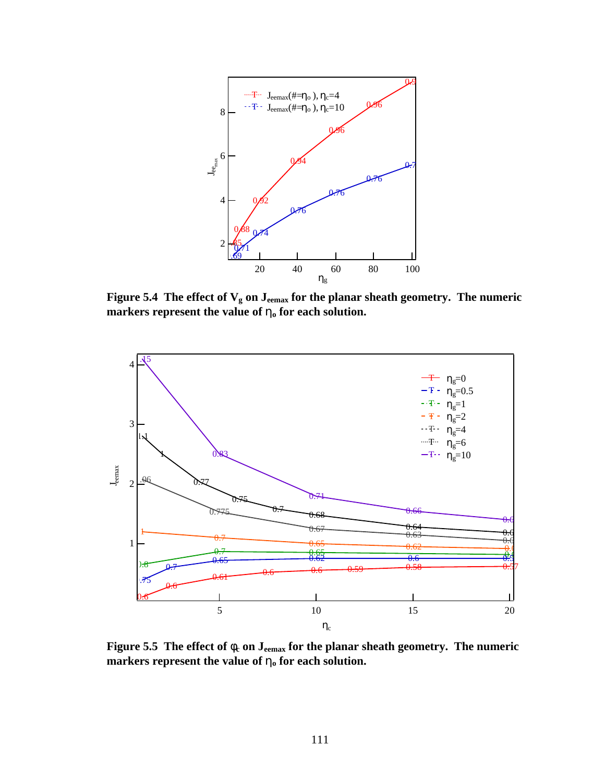

**Figure 5.4** The effect of  $V_g$  on  $J_{\text{eemax}}$  for the planar sheath geometry. The numeric **markers represent the value of ho for each solution.**



Figure 5.5 The effect of  $f_c$  on J<sub>eemax</sub> for the planar sheath geometry. The numeric **markers represent the value of ho for each solution.**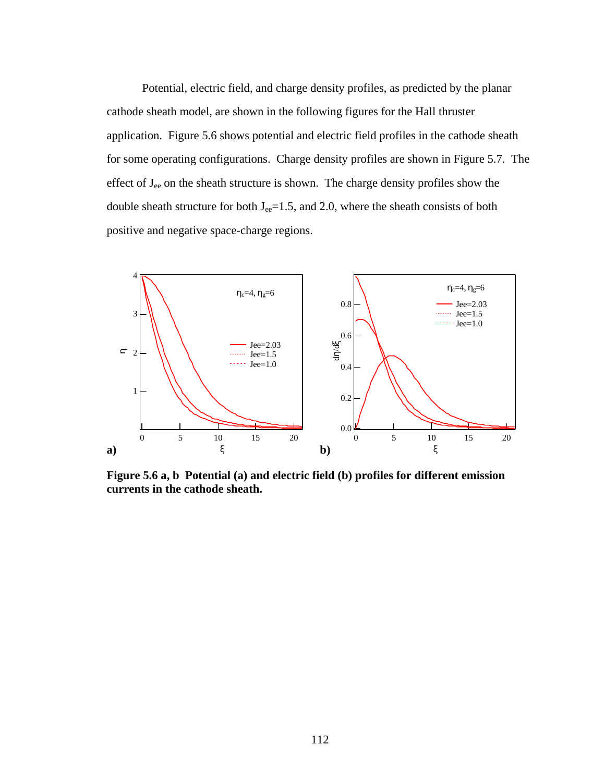Potential, electric field, and charge density profiles, as predicted by the planar cathode sheath model, are shown in the following figures for the Hall thruster application. Figure 5.6 shows potential and electric field profiles in the cathode sheath for some operating configurations. Charge density profiles are shown in Figure 5.7. The effect of  $J_{ee}$  on the sheath structure is shown. The charge density profiles show the double sheath structure for both  $J_{ee}$ =1.5, and 2.0, where the sheath consists of both positive and negative space-charge regions.



**Figure 5.6 a, b Potential (a) and electric field (b) profiles for different emission currents in the cathode sheath.**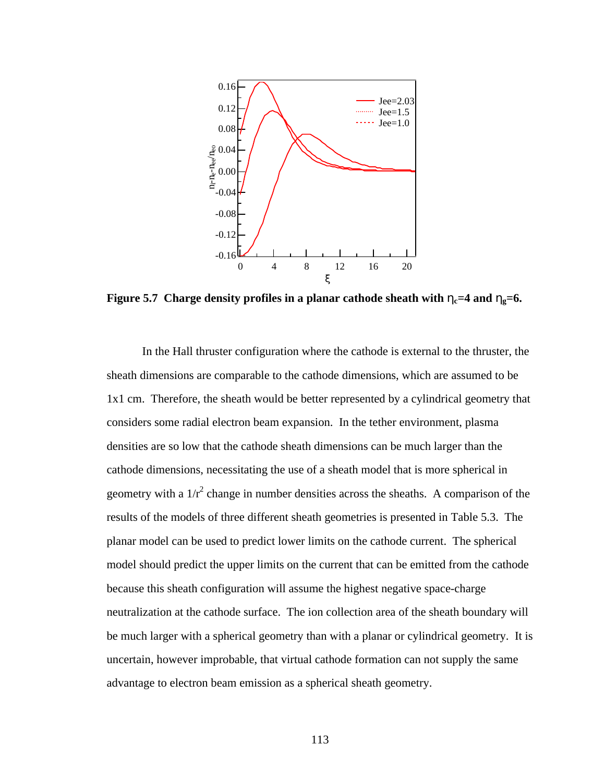

**Figure 5.7** Charge density profiles in a planar cathode sheath with  $h_c = 4$  and  $h_e = 6$ .

In the Hall thruster configuration where the cathode is external to the thruster, the sheath dimensions are comparable to the cathode dimensions, which are assumed to be 1x1 cm. Therefore, the sheath would be better represented by a cylindrical geometry that considers some radial electron beam expansion. In the tether environment, plasma densities are so low that the cathode sheath dimensions can be much larger than the cathode dimensions, necessitating the use of a sheath model that is more spherical in geometry with a  $1/r^2$  change in number densities across the sheaths. A comparison of the results of the models of three different sheath geometries is presented in Table 5.3. The planar model can be used to predict lower limits on the cathode current. The spherical model should predict the upper limits on the current that can be emitted from the cathode because this sheath configuration will assume the highest negative space-charge neutralization at the cathode surface. The ion collection area of the sheath boundary will be much larger with a spherical geometry than with a planar or cylindrical geometry. It is uncertain, however improbable, that virtual cathode formation can not supply the same advantage to electron beam emission as a spherical sheath geometry.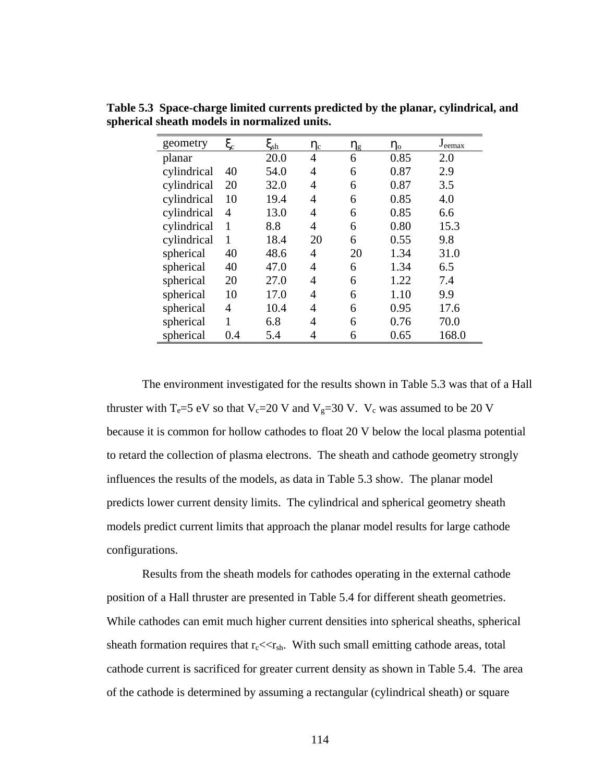| geometry    | $\xi_{\rm c}$  | $\boldsymbol{\xi}_\mathrm{sh}$ | $\eta_c$       | $\eta_{\rm g}$ | $\eta_{\rm o}$ | $J_{\text{eemax}}$ |
|-------------|----------------|--------------------------------|----------------|----------------|----------------|--------------------|
| planar      |                | 20.0                           | 4              | 6              | 0.85           | 2.0                |
| cylindrical | 40             | 54.0                           | $\overline{4}$ | 6              | 0.87           | 2.9                |
| cylindrical | 20             | 32.0                           | 4              | 6              | 0.87           | 3.5                |
| cylindrical | 10             | 19.4                           | 4              | 6              | 0.85           | 4.0                |
| cylindrical | 4              | 13.0                           | 4              | 6              | 0.85           | 6.6                |
| cylindrical | 1              | 8.8                            | 4              | 6              | 0.80           | 15.3               |
| cylindrical | 1              | 18.4                           | 20             | 6              | 0.55           | 9.8                |
| spherical   | 40             | 48.6                           | 4              | 20             | 1.34           | 31.0               |
| spherical   | 40             | 47.0                           | $\overline{4}$ | 6              | 1.34           | 6.5                |
| spherical   | 20             | 27.0                           | 4              | 6              | 1.22           | 7.4                |
| spherical   | 10             | 17.0                           | $\overline{4}$ | 6              | 1.10           | 9.9                |
| spherical   | $\overline{4}$ | 10.4                           | 4              | 6              | 0.95           | 17.6               |
| spherical   | 1              | 6.8                            | 4              | 6              | 0.76           | 70.0               |
| spherical   | 0.4            | 5.4                            | 4              | 6              | 0.65           | 168.0              |

**Table 5.3 Space-charge limited currents predicted by the planar, cylindrical, and spherical sheath models in normalized units.**

The environment investigated for the results shown in Table 5.3 was that of a Hall thruster with T<sub>e</sub>=5 eV so that V<sub>c</sub>=20 V and V<sub>g</sub>=30 V. V<sub>c</sub> was assumed to be 20 V because it is common for hollow cathodes to float 20 V below the local plasma potential to retard the collection of plasma electrons. The sheath and cathode geometry strongly influences the results of the models, as data in Table 5.3 show. The planar model predicts lower current density limits. The cylindrical and spherical geometry sheath models predict current limits that approach the planar model results for large cathode configurations.

Results from the sheath models for cathodes operating in the external cathode position of a Hall thruster are presented in Table 5.4 for different sheath geometries. While cathodes can emit much higher current densities into spherical sheaths, spherical sheath formation requires that  $r_c \ll r_{sh}$ . With such small emitting cathode areas, total cathode current is sacrificed for greater current density as shown in Table 5.4. The area of the cathode is determined by assuming a rectangular (cylindrical sheath) or square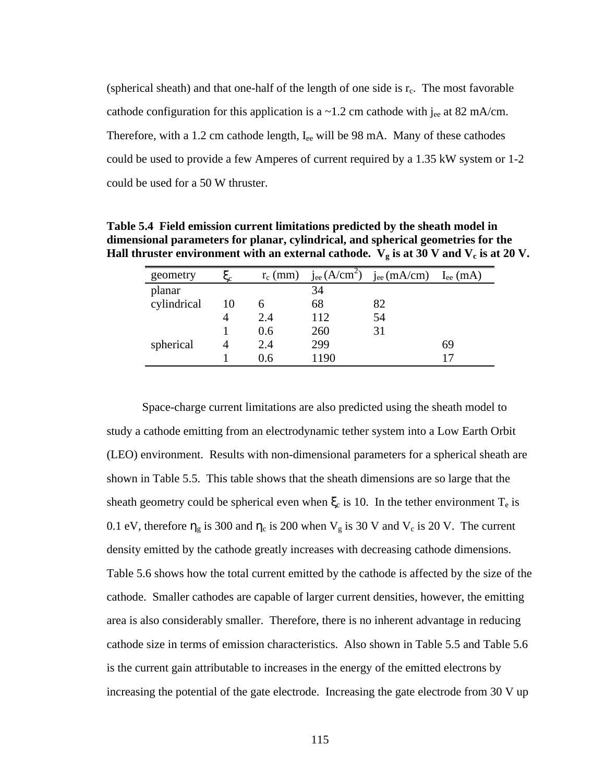(spherical sheath) and that one-half of the length of one side is  $r_c$ . The most favorable cathode configuration for this application is a  $\sim$ 1.2 cm cathode with j<sub>ee</sub> at 82 mA/cm. Therefore, with a 1.2 cm cathode length,  $I_{ee}$  will be 98 mA. Many of these cathodes could be used to provide a few Amperes of current required by a 1.35 kW system or 1-2 could be used for a 50 W thruster.

| geometry    |    | $r_c$ (mm) | $j_{ee}$ (A/cm <sup>2</sup> ) | $j_{ee}$ (mA/cm) | $I_{ee}$ (mA) |
|-------------|----|------------|-------------------------------|------------------|---------------|
| planar      |    |            | 34                            |                  |               |
| cylindrical | 10 | n          | 68                            | 82               |               |
|             |    | 2.4        | 112                           | 54               |               |
|             |    | 0.6        | 260                           | 31               |               |
| spherical   |    | 2.4        | 299                           |                  | 69            |
|             |    | 0.6        | 1190                          |                  |               |

**Table 5.4 Field emission current limitations predicted by the sheath model in dimensional parameters for planar, cylindrical, and spherical geometries for the Hall thruster environment with an external cathode.**  $V_g$  is at 30 V and  $V_c$  is at 20 V.

Space-charge current limitations are also predicted using the sheath model to study a cathode emitting from an electrodynamic tether system into a Low Earth Orbit (LEO) environment. Results with non-dimensional parameters for a spherical sheath are shown in Table 5.5. This table shows that the sheath dimensions are so large that the sheath geometry could be spherical even when  $\xi_c$  is 10. In the tether environment  $T_e$  is 0.1 eV, therefore  $\eta_g$  is 300 and  $\eta_c$  is 200 when  $V_g$  is 30 V and  $V_c$  is 20 V. The current density emitted by the cathode greatly increases with decreasing cathode dimensions. Table 5.6 shows how the total current emitted by the cathode is affected by the size of the cathode. Smaller cathodes are capable of larger current densities, however, the emitting area is also considerably smaller. Therefore, there is no inherent advantage in reducing cathode size in terms of emission characteristics. Also shown in Table 5.5 and Table 5.6 is the current gain attributable to increases in the energy of the emitted electrons by increasing the potential of the gate electrode. Increasing the gate electrode from 30 V up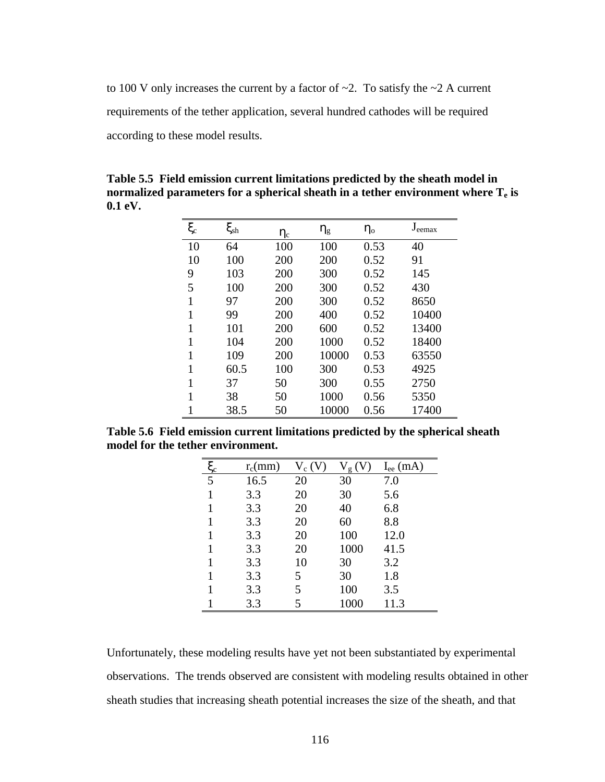to 100 V only increases the current by a factor of  $\sim$ 2. To satisfy the  $\sim$ 2 A current requirements of the tether application, several hundred cathodes will be required according to these model results.

**Table 5.5 Field emission current limitations predicted by the sheath model in normalized parameters for a spherical sheath in a tether environment where**  $T_e$  **is 0.1 eV.**

| $\xi_{\rm c}$ | $\xi_{\rm sh}$ | $\eta_c$ | $\eta_g$ | $\eta_{o}$ | $J_{\text{eemax}}$ |
|---------------|----------------|----------|----------|------------|--------------------|
| 10            | 64             | 100      | 100      | 0.53       | 40                 |
| 10            | 100            | 200      | 200      | 0.52       | 91                 |
| 9             | 103            | 200      | 300      | 0.52       | 145                |
| 5             | 100            | 200      | 300      | 0.52       | 430                |
| $\mathbf{1}$  | 97             | 200      | 300      | 0.52       | 8650               |
| $\mathbf{1}$  | 99             | 200      | 400      | 0.52       | 10400              |
| $\mathbf{1}$  | 101            | 200      | 600      | 0.52       | 13400              |
| 1             | 104            | 200      | 1000     | 0.52       | 18400              |
| $\mathbf{1}$  | 109            | 200      | 10000    | 0.53       | 63550              |
| 1             | 60.5           | 100      | 300      | 0.53       | 4925               |
| 1             | 37             | 50       | 300      | 0.55       | 2750               |
| 1             | 38             | 50       | 1000     | 0.56       | 5350               |
|               | 38.5           | 50       | 10000    | 0.56       | 17400              |

**Table 5.6 Field emission current limitations predicted by the spherical sheath model for the tether environment.**

| $rac{\xi_c}{5}$ | $r_c$ (mm) | $V_c(V)$ | V<br>g | $I_{ee}$ (mA) |
|-----------------|------------|----------|--------|---------------|
|                 | 16.5       | 20       | 30     | 7.0           |
| 1               | 3.3        | 20       | 30     | 5.6           |
| 1               | 3.3        | 20       | 40     | 6.8           |
|                 | 3.3        | 20       | 60     | 8.8           |
| 1               | 3.3        | 20       | 100    | 12.0          |
| 1               | 3.3        | 20       | 1000   | 41.5          |
|                 | 3.3        | 10       | 30     | 3.2           |
|                 | 3.3        | 5        | 30     | 1.8           |
| 1               | 3.3        | 5        | 100    | 3.5           |
|                 | 3.3        | 5        | 1000   | 11.3          |

Unfortunately, these modeling results have yet not been substantiated by experimental observations. The trends observed are consistent with modeling results obtained in other sheath studies that increasing sheath potential increases the size of the sheath, and that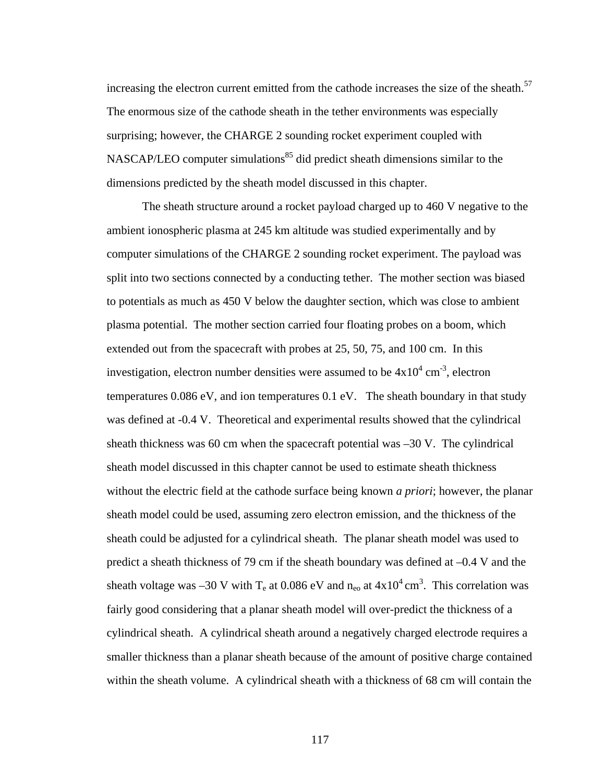increasing the electron current emitted from the cathode increases the size of the sheath.<sup>57</sup> The enormous size of the cathode sheath in the tether environments was especially surprising; however, the CHARGE 2 sounding rocket experiment coupled with NASCAP/LEO computer simulations<sup>85</sup> did predict sheath dimensions similar to the dimensions predicted by the sheath model discussed in this chapter.

The sheath structure around a rocket payload charged up to 460 V negative to the ambient ionospheric plasma at 245 km altitude was studied experimentally and by computer simulations of the CHARGE 2 sounding rocket experiment. The payload was split into two sections connected by a conducting tether. The mother section was biased to potentials as much as 450 V below the daughter section, which was close to ambient plasma potential. The mother section carried four floating probes on a boom, which extended out from the spacecraft with probes at 25, 50, 75, and 100 cm. In this investigation, electron number densities were assumed to be  $4x10^4$  cm<sup>-3</sup>, electron temperatures 0.086 eV, and ion temperatures 0.1 eV. The sheath boundary in that study was defined at -0.4 V. Theoretical and experimental results showed that the cylindrical sheath thickness was 60 cm when the spacecraft potential was  $-30$  V. The cylindrical sheath model discussed in this chapter cannot be used to estimate sheath thickness without the electric field at the cathode surface being known *a priori*; however, the planar sheath model could be used, assuming zero electron emission, and the thickness of the sheath could be adjusted for a cylindrical sheath. The planar sheath model was used to predict a sheath thickness of 79 cm if the sheath boundary was defined at –0.4 V and the sheath voltage was -30 V with  $T_e$  at 0.086 eV and  $n_{eo}$  at  $4 \times 10^4$  cm<sup>3</sup>. This correlation was fairly good considering that a planar sheath model will over-predict the thickness of a cylindrical sheath. A cylindrical sheath around a negatively charged electrode requires a smaller thickness than a planar sheath because of the amount of positive charge contained within the sheath volume. A cylindrical sheath with a thickness of 68 cm will contain the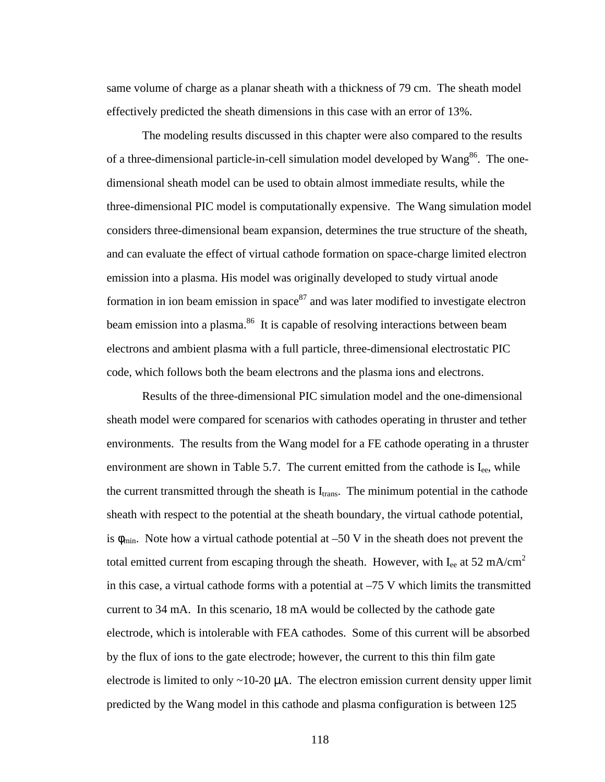same volume of charge as a planar sheath with a thickness of 79 cm. The sheath model effectively predicted the sheath dimensions in this case with an error of 13%.

The modeling results discussed in this chapter were also compared to the results of a three-dimensional particle-in-cell simulation model developed by  $Wang<sup>86</sup>$ . The onedimensional sheath model can be used to obtain almost immediate results, while the three-dimensional PIC model is computationally expensive. The Wang simulation model considers three-dimensional beam expansion, determines the true structure of the sheath, and can evaluate the effect of virtual cathode formation on space-charge limited electron emission into a plasma. His model was originally developed to study virtual anode formation in ion beam emission in space  $87$  and was later modified to investigate electron beam emission into a plasma.<sup>86</sup> It is capable of resolving interactions between beam electrons and ambient plasma with a full particle, three-dimensional electrostatic PIC code, which follows both the beam electrons and the plasma ions and electrons.

Results of the three-dimensional PIC simulation model and the one-dimensional sheath model were compared for scenarios with cathodes operating in thruster and tether environments. The results from the Wang model for a FE cathode operating in a thruster environment are shown in Table 5.7. The current emitted from the cathode is  $I_{ee}$ , while the current transmitted through the sheath is  $I_{trans}$ . The minimum potential in the cathode sheath with respect to the potential at the sheath boundary, the virtual cathode potential, is  $\phi_{\text{min}}$ . Note how a virtual cathode potential at -50 V in the sheath does not prevent the total emitted current from escaping through the sheath. However, with  $I_{ee}$  at 52 mA/cm<sup>2</sup> in this case, a virtual cathode forms with a potential at  $-75$  V which limits the transmitted current to 34 mA. In this scenario, 18 mA would be collected by the cathode gate electrode, which is intolerable with FEA cathodes. Some of this current will be absorbed by the flux of ions to the gate electrode; however, the current to this thin film gate electrode is limited to only  $\sim$ 10-20  $\mu$ A. The electron emission current density upper limit predicted by the Wang model in this cathode and plasma configuration is between 125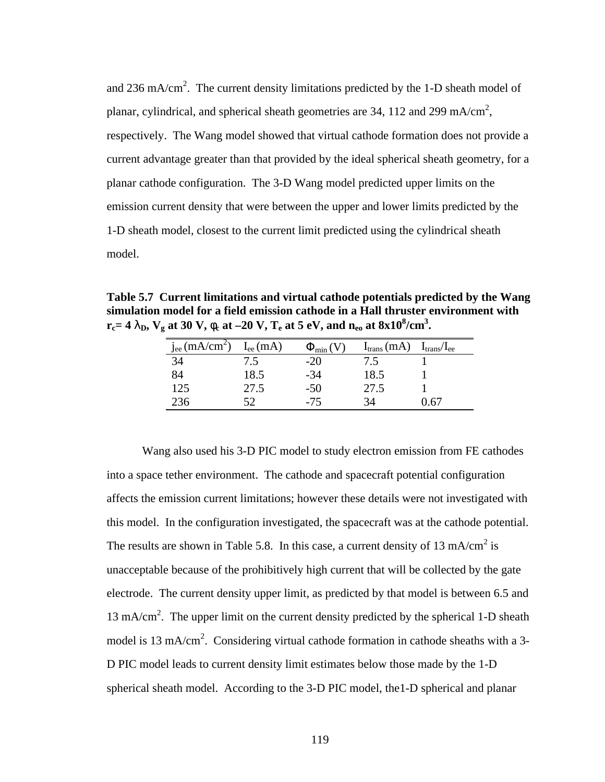and 236 mA/cm<sup>2</sup>. The current density limitations predicted by the 1-D sheath model of planar, cylindrical, and spherical sheath geometries are 34, 112 and 299 mA/cm<sup>2</sup>, respectively. The Wang model showed that virtual cathode formation does not provide a current advantage greater than that provided by the ideal spherical sheath geometry, for a planar cathode configuration. The 3-D Wang model predicted upper limits on the emission current density that were between the upper and lower limits predicted by the 1-D sheath model, closest to the current limit predicted using the cylindrical sheath model.

**Table 5.7 Current limitations and virtual cathode potentials predicted by the Wang simulation model for a field emission cathode in a Hall thruster environment with**   $r_{\rm c}$  = 4  $\bf{l}_{\rm D}$ ,  $\bf{V}_{\rm g}$  at 30  $\bf{V}$ ,  $\bf{f}_{\rm c}$  at –20  $\bf{V}$ ,  $\bf{T}_{\rm e}$  at 5  $\rm eV$ , and  $\bf{n}_{\rm eo}$  at  $8\rm{x}10^8/\rm{cm}^3$ .

| $j_{ee}$ (mA/cm <sup>2</sup> ) | $I_{ee}$ (mA) | $\Phi_{\min}(V)$ | $I_{trans}(mA)$ | $I_{trans}/I_{ee}$ |
|--------------------------------|---------------|------------------|-----------------|--------------------|
| 34                             | 7.5           | $-20$            | 7.5             |                    |
| 84                             | 18.5          | $-34$            | 18.5            |                    |
| 125                            | 27.5          | $-50$            | 27.5            |                    |
| 236                            | 52            | $-75$            | 34              | $+67$              |

Wang also used his 3-D PIC model to study electron emission from FE cathodes into a space tether environment. The cathode and spacecraft potential configuration affects the emission current limitations; however these details were not investigated with this model. In the configuration investigated, the spacecraft was at the cathode potential. The results are shown in Table 5.8. In this case, a current density of 13 mA/cm<sup>2</sup> is unacceptable because of the prohibitively high current that will be collected by the gate electrode. The current density upper limit, as predicted by that model is between 6.5 and 13 mA/cm<sup>2</sup>. The upper limit on the current density predicted by the spherical 1-D sheath model is 13 mA/cm<sup>2</sup>. Considering virtual cathode formation in cathode sheaths with a 3-D PIC model leads to current density limit estimates below those made by the 1-D spherical sheath model. According to the 3-D PIC model, the1-D spherical and planar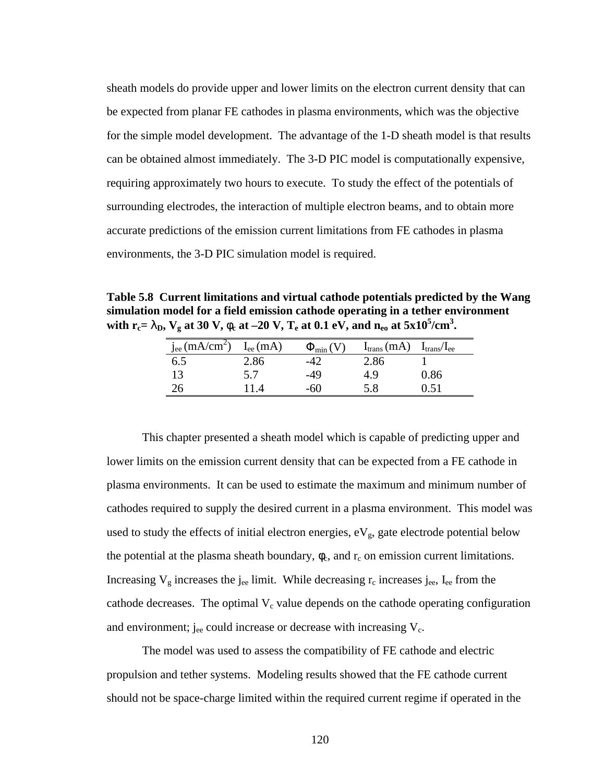sheath models do provide upper and lower limits on the electron current density that can be expected from planar FE cathodes in plasma environments, which was the objective for the simple model development. The advantage of the 1-D sheath model is that results can be obtained almost immediately. The 3-D PIC model is computationally expensive, requiring approximately two hours to execute. To study the effect of the potentials of surrounding electrodes, the interaction of multiple electron beams, and to obtain more accurate predictions of the emission current limitations from FE cathodes in plasma environments, the 3-D PIC simulation model is required.

**Table 5.8 Current limitations and virtual cathode potentials predicted by the Wang simulation model for a field emission cathode operating in a tether environment with**  $r_c$ **=**  $\mathbf{l}_D$ **,**  $V_g$  **at 30 V,**  $\mathbf{f}_c$  **at –20 V,**  $T_e$  **at 0.1 eV, and**  $n_{eo}$  **at 5x10<sup>5</sup>/cm<sup>3</sup>.** 

| $j_{ee}$ (mA/cm <sup>2</sup> ) | $I_{ee}(mA)$ | $\Phi_{\min}(V)$ | $I_{trans}(mA)$ | $I_{trans}/I_{ee}$ |
|--------------------------------|--------------|------------------|-----------------|--------------------|
| 6.5                            | 2.86         | -47              | 2.86            |                    |
| 13                             | 5.7          | -49              | 4.9             | 0.86               |
| 26                             |              | -60              | 5.8             | 751                |

This chapter presented a sheath model which is capable of predicting upper and lower limits on the emission current density that can be expected from a FE cathode in plasma environments. It can be used to estimate the maximum and minimum number of cathodes required to supply the desired current in a plasma environment. This model was used to study the effects of initial electron energies,  $eV_g$ , gate electrode potential below the potential at the plasma sheath boundary,  $\phi_c$ , and  $r_c$  on emission current limitations. Increasing  $V_g$  increases the j<sub>ee</sub> limit. While decreasing  $r_c$  increases j<sub>ee</sub>, I<sub>ee</sub> from the cathode decreases. The optimal  $V_c$  value depends on the cathode operating configuration and environment; jee could increase or decrease with increasing  $V_c$ .

The model was used to assess the compatibility of FE cathode and electric propulsion and tether systems. Modeling results showed that the FE cathode current should not be space-charge limited within the required current regime if operated in the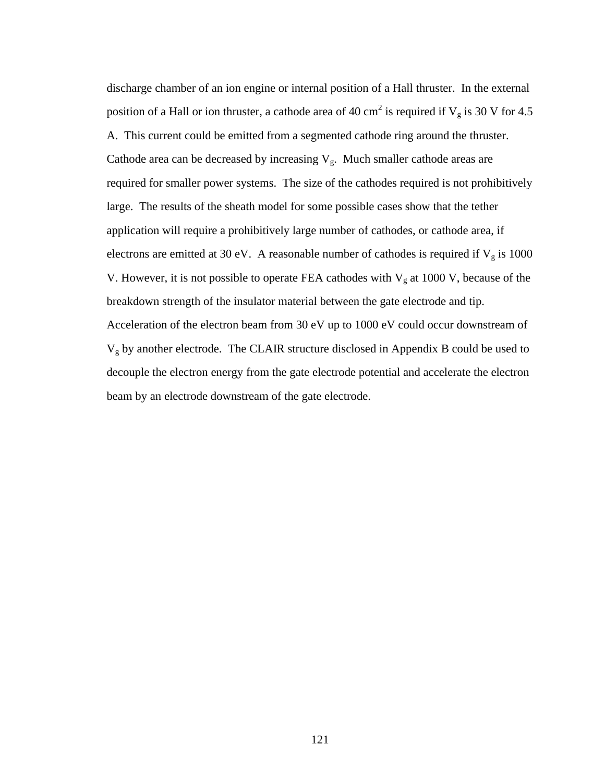discharge chamber of an ion engine or internal position of a Hall thruster. In the external position of a Hall or ion thruster, a cathode area of 40 cm<sup>2</sup> is required if  $V_g$  is 30 V for 4.5 A. This current could be emitted from a segmented cathode ring around the thruster. Cathode area can be decreased by increasing  $V_g$ . Much smaller cathode areas are required for smaller power systems. The size of the cathodes required is not prohibitively large. The results of the sheath model for some possible cases show that the tether application will require a prohibitively large number of cathodes, or cathode area, if electrons are emitted at 30 eV. A reasonable number of cathodes is required if  $V_g$  is 1000 V. However, it is not possible to operate FEA cathodes with  $V_g$  at 1000 V, because of the breakdown strength of the insulator material between the gate electrode and tip. Acceleration of the electron beam from 30 eV up to 1000 eV could occur downstream of  $V<sub>g</sub>$  by another electrode. The CLAIR structure disclosed in Appendix B could be used to decouple the electron energy from the gate electrode potential and accelerate the electron beam by an electrode downstream of the gate electrode.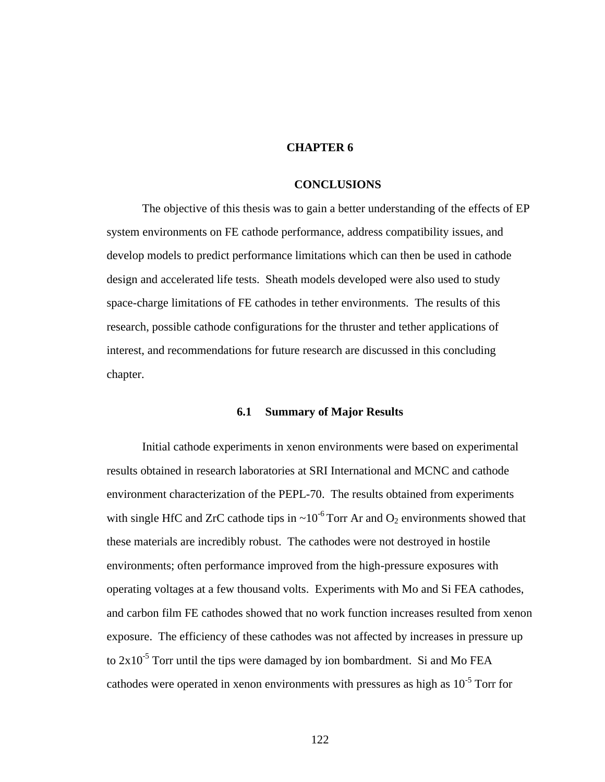# **CHAPTER 6**

## **CONCLUSIONS**

The objective of this thesis was to gain a better understanding of the effects of EP system environments on FE cathode performance, address compatibility issues, and develop models to predict performance limitations which can then be used in cathode design and accelerated life tests. Sheath models developed were also used to study space-charge limitations of FE cathodes in tether environments. The results of this research, possible cathode configurations for the thruster and tether applications of interest, and recommendations for future research are discussed in this concluding chapter.

### **6.1 Summary of Major Results**

Initial cathode experiments in xenon environments were based on experimental results obtained in research laboratories at SRI International and MCNC and cathode environment characterization of the PEPL-70. The results obtained from experiments with single HfC and ZrC cathode tips in  $\sim 10^{-6}$  Torr Ar and O<sub>2</sub> environments showed that these materials are incredibly robust. The cathodes were not destroyed in hostile environments; often performance improved from the high-pressure exposures with operating voltages at a few thousand volts. Experiments with Mo and Si FEA cathodes, and carbon film FE cathodes showed that no work function increases resulted from xenon exposure. The efficiency of these cathodes was not affected by increases in pressure up to  $2x10^{-5}$  Torr until the tips were damaged by ion bombardment. Si and Mo FEA cathodes were operated in xenon environments with pressures as high as  $10^{-5}$  Torr for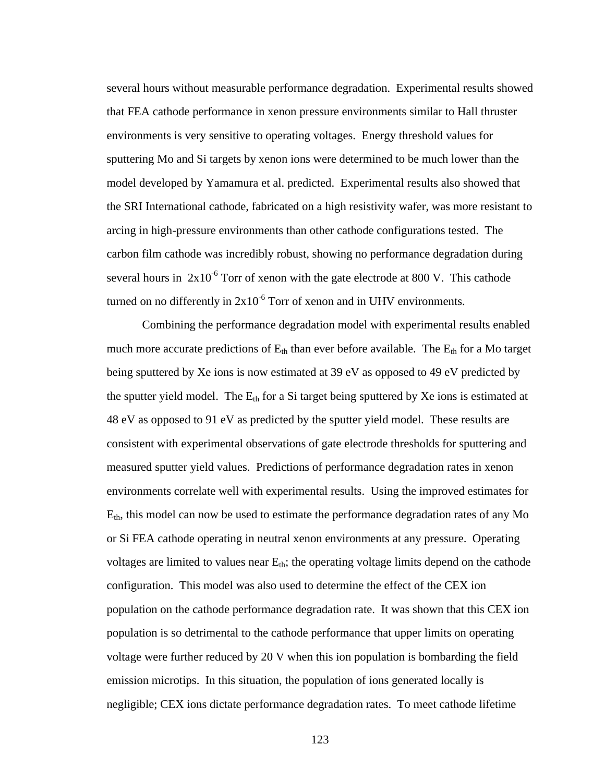several hours without measurable performance degradation. Experimental results showed that FEA cathode performance in xenon pressure environments similar to Hall thruster environments is very sensitive to operating voltages. Energy threshold values for sputtering Mo and Si targets by xenon ions were determined to be much lower than the model developed by Yamamura et al. predicted. Experimental results also showed that the SRI International cathode, fabricated on a high resistivity wafer, was more resistant to arcing in high-pressure environments than other cathode configurations tested. The carbon film cathode was incredibly robust, showing no performance degradation during several hours in  $2x10^{-6}$  Torr of xenon with the gate electrode at 800 V. This cathode turned on no differently in  $2x10^{-6}$  Torr of xenon and in UHV environments.

Combining the performance degradation model with experimental results enabled much more accurate predictions of  $E_{th}$  than ever before available. The  $E_{th}$  for a Mo target being sputtered by Xe ions is now estimated at 39 eV as opposed to 49 eV predicted by the sputter yield model. The  $E_{th}$  for a Si target being sputtered by Xe ions is estimated at 48 eV as opposed to 91 eV as predicted by the sputter yield model. These results are consistent with experimental observations of gate electrode thresholds for sputtering and measured sputter yield values. Predictions of performance degradation rates in xenon environments correlate well with experimental results. Using the improved estimates for  $E<sub>th</sub>$ , this model can now be used to estimate the performance degradation rates of any Mo or Si FEA cathode operating in neutral xenon environments at any pressure. Operating voltages are limited to values near  $E_{th}$ ; the operating voltage limits depend on the cathode configuration. This model was also used to determine the effect of the CEX ion population on the cathode performance degradation rate. It was shown that this CEX ion population is so detrimental to the cathode performance that upper limits on operating voltage were further reduced by 20 V when this ion population is bombarding the field emission microtips. In this situation, the population of ions generated locally is negligible; CEX ions dictate performance degradation rates. To meet cathode lifetime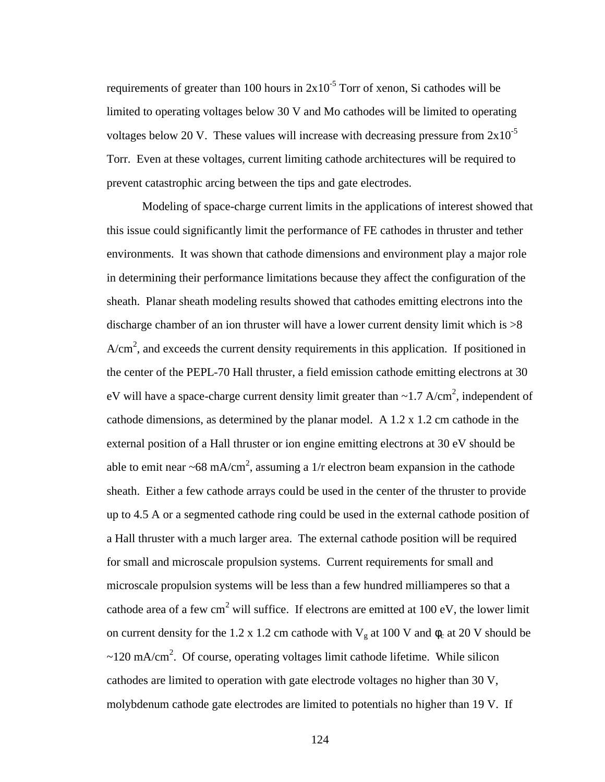requirements of greater than 100 hours in  $2x10^{-5}$  Torr of xenon, Si cathodes will be limited to operating voltages below 30 V and Mo cathodes will be limited to operating voltages below 20 V. These values will increase with decreasing pressure from  $2x10^{-5}$ Torr. Even at these voltages, current limiting cathode architectures will be required to prevent catastrophic arcing between the tips and gate electrodes.

Modeling of space-charge current limits in the applications of interest showed that this issue could significantly limit the performance of FE cathodes in thruster and tether environments. It was shown that cathode dimensions and environment play a major role in determining their performance limitations because they affect the configuration of the sheath. Planar sheath modeling results showed that cathodes emitting electrons into the discharge chamber of an ion thruster will have a lower current density limit which is >8  $A/cm<sup>2</sup>$ , and exceeds the current density requirements in this application. If positioned in the center of the PEPL-70 Hall thruster, a field emission cathode emitting electrons at 30 eV will have a space-charge current density limit greater than  $\sim$ 1.7 A/cm<sup>2</sup>, independent of cathode dimensions, as determined by the planar model. A 1.2 x 1.2 cm cathode in the external position of a Hall thruster or ion engine emitting electrons at 30 eV should be able to emit near ~68 mA/cm<sup>2</sup>, assuming a 1/r electron beam expansion in the cathode sheath. Either a few cathode arrays could be used in the center of the thruster to provide up to 4.5 A or a segmented cathode ring could be used in the external cathode position of a Hall thruster with a much larger area. The external cathode position will be required for small and microscale propulsion systems. Current requirements for small and microscale propulsion systems will be less than a few hundred milliamperes so that a cathode area of a few cm<sup>2</sup> will suffice. If electrons are emitted at 100 eV, the lower limit on current density for the 1.2 x 1.2 cm cathode with  $V_g$  at 100 V and  $\phi_c$  at 20 V should be  $\sim$ 120 mA/cm<sup>2</sup>. Of course, operating voltages limit cathode lifetime. While silicon cathodes are limited to operation with gate electrode voltages no higher than 30 V, molybdenum cathode gate electrodes are limited to potentials no higher than 19 V. If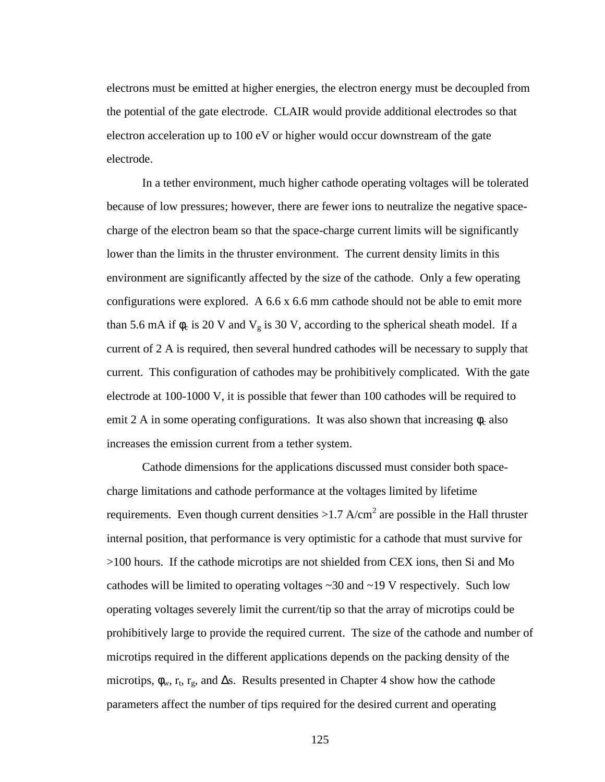electrons must be emitted at higher energies, the electron energy must be decoupled from the potential of the gate electrode. CLAIR would provide additional electrodes so that electron acceleration up to 100 eV or higher would occur downstream of the gate electrode.

In a tether environment, much higher cathode operating voltages will be tolerated because of low pressures; however, there are fewer ions to neutralize the negative spacecharge of the electron beam so that the space-charge current limits will be significantly lower than the limits in the thruster environment. The current density limits in this environment are significantly affected by the size of the cathode. Only a few operating configurations were explored. A 6.6 x 6.6 mm cathode should not be able to emit more than 5.6 mA if  $\phi_c$  is 20 V and  $V_g$  is 30 V, according to the spherical sheath model. If a current of 2 A is required, then several hundred cathodes will be necessary to supply that current. This configuration of cathodes may be prohibitively complicated. With the gate electrode at 100-1000 V, it is possible that fewer than 100 cathodes will be required to emit 2 A in some operating configurations. It was also shown that increasing  $\phi_c$  also increases the emission current from a tether system.

Cathode dimensions for the applications discussed must consider both spacecharge limitations and cathode performance at the voltages limited by lifetime requirements. Even though current densities  $>1.7$  A/cm<sup>2</sup> are possible in the Hall thruster internal position, that performance is very optimistic for a cathode that must survive for >100 hours. If the cathode microtips are not shielded from CEX ions, then Si and Mo cathodes will be limited to operating voltages ~30 and ~19 V respectively. Such low operating voltages severely limit the current/tip so that the array of microtips could be prohibitively large to provide the required current. The size of the cathode and number of microtips required in the different applications depends on the packing density of the microtips,  $\phi_w$ ,  $r_t$ ,  $r_g$ , and  $\Delta s$ . Results presented in Chapter 4 show how the cathode parameters affect the number of tips required for the desired current and operating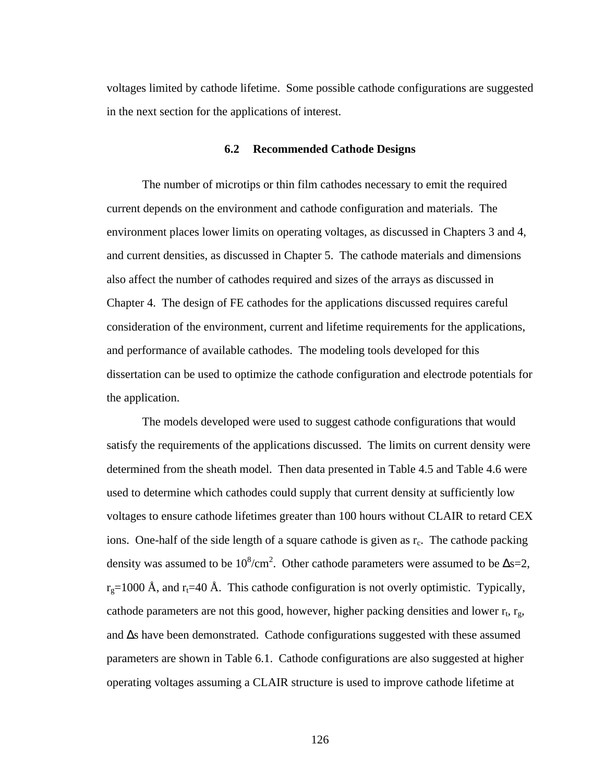voltages limited by cathode lifetime. Some possible cathode configurations are suggested in the next section for the applications of interest.

### **6.2 Recommended Cathode Designs**

The number of microtips or thin film cathodes necessary to emit the required current depends on the environment and cathode configuration and materials. The environment places lower limits on operating voltages, as discussed in Chapters 3 and 4, and current densities, as discussed in Chapter 5. The cathode materials and dimensions also affect the number of cathodes required and sizes of the arrays as discussed in Chapter 4. The design of FE cathodes for the applications discussed requires careful consideration of the environment, current and lifetime requirements for the applications, and performance of available cathodes. The modeling tools developed for this dissertation can be used to optimize the cathode configuration and electrode potentials for the application.

The models developed were used to suggest cathode configurations that would satisfy the requirements of the applications discussed. The limits on current density were determined from the sheath model. Then data presented in Table 4.5 and Table 4.6 were used to determine which cathodes could supply that current density at sufficiently low voltages to ensure cathode lifetimes greater than 100 hours without CLAIR to retard CEX ions. One-half of the side length of a square cathode is given as  $r_c$ . The cathode packing density was assumed to be  $10^8/\text{cm}^2$ . Other cathode parameters were assumed to be  $\Delta s=2$ ,  $r_g$ =1000 Å, and  $r_f$ =40 Å. This cathode configuration is not overly optimistic. Typically, cathode parameters are not this good, however, higher packing densities and lower  $r_t$ ,  $r_g$ , and Δs have been demonstrated. Cathode configurations suggested with these assumed parameters are shown in Table 6.1. Cathode configurations are also suggested at higher operating voltages assuming a CLAIR structure is used to improve cathode lifetime at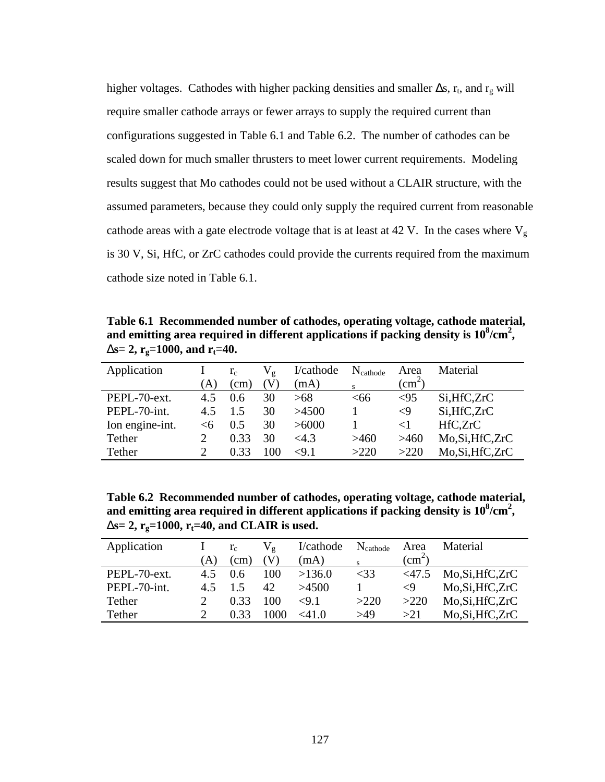higher voltages. Cathodes with higher packing densities and smaller  $\Delta s$ ,  $r_t$ , and  $r_g$  will require smaller cathode arrays or fewer arrays to supply the required current than configurations suggested in Table 6.1 and Table 6.2. The number of cathodes can be scaled down for much smaller thrusters to meet lower current requirements. Modeling results suggest that Mo cathodes could not be used without a CLAIR structure, with the assumed parameters, because they could only supply the required current from reasonable cathode areas with a gate electrode voltage that is at least at 42 V. In the cases where  $V_g$ is 30 V, Si, HfC, or ZrC cathodes could provide the currents required from the maximum cathode size noted in Table 6.1.

**Table 6.1 Recommended number of cathodes, operating voltage, cathode material,**  and emitting area required in different applications if packing density is  $10^8/\text{cm}^2$ , **Ds**= 2,  $r_g$ =1000, and  $r_f$ =40.

| Application     |       | $r_c$ | $\rm V_{\rm g}$ | I/cathode | $N_{\text{cathode}}$ | Area                | Material          |
|-----------------|-------|-------|-----------------|-----------|----------------------|---------------------|-------------------|
|                 | A)    | (cm)  | V)              | (mA)      | s                    | $\text{cm}^2$       |                   |
| PEPL-70-ext.    | 4.5   | 0.6   | 30              | >68       | <66                  | ${<}95$             | Si, HfC, ZrC      |
| PEPL-70-int.    | 4.5   | 1.5   | 30              | >4500     |                      | $\langle 9 \rangle$ | Si, HfC, ZrC      |
| Ion engine-int. | $<$ 6 | 0.5   | 30              | >6000     |                      | ${<}1$              | HfC,ZrC           |
| Tether          |       | 0.33  | 30              | <4.3      | >460                 | >460                | Mo, Si, Hf C, ZrC |
| Tether          |       | 0.33  | 100             | ${<}9.1$  | >220                 | >220                | Mo, Si, Hf C, ZrC |

**Table 6.2 Recommended number of cathodes, operating voltage, cathode material,**  and emitting area required in different applications if packing density is  $10^8/\text{cm}^2$ , **Ds**= 2,  $r_g$ =1000,  $r_t$ =40, and CLAIR is used.

| Application  |    | $r_c$     | V,   | I/cathode | $N_{\text{cathode}}$ | Area                      | Material         |
|--------------|----|-----------|------|-----------|----------------------|---------------------------|------------------|
|              | A) | $\rm cm)$ |      | (mA)      |                      | $\langle$ cm <sup>2</sup> |                  |
| PEPL-70-ext. | 45 | 0.6       | 100  | >136.0    | $<$ 33               | $<$ 47.5                  | Mo, Si, HfC, ZrC |
| PEPL-70-int. | 45 |           | 42.  | >4500     |                      | $\langle 9$               | Mo, Si, HfC, ZrC |
| Tether       |    | 0.33      | 100  | ${<}9.1$  | >220                 | >220                      | Mo, Si, HfC, ZrC |
| Tether       |    | 0.33      | 1000 | <41.0     | >49                  | >21                       | Mo, Si, HfC, ZrC |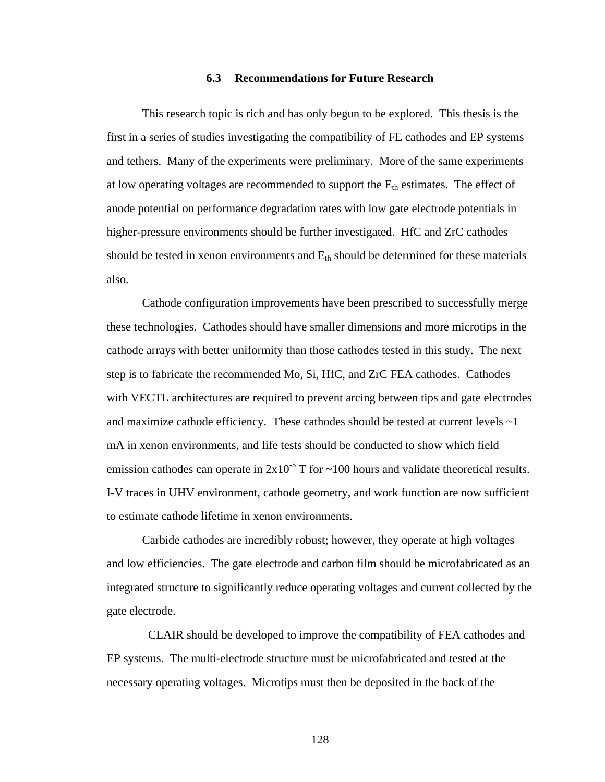#### **6.3 Recommendations for Future Research**

This research topic is rich and has only begun to be explored. This thesis is the first in a series of studies investigating the compatibility of FE cathodes and EP systems and tethers. Many of the experiments were preliminary. More of the same experiments at low operating voltages are recommended to support the  $E_{th}$  estimates. The effect of anode potential on performance degradation rates with low gate electrode potentials in higher-pressure environments should be further investigated. HfC and ZrC cathodes should be tested in xenon environments and  $E_{th}$  should be determined for these materials also.

Cathode configuration improvements have been prescribed to successfully merge these technologies. Cathodes should have smaller dimensions and more microtips in the cathode arrays with better uniformity than those cathodes tested in this study. The next step is to fabricate the recommended Mo, Si, HfC, and ZrC FEA cathodes. Cathodes with VECTL architectures are required to prevent arcing between tips and gate electrodes and maximize cathode efficiency. These cathodes should be tested at current levels  $\sim$ 1 mA in xenon environments, and life tests should be conducted to show which field emission cathodes can operate in  $2x10^{-5}$  T for  $\sim$ 100 hours and validate theoretical results. I-V traces in UHV environment, cathode geometry, and work function are now sufficient to estimate cathode lifetime in xenon environments.

Carbide cathodes are incredibly robust; however, they operate at high voltages and low efficiencies. The gate electrode and carbon film should be microfabricated as an integrated structure to significantly reduce operating voltages and current collected by the gate electrode.

 CLAIR should be developed to improve the compatibility of FEA cathodes and EP systems. The multi-electrode structure must be microfabricated and tested at the necessary operating voltages. Microtips must then be deposited in the back of the

128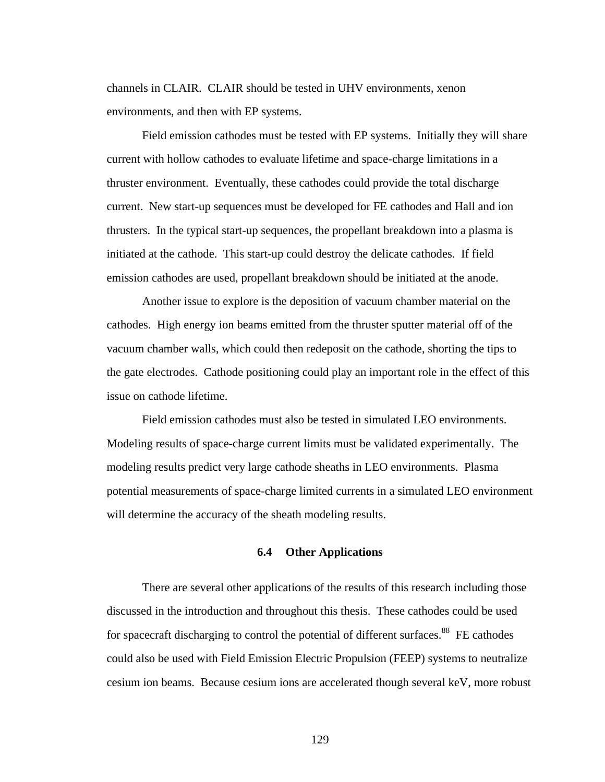channels in CLAIR. CLAIR should be tested in UHV environments, xenon environments, and then with EP systems.

Field emission cathodes must be tested with EP systems. Initially they will share current with hollow cathodes to evaluate lifetime and space-charge limitations in a thruster environment. Eventually, these cathodes could provide the total discharge current. New start-up sequences must be developed for FE cathodes and Hall and ion thrusters. In the typical start-up sequences, the propellant breakdown into a plasma is initiated at the cathode. This start-up could destroy the delicate cathodes. If field emission cathodes are used, propellant breakdown should be initiated at the anode.

Another issue to explore is the deposition of vacuum chamber material on the cathodes. High energy ion beams emitted from the thruster sputter material off of the vacuum chamber walls, which could then redeposit on the cathode, shorting the tips to the gate electrodes. Cathode positioning could play an important role in the effect of this issue on cathode lifetime.

Field emission cathodes must also be tested in simulated LEO environments. Modeling results of space-charge current limits must be validated experimentally. The modeling results predict very large cathode sheaths in LEO environments. Plasma potential measurements of space-charge limited currents in a simulated LEO environment will determine the accuracy of the sheath modeling results.

#### **6.4 Other Applications**

There are several other applications of the results of this research including those discussed in the introduction and throughout this thesis. These cathodes could be used for spacecraft discharging to control the potential of different surfaces.<sup>88</sup> FE cathodes could also be used with Field Emission Electric Propulsion (FEEP) systems to neutralize cesium ion beams. Because cesium ions are accelerated though several keV, more robust

129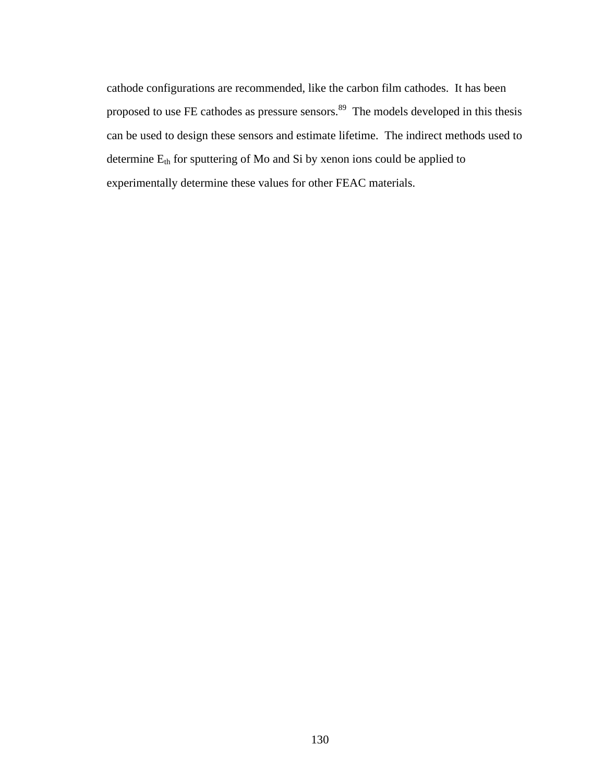cathode configurations are recommended, like the carbon film cathodes. It has been proposed to use FE cathodes as pressure sensors.<sup>89</sup> The models developed in this thesis can be used to design these sensors and estimate lifetime. The indirect methods used to determine  $E_{th}$  for sputtering of Mo and Si by xenon ions could be applied to experimentally determine these values for other FEAC materials.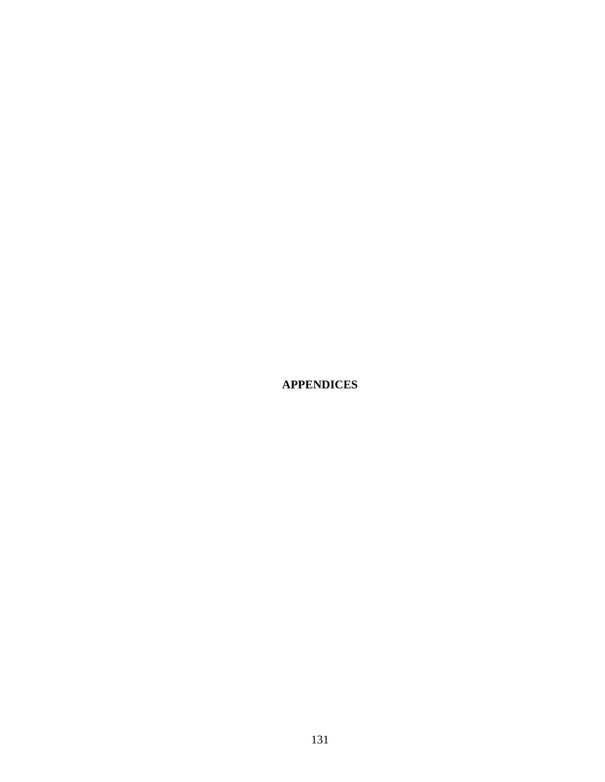**APPENDICES**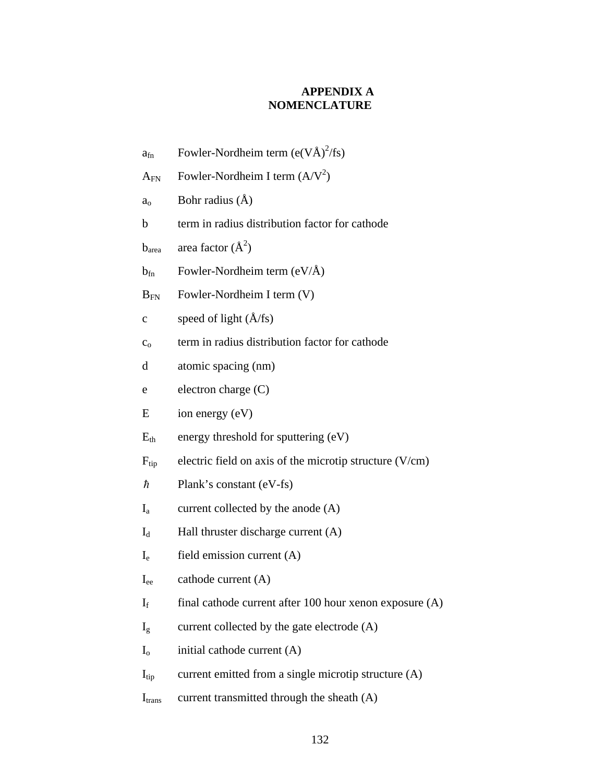# **APPENDIX A NOMENCLATURE**

- $a_{fn}$  Fowler-Nordheim term (e(VÅ)<sup>2</sup>/fs)
- $A_{FN}$  Fowler-Nordheim I term  $(A/V^2)$
- $a_0$  Bohr radius  $(\AA)$
- b term in radius distribution factor for cathode
- $b<sub>area</sub>$  area factor  $(\AA^2)$
- $b_{fn}$  Fowler-Nordheim term (eV/ $\AA$ )
- $B_{FN}$  Fowler-Nordheim I term  $(V)$
- c speed of light  $(\AA$ /fs)
- $c<sub>o</sub>$  term in radius distribution factor for cathode
- d atomic spacing (nm)
- e electron charge (C)
- $E$  ion energy  $(eV)$
- $E<sub>th</sub>$  energy threshold for sputtering (eV)
- $F_{tip}$  electric field on axis of the microtip structure (V/cm)
- $\hbar$  Plank's constant (eV-fs)
- $I_a$  current collected by the anode  $(A)$
- $I_d$  Hall thruster discharge current  $(A)$
- I<sup>e</sup> field emission current (A)
- $I_{ee}$  cathode current  $(A)$
- $I_f$  final cathode current after 100 hour xenon exposure (A)
- $I_g$  current collected by the gate electrode (A)
- $I<sub>o</sub>$  initial cathode current  $(A)$
- $I_{\text{tip}}$  current emitted from a single microtip structure (A)
- $I_{trans}$  current transmitted through the sheath  $(A)$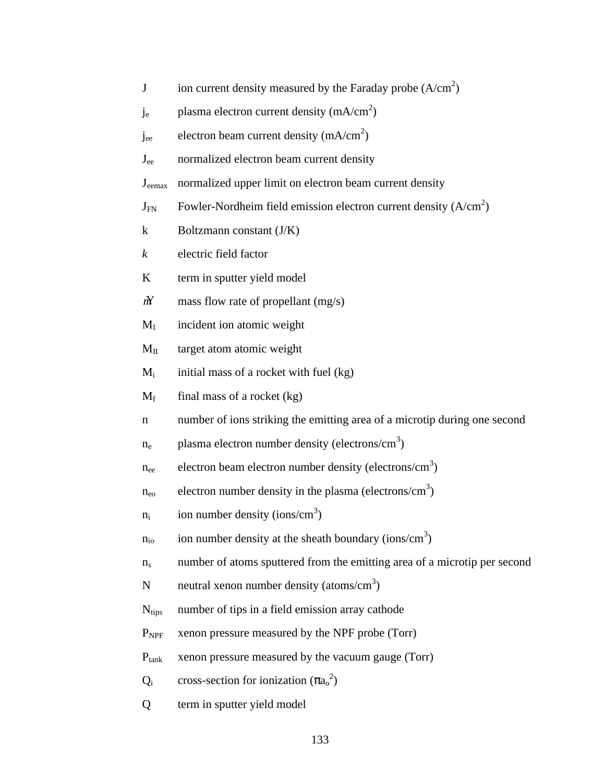- J ion current density measured by the Faraday probe  $(A/cm<sup>2</sup>)$
- $j_e$  plasma electron current density (mA/cm<sup>2</sup>)
- $j_{ee}$  electron beam current density (mA/cm<sup>2</sup>)
- Jee normalized electron beam current density
- Jeemax normalized upper limit on electron beam current density
- $J_{FN}$  Fowler-Nordheim field emission electron current density (A/cm<sup>2</sup>)
- k Boltzmann constant (J/K)
- *k* electric field factor
- K term in sputter yield model
- $\hat{M}$  mass flow rate of propellant (mg/s)
- $M<sub>I</sub>$  incident ion atomic weight
- $M<sub>II</sub>$  target atom atomic weight
- $M<sub>i</sub>$  initial mass of a rocket with fuel (kg)
- $M_f$  final mass of a rocket (kg)
- n number of ions striking the emitting area of a microtip during one second
- $n_e$  plasma electron number density (electrons/cm<sup>3</sup>)
- $n_{ee}$  electron beam electron number density (electrons/cm<sup>3</sup>)
- $n_{\rm eo}$  electron number density in the plasma (electrons/cm<sup>3</sup>)
- $n_i$  ion number density (ions/cm<sup>3</sup>)
- $n_{\rm io}$  ion number density at the sheath boundary (ions/cm<sup>3</sup>)
- $n<sub>s</sub>$  number of atoms sputtered from the emitting area of a microtip per second
- N neutral xenon number density (atoms/cm<sup>3</sup>)
- $N<sub>tips</sub>$  number of tips in a field emission array cathode
- P<sub>NPF</sub> xenon pressure measured by the NPF probe (Torr)
- $P_{\text{tank}}$  xenon pressure measured by the vacuum gauge (Torr)
- $Q_i$  cross-section for ionization  $(\pi a_0^2)$
- Q term in sputter yield model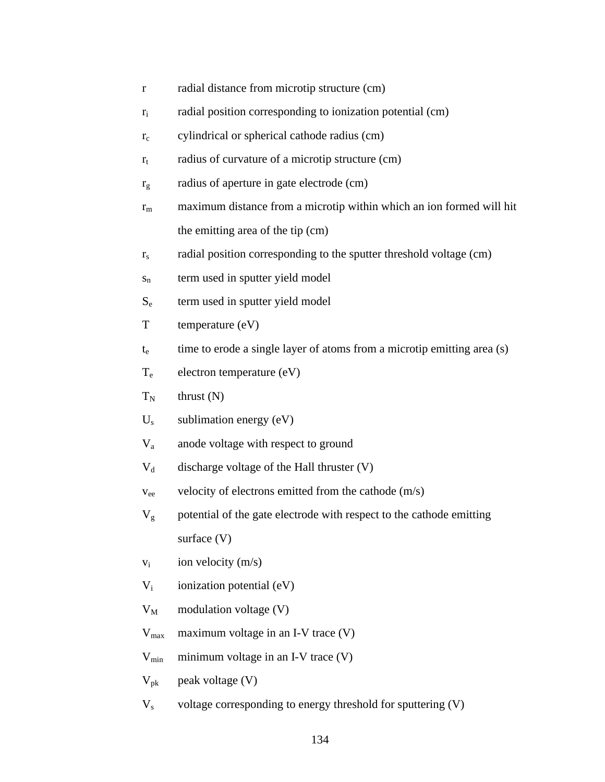- r radial distance from microtip structure (cm)
- $r_i$  radial position corresponding to ionization potential (cm)
- $r_c$  cylindrical or spherical cathode radius (cm)
- $r_t$  radius of curvature of a microtip structure (cm)
- $r_g$  radius of aperture in gate electrode (cm)
- $r_m$  maximum distance from a microtip within which an ion formed will hit the emitting area of the tip (cm)
- $r<sub>s</sub>$  radial position corresponding to the sputter threshold voltage (cm)
- $s_n$  term used in sputter yield model
- S<sub>e</sub> term used in sputter yield model
- T temperature (eV)
- $t<sub>e</sub>$  time to erode a single layer of atoms from a microtip emitting area (s)
- $T_e$  electron temperature (eV)
- $T_N$  thrust (N)
- $U_s$  sublimation energy (eV)
- V<sup>a</sup> anode voltage with respect to ground
- $V_d$  discharge voltage of the Hall thruster (V)
- $v_{ee}$  velocity of electrons emitted from the cathode  $(m/s)$
- $V<sub>g</sub>$  potential of the gate electrode with respect to the cathode emitting surface (V)
- $v_i$  ion velocity (m/s)
- $V_i$  ionization potential (eV)
- $V_M$  modulation voltage (V)
- $V_{\text{max}}$  maximum voltage in an I-V trace (V)
- $V_{\text{min}}$  minimum voltage in an I-V trace (V)
- $V_{\text{pk}}$  peak voltage (V)
- $V<sub>s</sub>$  voltage corresponding to energy threshold for sputtering  $(V)$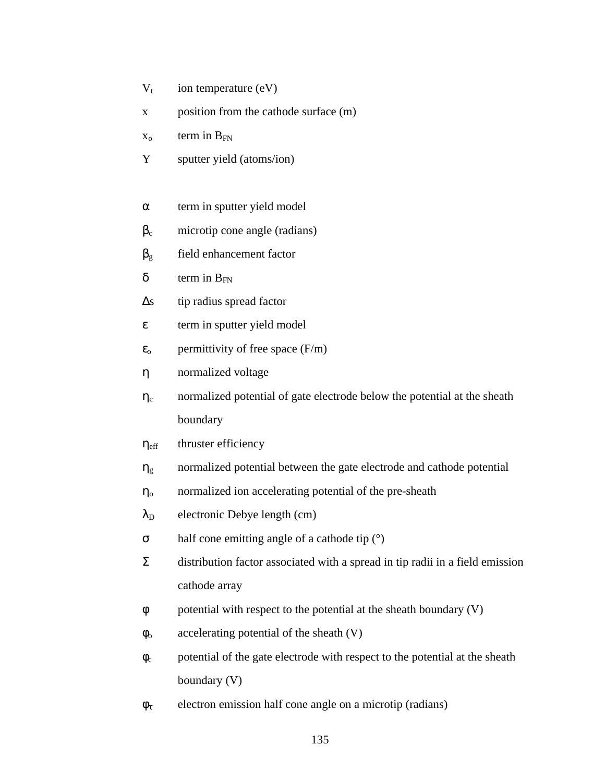- $V_t$  ion temperature (eV)
- x position from the cathode surface (m)
- $x_0$  term in  $B_{FN}$
- Y sputter yield (atoms/ion)
- $\alpha$  term in sputter yield model
- $\beta_c$  microtip cone angle (radians)
- $\beta_{g}$  field enhancement factor
- $\delta$  term in  $B_{FN}$
- $\Delta s$  tip radius spread factor
- $\epsilon$  term in sputter yield model
- $\varepsilon_0$  permittivity of free space (F/m)
- η normalized voltage
- $\eta_c$  normalized potential of gate electrode below the potential at the sheath boundary
- $\eta_{\text{eff}}$  thruster efficiency
- $\eta_{g}$  normalized potential between the gate electrode and cathode potential
- $\eta_{o}$  normalized ion accelerating potential of the pre-sheath
- $\lambda_D$  electronic Debye length (cm)
- σ half cone emitting angle of a cathode tip (°)
- $\Sigma$  distribution factor associated with a spread in tip radii in a field emission cathode array
- φ potential with respect to the potential at the sheath boundary (V)
- $\phi$  accelerating potential of the sheath (V)
- $\phi_c$  potential of the gate electrode with respect to the potential at the sheath boundary (V)
- $\phi_{\tau}$  electron emission half cone angle on a microtip (radians)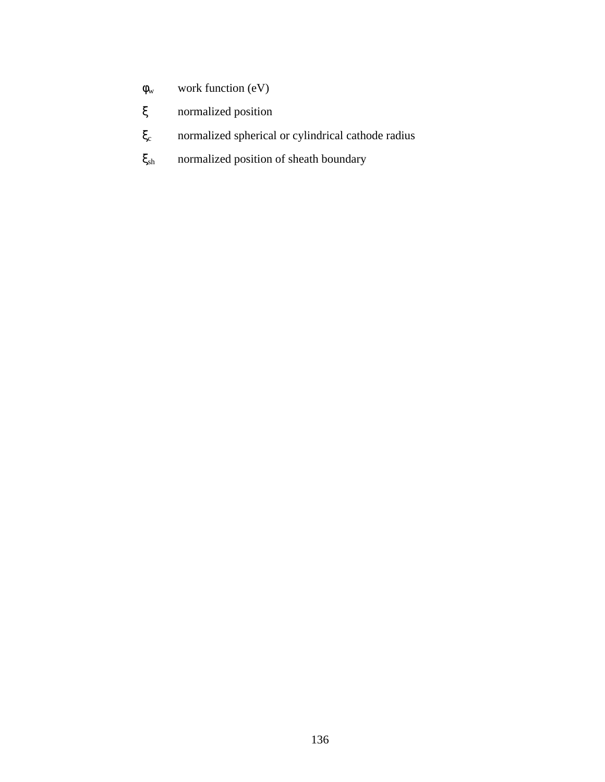- $\phi_w$  work function (eV)
- ξ normalized position
- ξ<sup>c</sup> normalized spherical or cylindrical cathode radius
- $\xi_{sh}$  normalized position of sheath boundary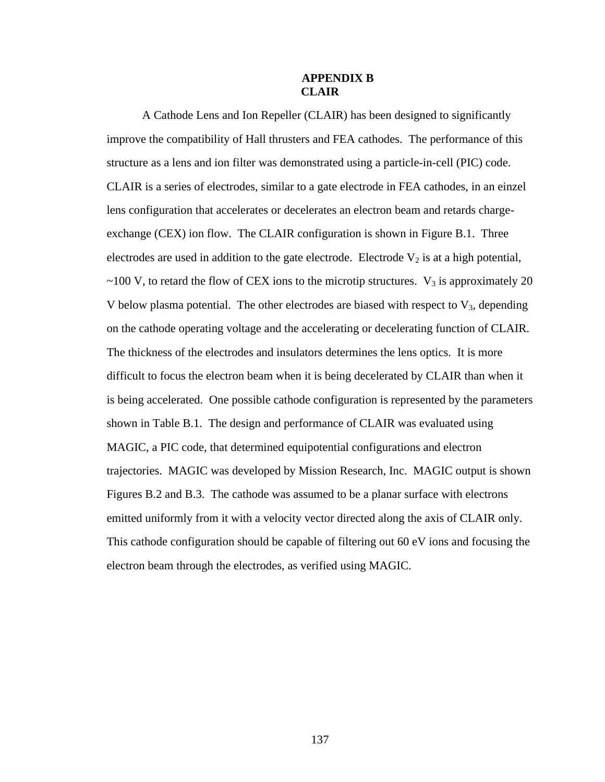### **APPENDIX B CLAIR**

A Cathode Lens and Ion Repeller (CLAIR) has been designed to significantly improve the compatibility of Hall thrusters and FEA cathodes. The performance of this structure as a lens and ion filter was demonstrated using a particle-in-cell (PIC) code. CLAIR is a series of electrodes, similar to a gate electrode in FEA cathodes, in an einzel lens configuration that accelerates or decelerates an electron beam and retards chargeexchange (CEX) ion flow. The CLAIR configuration is shown in Figure B.1. Three electrodes are used in addition to the gate electrode. Electrode  $V_2$  is at a high potential,  $\sim$ 100 V, to retard the flow of CEX ions to the microtip structures. V<sub>3</sub> is approximately 20 V below plasma potential. The other electrodes are biased with respect to  $V_3$ , depending on the cathode operating voltage and the accelerating or decelerating function of CLAIR. The thickness of the electrodes and insulators determines the lens optics. It is more difficult to focus the electron beam when it is being decelerated by CLAIR than when it is being accelerated. One possible cathode configuration is represented by the parameters shown in Table B.1. The design and performance of CLAIR was evaluated using MAGIC, a PIC code, that determined equipotential configurations and electron trajectories. MAGIC was developed by Mission Research, Inc. MAGIC output is shown Figures B.2 and B.3. The cathode was assumed to be a planar surface with electrons emitted uniformly from it with a velocity vector directed along the axis of CLAIR only. This cathode configuration should be capable of filtering out 60 eV ions and focusing the electron beam through the electrodes, as verified using MAGIC.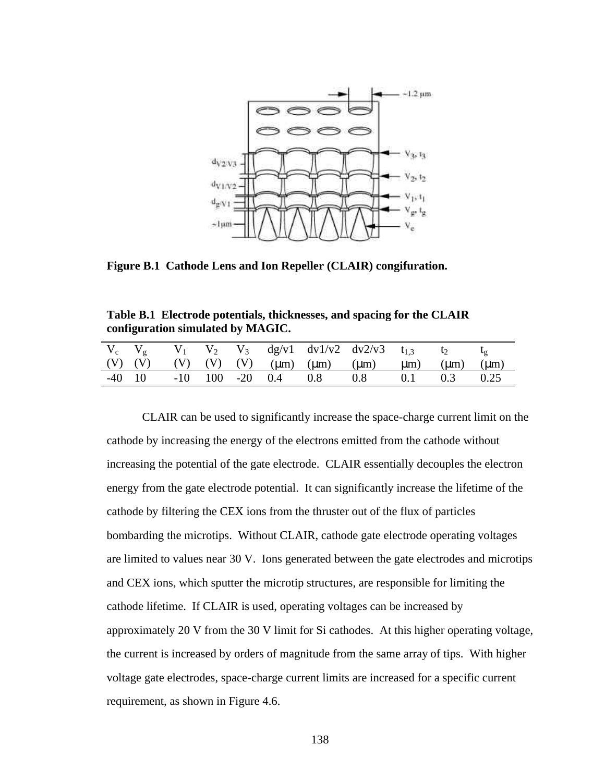

**Figure B.1 Cathode Lens and Ion Repeller (CLAIR) congifuration.**

**Table B.1 Electrode potentials, thicknesses, and spacing for the CLAIR configuration simulated by MAGIC.**

|  |  |  | $V_c$ $V_g$ $V_1$ $V_2$ $V_3$ $dg/v1$ $dv1/v2$ $dv2/v3$ $t_{1,3}$ $t_2$                   |  |  |
|--|--|--|-------------------------------------------------------------------------------------------|--|--|
|  |  |  | (V) (V) (V) (V) (V) $(\mu m)$ $(\mu m)$ $(\mu m)$ $(\mu m)$ $(\mu m)$ $(\mu m)$ $(\mu m)$ |  |  |
|  |  |  | $-40$ 10 $-10$ 100 $-20$ 0.4 0.8 0.8 0.1 0.3 0.25                                         |  |  |

CLAIR can be used to significantly increase the space-charge current limit on the cathode by increasing the energy of the electrons emitted from the cathode without increasing the potential of the gate electrode. CLAIR essentially decouples the electron energy from the gate electrode potential. It can significantly increase the lifetime of the cathode by filtering the CEX ions from the thruster out of the flux of particles bombarding the microtips. Without CLAIR, cathode gate electrode operating voltages are limited to values near 30 V. Ions generated between the gate electrodes and microtips and CEX ions, which sputter the microtip structures, are responsible for limiting the cathode lifetime. If CLAIR is used, operating voltages can be increased by approximately 20 V from the 30 V limit for Si cathodes. At this higher operating voltage, the current is increased by orders of magnitude from the same array of tips. With higher voltage gate electrodes, space-charge current limits are increased for a specific current requirement, as shown in Figure 4.6.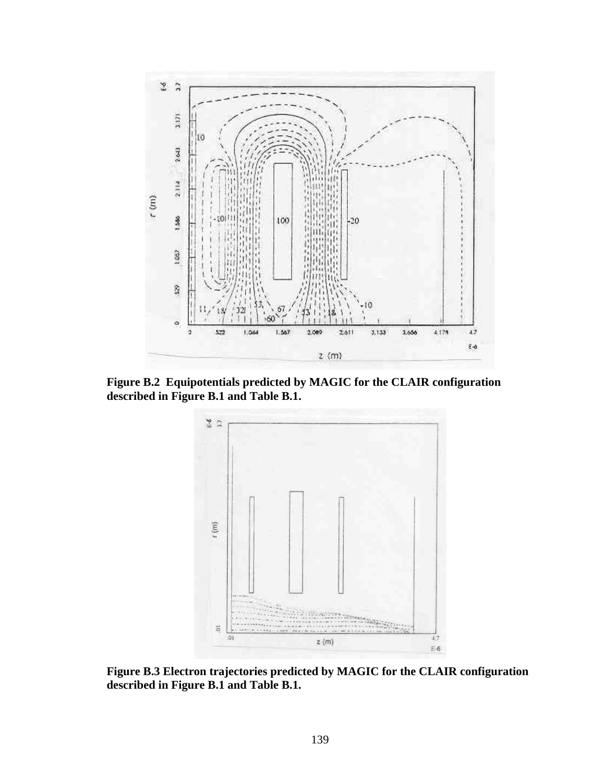

**Figure B.2 Equipotentials predicted by MAGIC for the CLAIR configuration described in Figure B.1 and Table B.1.**



**Figure B.3 Electron trajectories predicted by MAGIC for the CLAIR configuration described in Figure B.1 and Table B.1.**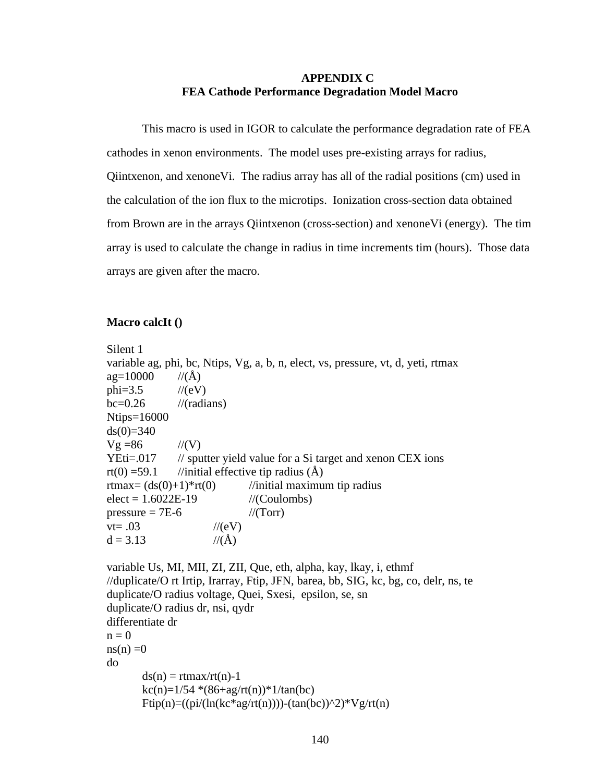### **APPENDIX C FEA Cathode Performance Degradation Model Macro**

This macro is used in IGOR to calculate the performance degradation rate of FEA cathodes in xenon environments. The model uses pre-existing arrays for radius,  $Q$ iintxenon, and xenone $V$ i. The radius array has all of the radial positions (cm) used in the calculation of the ion flux to the microtips. Ionization cross-section data obtained from Brown are in the arrays Qiintxenon (cross-section) and xenoneVi (energy). The tim array is used to calculate the change in radius in time increments tim (hours). Those data arrays are given after the macro.

#### **Macro calcIt ()**

Silent 1 variable ag, phi, bc, Ntips, Vg, a, b, n, elect, vs, pressure, vt, d, yeti, rtmax  $ag=10000$  //(Å)  $phi=3.5$  //(eV)  $bc=0.26$  //(radians) Ntips=16000  $ds(0)=340$  $Vg = 86$  //(V)  $YEti=017$  // sputter yield value for a Si target and xenon CEX ions rt(0) =59.1 //initial effective tip radius  $(A)$ rtmax=  $(ds(0)+1)*rt(0)$  //initial maximum tip radius  $elect = 1.6022E-19$  //(Coulombs) pressure  $= 7E-6$  //(Torr)  $vt = .03$  //(eV)  $d = 3.13$  //(Å)

```
variable Us, MI, MII, ZI, ZII, Que, eth, alpha, kay, lkay, i, ethmf
//duplicate/O rt Irtip, Irarray, Ftip, JFN, barea, bb, SIG, kc, bg, co, delr, ns, te
duplicate/O radius voltage, Quei, Sxesi, epsilon, se, sn
duplicate/O radius dr, nsi, qydr
differentiate dr
n = 0ns(n) = 0do
       ds(n) = rtmax/rt(n)-1
       kc(n)=1/54*(86+ag/rt(n))*1/tan(bc)Ftip(n)=((pi/(ln(kc*ag/rt(n))))-(tan(bc))^2)*Vg/rt(n)
```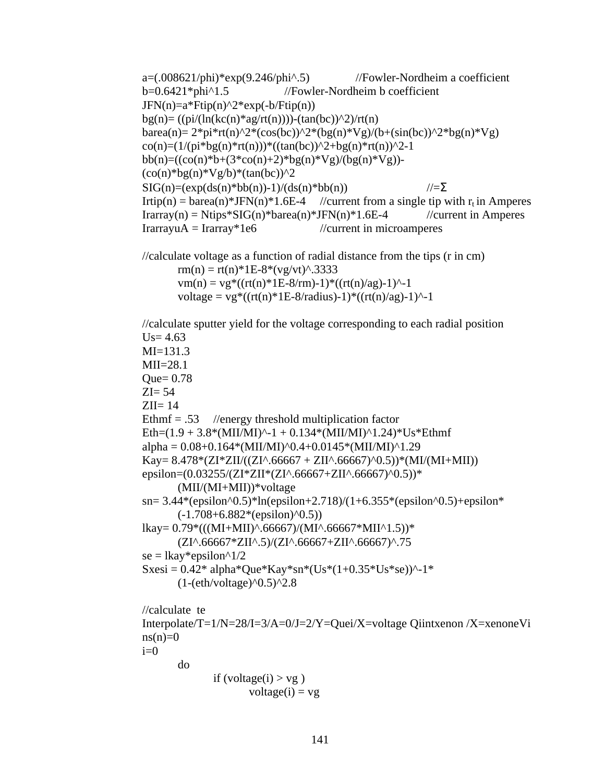```
a=(.008621/\pi)<sup>*</sup>exp(9.246/\pi)<sup>*</sup>.5) //Fowler-Nordheim a coefficient
b=0.6421*phi^1.5 //Fowler-Nordheim b coefficient
JFN(n)=a*Ftip(n)^2*exp(-b/Ftip(n))bg(n)= ((pi/(ln(kc(n)*ag/rt(n))))-(tan(bc))^2)/rt(n)
barea(n)= 2*pi*rt(n)^2*(cos(bc))^2*(bg(n)*Vg)/(b+(sin(bc))^2*bg(n)*Vg)co(n)=(1/(pi * bg(n) * rt(n))) * ((tan(bc))^2+bg(n) * rt(n))^2-1bb(n)=((co(n)*b+(3*co(n)+2)*bg(n)*Vg)/(bg(n)*Vg))-
(co(n)*bg(n)*Vg/b)*(tan(bc))^2SIG(n)=(exp(ds(n)*bb(n))-1)/(ds(n)*bb(n)) //=\SigmaIrtip(n) = barea(n)*JFN(n)*1.6E-4 //current from a single tip with r_t in Amperes
Irrary(n) = Ntips*SIG(n)*barea(n)*JFN(n)*1.6E-4 //current in Amperes
IrarrayuA = Irarray<sup>*</sup>1e6 //current in microamperes
//calculate voltage as a function of radial distance from the tips (r in cm)
       rm(n) = rt(n)*1E-8*(vg/vt)^{3}3333vm(n) = v g * ((rt(n) * 1E-8/rm) - 1) * ((rt(n)/ag) - 1)^{-1}voltage = vg*(rt(n)*1E-8/radius)-1)*(rt(n)/ag)-1)^{-1}//calculate sputter yield for the voltage corresponding to each radial position
Us = 4.63MI=131.3
MI=28.1Que= 0.78ZI=54ZII = 14Ethmf = .53 //energy threshold multiplication factor
Eth=(1.9 + 3.8*(MII/MI)^{-1} + 0.134*(MII/MI)^{-1}.24)*Us*Ethmfalpha = 0.08+0.164*(MII/MI)^0.4+0.0145*(MII/MI)^1.29Kay= 8.478*(ZI*ZII/((ZI^A.66667 + ZII^A.66667)^0.5))*(MI/MI+MII))epsilon=(0.03255/(ZI*ZII*(ZI^.66667+ZII^.66667)^0.5))*
       (MII/(MI+MII))*voltage
sn= 3.44*(epsilon0.5)*ln(epsilon+2.718)/(1+6.355*(epsilon0.5)+epsilon0.5)(-1.708+6.882*(epsilon)<sup>o</sup>(2.5))
lkay= 0.79*((MI+MII)^6.66667)/(MI^6.66667*MII^61.5))*(ZI^.66667*ZII^.5)/(ZI^.66667+ZII^.66667)^.75
se =lkay*epsilon^1/2
Sxesi = 0.42* alpha*Que*Kay*sn*(Us*(1+0.35*Us*se))^{2}-1*
       (1-(eth/voltage)^0.5)^2.8//calculate te
Interpolate/T=1/N=28/I=3/A=0/J=2/Y=Quei/X=voltage Qiintxenon /X=xenoneVi
ns(n)=0i=0do 
              if (voltage(i) > vg)
                     voltage(i) = vg
```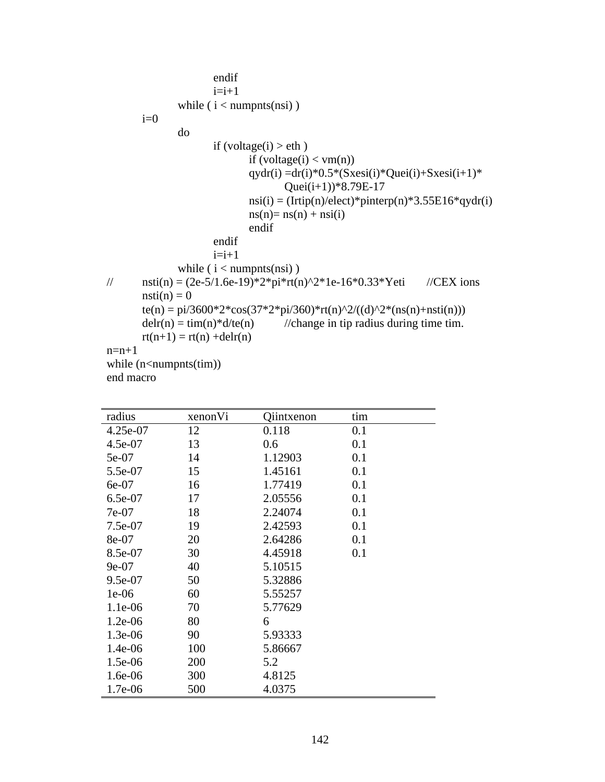```
endif
                      i=i+1while (i < numpnts(nsi))
       i=0do 
                      if (voltage(i) > eth)
                              if (voltage(i) < ym(n))qydr(i) =dr(i)*0.5*(Sxesi(i)*Quei(i)+Sxesi(i+1)*
                                      Quei(i+1))*8.79E-17nsi(i) = (Irtip(n)/elect)*pinterp(n)*3.55E16*qydr(i)ns(n) = ns(n) + ns(i)endif
                      endif
                      i=i+1while (i < numpnts(nsi))
// nsti(n) = (2e{\text -}5/1.6e{\text -}19)*2*pi*rt(n)^2*1e{\text -}16*0.33*Yeti //CEX ions
       nsti(n) = 0te(n) = pi/3600*2*cos(37*2*pi/360)*rt(n)^2/((d)^2*(ns(n)+nsti(n)))
       delr(n) = \text{tim}(n)*d/\text{te}(n) //change in tip radius during time tim.
       rt(n+1) = rt(n) + delr(n)n=n+1while (n<-numpnts(tim))
end macro
```

| radius    | xenonVi | Qiintxenon | tim |
|-----------|---------|------------|-----|
| 4.25e-07  | 12      | 0.118      | 0.1 |
| 4.5e-07   | 13      | 0.6        | 0.1 |
| 5e-07     | 14      | 1.12903    | 0.1 |
| 5.5e-07   | 15      | 1.45161    | 0.1 |
| 6e-07     | 16      | 1.77419    | 0.1 |
| 6.5e-07   | 17      | 2.05556    | 0.1 |
| 7e-07     | 18      | 2.24074    | 0.1 |
| 7.5e-07   | 19      | 2.42593    | 0.1 |
| 8e-07     | 20      | 2.64286    | 0.1 |
| 8.5e-07   | 30      | 4.45918    | 0.1 |
| $9e-07$   | 40      | 5.10515    |     |
| 9.5e-07   | 50      | 5.32886    |     |
| $1e-06$   | 60      | 5.55257    |     |
| $1.1e-06$ | 70      | 5.77629    |     |
| $1.2e-06$ | 80      | 6          |     |
| 1.3e-06   | 90      | 5.93333    |     |
| $1.4e-06$ | 100     | 5.86667    |     |
| 1.5e-06   | 200     | 5.2        |     |
| $1.6e-06$ | 300     | 4.8125     |     |
| 1.7e-06   | 500     | 4.0375     |     |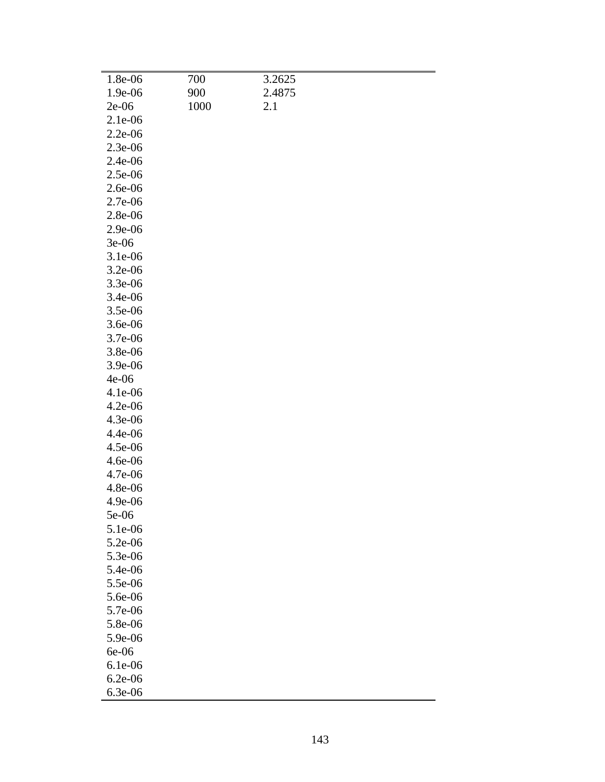| 1.8e-06   | 700  | 3.2625 |  |
|-----------|------|--------|--|
| 1.9e-06   | 900  | 2.4875 |  |
| $2e-06$   | 1000 | 2.1    |  |
| 2.1e-06   |      |        |  |
| 2.2e-06   |      |        |  |
| 2.3e-06   |      |        |  |
| 2.4e-06   |      |        |  |
| 2.5e-06   |      |        |  |
| 2.6e-06   |      |        |  |
| 2.7e-06   |      |        |  |
| 2.8e-06   |      |        |  |
| 2.9e-06   |      |        |  |
| $3e-06$   |      |        |  |
| 3.1e-06   |      |        |  |
|           |      |        |  |
| 3.2e-06   |      |        |  |
| 3.3e-06   |      |        |  |
| 3.4e-06   |      |        |  |
| 3.5e-06   |      |        |  |
| 3.6e-06   |      |        |  |
| 3.7e-06   |      |        |  |
| 3.8e-06   |      |        |  |
| 3.9e-06   |      |        |  |
| $4e-06$   |      |        |  |
| 4.1e-06   |      |        |  |
| $4.2e-06$ |      |        |  |
| 4.3e-06   |      |        |  |
| 4.4e-06   |      |        |  |
| 4.5e-06   |      |        |  |
| 4.6e-06   |      |        |  |
| 4.7e-06   |      |        |  |
| 4.8e-06   |      |        |  |
| 4.9e-06   |      |        |  |
| 5e-06     |      |        |  |
| 5.1e-06   |      |        |  |
| 5.2e-06   |      |        |  |
| 5.3e-06   |      |        |  |
| 5.4e-06   |      |        |  |
| 5.5e-06   |      |        |  |
| 5.6e-06   |      |        |  |
| 5.7e-06   |      |        |  |
| 5.8e-06   |      |        |  |
| 5.9e-06   |      |        |  |
| 6e-06     |      |        |  |
| 6.1e-06   |      |        |  |
| $6.2e-06$ |      |        |  |
| 6.3e-06   |      |        |  |
|           |      |        |  |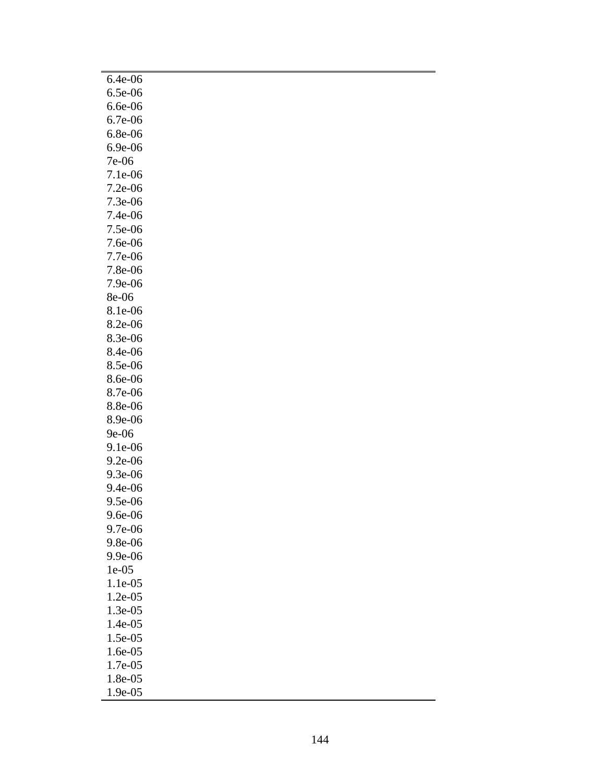| 6.4e-06 |  |  |  |
|---------|--|--|--|
| 6.5e-06 |  |  |  |
| 6.6e-06 |  |  |  |
| 6.7e-06 |  |  |  |
| 6.8e-06 |  |  |  |
| 6.9e-06 |  |  |  |
| 7e-06   |  |  |  |
| 7.1e-06 |  |  |  |
| 7.2e-06 |  |  |  |
| 7.3e-06 |  |  |  |
| 7.4e-06 |  |  |  |
| 7.5e-06 |  |  |  |
| 7.6e-06 |  |  |  |
| 7.7e-06 |  |  |  |
| 7.8e-06 |  |  |  |
| 7.9e-06 |  |  |  |
| 8e-06   |  |  |  |
| 8.1e-06 |  |  |  |
| 8.2e-06 |  |  |  |
| 8.3e-06 |  |  |  |
| 8.4e-06 |  |  |  |
| 8.5e-06 |  |  |  |
| 8.6e-06 |  |  |  |
| 8.7e-06 |  |  |  |
| 8.8e-06 |  |  |  |
| 8.9e-06 |  |  |  |
| 9e-06   |  |  |  |
| 9.1e-06 |  |  |  |
| 9.2e-06 |  |  |  |
| 9.3e-06 |  |  |  |
| 9.4e-06 |  |  |  |
| 9.5e-06 |  |  |  |
| 9.6e-06 |  |  |  |
| 9.7e-06 |  |  |  |
| 9.8e-06 |  |  |  |
| 9.9e-06 |  |  |  |
| 1e-05   |  |  |  |
| 1.1e-05 |  |  |  |
| 1.2e-05 |  |  |  |
| 1.3e-05 |  |  |  |
| 1.4e-05 |  |  |  |
| 1.5e-05 |  |  |  |
| 1.6e-05 |  |  |  |
| 1.7e-05 |  |  |  |
| 1.8e-05 |  |  |  |
| 1.9e-05 |  |  |  |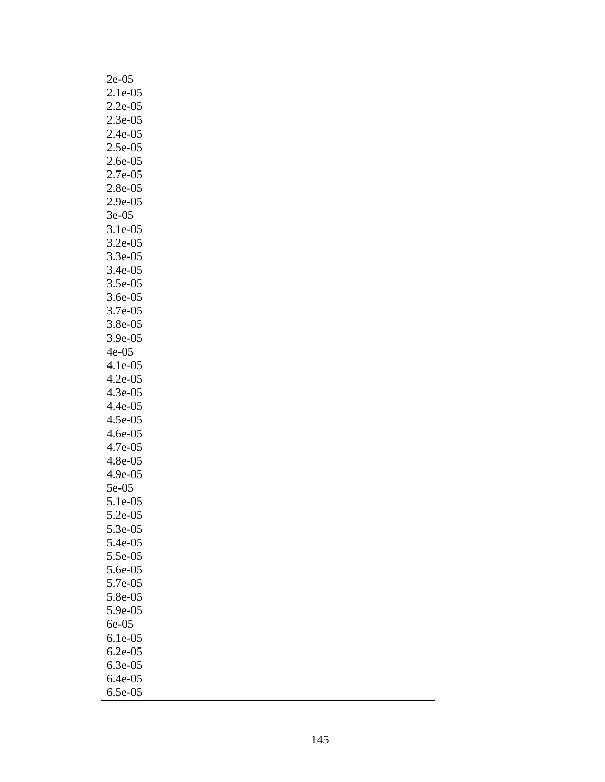| $2e-05$   |  |  |  |
|-----------|--|--|--|
| 2.1e-05   |  |  |  |
| $2.2e-05$ |  |  |  |
| 2.3e-05   |  |  |  |
| 2.4e-05   |  |  |  |
| $2.5e-05$ |  |  |  |
| 2.6e-05   |  |  |  |
| 2.7e-05   |  |  |  |
| 2.8e-05   |  |  |  |
| 2.9e-05   |  |  |  |
| $3e-05$   |  |  |  |
| 3.1e-05   |  |  |  |
| $3.2e-05$ |  |  |  |
| 3.3e-05   |  |  |  |
| 3.4e-05   |  |  |  |
| 3.5e-05   |  |  |  |
| 3.6e-05   |  |  |  |
| 3.7e-05   |  |  |  |
| 3.8e-05   |  |  |  |
| 3.9e-05   |  |  |  |
| $4e-05$   |  |  |  |
| 4.1e-05   |  |  |  |
| $4.2e-05$ |  |  |  |
| 4.3e-05   |  |  |  |
| 4.4e-05   |  |  |  |
| 4.5e-05   |  |  |  |
| 4.6e-05   |  |  |  |
| 4.7e-05   |  |  |  |
| 4.8e-05   |  |  |  |
| 4.9e-05   |  |  |  |
| 5e-05     |  |  |  |
| 5.1e-05   |  |  |  |
| 5.2e-05   |  |  |  |
| 5.3e-05   |  |  |  |
| 5.4e-05   |  |  |  |
| 5.5e-05   |  |  |  |
| 5.6e-05   |  |  |  |
| 5.7e-05   |  |  |  |
| 5.8e-05   |  |  |  |
| 5.9e-05   |  |  |  |
| 6e-05     |  |  |  |
| $6.1e-05$ |  |  |  |
| $6.2e-05$ |  |  |  |
| 6.3e-05   |  |  |  |
| 6.4e-05   |  |  |  |
| 6.5e-05   |  |  |  |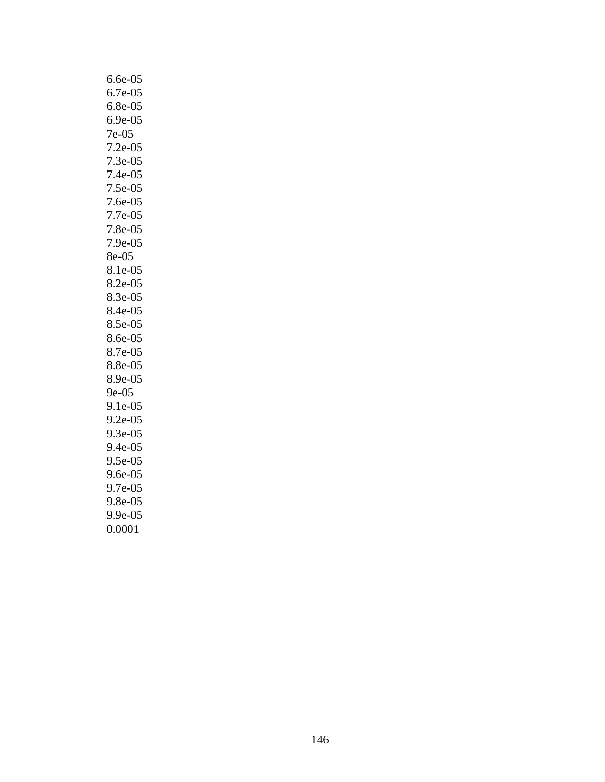| $6.6e-05$ |
|-----------|
| 6.7e-05   |
| 6.8e-05   |
| 6.9e-05   |
| 7e-05     |
| $7.2e-05$ |
| 7.3e-05   |
| 7.4e-05   |
| 7.5e-05   |
| 7.6e-05   |
| 7.7e-05   |
| 7.8e-05   |
| 7.9e-05   |
| 8e-05     |
| 8.1e-05   |
| 8.2e-05   |
| 8.3e-05   |
| 8.4e-05   |
| 8.5e-05   |
| 8.6e-05   |
| 8.7e-05   |
| 8.8e-05   |
| 8.9e-05   |
| 9e-05     |
| 9.1e-05   |
| 9.2e-05   |
| 9.3e-05   |
| 9.4e-05   |
| 9.5e-05   |
| 9.6e-05   |
| 9.7e-05   |
| 9.8e-05   |
| 9.9e-05   |
| 0.0001    |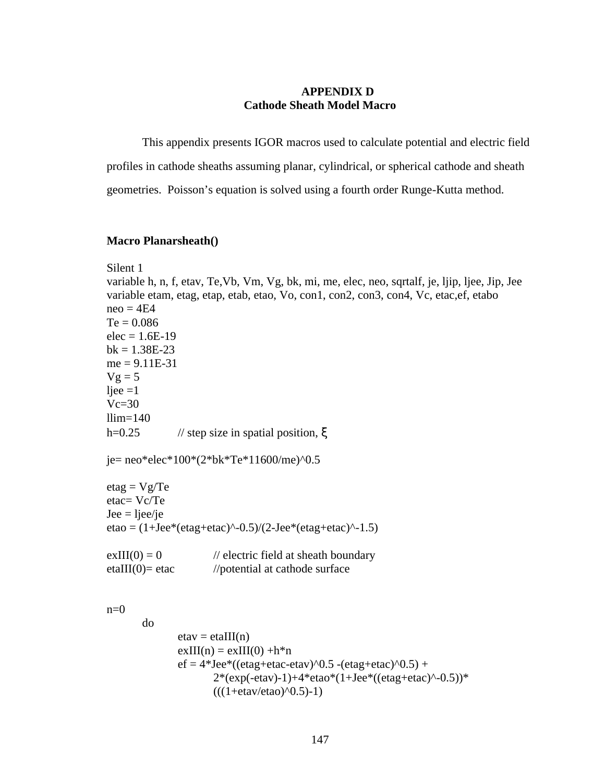# **APPENDIX D Cathode Sheath Model Macro**

This appendix presents IGOR macros used to calculate potential and electric field profiles in cathode sheaths assuming planar, cylindrical, or spherical cathode and sheath geometries. Poisson's equation is solved using a fourth order Runge-Kutta method.

#### **Macro Planarsheath()**

```
Silent 1
variable h, n, f, etav, Te,Vb, Vm, Vg, bk, mi, me, elec, neo, sqrtalf, je, ljip, ljee, Jip, Jee
variable etam, etag, etap, etab, etao, Vo, con1, con2, con3, con4, Vc, etac,ef, etabo
neo = 4E4Te = 0.086elec = 1.6E-19bk = 1.38E-23me = 9.11E-31Vg = 5ljee =1Vc=30llim=140h=0.25 // step size in spatial position, \xije= neo*elec*100*(2*bk*Te*11600/me)^0.5
eta = Vg/Teetac= Vc/Te
\text{Jee} = \text{ljee/je}etao = (1+Jee*(etag+etac)^{-0.5})/(2-Jee*(etag+etac)^{-1.5})exIII(0) = 0 // electric field at sheath boundary
etaIII(0)= etac //potential at cathode surface
n=0do 
               etav = etaIII(n)exIII(n) = exIII(0) +h*nef = 4*Jee*(etag+etac-etav)^0.5 - (etag+etac)^0.5) +2*(exp(-etav)-1)+4*etao*(1+Jee*((etag+etac)^{(-0.5)})*(((1 + \text{etav}/\text{etao})^0.5) - 1)
```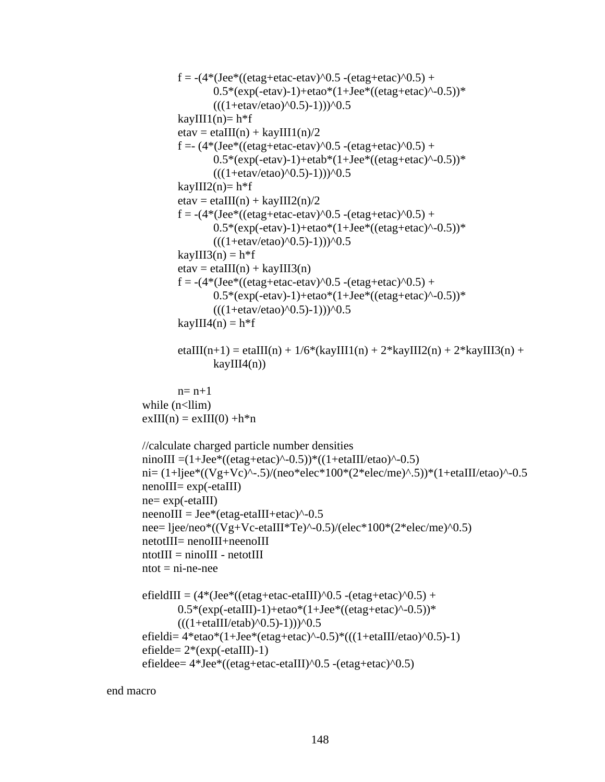```
f = -(4*(Jee*((etag+etac-etav)^0.5 -(etag+etac)^0.5) +
                 0.5*(exp(-etav)-1)+etao*(1+Jee*((etag+etac)^(-0.5))^*(((1 + \text{etav/etao})^0.5) - 1)))<sup>0.5</sup>
         kayIII1(n)= h*fetav = etaIII(n) + kayIII1(n)/2f = (4*(\text{Joe}*((\text{etag}+\text{etac}-\text{etav})^0).5 -(\text{etag}+\text{etac})^0).5) +0.5*(exp(-etav)-1)+etab*(1+Jee*((etag+etac)^{0}.5))*(((1 + \text{etav/etao})^0.5) - 1)))<sup>1</sup>0.5
         kayIII2(n)= h<sup>*</sup>f
         etav = etaIII(n) + kayIII2(n)/2f = -(4*(\text{Joe}*((\text{etag}+\text{etac}-\text{etav})^0).5 -(\text{etag}+\text{etac})^0).5) +0.5*(exp(-etav)-1)+etao*(1+Jee*((etag+etac)^{(-1)})*(((1 + \text{etav/etao})^0.5) - 1)))<sup>0.5</sup>
         kayIII3(n) = h*fetav = etaIII(n) + kayIII3(n)f = -(4*(\text{Joe}*((\text{etag}+\text{etac}-\text{etav})^0.5 - (\text{etag}+\text{etac})^0.5) +0.5*(exp(-etav)-1)+etao*(1+Jee*((etag+etac)^{(-1)})*(((1 + \text{etav/etao})^0.5) - 1)))<sup>1</sup>0.5
         kayIII4(n) = h*fetaIII(n+1) = etaIII(n) + 1/6*(kayIII1(n) + 2*kayIII2(n) + 2*kayIII3(n) +
                 kayIII4(n)n= n+1while (n<llim)
exIII(n) = exIII(0) +h*n//calculate charged particle number densities
ninoIII =(1+Jee*((etag+etac)^-0.5))*((1+etaIII/etao)^-0.5)
ni= (1+|iee^*((Vg+Vc)^{\hat{}}-0.5)/(neo^*elec^*100^*(2^*elec/me)^{\hat{}}.5))^*(1+etaIII/etao)^{\hat{}}-0.5)nenoIII= exp(-etaIII)
ne = exp(-etaIII)neen oIII = Jee*(etag-et aIII+etac)^{-0.5}nee= ljee/neo*((Vg+Vc-etaIII*Te)^-0.5)/(elec*100*(2*elec/me)^0.5)
netotIII= nenoIII+neenoIII
ntotIII = ninoIII - netotIIIntot = ni-ne-neeefieldIII = (4*(\text{Joe}*(\text{eta}+\text{eta}-\text{eta})))^0.5 -(\text{eta}+\text{eta}))/0.5) +0.5*(exp(-etaIII)-1)+etao*(1+Jee*((etag+etac)^(-0.5))^*(((1 + \text{etaIII/etab})^0.5) - 1)))^0.5efieldi= 4*eta^*(1+Jee*(etae+etac)^(-0.5)*(((1+etaIII/etao)^(-0.5)-1))efield = 2*(exp(-etaIII)-1)efieldee= 4*Jee*((etag+etac-etaIII)^0.5 -(etag+etac)^0.5)
```
end macro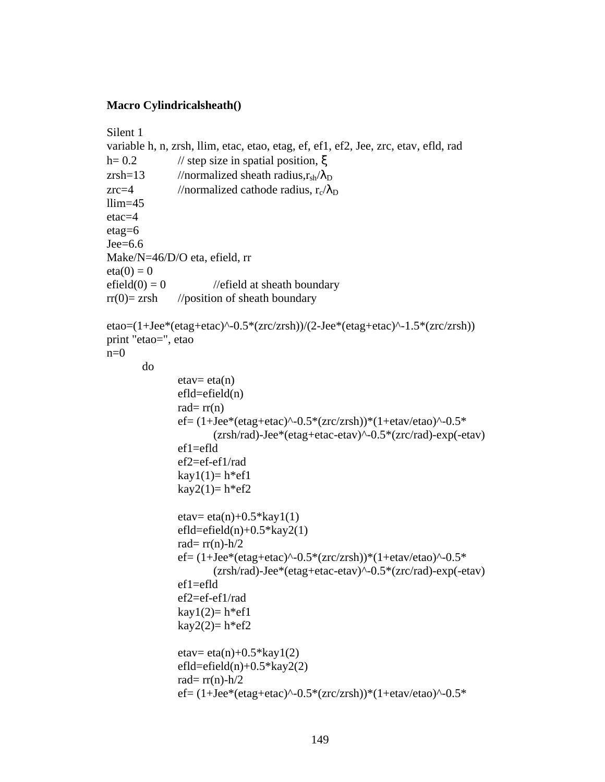# **Macro Cylindricalsheath()**

```
Silent 1
variable h, n, zrsh, llim, etac, etao, etag, ef, ef1, ef2, Jee, zrc, etav, efld, rad
h= 0.2 // step size in spatial position, \xizrsh=13 //normalized sheath radius,r_{sh}/\lambda_Dzrc=4 //normalized cathode radius, r_c/\lambda_Dllim=45etac=4
etag=6
Jee=6.6
Make/N=46/D/O eta, efield, rr
eta(0) = 0efield(0) = 0 \theta //efield at sheath boundary
rr(0)= zrsh //position of sheath boundary
etao=(1+Jee*(etag+etac)^-0.5*(zrc/zrsh))/(2-Jee*(etag+etac)^-1.5*(zrc/zrsh))
print "etao=", etao
n=0do
              etav= eta(n)efld=efield(n)rad=rr(n)ef= (1+Jee*(etae+etac)^0.5*(zrc/zrsh))*(1+etav/etao)^0.5*(zrsh/rad)-Jee*(etag+etac-etav)^-0.5*(zrc/rad)-exp(-etav) 
              ef1=efld
              ef2=ef-ef1/rad
              kay1(1)= h*ef1kay2(1)= h*ef2etav= eta(n)+0.5*kay1(1)efld=efield(n)+0.5*kay2(1)
              rad= rr(n)-h/2
              ef= (1+Jee*(etae+etac)^0.5*(zrc/zrsh))*(1+etav/etao)^0.5*(zrsh/rad)-Jee*(etag+etac-etav)^-0.5*(zrc/rad)-exp(-etav)
              ef1=efld
              ef2=ef-ef1/rad
              kay1(2)=h*ef1kay2(2)=h*ef2etav= eta(n)+0.5*kay1(2)efld=efield(n)+0.5*kay2(2)
              rad= rr(n)-h/2
              ef= (1+Jee*(etag+etac)^{(-0.5*(zrc/zrsh))*(1+etav/etao)^{-0.5*})
```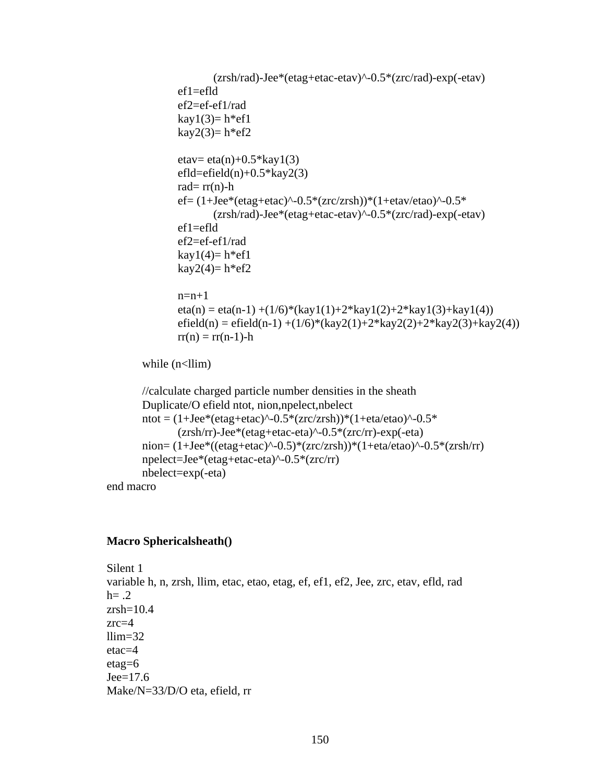```
(zrsh/rad)-Jee*(etag+etac-etav)^-0.5*(zrc/rad)-exp(-etav) 
       ef1=ef1def2=ef-ef1/rad
       kay1(3)=h*ef1kay2(3)=h*ef2etav= eta(n)+0.5*kay1(3)efld=efield(n)+0.5*kay2(3)
       rad=rr(n)-h
       ef= (1+Jee*(etag+etac)^{(-0.5*(zrc/zrsh))*(1+etav/etao)^{-0.5*})(zrsh/rad)-Jee*(etag+etac-etav)^-0.5*(zrc/rad)-exp(-etav) 
       ef1=efld
       ef2=ef-ef1/rad
       kay1(4)=h^*ef1kay2(4)=h*ef2n=n+1eta(n) = eta(n-1) + (1/6)^*(kay1(1) + 2*kay1(2) + 2*kay1(3) + kay1(4))efield(n) = efield(n-1) + (1/6)*(kay2(1)+2*kay2(2)+2*kay2(3)+kay2(4))rr(n) = rr(n-1) - hwhile (n<Ilim)//calculate charged particle number densities in the sheath
Duplicate/O efield ntot, nion,npelect,nbelect
ntot = (1+Jee*(etae+etac)^{-0.5*(zrc/zrsh)})*(1+eta/eta)-0.5*
       (zrsh/rr)-Jee*(etag+etac-eta)^-0.5*(zrc/rr)-exp(-eta)
nion= (1+Jee^*((etag+etac)^(-0.5)*(zrc/zrsh))*(1+eta/etao)^(-0.5*(zrsh/rr))npelect=Jee*(etag+etac-eta)^-0.5*(zrc/rr)
nbelect=exp(-eta)
```
end macro

## **Macro Sphericalsheath()**

Silent 1 variable h, n, zrsh, llim, etac, etao, etag, ef, ef1, ef2, Jee, zrc, etav, efld, rad  $h = .2$  $zrsh=10.4$ zrc=4  $llim=32$ etac=4 etag=6  $Je$ e $=$ 17.6 Make/N=33/D/O eta, efield, rr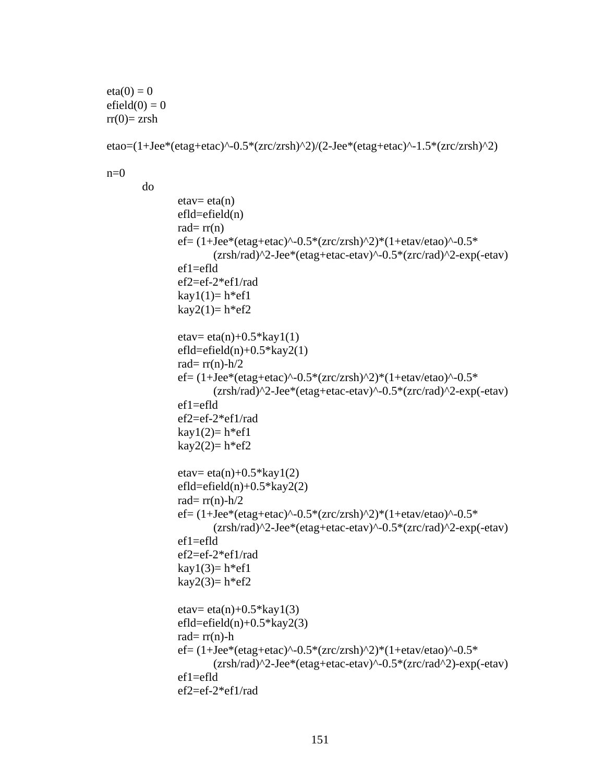$eta(0) = 0$  $efield(0) = 0$  $rr(0)=zrsh$ 

```
etao=(1+Jee*(etag+etac)^-0.5*(zrc/zrsh)^2)/(2-Jee*(etag+etac)^-1.5*(zrc/zrsh)^2)
```
 $n=0$ 

do

```
etav= eta(n)eff = field(n)rad=rr(n)ef= (1+Jee*(etae+etac)^{-0.5*(zrc/zrsh)^2})(1+etav/etao)^{-0.5*}(zrsh/rad)^2-Jee*(etag+etac-etav)^-0.5*(zrc/rad)^2-exp(-etav) 
ef1=efldef2=ef-2*ef1/rad
kay1(1)=h*ef1kay2(1)= h*ef2etav= eta(n)+0.5*kay1(1)efld=efield(n)+0.5*kay2(1)
rad= rr(n)-h/2
ef= (1+Jee*(etag+etac)^-0.5*(zrc/zrsh)^2)*(1+etav/etao)^-0.5*
       (zrsh/rad)^2-Jee*(etag+etac-etav)^-0.5*(zrc/rad)^2-exp(-etav)
ef1=ef1def2=ef-2*ef1/rad
kay1(2)=h*ef1kay2(2)=h*ef2etav= eta(n)+0.5*kay1(2)efld=efield(n)+0.5*kay2(2)
rad= rr(n)-h/2
ef= (1+Jee*(etag+etac)^{\hat{ }}-0.5*(zrc/zrsh)^{\hat{ }}2)*(1+etav/eta)^{\hat{ }}-0.5*(zrsh/rad)^2-Jee*(etag+etac-etav)^-0.5*(zrc/rad)^2-exp(-etav)
ef1=efld
ef2=ef-2*ef1/rad
kay1(3)=h*ef1kay2(3)=h*ef2etav= eta(n)+0.5*kay1(3)efld=efield(n)+0.5*kay2(3)
rad=rr(n)-h
ef= (1+Jee*(etag+etac)^{\hat{ }}-0.5*(zrc/zrsh)^{\hat{ }}2)*(1+etav/etao)^{\hat{ }}-0.5*(zrsh/rad)^2-Jee*(etag+etac-etav)^-0.5*(zrc/rad^2)-exp(-etav)
ef1=efld
ef2=ef-2*ef1/rad
```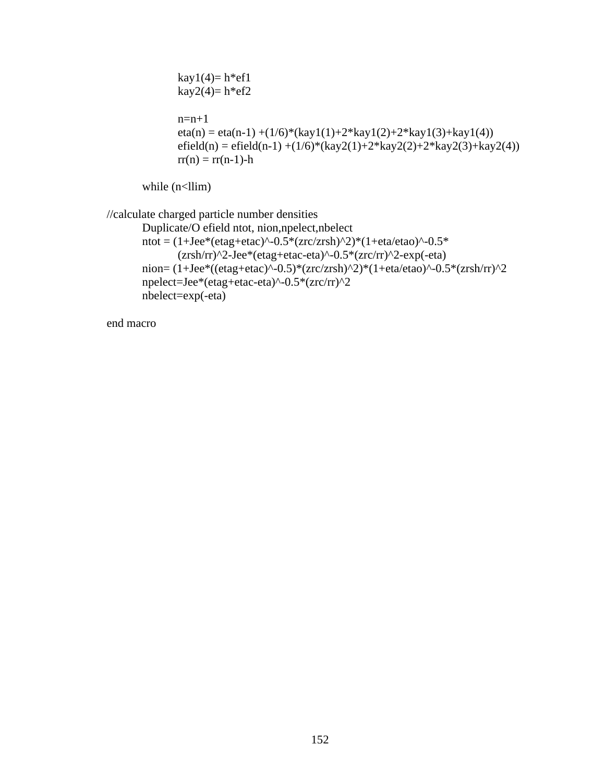```
kay1(4)=h*ef1kay2(4)= h*ef2n=n+1eta(n) = eta(n-1) + (1/6)^*(kay1(1) + 2*kay1(2) + 2*kay1(3) + kay1(4))efield(n) = efield(n-1) +(1/6)*(kay2(1)+2*kay2(2)+2*kay2(3)+kay2(4))
rr(n) = rr(n-1) - h
```
while  $(n<$ llim)

```
//calculate charged particle number densities
        Duplicate/O efield ntot, nion,npelect,nbelect
        ntot = (1+Jee*(etag+etac)^{0} - 0.5*(zrc/zrsh)^{0})*(1+eta/eta)^{0} - 0.5*(zrsh/rr)^2-Jee*(etag+etac-eta)^-0.5*(zrc/rr)^2-exp(-eta)
        nion= (1+Jee*((etag+etac)^{\hat{ }}-0.5)*(zrc/zrsh)^{\hat{ }}2)*(1+eta/eta/\hat{c}a)<sup>*</sup>(2*npelect=Jee*(etag+etac-eta)^-0.5*(zrc/rr)^2
        nbelect=exp(-eta)
```
end macro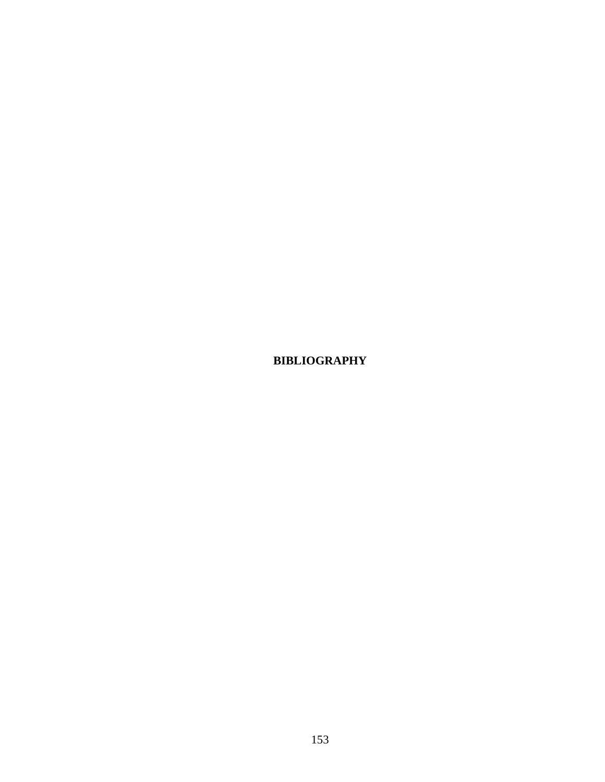**BIBLIOGRAPHY**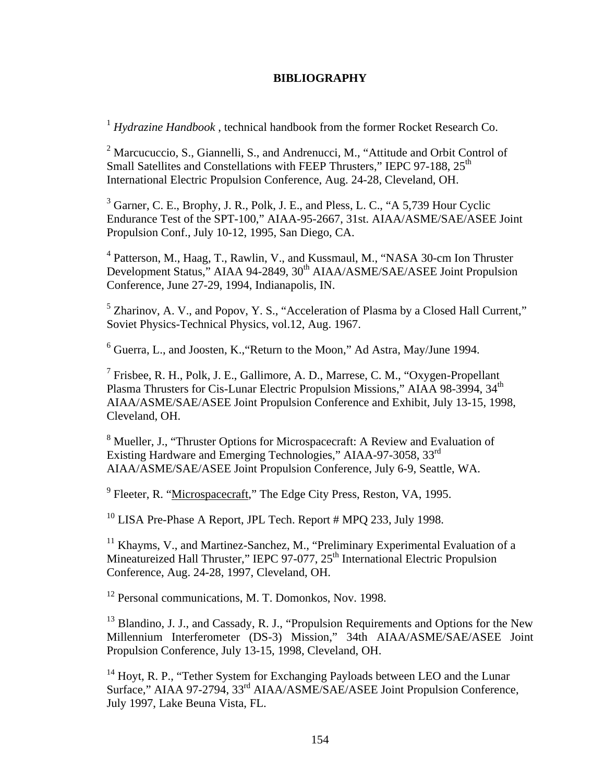## **BIBLIOGRAPHY**

<sup>1</sup> *Hydrazine Handbook* , technical handbook from the former Rocket Research Co.

<sup>2</sup> Marcucuccio, S., Giannelli, S., and Andrenucci, M., "Attitude and Orbit Control of Small Satellites and Constellations with FEEP Thrusters," IEPC 97-188, 25<sup>th</sup> International Electric Propulsion Conference, Aug. 24-28, Cleveland, OH.

<sup>3</sup> Garner, C. E., Brophy, J. R., Polk, J. E., and Pless, L. C., "A 5,739 Hour Cyclic Endurance Test of the SPT-100," AIAA-95-2667, 31st. AIAA/ASME/SAE/ASEE Joint Propulsion Conf., July 10-12, 1995, San Diego, CA.

<sup>4</sup> Patterson, M., Haag, T., Rawlin, V., and Kussmaul, M., "NASA 30-cm Ion Thruster Development Status," AIAA 94-2849, 30<sup>th</sup> AIAA/ASME/SAE/ASEE Joint Propulsion Conference, June 27-29, 1994, Indianapolis, IN.

 $<sup>5</sup>$  Zharinov, A. V., and Popov, Y. S., "Acceleration of Plasma by a Closed Hall Current,"</sup> Soviet Physics-Technical Physics, vol.12, Aug. 1967.

 $^6$  Guerra, L., and Joosten, K., "Return to the Moon," Ad Astra, May/June 1994.

<sup>7</sup> Frisbee, R. H., Polk, J. E., Gallimore, A. D., Marrese, C. M., "Oxygen-Propellant Plasma Thrusters for Cis-Lunar Electric Propulsion Missions," AIAA 98-3994, 34<sup>th</sup> AIAA/ASME/SAE/ASEE Joint Propulsion Conference and Exhibit, July 13-15, 1998, Cleveland, OH.

<sup>8</sup> Mueller, J., "Thruster Options for Microspacecraft: A Review and Evaluation of Existing Hardware and Emerging Technologies," AIAA-97-3058, 33rd AIAA/ASME/SAE/ASEE Joint Propulsion Conference, July 6-9, Seattle, WA.

<sup>9</sup> Fleeter, R. "Microspacecraft," The Edge City Press, Reston, VA, 1995.

<sup>10</sup> LISA Pre-Phase A Report, JPL Tech. Report # MPQ 233, July 1998.

<sup>11</sup> Khayms, V., and Martinez-Sanchez, M., "Preliminary Experimental Evaluation of a Mineatureized Hall Thruster," IEPC 97-077, 25<sup>th</sup> International Electric Propulsion Conference, Aug. 24-28, 1997, Cleveland, OH.

<sup>12</sup> Personal communications, M. T. Domonkos, Nov. 1998.

<sup>13</sup> Blandino, J. J., and Cassady, R. J., "Propulsion Requirements and Options for the New Millennium Interferometer (DS-3) Mission," 34th AIAA/ASME/SAE/ASEE Joint Propulsion Conference, July 13-15, 1998, Cleveland, OH.

<sup>14</sup> Hoyt, R. P., "Tether System for Exchanging Payloads between LEO and the Lunar Surface," AIAA 97-2794, 33<sup>rd</sup> AIAA/ASME/SAE/ASEE Joint Propulsion Conference, July 1997, Lake Beuna Vista, FL.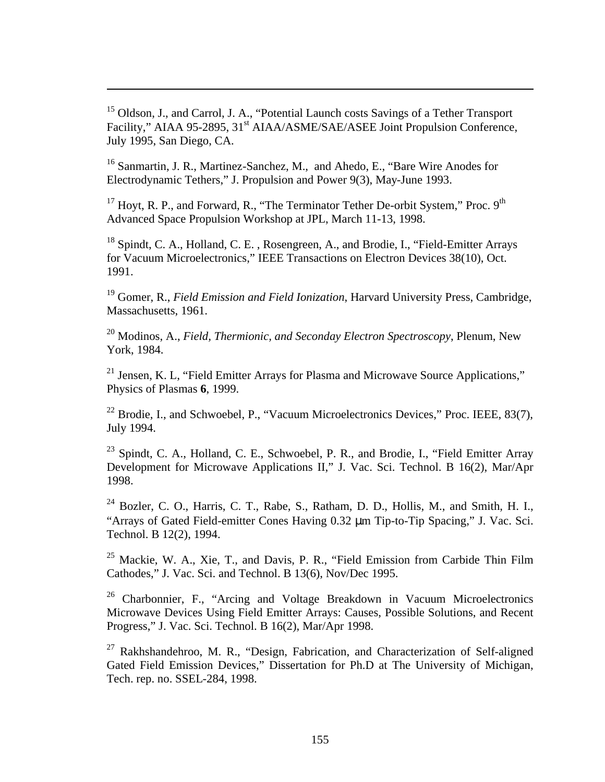<sup>15</sup> Oldson, J., and Carrol, J. A., "Potential Launch costs Savings of a Tether Transport Facility," AIAA 95-2895, 31<sup>st</sup> AIAA/ASME/SAE/ASEE Joint Propulsion Conference, July 1995, San Diego, CA.

 $\overline{a}$ 

<sup>16</sup> Sanmartin, J. R., Martinez-Sanchez, M., and Ahedo, E., "Bare Wire Anodes for Electrodynamic Tethers," J. Propulsion and Power 9(3), May-June 1993.

<sup>17</sup> Hoyt, R. P., and Forward, R., "The Terminator Tether De-orbit System," Proc. 9<sup>th</sup> Advanced Space Propulsion Workshop at JPL, March 11-13, 1998.

<sup>18</sup> Spindt, C. A., Holland, C. E., Rosengreen, A., and Brodie, I., "Field-Emitter Arrays for Vacuum Microelectronics," IEEE Transactions on Electron Devices 38(10), Oct. 1991.

<sup>19</sup> Gomer, R., *Field Emission and Field Ionization*, Harvard University Press, Cambridge, Massachusetts, 1961.

<sup>20</sup> Modinos, A., *Field, Thermionic, and Seconday Electron Spectroscopy*, Plenum, New York, 1984.

<sup>21</sup> Jensen, K. L, "Field Emitter Arrays for Plasma and Microwave Source Applications," Physics of Plasmas **6**, 1999.

 $22$  Brodie, I., and Schwoebel, P., "Vacuum Microelectronics Devices," Proc. IEEE, 83(7), July 1994.

<sup>23</sup> Spindt, C. A., Holland, C. E., Schwoebel, P. R., and Brodie, I., "Field Emitter Array Development for Microwave Applications II," J. Vac. Sci. Technol. B 16(2), Mar/Apr 1998.

<sup>24</sup> Bozler, C. O., Harris, C. T., Rabe, S., Ratham, D. D., Hollis, M., and Smith, H. I., "Arrays of Gated Field-emitter Cones Having 0.32 μm Tip-to-Tip Spacing," J. Vac. Sci. Technol. B 12(2), 1994.

 $25$  Mackie, W. A., Xie, T., and Davis, P. R., "Field Emission from Carbide Thin Film Cathodes," J. Vac. Sci. and Technol. B 13(6), Nov/Dec 1995.

<sup>26</sup> Charbonnier, F., "Arcing and Voltage Breakdown in Vacuum Microelectronics Microwave Devices Using Field Emitter Arrays: Causes, Possible Solutions, and Recent Progress," J. Vac. Sci. Technol. B 16(2), Mar/Apr 1998.

<sup>27</sup> Rakhshandehroo, M. R., "Design, Fabrication, and Characterization of Self-aligned Gated Field Emission Devices," Dissertation for Ph.D at The University of Michigan, Tech. rep. no. SSEL-284, 1998.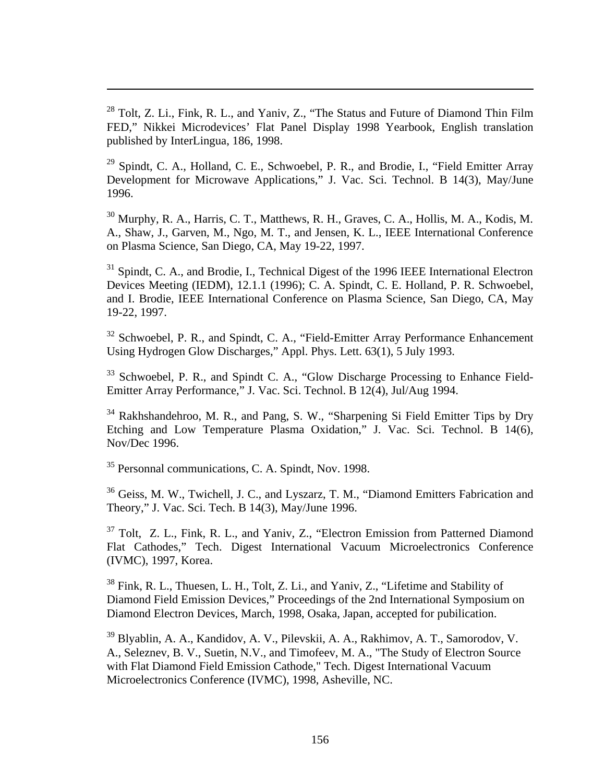<sup>28</sup> Tolt, Z. Li., Fink, R. L., and Yaniv, Z., "The Status and Future of Diamond Thin Film FED," Nikkei Microdevices' Flat Panel Display 1998 Yearbook, English translation published by InterLingua, 186, 1998.

<sup>29</sup> Spindt, C. A., Holland, C. E., Schwoebel, P. R., and Brodie, I., "Field Emitter Array Development for Microwave Applications," J. Vac. Sci. Technol. B 14(3), May/June 1996.

<sup>30</sup> Murphy, R. A., Harris, C. T., Matthews, R. H., Graves, C. A., Hollis, M. A., Kodis, M. A., Shaw, J., Garven, M., Ngo, M. T., and Jensen, K. L., IEEE International Conference on Plasma Science, San Diego, CA, May 19-22, 1997.

<sup>31</sup> Spindt, C. A., and Brodie, I., Technical Digest of the 1996 IEEE International Electron Devices Meeting (IEDM), 12.1.1 (1996); C. A. Spindt, C. E. Holland, P. R. Schwoebel, and I. Brodie, IEEE International Conference on Plasma Science, San Diego, CA, May 19-22, 1997.

<sup>32</sup> Schwoebel, P. R., and Spindt, C. A., "Field-Emitter Array Performance Enhancement Using Hydrogen Glow Discharges," Appl. Phys. Lett. 63(1), 5 July 1993.

<sup>33</sup> Schwoebel, P. R., and Spindt C. A., "Glow Discharge Processing to Enhance Field-Emitter Array Performance," J. Vac. Sci. Technol. B 12(4), Jul/Aug 1994.

<sup>34</sup> Rakhshandehroo, M. R., and Pang, S. W., "Sharpening Si Field Emitter Tips by Dry Etching and Low Temperature Plasma Oxidation," J. Vac. Sci. Technol. B 14(6), Nov/Dec 1996.

<sup>35</sup> Personnal communications, C. A. Spindt, Nov. 1998.

 $\overline{a}$ 

<sup>36</sup> Geiss, M. W., Twichell, J. C., and Lyszarz, T. M., "Diamond Emitters Fabrication and Theory," J. Vac. Sci. Tech. B 14(3), May/June 1996.

<sup>37</sup> Tolt, Z. L., Fink, R. L., and Yaniv, Z., "Electron Emission from Patterned Diamond Flat Cathodes," Tech. Digest International Vacuum Microelectronics Conference (IVMC), 1997, Korea.

<sup>38</sup> Fink, R. L., Thuesen, L. H., Tolt, Z. Li., and Yaniv, Z., "Lifetime and Stability of Diamond Field Emission Devices," Proceedings of the 2nd International Symposium on Diamond Electron Devices, March, 1998, Osaka, Japan, accepted for pubilication.

<sup>39</sup> Blyablin, A. A., Kandidov, A. V., Pilevskii, A. A., Rakhimov, A. T., Samorodov, V. A., Seleznev, B. V., Suetin, N.V., and Timofeev, M. A., "The Study of Electron Source with Flat Diamond Field Emission Cathode," Tech. Digest International Vacuum Microelectronics Conference (IVMC), 1998, Asheville, NC.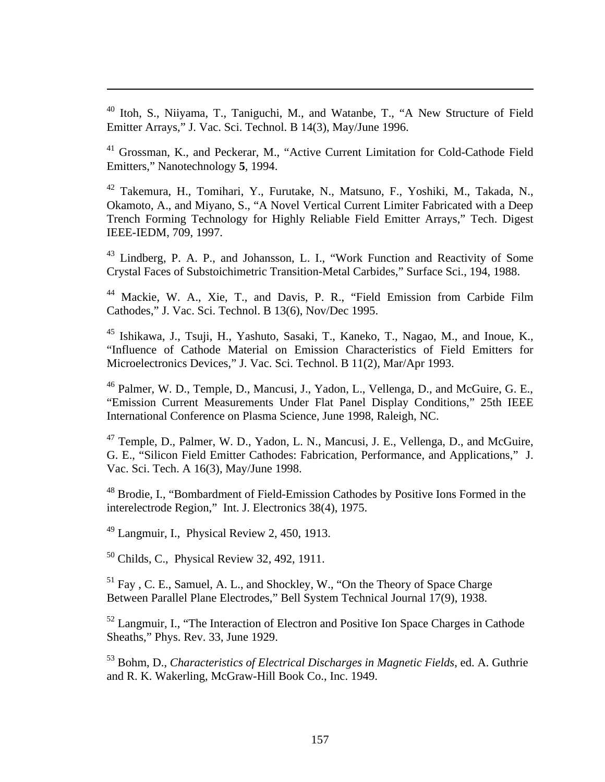<sup>40</sup> Itoh, S., Niiyama, T., Taniguchi, M., and Watanbe, T., "A New Structure of Field Emitter Arrays," J. Vac. Sci. Technol. B 14(3), May/June 1996.

<sup>41</sup> Grossman, K., and Peckerar, M., "Active Current Limitation for Cold-Cathode Field Emitters," Nanotechnology **5**, 1994.

<sup>42</sup> Takemura, H., Tomihari, Y., Furutake, N., Matsuno, F., Yoshiki, M., Takada, N., Okamoto, A., and Miyano, S., "A Novel Vertical Current Limiter Fabricated with a Deep Trench Forming Technology for Highly Reliable Field Emitter Arrays," Tech. Digest IEEE-IEDM, 709, 1997.

<sup>43</sup> Lindberg, P. A. P., and Johansson, L. I., "Work Function and Reactivity of Some Crystal Faces of Substoichimetric Transition-Metal Carbides," Surface Sci., 194, 1988.

<sup>44</sup> Mackie, W. A., Xie, T., and Davis, P. R., "Field Emission from Carbide Film Cathodes," J. Vac. Sci. Technol. B 13(6), Nov/Dec 1995.

<sup>45</sup> Ishikawa, J., Tsuji, H., Yashuto, Sasaki, T., Kaneko, T., Nagao, M., and Inoue, K., "Influence of Cathode Material on Emission Characteristics of Field Emitters for Microelectronics Devices," J. Vac. Sci. Technol. B 11(2), Mar/Apr 1993.

<sup>46</sup> Palmer, W. D., Temple, D., Mancusi, J., Yadon, L., Vellenga, D., and McGuire, G. E., "Emission Current Measurements Under Flat Panel Display Conditions," 25th IEEE International Conference on Plasma Science, June 1998, Raleigh, NC.

<sup>47</sup> Temple, D., Palmer, W. D., Yadon, L. N., Mancusi, J. E., Vellenga, D., and McGuire, G. E., "Silicon Field Emitter Cathodes: Fabrication, Performance, and Applications," J. Vac. Sci. Tech. A 16(3), May/June 1998.

<sup>48</sup> Brodie, I., "Bombardment of Field-Emission Cathodes by Positive Ions Formed in the interelectrode Region," Int. J. Electronics 38(4), 1975.

<sup>49</sup> Langmuir, I., Physical Review 2, 450, 1913.

 $\overline{a}$ 

<sup>50</sup> Childs, C., Physical Review 32, 492, 1911.

<sup>51</sup> Fay , C. E., Samuel, A. L., and Shockley, W., "On the Theory of Space Charge Between Parallel Plane Electrodes," Bell System Technical Journal 17(9), 1938.

<sup>52</sup> Langmuir, I., "The Interaction of Electron and Positive Ion Space Charges in Cathode Sheaths," Phys. Rev. 33, June 1929.

<sup>53</sup> Bohm, D., *Characteristics of Electrical Discharges in Magnetic Fields*, ed. A. Guthrie and R. K. Wakerling, McGraw-Hill Book Co., Inc. 1949.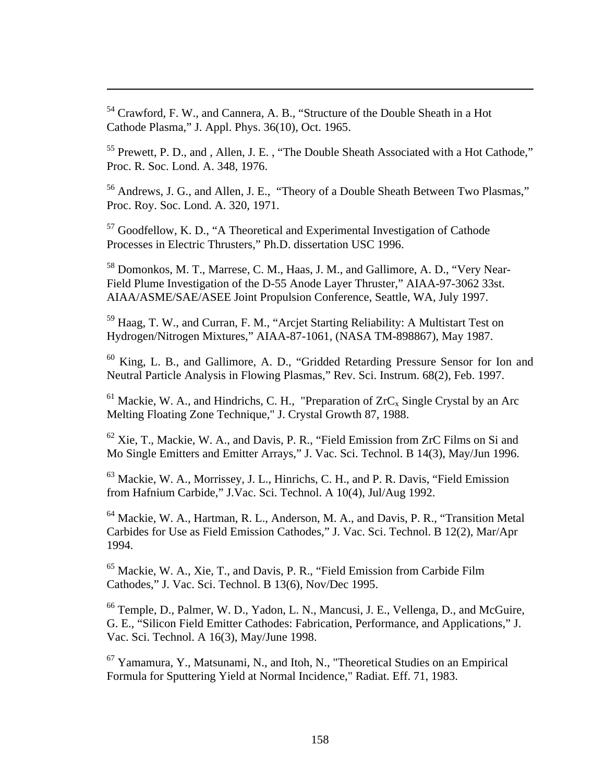<sup>54</sup> Crawford, F. W., and Cannera, A. B., "Structure of the Double Sheath in a Hot Cathode Plasma," J. Appl. Phys. 36(10), Oct. 1965.

 $\overline{a}$ 

<sup>55</sup> Prewett, P. D., and, Allen, J. E., "The Double Sheath Associated with a Hot Cathode," Proc. R. Soc. Lond. A. 348, 1976.

<sup>56</sup> Andrews, J. G., and Allen, J. E., "Theory of a Double Sheath Between Two Plasmas," Proc. Roy. Soc. Lond. A. 320, 1971.

<sup>57</sup> Goodfellow, K. D., "A Theoretical and Experimental Investigation of Cathode Processes in Electric Thrusters," Ph.D. dissertation USC 1996.

<sup>58</sup> Domonkos, M. T., Marrese, C. M., Haas, J. M., and Gallimore, A. D., "Very Near-Field Plume Investigation of the D-55 Anode Layer Thruster," AIAA-97-3062 33st. AIAA/ASME/SAE/ASEE Joint Propulsion Conference, Seattle, WA, July 1997.

<sup>59</sup> Haag, T. W., and Curran, F. M., "Arcjet Starting Reliability: A Multistart Test on Hydrogen/Nitrogen Mixtures," AIAA-87-1061, (NASA TM-898867), May 1987.

<sup>60</sup> King, L. B., and Gallimore, A. D., "Gridded Retarding Pressure Sensor for Ion and Neutral Particle Analysis in Flowing Plasmas," Rev. Sci. Instrum. 68(2), Feb. 1997.

 $61$  Mackie, W. A., and Hindrichs, C. H., "Preparation of  $ZrC<sub>x</sub>$  Single Crystal by an Arc Melting Floating Zone Technique," J. Crystal Growth 87, 1988.

 $62$  Xie, T., Mackie, W. A., and Davis, P. R., "Field Emission from ZrC Films on Si and Mo Single Emitters and Emitter Arrays," J. Vac. Sci. Technol. B 14(3), May/Jun 1996.

<sup>63</sup> Mackie, W. A., Morrissey, J. L., Hinrichs, C. H., and P. R. Davis, "Field Emission from Hafnium Carbide," J.Vac. Sci. Technol. A 10(4), Jul/Aug 1992.

<sup>64</sup> Mackie, W. A., Hartman, R. L., Anderson, M. A., and Davis, P. R., "Transition Metal Carbides for Use as Field Emission Cathodes," J. Vac. Sci. Technol. B 12(2), Mar/Apr 1994.

<sup>65</sup> Mackie, W. A., Xie, T., and Davis, P. R., "Field Emission from Carbide Film Cathodes," J. Vac. Sci. Technol. B 13(6), Nov/Dec 1995.

<sup>66</sup> Temple, D., Palmer, W. D., Yadon, L. N., Mancusi, J. E., Vellenga, D., and McGuire, G. E., "Silicon Field Emitter Cathodes: Fabrication, Performance, and Applications," J. Vac. Sci. Technol. A 16(3), May/June 1998.

<sup>67</sup> Yamamura, Y., Matsunami, N., and Itoh, N., "Theoretical Studies on an Empirical Formula for Sputtering Yield at Normal Incidence," Radiat. Eff. 71, 1983.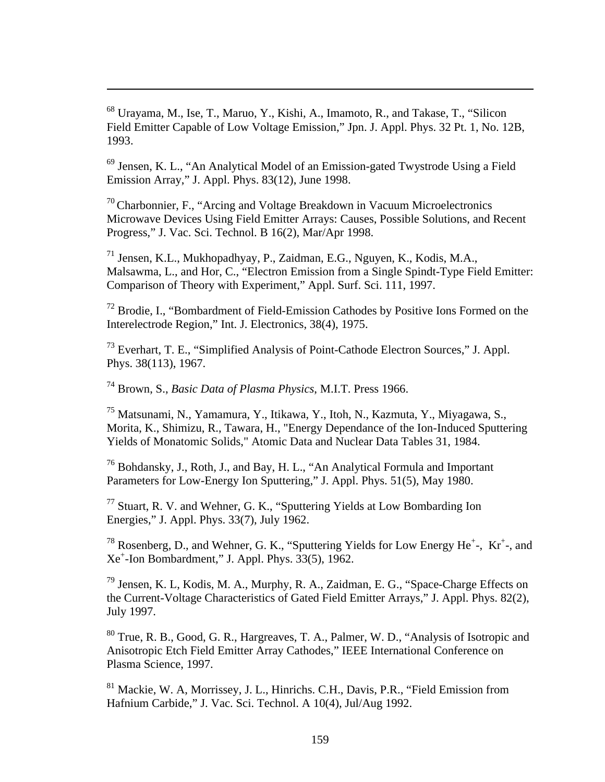<sup>68</sup> Urayama, M., Ise, T., Maruo, Y., Kishi, A., Imamoto, R., and Takase, T., "Silicon Field Emitter Capable of Low Voltage Emission," Jpn. J. Appl. Phys. 32 Pt. 1, No. 12B, 1993.

<sup>69</sup> Jensen, K. L., "An Analytical Model of an Emission-gated Twystrode Using a Field Emission Array," J. Appl. Phys. 83(12), June 1998.

 $70$  Charbonnier, F., "Arcing and Voltage Breakdown in Vacuum Microelectronics Microwave Devices Using Field Emitter Arrays: Causes, Possible Solutions, and Recent Progress," J. Vac. Sci. Technol. B 16(2), Mar/Apr 1998.

<sup>71</sup> Jensen, K.L., Mukhopadhyay, P., Zaidman, E.G., Nguyen, K., Kodis, M.A., Malsawma, L., and Hor, C., "Electron Emission from a Single Spindt-Type Field Emitter: Comparison of Theory with Experiment," Appl. Surf. Sci. 111, 1997.

<sup>72</sup> Brodie, I., "Bombardment of Field-Emission Cathodes by Positive Ions Formed on the Interelectrode Region," Int. J. Electronics, 38(4), 1975.

<sup>73</sup> Everhart, T. E., "Simplified Analysis of Point-Cathode Electron Sources," J. Appl. Phys. 38(113), 1967.

<sup>74</sup> Brown, S., *Basic Data of Plasma Physics*, M.I.T. Press 1966.

 $\overline{a}$ 

<sup>75</sup> Matsunami, N., Yamamura, Y., Itikawa, Y., Itoh, N., Kazmuta, Y., Miyagawa, S., Morita, K., Shimizu, R., Tawara, H., "Energy Dependance of the Ion-Induced Sputtering Yields of Monatomic Solids," Atomic Data and Nuclear Data Tables 31, 1984.

<sup>76</sup> Bohdansky, J., Roth, J., and Bay, H. L., "An Analytical Formula and Important Parameters for Low-Energy Ion Sputtering," J. Appl. Phys. 51(5), May 1980.

<sup>77</sup> Stuart, R. V. and Wehner, G. K., "Sputtering Yields at Low Bombarding Ion Energies," J. Appl. Phys. 33(7), July 1962.

<sup>78</sup> Rosenberg, D., and Wehner, G. K., "Sputtering Yields for Low Energy He<sup>+</sup>-, Kr<sup>+</sup>-, and Xe<sup>+</sup> -Ion Bombardment," J. Appl. Phys. 33(5), 1962.

<sup>79</sup> Jensen, K. L, Kodis, M. A., Murphy, R. A., Zaidman, E. G., "Space-Charge Effects on the Current-Voltage Characteristics of Gated Field Emitter Arrays," J. Appl. Phys. 82(2), July 1997.

<sup>80</sup> True, R. B., Good, G. R., Hargreaves, T. A., Palmer, W. D., "Analysis of Isotropic and Anisotropic Etch Field Emitter Array Cathodes," IEEE International Conference on Plasma Science, 1997.

<sup>81</sup> Mackie, W. A, Morrissey, J. L., Hinrichs. C.H., Davis, P.R., "Field Emission from Hafnium Carbide," J. Vac. Sci. Technol. A 10(4), Jul/Aug 1992.